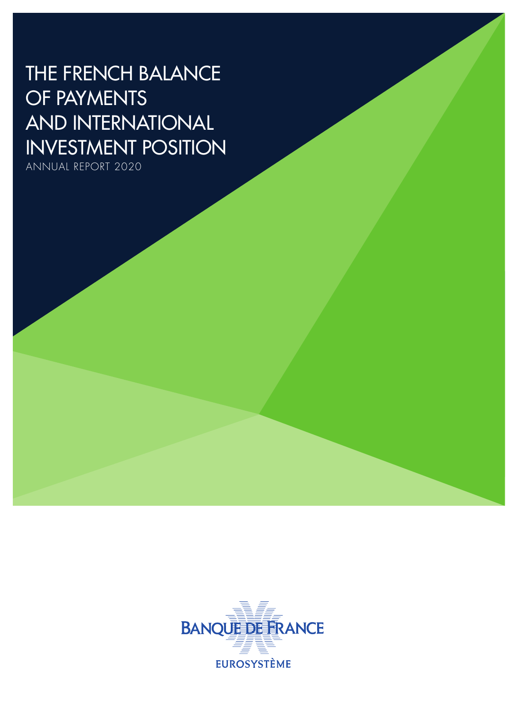# THE FRENCH BALANCE OF PAYMENTS AND INTERNATIONAL INVESTMENT POSITION

ANNUAL REPORT 2020

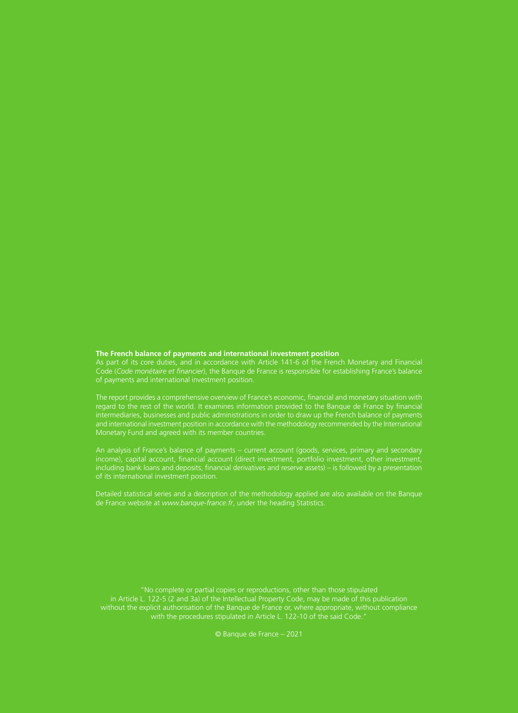#### **The French balance of payments and international investment position**

Code (*Code monétaire et financier*), the Banque de France is responsible for establishing France's balance

regard to the rest of the world. It examines information provided to the Banque de France by financial and international investment position in accordance with the methodology recommended by the International Monetary Fund and agreed with its member countries.

An analysis of France's balance of payments – current account (goods, services, primary and secondary income), capital account, financial account (direct investment, portfolio investment, other investment, including bank loans and deposits, financial derivatives and reserve assets) – is followed by a presentation

Detailed statistical series and a description of the methodology applied are also available on the Banque

"No complete or partial copies or reproductions, other than those stipulated in Article L. 122‑5 (2 and 3a) of the Intellectual Property Code, may be made of this publication without the explicit authorisation of the Banque de France or, where appropriate, without compliance with the procedures stipulated in Article L. 122‑10 of the said Code."

© Banque de France – 2021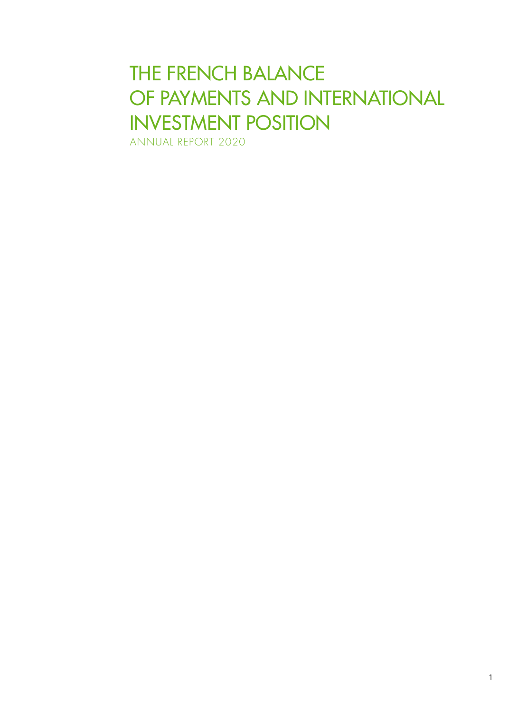# THE FRENCH BALANCE OF PAYMENTS AND INTERNATIONAL INVESTMENT POSITION

ANNUAL REPORT 2020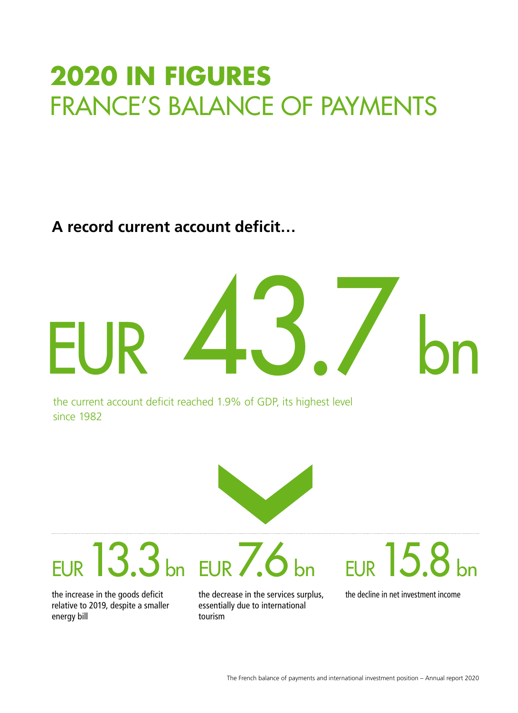# **2020 IN FIGURES** FRANCE'S BALANCE OF PAYMENTS

**A record current account deficit…**



the current account deficit reached 1.9% of GDP, its highest level since 1982



EUR13.3bn EUR7.6bn

the increase in the goods deficit relative to 2019, despite a smaller energy bill

the decrease in the services surplus, essentially due to international tourism

# $EUR$  15.8

the decline in net investment income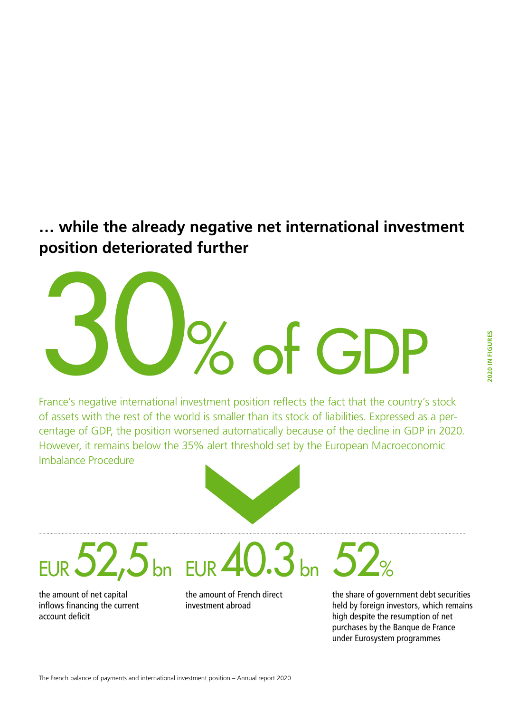### **… while the already negative net international investment position deteriorated further**

France's negative international investment position reflects the fact that the country's stock of assets with the rest of the world is smaller than its stock of liabilities. Expressed as a percentage of GDP, the position worsened automatically because of the decline in GDP in 2020. However, it remains below the 35% alert threshold set by the European Macroeconomic Imbalance Procedure

30% of GDP

EUR  $52,5$  bn EUR  $40.3$  bn

the amount of net capital inflows financing the current account deficit

the amount of French direct investment abroad

52% the share of government debt securities held by foreign investors, which remains high despite the resumption of net

purchases by the Banque de France under Eurosystem programmes

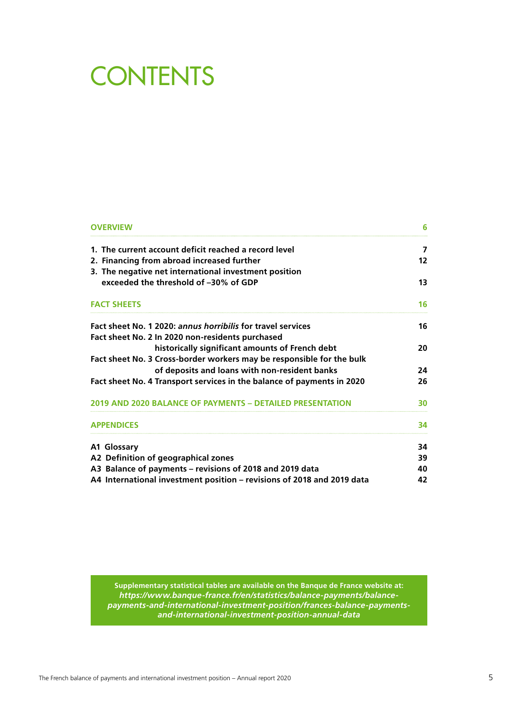# **CONTENTS**

| <b>OVERVIEW</b>                                                        | 6  |
|------------------------------------------------------------------------|----|
| 1. The current account deficit reached a record level                  | 7  |
| 2. Financing from abroad increased further                             | 12 |
| 3. The negative net international investment position                  |    |
| exceeded the threshold of -30% of GDP                                  | 13 |
| <b>FACT SHEETS</b>                                                     | 16 |
| Fact sheet No. 1 2020: annus horribilis for travel services            | 16 |
| Fact sheet No. 2 In 2020 non-residents purchased                       |    |
| historically significant amounts of French debt                        | 20 |
| Fact sheet No. 3 Cross-border workers may be responsible for the bulk  |    |
| of deposits and loans with non-resident banks                          | 24 |
| Fact sheet No. 4 Transport services in the balance of payments in 2020 | 26 |
| 2019 AND 2020 BALANCE OF PAYMENTS - DETAILED PRESENTATION              | 30 |
| <b>APPENDICES</b>                                                      | 34 |
| A1 Glossary                                                            | 34 |
| A2 Definition of geographical zones                                    | 39 |
| A3 Balance of payments - revisions of 2018 and 2019 data               | 40 |
| A4 International investment position - revisions of 2018 and 2019 data | 42 |
|                                                                        |    |

**Supplementary statistical tables are available on the Banque de France website at:** *[https://www.banque-france.fr/en/statistics/balance-payments/balance](https://www.banque-france.fr/en/statistics/balance-payments/balance-payments-and-international-investment-position/frances-balance-payments-and-international-investment-position-annual-data)[payments-and-international-investment-position/frances-balance-payments](https://www.banque-france.fr/en/statistics/balance-payments/balance-payments-and-international-investment-position/frances-balance-payments-and-international-investment-position-annual-data)[and-international-investment-position-annual-data](https://www.banque-france.fr/en/statistics/balance-payments/balance-payments-and-international-investment-position/frances-balance-payments-and-international-investment-position-annual-data)*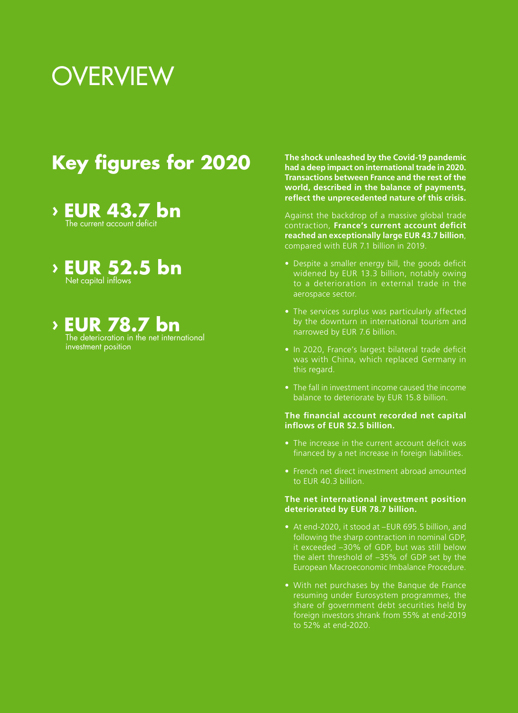# **OVERVIEW**

## **Key figures for 2020**

- **› EUR 43.7 bn** The current account deficit
- **› EUR 52.5 bn** Net capital inflows
- **EUR 78.7 bn**  The deterioration in the net international investment position

**The shock unleashed by the Covid‑19 pandemic had a deep impact on international trade in 2020. Transactions between France and the rest of the world, described in the balance of payments, reflect the unprecedented nature of this crisis.**

Against the backdrop of a massive global trade contraction, **France's current account deficit reached an exceptionally large EUR 43.7 billion**, compared with EUR 7.1 billion in 2019.

- Despite a smaller energy bill, the goods deficit widened by EUR 13.3 billion, notably owing aerospace sector.
- The services surplus was particularly affected by the downturn in international tourism and narrowed by EUR 7.6 billion.
- In 2020, France's largest bilateral trade deficit was with China, which replaced Germany in this regard.
- The fall in investment income caused the income balance to deteriorate by EUR 15.8 billion.

#### **The financial account recorded net capital inflows of EUR 52.5 billion.**

- The increase in the current account deficit was financed by a net increase in foreign liabilities.
- French net direct investment abroad amounted to EUR 40.3 billion.

#### **The net international investment position deteriorated by EUR 78.7 billion.**

- At end-2020, it stood at –EUR 695.5 billion, and following the sharp contraction in nominal GDP, it exceeded –30% of GDP, but was still below the alert threshold of –35% of GDP set by the European Macroeconomic Imbalance Procedure.
- With net purchases by the Banque de France resuming under Eurosystem programmes, the share of government debt securities held by foreign investors shrank from 55% at end-2019 to 52% at end-2020.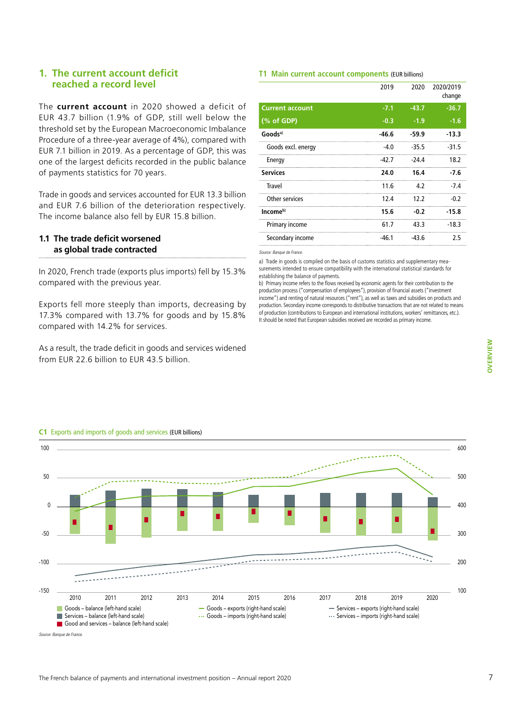#### **1. The current account deficit reached a record level**

The **current account** in 2020 showed a deficit of EUR 43.7 billion (1.9% of GDP, still well below the threshold set by the European Macroeconomic Imbalance Procedure of a three-year average of 4%), compared with EUR 7.1 billion in 2019. As a percentage of GDP, this was one of the largest deficits recorded in the public balance of payments statistics for 70 years.

Trade in goods and services accounted for EUR 13.3 billion and EUR 7.6 billion of the deterioration respectively. The income balance also fell by EUR 15.8 billion.

#### **1.1 The trade deficit worsened as global trade contracted**

In 2020, French trade (exports plus imports) fell by 15.3% compared with the previous year.

Exports fell more steeply than imports, decreasing by 17.3% compared with 13.7% for goods and by 15.8% compared with 14.2% for services.

As a result, the trade deficit in goods and services widened from EUR 22.6 billion to EUR 43.5 billion.

#### **T1 Main current account components** (EUR billions)

|                        | 2019    | 2020    | 2020/2019<br>change |
|------------------------|---------|---------|---------------------|
| <b>Current account</b> | $-7.1$  | $-43.7$ | $-36.7$             |
| (% of GDP)             | $-0.3$  | $-1.9$  | $-1.6$              |
| Goods <sup>a)</sup>    | $-46.6$ | $-59.9$ | -13.3               |
| Goods excl. energy     | $-4.0$  | $-35.5$ | $-31.5$             |
| Energy                 | -42.7   | -24.4   | 18.2                |
| <b>Services</b>        | 24.0    | 16.4    | -7.6                |
| Travel                 | 11.6    | 4.2     | -74                 |
| Other services         | 12.4    | 12.2    | $-0.2$              |
| $Incomeb)$             | 15.6    | $-0.2$  | $-15.8$             |
| Primary income         | 61.7    | 43.3    | $-18.3$             |
| Secondary income       | $-46.1$ | $-43.6$ | 2.5                 |
|                        |         |         |                     |

*Source: Banque de France.*

a) Trade in goods is compiled on the basis of customs statistics and supplementary measurements intended to ensure compatibility with the international statistical standards for establishing the balance of payments.

b) Primary income refers to the flows received by economic agents for their contribution to the production process ("compensation of employees"), provision of financial assets ("investment income") and renting of natural resources ("rent"), as well as taxes and subsidies on products and production. Secondary income corresponds to distributive transactions that are not related to means of production (contributions to European and international institutions, workers' remittances, etc.). It should be noted that European subsidies received are recorded as primary income.



#### **C1** Exports and imports of goods and services (EUR billions)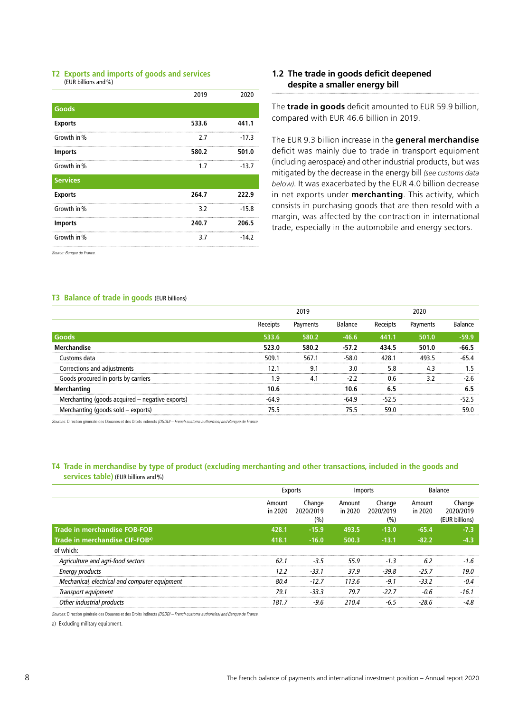#### **T2 Exports and imports of goods and services** (EUR billions and%)

|                 | 2019  | 2020    |
|-----------------|-------|---------|
| Goods           |       |         |
| <b>Exports</b>  | 533.6 | 441.1   |
| Growth in %     | 2.7   | $-17.3$ |
| <b>Imports</b>  | 580.2 | 501.0   |
| Growth in %     | 1.7   | $-13.7$ |
| <b>Services</b> |       |         |
| <b>Exports</b>  | 264.7 | 222.9   |
| Growth in %     | 3.2   | $-15.8$ |
| <b>Imports</b>  | 240.7 | 206.5   |
| Growth in %     | 3.7   | $-14.2$ |
|                 |       |         |

*Source: Banque de France.*

#### **T3 Balance of trade in goods** (EUR billions)

#### **1.2 The trade in goods deficit deepened despite a smaller energy bill**

The **trade in goods** deficit amounted to EUR 59.9 billion, compared with EUR 46.6 billion in 2019.

The EUR 9.3 billion increase in the **general merchandise** deficit was mainly due to trade in transport equipment (including aerospace) and other industrial products, but was mitigated by the decrease in the energy bill *(see customs data below)*. It was exacerbated by the EUR 4.0 billion decrease in net exports under **merchanting**. This activity, which consists in purchasing goods that are then resold with a margin, was affected by the contraction in international trade, especially in the automobile and energy sectors.

|                                                 | 2019  |           |         |                |          |  |
|-------------------------------------------------|-------|-----------|---------|----------------|----------|--|
|                                                 |       | Payments  | Balance | <b>Receipt</b> | Payments |  |
| Goods                                           | 533.6 | 580.2     | -46.6   | 441.1          | 501.0    |  |
| rhandise<br>Mer                                 | 523.0 | 580.2<br> | $-57.2$ | 434 5          | 501.0    |  |
| Customs data                                    | 509.1 | 567.1     |         | 128.           | 493.5    |  |
| Corrections and adjustments                     |       |           |         | 5.8            |          |  |
| Goods procured in ports by carriers             | q     |           |         | በ 6            | マフ       |  |
| Merchanting                                     | 10.6  |           |         |                |          |  |
| Merchanting (goods acquired – negative exports) |       |           |         |                |          |  |
| Merchanting (goods sold – exports)              |       |           |         |                |          |  |
|                                                 |       |           |         |                |          |  |

*Sources:* Direction générale des Douanes et des Droits indirects *(DGDDI – French customs authorities) and Banque de France.*

#### **T4 Trade in merchandise by type of product (excluding merchanting and other transactions, included in the goods and services table)** (EUR billions and%)

|                                               |                   |                            | Imports           |                            |                   | Balance                               |
|-----------------------------------------------|-------------------|----------------------------|-------------------|----------------------------|-------------------|---------------------------------------|
|                                               | Amount<br>in 2020 | Change<br>2020/2019<br>(%) | Amount<br>in 2020 | Change<br>2020/2019<br>(%) | Amount<br>in 2020 | Change<br>2020/2019<br>(EUR billions) |
| <b>Trade in merchandise FOB-FOB</b>           | 428.1             | $-15.9$                    | 493.5             | $-13.0$                    | $-65.4$           |                                       |
| Trade in merchandise CIF-FOB <sup>a)</sup>    | 418.1             | $-16.0$                    | 500.3             | $-13.1$                    | $-82.2$           |                                       |
| of which:                                     |                   |                            |                   |                            |                   |                                       |
| Agriculture and agri-food sectors             | 62.1              | $-3.5$                     | 55.9              | $-1.3$<br>                 | 6.2               | .                                     |
| <b>Energy products</b>                        | 12.2              | $-33.1$                    | 37.9              | $-39.8$                    | $-25.7$           | 19.0                                  |
| Mechanical, electrical and computer equipment | 80.4              | $-12.7$                    | 113.6             | $-9.1$                     | $-33.2$           |                                       |
| Transport equipment                           | 79.1              | $-33.3$                    | 79.7              | $-22.7$                    |                   | -161                                  |
| r industrial products                         | 181 7             | -96                        |                   |                            |                   |                                       |

*Sources:* Direction générale des Douanes et des Droits indirects *(DGDDI – French customs authorities) and Banque de France.*

a) Excluding military equipment.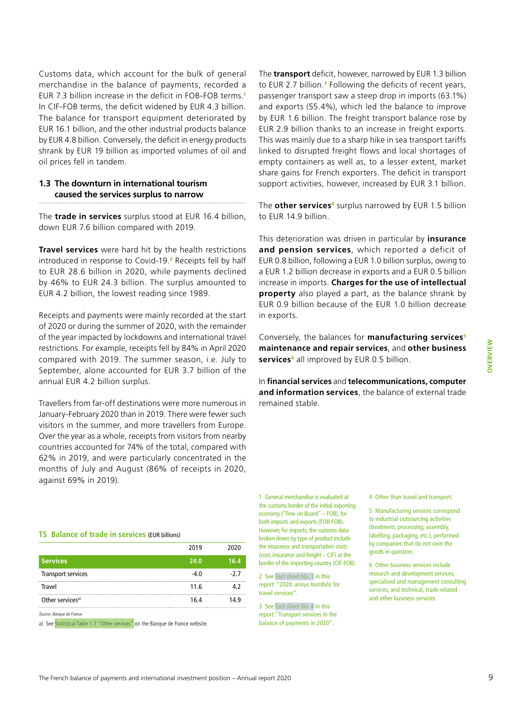Customs data, which account for the bulk of general merchandise in the balance of payments, recorded a EUR 7.3 billion increase in the deficit in FOB-FOB terms.**<sup>1</sup>** In CIF-FOB terms, the deficit widened by EUR 4.3 billion. The balance for transport equipment deteriorated by EUR 16.1 billion, and the other industrial products balance by EUR 4.8 billion. Conversely, the deficit in energy products shrank by EUR 19 billion as imported volumes of oil and oil prices fell in tandem.

#### **1.3 The downturn in international tourism caused the services surplus to narrow**

The **trade in services** surplus stood at EUR 16.4 billion, down EUR 7.6 billion compared with 2019.

**Travel services** were hard hit by the health restrictions introduced in response to Covid-19.**<sup>2</sup>** Receipts fell by half to EUR 28.6 billion in 2020, while payments declined by 46% to EUR 24.3 billion. The surplus amounted to EUR 4.2 billion, the lowest reading since 1989.

Receipts and payments were mainly recorded at the start of 2020 or during the summer of 2020, with the remainder of the year impacted by lockdowns and international travel restrictions. For example, receipts fell by 84% in April 2020 compared with 2019. The summer season, i.e. July to September, alone accounted for EUR 3.7 billion of the annual EUR 4.2 billion surplus.

Travellers from far-off destinations were more numerous in January-February 2020 than in 2019. There were fewer such visitors in the summer, and more travellers from Europe. Over the year as a whole, receipts from visitors from nearby countries accounted for 74% of the total, compared with 62% in 2019, and were particularly concentrated in the months of July and August (86% of receipts in 2020, against 69% in 2019).

#### **T5 Balance of trade in services** (EUR billions)

|                              | 2019   | 2020 |
|------------------------------|--------|------|
| <b>Services</b>              | 24.0   | 16.4 |
| <b>Transport services</b>    | $-4.0$ | -27  |
| Travel                       | 11.6   |      |
| Other services <sup>a)</sup> | 16.4   | 149  |
| Source: Banque de France.    |        |      |

a) Se[e Statistical Table 1.7 "Other services" o](#page-55-0)n the Banque de France website.

The **transport** deficit, however, narrowed by EUR 1.3 billion to EUR 2.7 billion.**<sup>3</sup>** Following the deficits of recent years, passenger transport saw a steep drop in imports (63.1%) and exports (55.4%), which led the balance to improve by EUR 1.6 billion. The freight transport balance rose by EUR 2.9 billion thanks to an increase in freight exports. This was mainly due to a sharp hike in sea transport tariffs linked to disrupted freight flows and local shortages of empty containers as well as, to a lesser extent, market share gains for French exporters. The deficit in transport support activities, however, increased by EUR 3.1 billion.

The **other services<sup>4</sup>** surplus narrowed by EUR 1.5 billion to EUR 14.9 billion.

This deterioration was driven in particular by **insurance and pension services**, which reported a deficit of EUR 0.8 billion, following a EUR 1.0 billion surplus, owing to a EUR 1.2 billion decrease in exports and a EUR 0.5 billion increase in imports. **Charges for the use of intellectual property** also played a part, as the balance shrank by EUR 0.9 billion because of the EUR 1.0 billion decrease in exports.

Conversely, the balances for **manufacturing services5 maintenance and repair services**, and **other business**  services<sup>6</sup> all improved by EUR 0.5 billion.

In **financial services** and **telecommunications, computer and information services**, the balance of external trade remained stable.

1 General merchandise is evaluated at the customs border of the initial exporting economy ("Free on Board" – FOB), for both imports and exports (FOB-FOB). However, for imports, the customs data broken down by type of product include the insurance and transportation costs (cost, insurance and freight – CIF) at the border of the importing country (CIF-FOB).

2 Se[e Fact sheet No. 1](#page-17-0) in this report: "2020: *annus horribilis* for travel services".

3 Se[e Fact sheet No. 4 i](#page-27-0)n this report:"Transport services in the balance of payments in 2020".

4 Other than travel and transport.

5 Manufacturing services correspond to industrial outsourcing activities (treatment, processing, assembly, labelling, packaging, etc.), performed by companies that do not own the goods in question.

6 Other business services include research and development services, specialised and management consulting services, and technical, trade-related and other business services.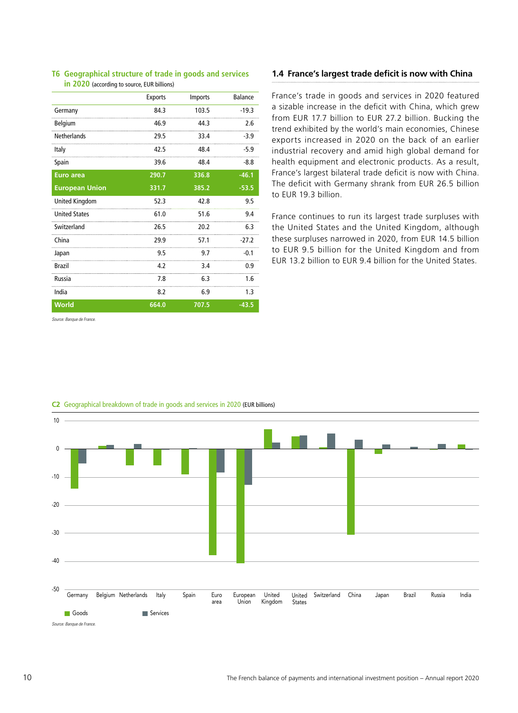|                       | <b>Exports</b> | Imports | Balance |
|-----------------------|----------------|---------|---------|
| Germany               | 84.3           | 103.5   | $-19.3$ |
| Belgium               | 46.9           | 44.3    | 2.6     |
| <b>Netherlands</b>    | 29.5           | 33.4    | -3.9    |
| Italy                 | 42.5           | 48.4    | $-5.9$  |
| Spain                 | 39.6           | 48.4    | $-8.8$  |
| <b>Euro area</b>      | 290.7          | 336.8   | $-46.1$ |
| <b>European Union</b> | 331.7          | 385.2   | $-53.5$ |
| <b>United Kingdom</b> | 52.3           | 42.8    | 9.5     |
| <b>United States</b>  | 61.0           | 51.6    | 9.4     |
| Switzerland           | 26.5           | 20.2    | 6.3     |
| China                 | 29.9           | 57.1    | $-27.2$ |
| Japan                 | 9.5            | 9.7     | $-0.1$  |
| <b>Brazil</b>         | 4.2            | 3.4     | 0.9     |
| Russia                | 7.8            | 6.3     | 1.6     |
| India                 | 8.2            | 6.9     | 1.3     |
| <b>World</b>          | 664.0          | 707.5   | $-43.5$ |
|                       |                |         |         |

#### **T6 Geographical structure of trade in goods and services in 2020** (according to source, EUR billions)

#### *Source: Banque de France.*

#### **1.4 France's largest trade deficit is now with China**

France's trade in goods and services in 2020 featured a sizable increase in the deficit with China, which grew from EUR 17.7 billion to EUR 27.2 billion. Bucking the trend exhibited by the world's main economies, Chinese exports increased in 2020 on the back of an earlier industrial recovery and amid high global demand for health equipment and electronic products. As a result, France's largest bilateral trade deficit is now with China. The deficit with Germany shrank from EUR 26.5 billion to EUR 19.3 billion.

France continues to run its largest trade surpluses with the United States and the United Kingdom, although these surpluses narrowed in 2020, from EUR 14.5 billion to EUR 9.5 billion for the United Kingdom and from EUR 13.2 billion to EUR 9.4 billion for the United States.



#### **C2** Geographical breakdown of trade in goods and services in 2020 (EUR billions)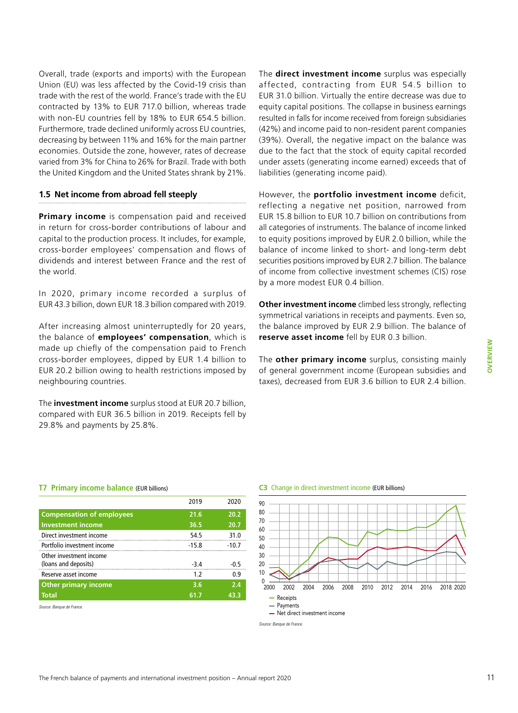Overall, trade (exports and imports) with the European Union (EU) was less affected by the Covid-19 crisis than trade with the rest of the world. France's trade with the EU contracted by 13% to EUR 717.0 billion, whereas trade with non-EU countries fell by 18% to EUR 654.5 billion. Furthermore, trade declined uniformly across EU countries, decreasing by between 11% and 16% for the main partner economies. Outside the zone, however, rates of decrease varied from 3% for China to 26% for Brazil. Trade with both the United Kingdom and the United States shrank by 21%.

#### **1.5 Net income from abroad fell steeply**

**Primary income** is compensation paid and received in return for cross-border contributions of labour and capital to the production process. It includes, for example, cross-border employees' compensation and flows of dividends and interest between France and the rest of the world.

In 2020, primary income recorded a surplus of EUR 43.3 billion, down EUR 18.3 billion compared with 2019.

After increasing almost uninterruptedly for 20 years, the balance of **employees' compensation**, which is made up chiefly of the compensation paid to French cross-border employees, dipped by EUR 1.4 billion to EUR 20.2 billion owing to health restrictions imposed by neighbouring countries.

The **investment income** surplus stood at EUR 20.7 billion, compared with EUR 36.5 billion in 2019. Receipts fell by 29.8% and payments by 25.8%.

The **direct investment income** surplus was especially affected, contracting from EUR 54.5 billion to EUR 31.0 billion. Virtually the entire decrease was due to equity capital positions. The collapse in business earnings resulted in falls for income received from foreign subsidiaries (42%) and income paid to non-resident parent companies (39%). Overall, the negative impact on the balance was due to the fact that the stock of equity capital recorded under assets (generating income earned) exceeds that of liabilities (generating income paid).

However, the **portfolio investment income** deficit, reflecting a negative net position, narrowed from EUR 15.8 billion to EUR 10.7 billion on contributions from all categories of instruments. The balance of income linked to equity positions improved by EUR 2.0 billion, while the balance of income linked to short- and long-term debt securities positions improved by EUR 2.7 billion. The balance of income from collective investment schemes (CIS) rose by a more modest EUR 0.4 billion.

**Other investment income** climbed less strongly, reflecting symmetrical variations in receipts and payments. Even so, the balance improved by EUR 2.9 billion. The balance of **reserve asset income** fell by EUR 0.3 billion.

The **other primary income** surplus, consisting mainly of general government income (European subsidies and taxes), decreased from EUR 3.6 billion to EUR 2.4 billion.

**OVERVIEW**

OVERVIEW

#### **T7 Primary income balance** (EUR billions)

|                                                 | 2019    | 2020   |
|-------------------------------------------------|---------|--------|
| <b>Compensation of employees</b>                | 21.6    | 20.2   |
| <b>Investment income</b>                        | 36.5    | 20.7   |
| Direct investment income                        | 54.5    | 31.0   |
| Portfolio investment income                     | $-15.8$ | -10.7  |
| Other investment income<br>(loans and deposits) | $-3.4$  | $-0.5$ |
| Reserve asset income                            | 1.7     | 0.9    |
| <b>Other primary income</b>                     | 3.6     | 7.4    |
| <b>Total</b>                                    | 61.7    | 43.3   |
|                                                 |         |        |

*Source: Banque de France.*

#### **C3** Change in direct investment income (EUR billions)

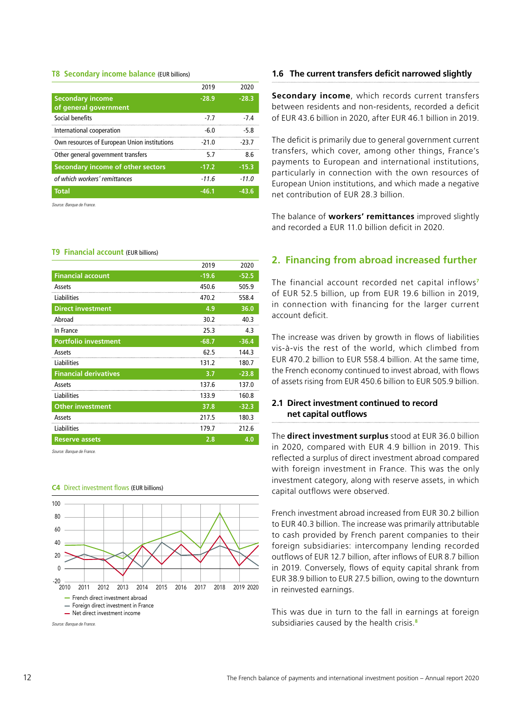#### **T8 Secondary income balance** (EUR billions)

|                                                  | 2019    | 2020    |
|--------------------------------------------------|---------|---------|
| <b>Secondary income</b><br>of general government | $-28.9$ | $-28.3$ |
| Social benefits                                  | -77     | -74     |
| International cooperation                        | $-6.0$  | $-5.8$  |
| Own resources of European Union institutions     | $-210$  | -23 7   |
| Other general government transfers               | 5.7     | 8.6     |
| Secondary income of other sectors                | $-17.2$ | $-15.3$ |
| of which workers' remittances                    | $-11.6$ | $-11.0$ |
| <b>Total</b>                                     | $-46.1$ | $-43.6$ |

*Source: Banque de France.*

#### **T9 Financial account** (EUR billions)

|                              | 2019    | 2020    |
|------------------------------|---------|---------|
| <b>Financial account</b>     | $-19.6$ | $-52.5$ |
| Assets                       | 450.6   | 505.9   |
| Liabilities                  | 470.2   | 558.4   |
| <b>Direct investment</b>     | 4.9     | 36.0    |
| Abroad                       | 30.2    | 40.3    |
| In France                    | 25.3    | 4.3     |
| <b>Portfolio investment</b>  | $-68.7$ | $-36.4$ |
| Assets                       | 62.5    | 144.3   |
| Liabilities                  | 131.2   | 180.7   |
| <b>Financial derivatives</b> | 3.7     | $-23.8$ |
| Assets                       | 137.6   | 137.0   |
| Liabilities                  | 133.9   | 160.8   |
| <b>Other investment</b>      | 37.8    | $-32.3$ |
| Assets                       | 217.5   | 180.3   |
| Liabilities                  | 179.7   | 212.6   |
| <b>Reserve assets</b>        | 2.8     | 4.0     |

*Source: Banque de France.*

#### **C4** Direct investment flows (EUR billions)



**Secondary income**, which records current transfers between residents and non-residents, recorded a deficit of EUR 43.6 billion in 2020, after EUR 46.1 billion in 2019.

The deficit is primarily due to general government current transfers, which cover, among other things, France's payments to European and international institutions, particularly in connection with the own resources of European Union institutions, and which made a negative net contribution of EUR 28.3 billion.

The balance of **workers' remittances** improved slightly and recorded a EUR 11.0 billion deficit in 2020.

#### **2. Financing from abroad increased further**

The financial account recorded net capital inflows**<sup>7</sup>** of EUR 52.5 billion, up from EUR 19.6 billion in 2019, in connection with financing for the larger current account deficit.

The increase was driven by growth in flows of liabilities vis-à-vis the rest of the world, which climbed from EUR 470.2 billion to EUR 558.4 billion. At the same time, the French economy continued to invest abroad, with flows of assets rising from EUR 450.6 billion to EUR 505.9 billion.

#### **2.1 Direct investment continued to record net capital outflows**

The **direct investment surplus** stood at EUR 36.0 billion in 2020, compared with EUR 4.9 billion in 2019. This reflected a surplus of direct investment abroad compared with foreign investment in France. This was the only investment category, along with reserve assets, in which capital outflows were observed.

French investment abroad increased from EUR 30.2 billion to EUR 40.3 billion. The increase was primarily attributable to cash provided by French parent companies to their foreign subsidiaries: intercompany lending recorded outflows of EUR 12.7 billion, after inflows of EUR 8.7 billion in 2019. Conversely, flows of equity capital shrank from EUR 38.9 billion to EUR 27.5 billion, owing to the downturn in reinvested earnings.

This was due in turn to the fall in earnings at foreign subsidiaries caused by the health crisis.**8**

**<sup>1.6</sup> The current transfers deficit narrowed slightly**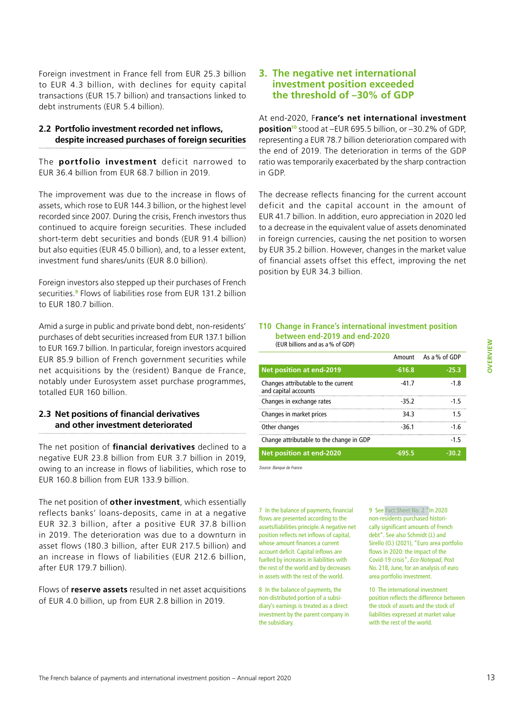Foreign investment in France fell from EUR 25.3 billion to EUR 4.3 billion, with declines for equity capital transactions (EUR 15.7 billion) and transactions linked to debt instruments (EUR 5.4 billion).

#### **2.2 Portfolio investment recorded net inflows, despite increased purchases of foreign securities**

The **portfolio investment** deficit narrowed to EUR 36.4 billion from EUR 68.7 billion in 2019.

The improvement was due to the increase in flows of assets, which rose to EUR 144.3 billion, or the highest level recorded since 2007. During the crisis, French investors thus continued to acquire foreign securities. These included short-term debt securities and bonds (EUR 91.4 billion) but also equities (EUR 45.0 billion), and, to a lesser extent, investment fund shares/units (EUR 8.0 billion).

Foreign investors also stepped up their purchases of French securities.**<sup>9</sup>** Flows of liabilities rose from EUR 131.2 billion to EUR 180.7 billion.

Amid a surge in public and private bond debt, non-residents' purchases of debt securities increased from EUR 137.1 billion to EUR 169.7 billion. In particular, foreign investors acquired EUR 85.9 billion of French government securities while net acquisitions by the (resident) Banque de France, notably under Eurosystem asset purchase programmes, totalled EUR 160 billion.

#### **2.3 Net positions of financial derivatives and other investment deteriorated**

The net position of **financial derivatives** declined to a negative EUR 23.8 billion from EUR 3.7 billion in 2019, owing to an increase in flows of liabilities, which rose to EUR 160.8 billion from EUR 133.9 billion.

The net position of **other investment**, which essentially reflects banks' loans-deposits, came in at a negative EUR 32.3 billion, after a positive EUR 37.8 billion in 2019. The deterioration was due to a downturn in asset flows (180.3 billion, after EUR 217.5 billion) and an increase in flows of liabilities (EUR 212.6 billion, after EUR 179.7 billion).

Flows of **reserve assets** resulted in net asset acquisitions of EUR 4.0 billion, up from EUR 2.8 billion in 2019.

#### **3. The negative net international investment position exceeded the threshold of –30% of GDP**

At end-2020, F**rance's net international investment position10** stood at –EUR 695.5 billion, or –30.2% of GDP, representing a EUR 78.7 billion deterioration compared with the end of 2019. The deterioration in terms of the GDP ratio was temporarily exacerbated by the sharp contraction in GDP.

The decrease reflects financing for the current account deficit and the capital account in the amount of EUR 41.7 billion. In addition, euro appreciation in 2020 led to a decrease in the equivalent value of assets denominated in foreign currencies, causing the net position to worsen by EUR 35.2 billion. However, changes in the market value of financial assets offset this effect, improving the net position by EUR 34.3 billion.

#### **T10 Change in France's international investment position between end-2019 and end-2020** (EUR billions and as a% of GDP)

|                                                             | Amount   | As a% of GDP |
|-------------------------------------------------------------|----------|--------------|
| Net position at end-2019                                    | $-616.8$ | $-25.3$      |
| Changes attributable to the current<br>and capital accounts | $-41.7$  | $-1.8$       |
| Changes in exchange rates                                   | $-35.2$  | $-15$        |
| Changes in market prices                                    | 34.3     | 15           |
| Other changes                                               | $-36.1$  | $-1.6$       |
| Change attributable to the change in GDP                    |          | $-15$        |
| Net position at end-2020                                    | -695 5   | -30.2        |

*Source: Banque de France.*

7 In the balance of payments, financial flows are presented according to the assets/liabilities principle. A negative net position reflects net inflows of capital, whose amount finances a current account deficit. Capital inflows are fuelled by increases in liabilities with the rest of the world and by decreases in assets with the rest of the world.

8 In the balance of payments, the non-distributed portion of a subsidiary's earnings is treated as a direct investment by the parent company in the subsidiary.

9 Se[e Fact Sheet No. 2 "I](#page-21-0)n 2020 non-residents purchased historically significant amounts of French debt". See also Schmidt (J.) and Sirello (O.) (2021), "Euro area portfolio flows in 2020: the impact of the Covid-19 crisis", *Eco Notepad*, Post No. 218, June, for an analysis of euro area portfolio investment.

10 The international investment position reflects the difference between the stock of assets and the stock of liabilities expressed at market value with the rest of the world.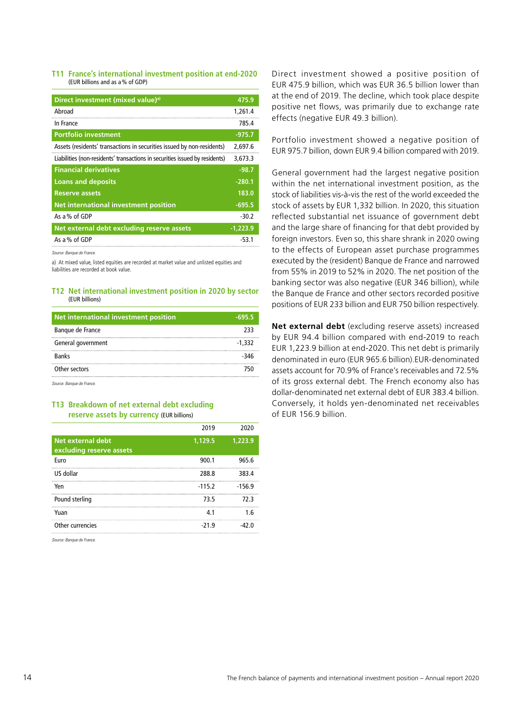#### **T11 France's international investment position at end‑2020**  (EUR billions and as a% of GDP)

| Direct investment (mixed value) <sup>a)</sup>                               | 475.9      |
|-----------------------------------------------------------------------------|------------|
| Abroad                                                                      | 1.261.4    |
| In France                                                                   | 785.4      |
| <b>Portfolio investment</b>                                                 | $-975.7$   |
| Assets (residents' transactions in securities issued by non-residents)      | 2.697.6    |
| Liabilities (non-residents' transactions in securities issued by residents) | 3,673.3    |
| <b>Financial derivatives</b>                                                | $-98.7$    |
| <b>Loans and deposits</b>                                                   | $-280.1$   |
| <b>Reserve assets</b>                                                       | 183.0      |
| Net international investment position                                       | $-695.5$   |
| As a % of GDP                                                               | $-30.2$    |
| Net external debt excluding reserve assets                                  | $-1.223.9$ |
| As a % of GDP                                                               | -53.1      |

*Source: Banque de France.*

a) At mixed value, listed equities are recorded at market value and unlisted equities and liabilities are recorded at book value.

#### **T12 Net international investment position in 2020 by sector** (EUR billions)

| Net international investment position | $-695.5$ |
|---------------------------------------|----------|
| Banque de France                      | 233      |
| General government                    | $-1.332$ |
| <b>Banks</b>                          | -346     |
| Other sectors                         | 750      |
| Source: Rangue de France              |          |

*Source: Banque de France.*

#### **T13 Breakdown of net external debt excluding reserve assets by currency** (EUR billions)

|                                               | 2019     | วกวก     |
|-----------------------------------------------|----------|----------|
| Net external debt<br>excluding reserve assets | 1,129.5  | 1.223.9  |
| Euro                                          | 900.1    | 965.6    |
| US dollar                                     | 288.8    | 383.4    |
| Yen                                           | $-115.2$ | $-156.9$ |
| Pound sterling                                | 73.5     | 72.3     |
| Yuan                                          | 4.1      | 1.6      |
| Other currencies                              | -21.9    |          |

*Source: Banque de France.*

Direct investment showed a positive position of EUR 475.9 billion, which was EUR 36.5 billion lower than at the end of 2019. The decline, which took place despite positive net flows, was primarily due to exchange rate effects (negative EUR 49.3 billion).

Portfolio investment showed a negative position of EUR 975.7 billion, down EUR 9.4 billion compared with 2019.

General government had the largest negative position within the net international investment position, as the stock of liabilities vis-à-vis the rest of the world exceeded the stock of assets by EUR 1,332 billion. In 2020, this situation reflected substantial net issuance of government debt and the large share of financing for that debt provided by foreign investors. Even so, this share shrank in 2020 owing to the effects of European asset purchase programmes executed by the (resident) Banque de France and narrowed from 55% in 2019 to 52% in 2020. The net position of the banking sector was also negative (EUR 346 billion), while the Banque de France and other sectors recorded positive positions of EUR 233 billion and EUR 750 billion respectively.

**Net external debt** (excluding reserve assets) increased by EUR 94.4 billion compared with end-2019 to reach EUR 1,223.9 billion at end-2020. This net debt is primarily denominated in euro (EUR 965.6 billion).EUR-denominated assets account for 70.9% of France's receivables and 72.5% of its gross external debt. The French economy also has dollar-denominated net external debt of EUR 383.4 billion. Conversely, it holds yen-denominated net receivables of EUR 156.9 billion.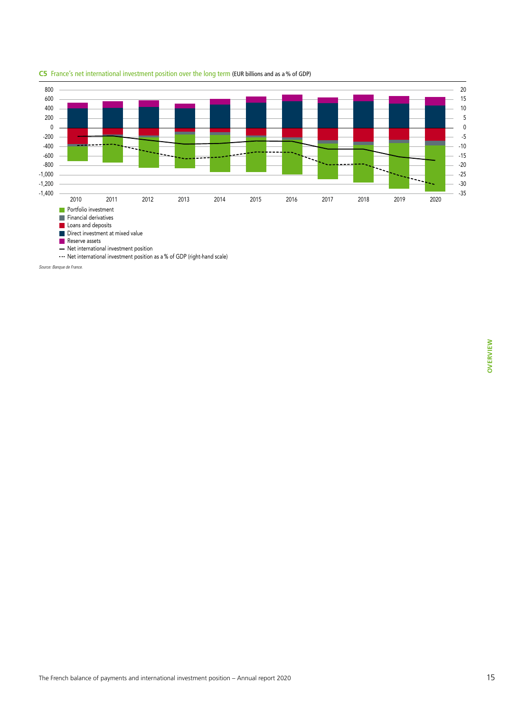

#### **C5** France's net international investment position over the long term (EUR billions and as a% of GDP)

*Source: Banque de France.*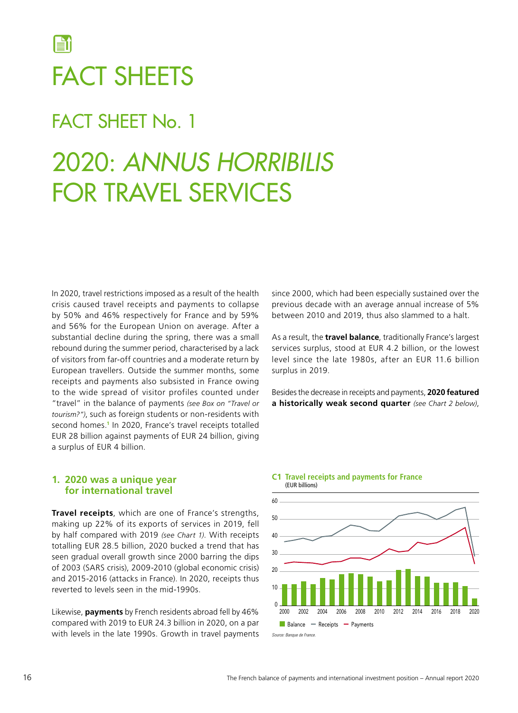# <span id="page-17-0"></span>FACT SHEETS

### FACT SHEET No. 1

# 2020: *ANNUS HORRIBILIS* FOR TRAVEL SERVICES

In 2020, travel restrictions imposed as a result of the health crisis caused travel receipts and payments to collapse by 50% and 46% respectively for France and by 59% and 56% for the European Union on average. After a substantial decline during the spring, there was a small rebound during the summer period, characterised by a lack of visitors from far‑off countries and a moderate return by European travellers. Outside the summer months, some receipts and payments also subsisted in France owing to the wide spread of visitor profiles counted under "travel" in the balance of payments *(see Box on "Travel or tourism?")*, such as foreign students or non‑residents with second homes.**<sup>1</sup>** In 2020, France's travel receipts totalled EUR 28 billion against payments of EUR 24 billion, giving a surplus of EUR 4 billion.

#### **1. 2020 was a unique year for international travel**

**Travel receipts**, which are one of France's strengths, making up 22% of its exports of services in 2019, fell by half compared with 2019 *(see Chart 1)*. With receipts totalling EUR 28.5 billion, 2020 bucked a trend that has seen gradual overall growth since 2000 barring the dips of 2003 (SARS crisis), 2009‑2010 (global economic crisis) and 2015‑2016 (attacks in France). In 2020, receipts thus reverted to levels seen in the mid‑1990s.

Likewise, **payments** by French residents abroad fell by 46% compared with 2019 to EUR 24.3 billion in 2020, on a par with levels in the late 1990s. Growth in travel payments since 2000, which had been especially sustained over the previous decade with an average annual increase of 5% between 2010 and 2019, thus also slammed to a halt.

As a result, the **travel balance**, traditionally France's largest services surplus, stood at EUR 4.2 billion, or the lowest level since the late 1980s, after an EUR 11.6 billion surplus in 2019.

Besides the decrease in receipts and payments, **2020 featured a historically weak second quarter** *(see Chart 2 below)*,

#### **C1 Travel receipts and payments for France** (EUR billions)

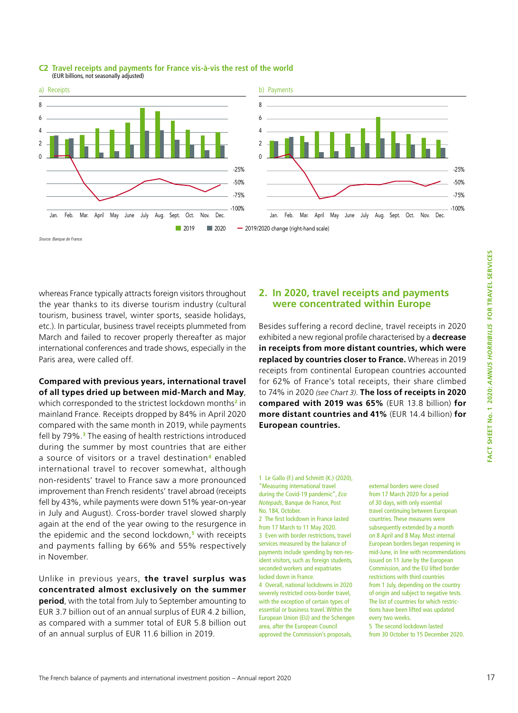

#### **C2 Travel receipts and payments for France vis-à-vis the rest of the world**  (EUR billions, not seasonally adjusted)

whereas France typically attracts foreign visitors throughout the year thanks to its diverse tourism industry (cultural tourism, business travel, winter sports, seaside holidays, etc.). In particular, business travel receipts plummeted from March and failed to recover properly thereafter as major international conferences and trade shows, especially in the Paris area, were called off.

**Compared with previous years, international travel of all types dried up between mid‑March and May**, which corresponded to the strictest lockdown months**<sup>2</sup>** in mainland France. Receipts dropped by 84% in April 2020 compared with the same month in 2019, while payments fell by 79%.**<sup>3</sup>** The easing of health restrictions introduced during the summer by most countries that are either a source of visitors or a travel destination**4** enabled international travel to recover somewhat, although non‑residents' travel to France saw a more pronounced improvement than French residents' travel abroad (receipts fell by 43%, while payments were down 51% year-on-year in July and August). Cross-border travel slowed sharply again at the end of the year owing to the resurgence in the epidemic and the second lockdown,**<sup>5</sup>** with receipts and payments falling by 66% and 55% respectively in November.

Unlike in previous years, **the travel surplus was concentrated almost exclusively on the summer period**, with the total from July to September amounting to EUR 3.7 billion out of an annual surplus of EUR 4.2 billion, as compared with a summer total of EUR 5.8 billion out of an annual surplus of EUR 11.6 billion in 2019.

#### **2. In 2020, travel receipts and payments were concentrated within Europe**

Besides suffering a record decline, travel receipts in 2020 exhibited a new regional profile characterised by a **decrease in receipts from more distant countries, which were replaced by countries closer to France.** Whereas in 2019 receipts from continental European countries accounted for 62% of France's total receipts, their share climbed to 74% in 2020 *(see Chart 3)*. **The loss of receipts in 2020 compared with 2019 was 65%** (EUR 13.8 billion) **for more distant countries and 41%** (EUR 14.4 billion) **for European countries.**

1 Le Gallo (F.) and Schmitt (K.) (2020), "[Measuring international travel](https://blocnotesdeleco.banque-france.fr/en/blog-entry/measuring-international-travel-during-covid-19-pandemic)  [during the Covid‑19 pandemic"](https://blocnotesdeleco.banque-france.fr/en/blog-entry/measuring-international-travel-during-covid-19-pandemic), *Eco Notepads*, Banque de France, Post No. 184, October.

2 The first lockdown in France lasted from 17 March to 11 May 2020. 3 Even with border restrictions, travel services measured by the balance of payments include spending by non-resident visitors, such as foreign students, seconded workers and expatriates locked down in France.

4 Overall, national lockdowns in 2020 severely restricted cross‑border travel, with the exception of certain types of essential or business travel. Within the European Union (EU) and the Schengen area, after the European Council approved the Commission's proposals,

external borders were closed from 17 March 2020 for a period of 30 days, with only essential travel continuing between European countries. These measures were subsequently extended by a month on 8 April and 8 May. Most internal European borders began reopening in mid‑June, in line with recommendations issued on 11 June by the European Commission, and the EU lifted border restrictions with third countries from 1 July, depending on the country of origin and subject to negative tests. The list of countries for which restrictions have been lifted was updated every two weeks.

5 The second lockdown lasted from 30 October to 15 December 2020.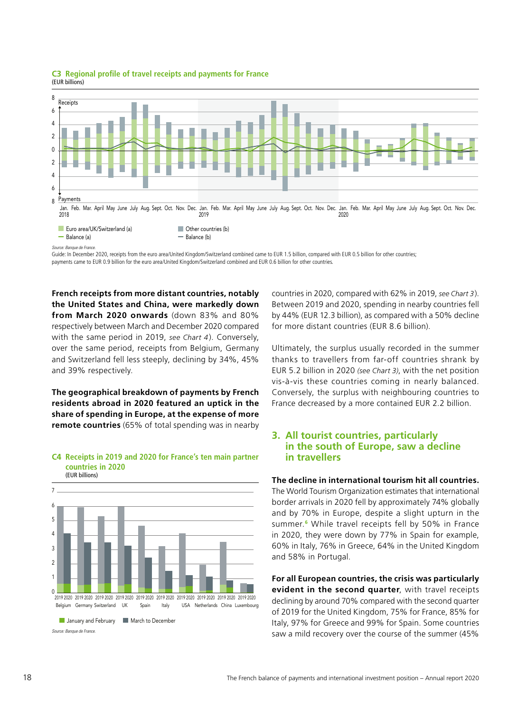

**C3 Regional profile of travel receipts and payments for France** (EUR billions)

Guide: In December 2020, receipts from the euro area/United Kingdom/Switzerland combined came to EUR 1.5 billion, compared with EUR 0.5 billion for other countries; payments came to EUR 0.9 billion for the euro area/United Kingdom/Switzerland combined and EUR 0.6 billion for other countries.

**French receipts from more distant countries, notably the United States and China, were markedly down from March 2020 onwards** (down 83% and 80% respectively between March and December 2020 compared with the same period in 2019, *see Chart 4*). Conversely, over the same period, receipts from Belgium, Germany and Switzerland fell less steeply, declining by 34%, 45% and 39% respectively.

**The geographical breakdown of payments by French residents abroad in 2020 featured an uptick in the share of spending in Europe, at the expense of more remote countries** (65% of total spending was in nearby



#### **C4 Receipts in 2019 and 2020 for France's ten main partner countries in 2020** (EUR billions)

countries in 2020, compared with 62% in 2019, *see Chart 3*). Between 2019 and 2020, spending in nearby countries fell by 44% (EUR 12.3 billion), as compared with a 50% decline for more distant countries (EUR 8.6 billion).

Ultimately, the surplus usually recorded in the summer thanks to travellers from far‑off countries shrank by EUR 5.2 billion in 2020 *(see Chart 3)*, with the net position vis-à-vis these countries coming in nearly balanced. Conversely, the surplus with neighbouring countries to France decreased by a more contained EUR 2.2 billion.

#### **3. All tourist countries, particularly in the south of Europe, saw a decline in travellers**

#### **The decline in international tourism hit all countries.**

The World Tourism Organization estimates that international border arrivals in 2020 fell by approximately 74% globally and by 70% in Europe, despite a slight upturn in the summer.**<sup>6</sup>** While travel receipts fell by 50% in France in 2020, they were down by 77% in Spain for example, 60% in Italy, 76% in Greece, 64% in the United Kingdom and 58% in Portugal.

**For all European countries, the crisis was particularly evident in the second quarter**, with travel receipts declining by around 70% compared with the second quarter of 2019 for the United Kingdom, 75% for France, 85% for Italy, 97% for Greece and 99% for Spain. Some countries saw a mild recovery over the course of the summer (45%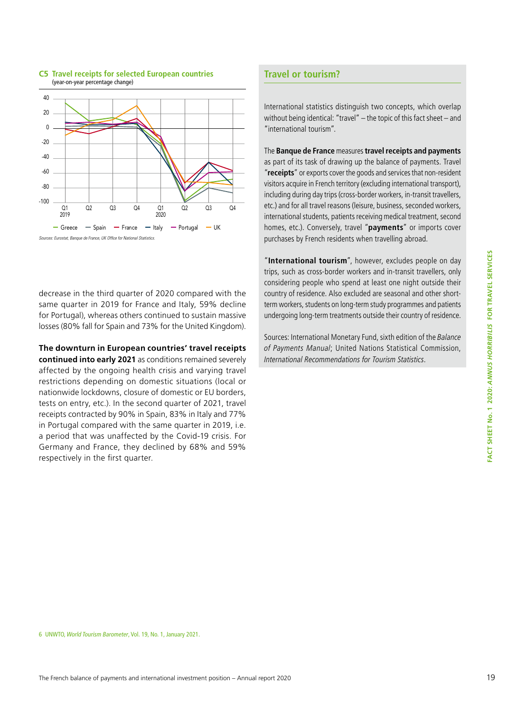

#### **C5 Travel receipts for selected European countries**  (year‑on‑year percentage change)

decrease in the third quarter of 2020 compared with the same quarter in 2019 for France and Italy, 59% decline for Portugal), whereas others continued to sustain massive losses (80% fall for Spain and 73% for the United Kingdom).

**The downturn in European countries' travel receipts continued into early 2021** as conditions remained severely affected by the ongoing health crisis and varying travel restrictions depending on domestic situations (local or nationwide lockdowns, closure of domestic or EU borders, tests on entry, etc.). In the second quarter of 2021, travel receipts contracted by 90% in Spain, 83% in Italy and 77% in Portugal compared with the same quarter in 2019, i.e. a period that was unaffected by the Covid-19 crisis. For Germany and France, they declined by 68% and 59% respectively in the first quarter.

#### **Travel or tourism?**

International statistics distinguish two concepts, which overlap without being identical: "travel" – the topic of this fact sheet – and "international tourism".

The **Banque de France** measures **travel receipts and payments** as part of its task of drawing up the balance of payments. Travel "**receipts**" or exports cover the goods and services that non-resident visitors acquire in French territory (excluding international transport), including during day trips (cross-border workers, in-transit travellers, etc.) and for all travel reasons (leisure, business, seconded workers, international students, patients receiving medical treatment, second homes, etc.). Conversely, travel "**payments**" or imports cover purchases by French residents when travelling abroad.

"**International tourism**", however, excludes people on day trips, such as cross-border workers and in-transit travellers, only considering people who spend at least one night outside their country of residence. Also excluded are seasonal and other shortterm workers, students on long-term study programmes and patients undergoing long-term treatments outside their country of residence.

Sources: International Monetary Fund, sixth edition of the *Balance of Payments Manual*; United Nations Statistical Commission, *International Recommendations for Tourism Statistics*.

<sup>6</sup> UNWTO, *World Tourism Barometer*, Vol. 19, No. 1, January 2021.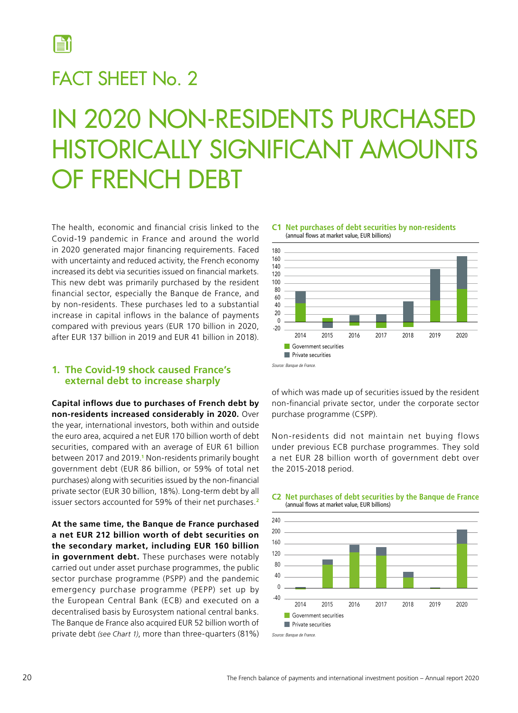<span id="page-21-0"></span>

### FACT SHEET No. 2

# IN 2020 NON-RESIDENTS PURCHASED HISTORICALLY SIGNIFICANT AMOUNTS OF FRENCH DEBT

The health, economic and financial crisis linked to the Covid‑19 pandemic in France and around the world in 2020 generated major financing requirements. Faced with uncertainty and reduced activity, the French economy increased its debt via securities issued on financial markets. This new debt was primarily purchased by the resident financial sector, especially the Banque de France, and by non-residents. These purchases led to a substantial increase in capital inflows in the balance of payments compared with previous years (EUR 170 billion in 2020, after EUR 137 billion in 2019 and EUR 41 billion in 2018).

#### **1. The Covid‑19 shock caused France's external debt to increase sharply**

**Capital inflows due to purchases of French debt by non‑residents increased considerably in 2020.** Over the year, international investors, both within and outside the euro area, acquired a net EUR 170 billion worth of debt securities, compared with an average of EUR 61 billion between 2017 and 2019.**<sup>1</sup>** Non‑residents primarily bought government debt (EUR 86 billion, or 59% of total net purchases) along with securities issued by the non-financial private sector (EUR 30 billion, 18%). Long-term debt by all issuer sectors accounted for 59% of their net purchases.**<sup>2</sup>**

**At the same time, the Banque de France purchased a net EUR 212 billion worth of debt securities on the secondary market, including EUR 160 billion in government debt.** These purchases were notably carried out under asset purchase programmes, the public sector purchase programme (PSPP) and the pandemic emergency purchase programme (PEPP) set up by the European Central Bank (ECB) and executed on a decentralised basis by Eurosystem national central banks. The Banque de France also acquired EUR 52 billion worth of private debt *(see Chart 1)*, more than three‑quarters (81%)



**C1 Net purchases of debt securities by non-residents** (annual flows at market value, EUR billions)

of which was made up of securities issued by the resident non‑financial private sector, under the corporate sector purchase programme (CSPP).

Non‑residents did not maintain net buying flows under previous ECB purchase programmes. They sold a net EUR 28 billion worth of government debt over the 2015‑2018 period.



#### **C2 Net purchases of debt securities by the Banque de France** (annual flows at market value, EUR billions)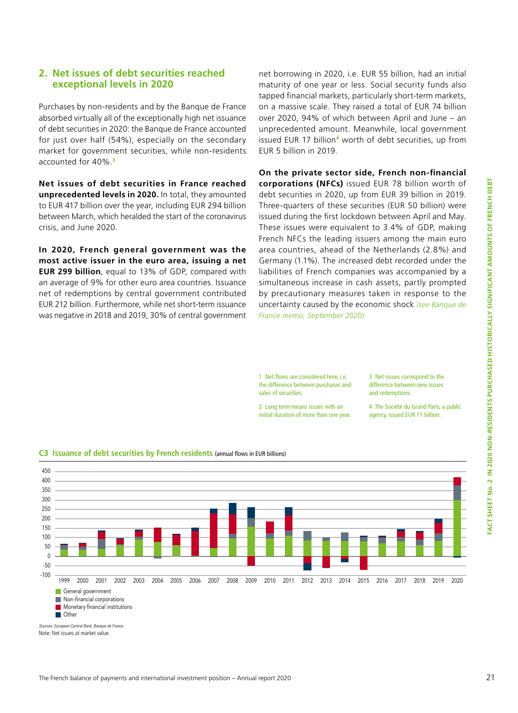#### **2. Net issues of debt securities reached exceptional levels in 2020**

Purchases by non‑residents and by the Banque de France absorbed virtually all of the exceptionally high net issuance of debt securities in 2020: the Banque de France accounted for just over half (54%), especially on the secondary market for government securities, while non-residents accounted for 40%.**<sup>3</sup>**

**Net issues of debt securities in France reached unprecedented levels in 2020.** In total, they amounted to EUR 417 billion over the year, including EUR 294 billion between March, which heralded the start of the coronavirus crisis, and June 2020.

**In 2020, French general government was the most active issuer in the euro area, issuing a net EUR 299 billion**, equal to 13% of GDP, compared with an average of 9% for other euro area countries. Issuance net of redemptions by central government contributed EUR 212 billion. Furthermore, while net short-term issuance was negative in 2018 and 2019, 30% of central government

net borrowing in 2020, i.e. EUR 55 billion, had an initial maturity of one year or less. Social security funds also tapped financial markets, particularly short-term markets, on a massive scale. They raised a total of EUR 74 billion over 2020, 94% of which between April and June – an unprecedented amount. Meanwhile, local government issued EUR 17 billion**<sup>4</sup>** worth of debt securities, up from EUR 5 billion in 2019.

**On the private sector side, French non‑financial corporations (NFCs)** issued EUR 78 billion worth of debt securities in 2020, up from EUR 39 billion in 2019. Three‑quarters of these securities (EUR 50 billion) were issued during the first lockdown between April and May. These issues were equivalent to 3.4% of GDP, making French NFCs the leading issuers among the main euro area countries, ahead of the Netherlands (2.8%) and Germany (1.1%). The increased debt recorded under the liabilities of French companies was accompanied by a simultaneous increase in cash assets, partly prompted by precautionary measures taken in response to the uncertainty caused by the economic shock *(see [Banque de](https://www.banque-france.fr/sites/default/files/media/2020/09/25/impact_crise_covid_septembre.pdf) [France memo, September 2020](https://www.banque-france.fr/sites/default/files/media/2020/09/25/impact_crise_covid_septembre.pdf)).*

1 Net flows are considered here, i.e. the difference between purchases and sales of securities.

3 Net issues correspond to the difference between new issues and redemptions.

4 The Société du Grand Paris, a public agency, issued EUR 11 billion.

2 Long term means issues with an initial duration of more than one year.



**C3 Issuance of debt securities by French residents** (annual flows in EUR billions)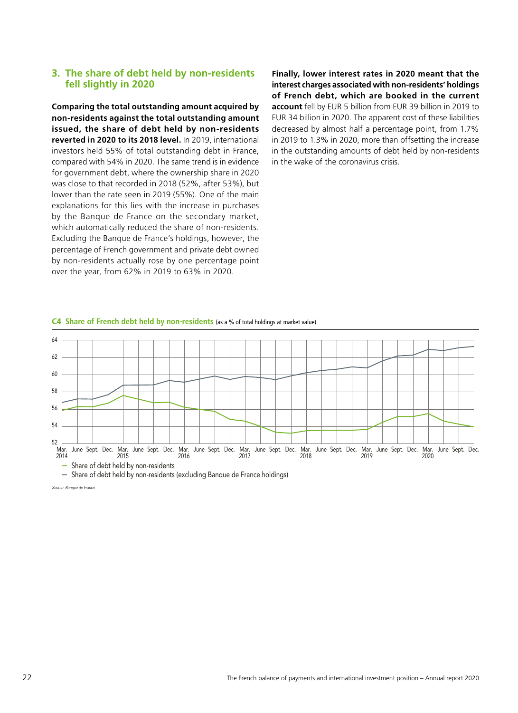#### **3. The share of debt held by non‑residents fell slightly in 2020**

**Comparing the total outstanding amount acquired by non‑residents against the total outstanding amount issued, the share of debt held by non‑residents reverted in 2020 to its 2018 level.** In 2019, international investors held 55% of total outstanding debt in France, compared with 54% in 2020. The same trend is in evidence for government debt, where the ownership share in 2020 was close to that recorded in 2018 (52%, after 53%), but lower than the rate seen in 2019 (55%). One of the main explanations for this lies with the increase in purchases by the Banque de France on the secondary market, which automatically reduced the share of non-residents. Excluding the Banque de France's holdings, however, the percentage of French government and private debt owned by non-residents actually rose by one percentage point over the year, from 62% in 2019 to 63% in 2020.

**Finally, lower interest rates in 2020 meant that the interest charges associated with non‑residents' holdings of French debt, which are booked in the current account** fell by EUR 5 billion from EUR 39 billion in 2019 to EUR 34 billion in 2020. The apparent cost of these liabilities decreased by almost half a percentage point, from 1.7% in 2019 to 1.3% in 2020, more than offsetting the increase in the outstanding amounts of debt held by non-residents in the wake of the coronavirus crisis.





*Source: Banque de France.*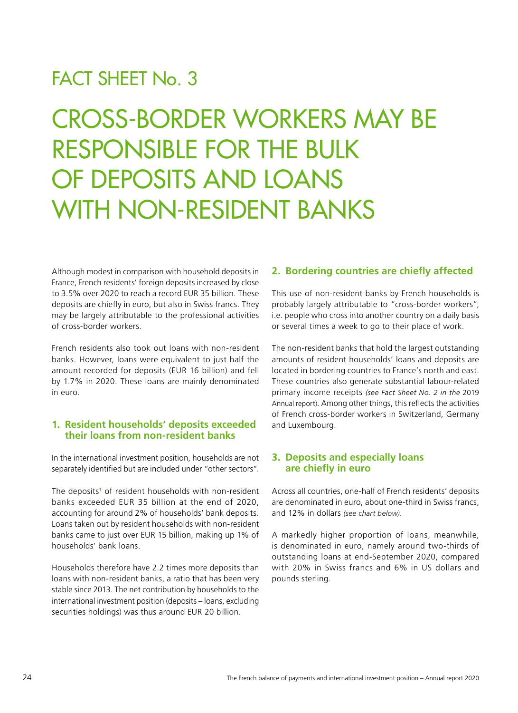### FACT SHEET No. 3

CROSS-BORDER WORKERS MAY BE RESPONSIBLE FOR THE BULK OF DEPOSITS AND LOANS WITH NON-RESIDENT BANKS

Although modest in comparison with household deposits in France, French residents' foreign deposits increased by close to 3.5% over 2020 to reach a record EUR 35 billion. These deposits are chiefly in euro, but also in Swiss francs. They may be largely attributable to the professional activities of cross‑border workers.

French residents also took out loans with non‑resident banks. However, loans were equivalent to just half the amount recorded for deposits (EUR 16 billion) and fell by 1.7% in 2020. These loans are mainly denominated in euro.

#### **1. Resident households' deposits exceeded their loans from non‑resident banks**

In the international investment position, households are not separately identified but are included under "other sectors".

The deposits<sup>1</sup> of resident households with non-resident banks exceeded EUR 35 billion at the end of 2020, accounting for around 2% of households' bank deposits. Loans taken out by resident households with non-resident banks came to just over EUR 15 billion, making up 1% of households' bank loans.

Households therefore have 2.2 times more deposits than loans with non-resident banks, a ratio that has been very stable since 2013. The net contribution by households to the international investment position (deposits – loans, excluding securities holdings) was thus around EUR 20 billion.

#### **2. Bordering countries are chiefly affected**

This use of non-resident banks by French households is probably largely attributable to "cross-border workers", i.e. people who cross into another country on a daily basis or several times a week to go to their place of work.

The non-resident banks that hold the largest outstanding amounts of resident households' loans and deposits are located in bordering countries to France's north and east. These countries also generate substantial labour-related primary income receipts *(see Fact Sheet No. 2 in the* 2019 Annual report). Among other things, this reflects the activities of French cross‑border workers in Switzerland, Germany and Luxembourg.

#### **3. Deposits and especially loans are chiefly in euro**

Across all countries, one‑half of French residents' deposits are denominated in euro, about one-third in Swiss francs, and 12% in dollars *(see chart below)*.

A markedly higher proportion of loans, meanwhile, is denominated in euro, namely around two-thirds of outstanding loans at end‑September 2020, compared with 20% in Swiss francs and 6% in US dollars and pounds sterling.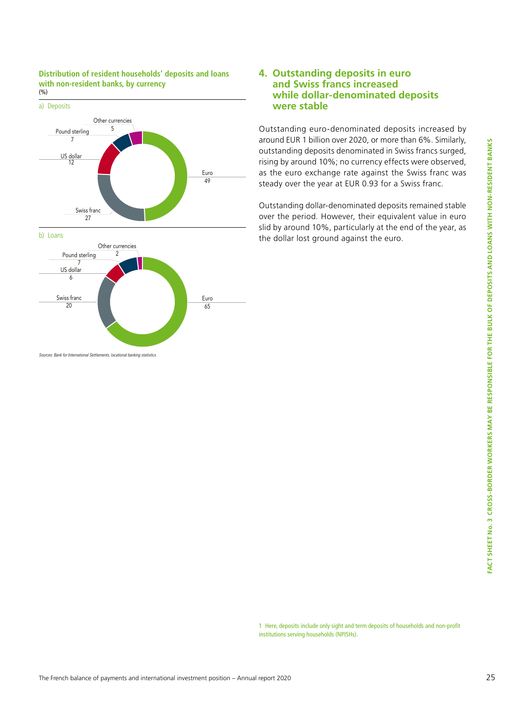





*Sources: Bank for International Settlements, locational banking statistics.*

#### **4. Outstanding deposits in euro and Swiss francs increased while dollar‑denominated deposits were stable**

Outstanding euro‑denominated deposits increased by around EUR 1 billion over 2020, or more than 6%. Similarly, outstanding deposits denominated in Swiss francs surged, rising by around 10%; no currency effects were observed, as the euro exchange rate against the Swiss franc was steady over the year at EUR 0.93 for a Swiss franc.

Outstanding dollar‑denominated deposits remained stable over the period. However, their equivalent value in euro slid by around 10%, particularly at the end of the year, as the dollar lost ground against the euro.

1 Here, deposits include only sight and term deposits of households and non‑profit institutions serving households (NPISHs).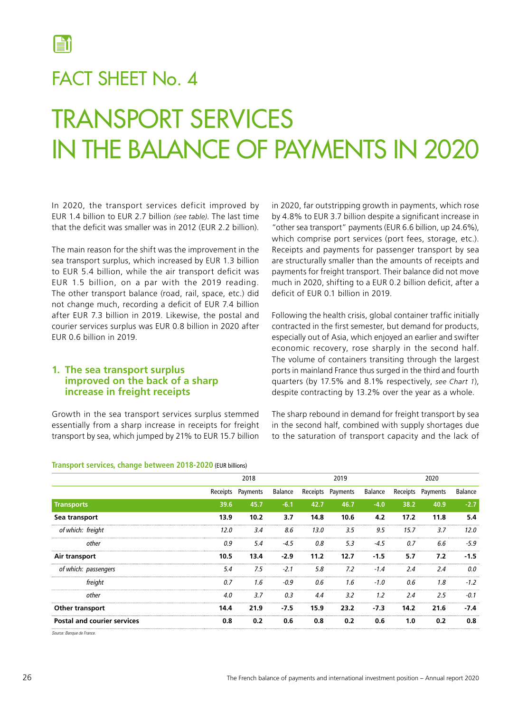<span id="page-27-0"></span>

### FACT SHEET No. 4

# TRANSPORT SERVICES IN THE BALANCE OF PAYMENTS IN 2020

In 2020, the transport services deficit improved by EUR 1.4 billion to EUR 2.7 billion *(see table)*. The last time that the deficit was smaller was in 2012 (EUR 2.2 billion).

The main reason for the shift was the improvement in the sea transport surplus, which increased by EUR 1.3 billion to EUR 5.4 billion, while the air transport deficit was EUR 1.5 billion, on a par with the 2019 reading. The other transport balance (road, rail, space, etc.) did not change much, recording a deficit of EUR 7.4 billion after EUR 7.3 billion in 2019. Likewise, the postal and courier services surplus was EUR 0.8 billion in 2020 after EUR 0.6 billion in 2019.

#### **1. The sea transport surplus improved on the back of a sharp increase in freight receipts**

Growth in the sea transport services surplus stemmed essentially from a sharp increase in receipts for freight transport by sea, which jumped by 21% to EUR 15.7 billion in 2020, far outstripping growth in payments, which rose by 4.8% to EUR 3.7 billion despite a significant increase in "other sea transport" payments (EUR 6.6 billion, up 24.6%), which comprise port services (port fees, storage, etc.). Receipts and payments for passenger transport by sea are structurally smaller than the amounts of receipts and payments for freight transport. Their balance did not move much in 2020, shifting to a EUR 0.2 billion deficit, after a deficit of EUR 0.1 billion in 2019.

Following the health crisis, global container traffic initially contracted in the first semester, but demand for products, especially out of Asia, which enjoyed an earlier and swifter economic recovery, rose sharply in the second half. The volume of containers transiting through the largest ports in mainland France thus surged in the third and fourth quarters (by 17.5% and 8.1% respectively, *see Chart 1*), despite contracting by 13.2% over the year as a whole.

The sharp rebound in demand for freight transport by sea in the second half, combined with supply shortages due to the saturation of transport capacity and the lack of

|                                    |      | 2018              |         |          | 2019     |         |      | 2020              |         |
|------------------------------------|------|-------------------|---------|----------|----------|---------|------|-------------------|---------|
|                                    |      | Receipts Payments | Balance | Receipts | Payments | Balance |      | Receipts Payments | Balance |
| <b>Transports</b>                  | 39.6 | 45.7              | $-6.1$  | 42.7     | 46.7     | $-4.0$  | 38.2 | 40.9              | $-2.7$  |
| Sea transport                      | 13.9 | 10.2              | 3.7     | 14.8     | 10.6     | 4.2     | 17.2 | 11.8              | 5.4     |
| of which: freight                  | 12.0 | 3.4               | 8.6     | 13.0     | 3.5      | 9.5     | 15.7 | 3.7               | 12.0    |
| other                              | 0.9  | 5.4               | -4.5    | 0.8      | 5.3      | $-4.5$  | 0.7  | 6.6               | $-5.9$  |
| Air transport                      | 10.5 | 13.4              | $-2.9$  | 11.2     | 12.7     | $-1.5$  | 5.7  | 7.2               | $-1.5$  |
| of which: passengers               | 5.4  | 7.5               | $-2.1$  | 5.8      | 7.2      | $-1.4$  | 2.4  | 2.4               | 0.0     |
| freiaht                            | 0.7  | 1.6               | -0.9    | 0.6      | 1.6      | $-1.0$  | 0.6  | 1.8               | $-1.2$  |
| other                              | 4.0  | 3.7               | 0.3     | 4.4      | 3.2      | 1.2     | 2.4  | 2.5               | $-0.1$  |
| Other transport                    | 14.4 | 21.9              | $-7.5$  | 15.9     | 23.2     | $-7.3$  | 14.2 | 21.6              | $-7.4$  |
| <b>Postal and courier services</b> | 0.8  | 0.2               | 0.6     | 0.8      | 0.2      | 0.6     | 1.0  | 0.2               | 0.8     |

#### **Transport services, change between 2018-2020** (EUR billions)

*Source: Banque de France.*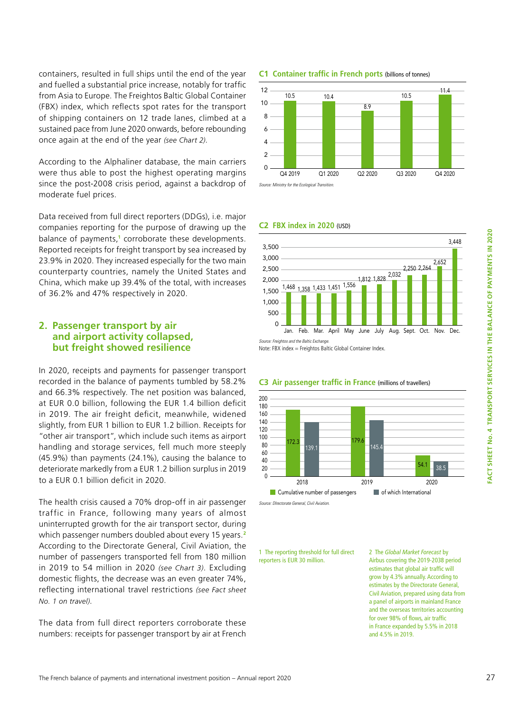containers, resulted in full ships until the end of the year and fuelled a substantial price increase, notably for traffic from Asia to Europe. The Freightos Baltic Global Container (FBX) index, which reflects spot rates for the transport of shipping containers on 12 trade lanes, climbed at a sustained pace from June 2020 onwards, before rebounding once again at the end of the year *(see Chart 2)*.

According to the Alphaliner database, the main carriers were thus able to post the highest operating margins since the post-2008 crisis period, against a backdrop of moderate fuel prices.

Data received from full direct reporters (DDGs), i.e. major companies reporting for the purpose of drawing up the balance of payments,**<sup>1</sup>** corroborate these developments. Reported receipts for freight transport by sea increased by 23.9% in 2020. They increased especially for the two main counterparty countries, namely the United States and China, which make up 39.4% of the total, with increases of 36.2% and 47% respectively in 2020.

#### **2. Passenger transport by air and airport activity collapsed, but freight showed resilience**

In 2020, receipts and payments for passenger transport recorded in the balance of payments tumbled by 58.2% and 66.3% respectively. The net position was balanced, at EUR 0.0 billion, following the EUR 1.4 billion deficit in 2019. The air freight deficit, meanwhile, widened slightly, from EUR 1 billion to EUR 1.2 billion. Receipts for "other air transport", which include such items as airport handling and storage services, fell much more steeply (45.9%) than payments (24.1%), causing the balance to deteriorate markedly from a EUR 1.2 billion surplus in 2019 to a EUR 0.1 billion deficit in 2020.

The health crisis caused a 70% drop-off in air passenger traffic in France, following many years of almost uninterrupted growth for the air transport sector, during which passenger numbers doubled about every 15 years.**<sup>2</sup>** According to the Directorate General, Civil Aviation, the number of passengers transported fell from 180 million in 2019 to 54 million in 2020 *(see Chart 3)*. Excluding domestic flights, the decrease was an even greater 74%, reflecting international travel restrictions *(see Fact sheet No. 1 on travel)*.

The data from full direct reporters corroborate these numbers: receipts for passenger transport by air at French

#### **C1 Container traffic in French ports** (billions of tonnes)



*Source: Ministry for the Ecological Transition.*

#### **C2 FBX index in 2020** (USD)



Note: FBX index = Freightos Baltic Global Container Index.



#### **C3 Air passenger traffic in France** (millions of travellers)

1 The reporting threshold for full direct reporters is EUR 30 million.

*Source: DIrectorate General, Civil Aviation.*

2 The *Global Market Forecast* by Airbus covering the 2019-2038 period estimates that global air traffic will grow by 4.3% annually. According to estimates by the Directorate General, Civil Aviation, prepared using data from a panel of airports in mainland France and the overseas territories accounting for over 98% of flows, air traffic in France expanded by 5.5% in 2018 and 4.5% in 2019.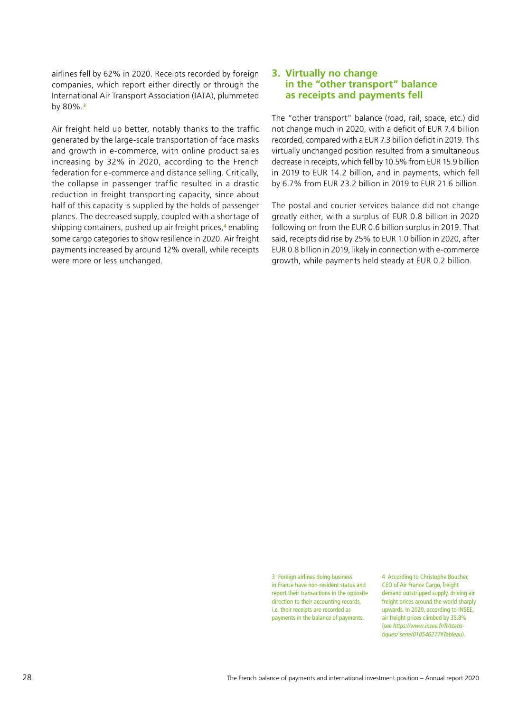airlines fell by 62% in 2020. Receipts recorded by foreign companies, which report either directly or through the International Air Transport Association (IATA), plummeted by 80%.**<sup>3</sup>**

Air freight held up better, notably thanks to the traffic generated by the large-scale transportation of face masks and growth in e-commerce, with online product sales increasing by 32% in 2020, according to the French federation for e-commerce and distance selling. Critically, the collapse in passenger traffic resulted in a drastic reduction in freight transporting capacity, since about half of this capacity is supplied by the holds of passenger planes. The decreased supply, coupled with a shortage of shipping containers, pushed up air freight prices,**<sup>4</sup>** enabling some cargo categories to show resilience in 2020. Air freight payments increased by around 12% overall, while receipts were more or less unchanged.

#### **3. Virtually no change in the "other transport" balance as receipts and payments fell**

The "other transport" balance (road, rail, space, etc.) did not change much in 2020, with a deficit of EUR 7.4 billion recorded, compared with a EUR 7.3 billion deficit in 2019. This virtually unchanged position resulted from a simultaneous decrease in receipts, which fell by 10.5% from EUR 15.9 billion in 2019 to EUR 14.2 billion, and in payments, which fell by 6.7% from EUR 23.2 billion in 2019 to EUR 21.6 billion.

The postal and courier services balance did not change greatly either, with a surplus of EUR 0.8 billion in 2020 following on from the EUR 0.6 billion surplus in 2019. That said, receipts did rise by 25% to EUR 1.0 billion in 2020, after EUR 0.8 billion in 2019, likely in connection with e-commerce growth, while payments held steady at EUR 0.2 billion.

3 Foreign airlines doing business in France have non-resident status and report their transactions in the opposite direction to their accounting records, i.e. their receipts are recorded as payments in the balance of payments.

4 According to Christophe Boucher, CEO of Air France Cargo, freight demand outstripped supply, driving air freight prices around the world sharply upwards. In 2020, according to INSEE, air freight prices climbed by 35.8% (see *[https://www.insee.fr/fr/statis](https://www.insee.fr/fr/statistiques/serie/010546277#Tableau)[tiques/ serie/010546277#Tableau](https://www.insee.fr/fr/statistiques/serie/010546277#Tableau)*).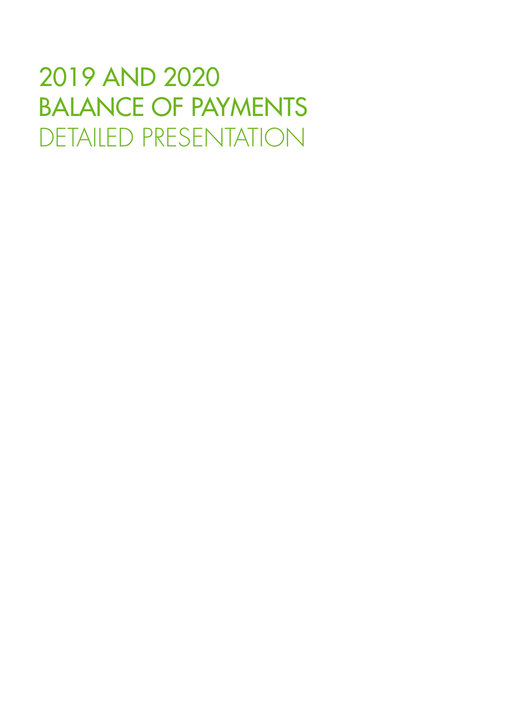# 2019 AND 2020 BALANCE OF PAYMENTS DETAILED PRESENTATION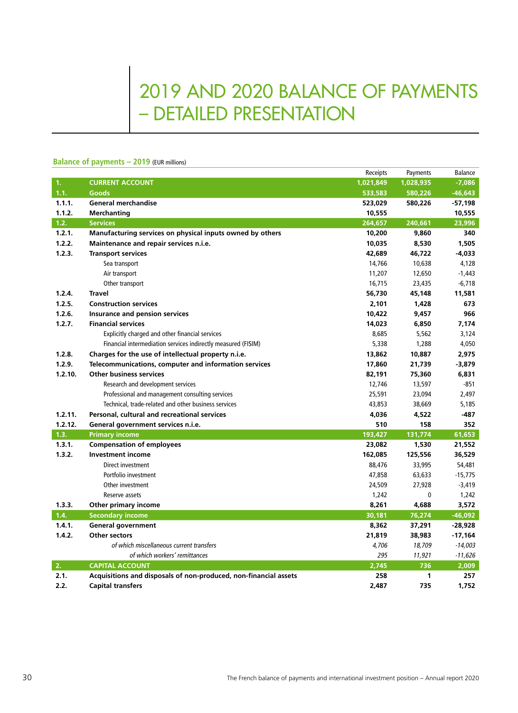## 2019 AND 2020 BALANCE OF PAYMENTS – DETAILED PRESENTATION

#### **Balance of payments – 2019** (EUR millions)

|         |                                                                  | Receipts  | Payments  | Balance   |
|---------|------------------------------------------------------------------|-----------|-----------|-----------|
| 1.      | <b>CURRENT ACCOUNT</b>                                           | 1,021,849 | 1,028,935 | $-7,086$  |
| 1.1.    | <b>Goods</b>                                                     | 533,583   | 580,226   | $-46,643$ |
| 1.1.1.  | <b>General merchandise</b>                                       | 523,029   | 580,226   | $-57,198$ |
| 1.1.2.  | Merchanting                                                      | 10,555    |           | 10,555    |
| 1.2.    | <b>Services</b>                                                  | 264,657   | 240,661   | 23,996    |
| 1.2.1.  | Manufacturing services on physical inputs owned by others        | 10,200    | 9,860     | 340       |
| 1.2.2.  | Maintenance and repair services n.i.e.                           | 10,035    | 8,530     | 1,505     |
| 1.2.3.  | <b>Transport services</b>                                        | 42,689    | 46,722    | -4,033    |
|         | Sea transport                                                    | 14,766    | 10,638    | 4,128     |
|         | Air transport                                                    | 11,207    | 12,650    | $-1,443$  |
|         | Other transport                                                  | 16,715    | 23,435    | $-6,718$  |
| 1.2.4.  | <b>Travel</b>                                                    | 56,730    | 45,148    | 11,581    |
| 1.2.5.  | <b>Construction services</b>                                     | 2,101     | 1,428     | 673       |
| 1.2.6.  | Insurance and pension services                                   | 10,422    | 9,457     | 966       |
| 1.2.7.  | <b>Financial services</b>                                        | 14,023    | 6,850     | 7,174     |
|         | Explicitly charged and other financial services                  | 8,685     | 5,562     | 3,124     |
|         | Financial intermediation services indirectly measured (FISIM)    | 5,338     | 1,288     | 4,050     |
| 1.2.8.  | Charges for the use of intellectual property n.i.e.              | 13,862    | 10,887    | 2,975     |
| 1.2.9.  | Telecommunications, computer and information services            | 17,860    | 21,739    | -3,879    |
| 1.2.10. | <b>Other business services</b>                                   | 82,191    | 75,360    | 6,831     |
|         | Research and development services                                | 12,746    | 13,597    | $-851$    |
|         | Professional and management consulting services                  | 25,591    | 23,094    | 2,497     |
|         | Technical, trade-related and other business services             | 43,853    | 38,669    | 5,185     |
| 1.2.11. | Personal, cultural and recreational services                     | 4,036     | 4,522     | $-487$    |
| 1.2.12. | General government services n.i.e.                               | 510       | 158       | 352       |
| 1.3.    | <b>Primary income</b>                                            | 193,427   | 131,774   | 61,653    |
| 1.3.1.  | <b>Compensation of employees</b>                                 | 23,082    | 1,530     | 21,552    |
| 1.3.2.  | <b>Investment income</b>                                         | 162,085   | 125,556   | 36,529    |
|         | Direct investment                                                | 88,476    | 33,995    | 54,481    |
|         | Portfolio investment                                             | 47,858    | 63,633    | $-15,775$ |
|         | Other investment                                                 | 24,509    | 27,928    | $-3,419$  |
|         | Reserve assets                                                   | 1,242     | $\pmb{0}$ | 1,242     |
| 1.3.3.  | Other primary income                                             | 8,261     | 4,688     | 3,572     |
| 1.4.    | <b>Secondary income</b>                                          | 30,181    | 76,274    | $-46,092$ |
| 1.4.1.  | <b>General government</b>                                        | 8,362     | 37,291    | $-28,928$ |
| 1.4.2.  | <b>Other sectors</b>                                             | 21,819    | 38,983    | $-17,164$ |
|         | of which miscellaneous current transfers                         | 4,706     | 18,709    | $-14,003$ |
|         | of which workers' remittances                                    | 295       | 11,921    | $-11,626$ |
| 2.      | <b>CAPITAL ACCOUNT</b>                                           | 2,745     | 736       | 2,009     |
| 2.1.    | Acquisitions and disposals of non-produced, non-financial assets | 258       | 1         | 257       |
| 2.2.    | <b>Capital transfers</b>                                         | 2,487     | 735       | 1,752     |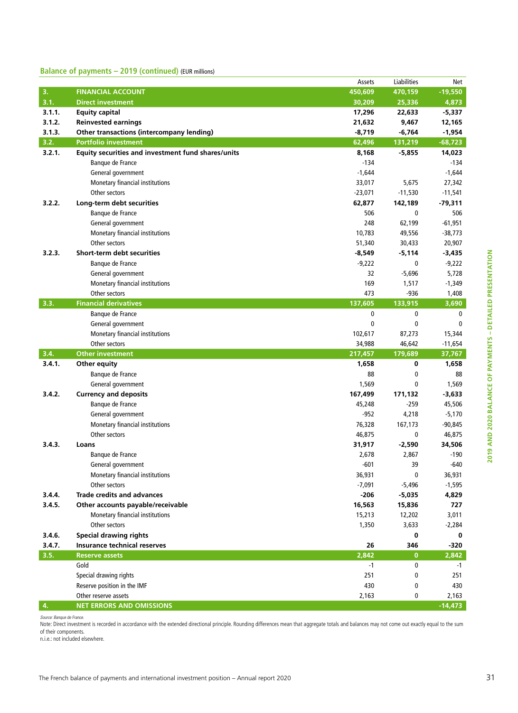#### **Balance of payments – 2019 (continued)** (EUR millions)

|        |                                                         | Assets    | Liabilities  | Net                |
|--------|---------------------------------------------------------|-----------|--------------|--------------------|
| 3.     | <b>FINANCIAL ACCOUNT</b>                                | 450,609   | 470,159      | $-19,550$          |
| 3.1.   | <b>Direct investment</b>                                | 30,209    | 25,336       | 4,873              |
| 3.1.1. | <b>Equity capital</b>                                   | 17,296    | 22,633       | $-5,337$           |
| 3.1.2. | <b>Reinvested earnings</b>                              | 21,632    | 9,467        | 12,165             |
| 3.1.3. | Other transactions (intercompany lending)               | $-8,719$  | $-6,764$     | $-1,954$           |
| 3.2.   | <b>Portfolio investment</b>                             | 62,496    | 131,219      | $-68,723$          |
| 3.2.1. | Equity securities and investment fund shares/units      | 8,168     | $-5,855$     | 14,023             |
|        | Banque de France                                        | $-134$    |              | $-134$             |
|        | General government                                      | $-1,644$  |              | $-1,644$           |
|        | Monetary financial institutions                         | 33,017    | 5,675        | 27,342             |
|        | Other sectors                                           | $-23,071$ | $-11,530$    | $-11,541$          |
| 3.2.2. | Long-term debt securities                               | 62,877    | 142,189      | -79,311            |
|        | Banque de France                                        | 506       | 0            | 506                |
|        | General government                                      | 248       | 62,199       | $-61,951$          |
|        | Monetary financial institutions                         | 10,783    | 49,556       | $-38,773$          |
|        | Other sectors                                           | 51,340    | 30,433       | 20,907             |
| 3.2.3. | Short-term debt securities                              | $-8,549$  | $-5,114$     | -3,435             |
|        | Banque de France                                        | $-9,222$  | 0            | $-9,222$           |
|        | General government                                      | 32        | $-5,696$     | 5,728              |
|        | Monetary financial institutions                         | 169       | 1,517        | $-1,349$           |
|        | Other sectors                                           | 473       | -936         | 1,408              |
| 3.3.   | <b>Financial derivatives</b>                            | 137,605   | 133,915      | 3,690              |
|        | Banque de France                                        | 0         | 0            | 0                  |
|        | General government                                      | 0         | 0            | $\mathbf{0}$       |
|        | Monetary financial institutions                         | 102,617   | 87,273       | 15,344             |
|        | Other sectors                                           | 34,988    | 46,642       | $-11,654$          |
| 3.4.   | <b>Other investment</b>                                 | 217,457   | 179,689      | 37,767             |
| 3.4.1. | Other equity                                            | 1,658     | 0            | 1,658              |
|        | Banque de France                                        | 88        | 0            | 88                 |
|        | General government                                      | 1,569     | 0            | 1,569              |
| 3.4.2. | <b>Currency and deposits</b>                            | 167,499   | 171,132      | -3,633             |
|        | Banque de France                                        | 45,248    | -259         | 45,506             |
|        | General government                                      | -952      | 4,218        | $-5,170$           |
|        | Monetary financial institutions                         | 76,328    | 167,173      | $-90,845$          |
|        | Other sectors                                           | 46,875    | 0            | 46,875             |
| 3.4.3. | Loans                                                   | 31,917    | $-2,590$     | 34,506             |
|        | Banque de France                                        | 2,678     | 2,867        | -190               |
|        | General government                                      | $-601$    | 39           | -640               |
|        | Monetary financial institutions                         | 36,931    | 0            | 36,931             |
|        | Other sectors                                           | $-7,091$  | $-5,496$     | $-1,595$           |
| 3.4.4. | <b>Trade credits and advances</b>                       |           |              | 4,829              |
| 3.4.5. |                                                         |           |              |                    |
|        |                                                         | $-206$    | $-5,035$     |                    |
|        | Other accounts payable/receivable                       | 16,563    | 15,836       | 727                |
|        | Monetary financial institutions                         | 15,213    | 12,202       | 3,011              |
|        | Other sectors                                           | 1,350     | 3,633        | $-2,284$           |
| 3.4.6. | <b>Special drawing rights</b>                           |           | 0            | 0                  |
| 3.4.7. | Insurance technical reserves                            | 26        | 346          | $-320$             |
| 3.5.   | <b>Reserve assets</b>                                   | 2,842     | $\mathbf{0}$ | 2,842              |
|        | Gold                                                    | -1        | 0            | $-1$               |
|        | Special drawing rights                                  | 251       | 0            | 251                |
|        | Reserve position in the IMF                             | 430       | 0            | 430                |
| 4.     | Other reserve assets<br><b>NET ERRORS AND OMISSIONS</b> | 2,163     | 0            | 2,163<br>$-14,473$ |

*Source: Banque de France.* 

Note: Direct investment is recorded in accordance with the extended directional principle. Rounding differences mean that aggregate totals and balances may not come out exactly equal to the sum of their components.

n.i.e.: not included elsewhere.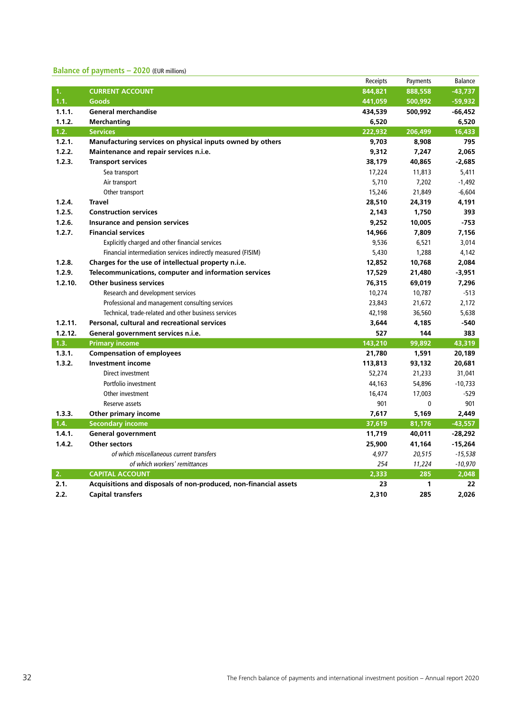#### **Balance of payments – 2020** (EUR millions)

|         |                                                                  | Receipts | Payments | Balance   |
|---------|------------------------------------------------------------------|----------|----------|-----------|
| 1.      | <b>CURRENT ACCOUNT</b>                                           | 844,821  | 888,558  | $-43,737$ |
| 1.1.    | Goods                                                            | 441,059  | 500,992  | $-59,932$ |
| 1.1.1.  | <b>General merchandise</b>                                       | 434,539  | 500,992  | $-66,452$ |
| 1.1.2.  | <b>Merchanting</b>                                               | 6,520    |          | 6,520     |
| 1.2.    | <b>Services</b>                                                  | 222,932  | 206,499  | 16,433    |
| 1.2.1.  | Manufacturing services on physical inputs owned by others        | 9,703    | 8,908    | 795       |
| 1.2.2.  | Maintenance and repair services n.i.e.                           | 9,312    | 7,247    | 2,065     |
| 1.2.3.  | <b>Transport services</b>                                        | 38,179   | 40,865   | -2,685    |
|         | Sea transport                                                    | 17,224   | 11,813   | 5,411     |
|         | Air transport                                                    | 5,710    | 7,202    | $-1,492$  |
|         | Other transport                                                  | 15,246   | 21,849   | $-6,604$  |
| 1.2.4.  | <b>Travel</b>                                                    | 28,510   | 24,319   | 4,191     |
| 1.2.5.  | <b>Construction services</b>                                     | 2,143    | 1,750    | 393       |
| 1.2.6.  | Insurance and pension services                                   | 9,252    | 10,005   | -753      |
| 1.2.7.  | <b>Financial services</b>                                        | 14,966   | 7,809    | 7,156     |
|         | Explicitly charged and other financial services                  | 9,536    | 6,521    | 3,014     |
|         | Financial intermediation services indirectly measured (FISIM)    | 5,430    | 1,288    | 4,142     |
| 1.2.8.  | Charges for the use of intellectual property n.i.e.              | 12,852   | 10,768   | 2,084     |
| 1.2.9.  | Telecommunications, computer and information services            | 17,529   | 21,480   | $-3,951$  |
| 1.2.10. | <b>Other business services</b>                                   | 76,315   | 69,019   | 7,296     |
|         | Research and development services                                | 10,274   | 10,787   | $-513$    |
|         | Professional and management consulting services                  | 23,843   | 21,672   | 2,172     |
|         | Technical, trade-related and other business services             | 42,198   | 36,560   | 5,638     |
| 1.2.11. | Personal, cultural and recreational services                     | 3,644    | 4,185    | $-540$    |
| 1.2.12. | General government services n.i.e.                               | 527      | 144      | 383       |
| 1.3.    | <b>Primary income</b>                                            | 143,210  | 99,892   | 43,319    |
| 1.3.1.  | <b>Compensation of employees</b>                                 | 21,780   | 1,591    | 20,189    |
| 1.3.2.  | <b>Investment income</b>                                         | 113,813  | 93,132   | 20,681    |
|         | Direct investment                                                | 52,274   | 21,233   | 31,041    |
|         | Portfolio investment                                             | 44,163   | 54,896   | $-10,733$ |
|         | Other investment                                                 | 16,474   | 17,003   | $-529$    |
|         | Reserve assets                                                   | 901      | 0        | 901       |
| 1.3.3.  | Other primary income                                             | 7,617    | 5,169    | 2,449     |
| 1.4.    | <b>Secondary income</b>                                          | 37,619   | 81,176   | $-43,557$ |
| 1.4.1.  | <b>General government</b>                                        | 11,719   | 40,011   | -28,292   |
| 1.4.2.  | <b>Other sectors</b>                                             | 25,900   | 41,164   | $-15,264$ |
|         | of which miscellaneous current transfers                         | 4,977    | 20,515   | $-15,538$ |
|         | of which workers' remittances                                    | 254      | 11,224   | $-10,970$ |
| 2.      | <b>CAPITAL ACCOUNT</b>                                           | 2,333    | 285      | 2,048     |
| 2.1.    | Acquisitions and disposals of non-produced, non-financial assets | 23       | 1        | 22        |
| 2.2.    | <b>Capital transfers</b>                                         | 2,310    | 285      | 2.026     |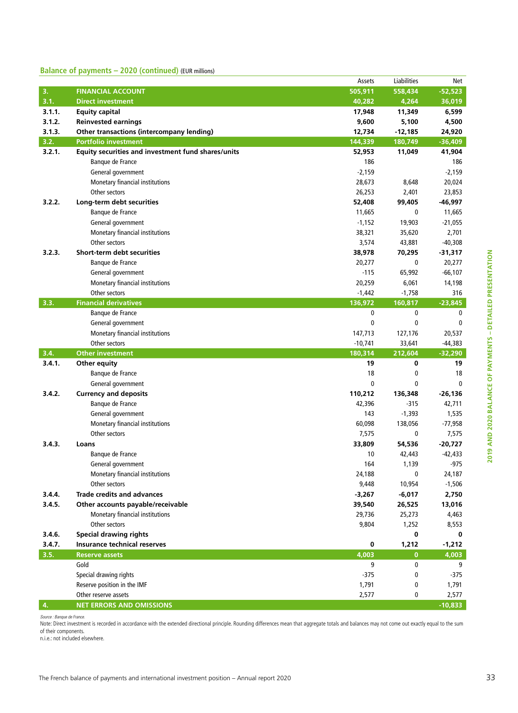#### **Balance of payments – 2020 (continued)** (EUR millions)

| 3.<br><b>FINANCIAL ACCOUNT</b><br>505,911<br>558,434<br>$-52,523$<br>3.1.<br>40.282<br><b>Direct investment</b><br>4,264<br>36,019<br>3.1.1.<br><b>Equity capital</b><br>17,948<br>11,349<br>6,599<br>3.1.2.<br><b>Reinvested earnings</b><br>9,600<br>5,100<br>4,500<br>3.1.3.<br>Other transactions (intercompany lending)<br>12,734<br>$-12,185$<br>24,920<br>3.2.<br><b>Portfolio investment</b><br>144,339<br>180,749<br>$-36,409$<br>3.2.1.<br>Equity securities and investment fund shares/units<br>52,953<br>11,049<br>41,904<br>Banque de France<br>186<br>186<br>$-2,159$<br>$-2,159$<br>General government<br>Monetary financial institutions<br>28,673<br>8,648<br>20,024<br>Other sectors<br>26,253<br>2,401<br>23,853<br>3.2.2.<br>Long-term debt securities<br>52,408<br>99,405<br>-46,997<br>Banque de France<br>11,665<br>0<br>11,665<br>General government<br>$-1,152$<br>19,903<br>$-21,055$<br>Monetary financial institutions<br>38,321<br>35,620<br>2,701<br>Other sectors<br>3,574<br>$-40,308$<br>43,881<br><b>Short-term debt securities</b><br>3.2.3.<br>38,978<br>70,295<br>$-31,317$<br>Banque de France<br>20,277<br>0<br>20,277<br>General government<br>$-115$<br>65,992<br>$-66,107$<br>Monetary financial institutions<br>20,259<br>6,061<br>14,198<br>Other sectors<br>$-1,442$<br>$-1,758$<br>316<br>3.3.<br><b>Financial derivatives</b><br>$-23,845$<br>136,972<br>160,817<br>0<br>0<br>Banque de France<br>0<br>0<br>0<br>$\mathbf{0}$<br>General government<br>147,713<br>20,537<br>Monetary financial institutions<br>127,176<br>Other sectors<br>$-44,383$<br>$-10,741$<br>33,641<br>3.4.<br><b>Other investment</b><br>180,314<br>212,604<br>$-32,290$<br>3.4.1.<br>19<br>0<br>19<br>Other equity<br>18<br>18<br>Banque de France<br>0<br>0<br>0<br>$\mathbf{0}$<br>General government<br>3.4.2.<br><b>Currency and deposits</b><br>110,212<br>136,348<br>$-26,136$<br>Banque de France<br>42,396<br>-315<br>42,711<br>General government<br>143<br>$-1,393$<br>1,535<br>Monetary financial institutions<br>60,098<br>138,056<br>$-77,958$<br>Other sectors<br>7,575<br>7,575<br>0<br>3.4.3.<br>33,809<br>54,536<br>$-20,727$<br>Loans<br>Banque de France<br>10<br>$-42,433$<br>42,443<br>-975<br>164<br>1,139<br>General government<br>Monetary financial institutions<br>24,188<br>0<br>24,187<br>10,954<br>9,448<br>$-1,506$<br>Other sectors<br>3.4.4.<br><b>Trade credits and advances</b><br>$-6,017$<br>2,750<br>$-3,267$<br>3.4.5.<br>Other accounts payable/receivable<br>13,016<br>39,540<br>26,525<br>Monetary financial institutions<br>29,736<br>25,273<br>4,463<br>Other sectors<br>9,804<br>1,252<br>8,553<br><b>Special drawing rights</b><br>3.4.6.<br>0<br>0<br>3.4.7.<br><b>Insurance technical reserves</b><br>0<br>1,212<br>$-1,212$<br>3.5.<br>4,003<br><b>Reserve assets</b><br>$\bf{0}$<br>4,003<br>Gold<br>9<br>0<br>9<br>Special drawing rights<br>-375<br>0<br>-375<br>Reserve position in the IMF<br>1,791<br>0<br>1,791<br>Other reserve assets<br>2,577<br>0<br>2,577<br>4.<br><b>NET ERRORS AND OMISSIONS</b><br>$-10,833$ |  | Assets | Liabilities | Net |
|------------------------------------------------------------------------------------------------------------------------------------------------------------------------------------------------------------------------------------------------------------------------------------------------------------------------------------------------------------------------------------------------------------------------------------------------------------------------------------------------------------------------------------------------------------------------------------------------------------------------------------------------------------------------------------------------------------------------------------------------------------------------------------------------------------------------------------------------------------------------------------------------------------------------------------------------------------------------------------------------------------------------------------------------------------------------------------------------------------------------------------------------------------------------------------------------------------------------------------------------------------------------------------------------------------------------------------------------------------------------------------------------------------------------------------------------------------------------------------------------------------------------------------------------------------------------------------------------------------------------------------------------------------------------------------------------------------------------------------------------------------------------------------------------------------------------------------------------------------------------------------------------------------------------------------------------------------------------------------------------------------------------------------------------------------------------------------------------------------------------------------------------------------------------------------------------------------------------------------------------------------------------------------------------------------------------------------------------------------------------------------------------------------------------------------------------------------------------------------------------------------------------------------------------------------------------------------------------------------------------------------------------------------------------------------------------------------------------------------------------------------------------------------------------------------------------------------------------------------------------------------------------------------------------------------------------------------------------------------------------------------------------------------------------------------------------------------------------------|--|--------|-------------|-----|
|                                                                                                                                                                                                                                                                                                                                                                                                                                                                                                                                                                                                                                                                                                                                                                                                                                                                                                                                                                                                                                                                                                                                                                                                                                                                                                                                                                                                                                                                                                                                                                                                                                                                                                                                                                                                                                                                                                                                                                                                                                                                                                                                                                                                                                                                                                                                                                                                                                                                                                                                                                                                                                                                                                                                                                                                                                                                                                                                                                                                                                                                                                      |  |        |             |     |
|                                                                                                                                                                                                                                                                                                                                                                                                                                                                                                                                                                                                                                                                                                                                                                                                                                                                                                                                                                                                                                                                                                                                                                                                                                                                                                                                                                                                                                                                                                                                                                                                                                                                                                                                                                                                                                                                                                                                                                                                                                                                                                                                                                                                                                                                                                                                                                                                                                                                                                                                                                                                                                                                                                                                                                                                                                                                                                                                                                                                                                                                                                      |  |        |             |     |
|                                                                                                                                                                                                                                                                                                                                                                                                                                                                                                                                                                                                                                                                                                                                                                                                                                                                                                                                                                                                                                                                                                                                                                                                                                                                                                                                                                                                                                                                                                                                                                                                                                                                                                                                                                                                                                                                                                                                                                                                                                                                                                                                                                                                                                                                                                                                                                                                                                                                                                                                                                                                                                                                                                                                                                                                                                                                                                                                                                                                                                                                                                      |  |        |             |     |
|                                                                                                                                                                                                                                                                                                                                                                                                                                                                                                                                                                                                                                                                                                                                                                                                                                                                                                                                                                                                                                                                                                                                                                                                                                                                                                                                                                                                                                                                                                                                                                                                                                                                                                                                                                                                                                                                                                                                                                                                                                                                                                                                                                                                                                                                                                                                                                                                                                                                                                                                                                                                                                                                                                                                                                                                                                                                                                                                                                                                                                                                                                      |  |        |             |     |
|                                                                                                                                                                                                                                                                                                                                                                                                                                                                                                                                                                                                                                                                                                                                                                                                                                                                                                                                                                                                                                                                                                                                                                                                                                                                                                                                                                                                                                                                                                                                                                                                                                                                                                                                                                                                                                                                                                                                                                                                                                                                                                                                                                                                                                                                                                                                                                                                                                                                                                                                                                                                                                                                                                                                                                                                                                                                                                                                                                                                                                                                                                      |  |        |             |     |
|                                                                                                                                                                                                                                                                                                                                                                                                                                                                                                                                                                                                                                                                                                                                                                                                                                                                                                                                                                                                                                                                                                                                                                                                                                                                                                                                                                                                                                                                                                                                                                                                                                                                                                                                                                                                                                                                                                                                                                                                                                                                                                                                                                                                                                                                                                                                                                                                                                                                                                                                                                                                                                                                                                                                                                                                                                                                                                                                                                                                                                                                                                      |  |        |             |     |
|                                                                                                                                                                                                                                                                                                                                                                                                                                                                                                                                                                                                                                                                                                                                                                                                                                                                                                                                                                                                                                                                                                                                                                                                                                                                                                                                                                                                                                                                                                                                                                                                                                                                                                                                                                                                                                                                                                                                                                                                                                                                                                                                                                                                                                                                                                                                                                                                                                                                                                                                                                                                                                                                                                                                                                                                                                                                                                                                                                                                                                                                                                      |  |        |             |     |
|                                                                                                                                                                                                                                                                                                                                                                                                                                                                                                                                                                                                                                                                                                                                                                                                                                                                                                                                                                                                                                                                                                                                                                                                                                                                                                                                                                                                                                                                                                                                                                                                                                                                                                                                                                                                                                                                                                                                                                                                                                                                                                                                                                                                                                                                                                                                                                                                                                                                                                                                                                                                                                                                                                                                                                                                                                                                                                                                                                                                                                                                                                      |  |        |             |     |
|                                                                                                                                                                                                                                                                                                                                                                                                                                                                                                                                                                                                                                                                                                                                                                                                                                                                                                                                                                                                                                                                                                                                                                                                                                                                                                                                                                                                                                                                                                                                                                                                                                                                                                                                                                                                                                                                                                                                                                                                                                                                                                                                                                                                                                                                                                                                                                                                                                                                                                                                                                                                                                                                                                                                                                                                                                                                                                                                                                                                                                                                                                      |  |        |             |     |
|                                                                                                                                                                                                                                                                                                                                                                                                                                                                                                                                                                                                                                                                                                                                                                                                                                                                                                                                                                                                                                                                                                                                                                                                                                                                                                                                                                                                                                                                                                                                                                                                                                                                                                                                                                                                                                                                                                                                                                                                                                                                                                                                                                                                                                                                                                                                                                                                                                                                                                                                                                                                                                                                                                                                                                                                                                                                                                                                                                                                                                                                                                      |  |        |             |     |
|                                                                                                                                                                                                                                                                                                                                                                                                                                                                                                                                                                                                                                                                                                                                                                                                                                                                                                                                                                                                                                                                                                                                                                                                                                                                                                                                                                                                                                                                                                                                                                                                                                                                                                                                                                                                                                                                                                                                                                                                                                                                                                                                                                                                                                                                                                                                                                                                                                                                                                                                                                                                                                                                                                                                                                                                                                                                                                                                                                                                                                                                                                      |  |        |             |     |
|                                                                                                                                                                                                                                                                                                                                                                                                                                                                                                                                                                                                                                                                                                                                                                                                                                                                                                                                                                                                                                                                                                                                                                                                                                                                                                                                                                                                                                                                                                                                                                                                                                                                                                                                                                                                                                                                                                                                                                                                                                                                                                                                                                                                                                                                                                                                                                                                                                                                                                                                                                                                                                                                                                                                                                                                                                                                                                                                                                                                                                                                                                      |  |        |             |     |
|                                                                                                                                                                                                                                                                                                                                                                                                                                                                                                                                                                                                                                                                                                                                                                                                                                                                                                                                                                                                                                                                                                                                                                                                                                                                                                                                                                                                                                                                                                                                                                                                                                                                                                                                                                                                                                                                                                                                                                                                                                                                                                                                                                                                                                                                                                                                                                                                                                                                                                                                                                                                                                                                                                                                                                                                                                                                                                                                                                                                                                                                                                      |  |        |             |     |
|                                                                                                                                                                                                                                                                                                                                                                                                                                                                                                                                                                                                                                                                                                                                                                                                                                                                                                                                                                                                                                                                                                                                                                                                                                                                                                                                                                                                                                                                                                                                                                                                                                                                                                                                                                                                                                                                                                                                                                                                                                                                                                                                                                                                                                                                                                                                                                                                                                                                                                                                                                                                                                                                                                                                                                                                                                                                                                                                                                                                                                                                                                      |  |        |             |     |
|                                                                                                                                                                                                                                                                                                                                                                                                                                                                                                                                                                                                                                                                                                                                                                                                                                                                                                                                                                                                                                                                                                                                                                                                                                                                                                                                                                                                                                                                                                                                                                                                                                                                                                                                                                                                                                                                                                                                                                                                                                                                                                                                                                                                                                                                                                                                                                                                                                                                                                                                                                                                                                                                                                                                                                                                                                                                                                                                                                                                                                                                                                      |  |        |             |     |
|                                                                                                                                                                                                                                                                                                                                                                                                                                                                                                                                                                                                                                                                                                                                                                                                                                                                                                                                                                                                                                                                                                                                                                                                                                                                                                                                                                                                                                                                                                                                                                                                                                                                                                                                                                                                                                                                                                                                                                                                                                                                                                                                                                                                                                                                                                                                                                                                                                                                                                                                                                                                                                                                                                                                                                                                                                                                                                                                                                                                                                                                                                      |  |        |             |     |
|                                                                                                                                                                                                                                                                                                                                                                                                                                                                                                                                                                                                                                                                                                                                                                                                                                                                                                                                                                                                                                                                                                                                                                                                                                                                                                                                                                                                                                                                                                                                                                                                                                                                                                                                                                                                                                                                                                                                                                                                                                                                                                                                                                                                                                                                                                                                                                                                                                                                                                                                                                                                                                                                                                                                                                                                                                                                                                                                                                                                                                                                                                      |  |        |             |     |
|                                                                                                                                                                                                                                                                                                                                                                                                                                                                                                                                                                                                                                                                                                                                                                                                                                                                                                                                                                                                                                                                                                                                                                                                                                                                                                                                                                                                                                                                                                                                                                                                                                                                                                                                                                                                                                                                                                                                                                                                                                                                                                                                                                                                                                                                                                                                                                                                                                                                                                                                                                                                                                                                                                                                                                                                                                                                                                                                                                                                                                                                                                      |  |        |             |     |
|                                                                                                                                                                                                                                                                                                                                                                                                                                                                                                                                                                                                                                                                                                                                                                                                                                                                                                                                                                                                                                                                                                                                                                                                                                                                                                                                                                                                                                                                                                                                                                                                                                                                                                                                                                                                                                                                                                                                                                                                                                                                                                                                                                                                                                                                                                                                                                                                                                                                                                                                                                                                                                                                                                                                                                                                                                                                                                                                                                                                                                                                                                      |  |        |             |     |
|                                                                                                                                                                                                                                                                                                                                                                                                                                                                                                                                                                                                                                                                                                                                                                                                                                                                                                                                                                                                                                                                                                                                                                                                                                                                                                                                                                                                                                                                                                                                                                                                                                                                                                                                                                                                                                                                                                                                                                                                                                                                                                                                                                                                                                                                                                                                                                                                                                                                                                                                                                                                                                                                                                                                                                                                                                                                                                                                                                                                                                                                                                      |  |        |             |     |
|                                                                                                                                                                                                                                                                                                                                                                                                                                                                                                                                                                                                                                                                                                                                                                                                                                                                                                                                                                                                                                                                                                                                                                                                                                                                                                                                                                                                                                                                                                                                                                                                                                                                                                                                                                                                                                                                                                                                                                                                                                                                                                                                                                                                                                                                                                                                                                                                                                                                                                                                                                                                                                                                                                                                                                                                                                                                                                                                                                                                                                                                                                      |  |        |             |     |
|                                                                                                                                                                                                                                                                                                                                                                                                                                                                                                                                                                                                                                                                                                                                                                                                                                                                                                                                                                                                                                                                                                                                                                                                                                                                                                                                                                                                                                                                                                                                                                                                                                                                                                                                                                                                                                                                                                                                                                                                                                                                                                                                                                                                                                                                                                                                                                                                                                                                                                                                                                                                                                                                                                                                                                                                                                                                                                                                                                                                                                                                                                      |  |        |             |     |
|                                                                                                                                                                                                                                                                                                                                                                                                                                                                                                                                                                                                                                                                                                                                                                                                                                                                                                                                                                                                                                                                                                                                                                                                                                                                                                                                                                                                                                                                                                                                                                                                                                                                                                                                                                                                                                                                                                                                                                                                                                                                                                                                                                                                                                                                                                                                                                                                                                                                                                                                                                                                                                                                                                                                                                                                                                                                                                                                                                                                                                                                                                      |  |        |             |     |
|                                                                                                                                                                                                                                                                                                                                                                                                                                                                                                                                                                                                                                                                                                                                                                                                                                                                                                                                                                                                                                                                                                                                                                                                                                                                                                                                                                                                                                                                                                                                                                                                                                                                                                                                                                                                                                                                                                                                                                                                                                                                                                                                                                                                                                                                                                                                                                                                                                                                                                                                                                                                                                                                                                                                                                                                                                                                                                                                                                                                                                                                                                      |  |        |             |     |
|                                                                                                                                                                                                                                                                                                                                                                                                                                                                                                                                                                                                                                                                                                                                                                                                                                                                                                                                                                                                                                                                                                                                                                                                                                                                                                                                                                                                                                                                                                                                                                                                                                                                                                                                                                                                                                                                                                                                                                                                                                                                                                                                                                                                                                                                                                                                                                                                                                                                                                                                                                                                                                                                                                                                                                                                                                                                                                                                                                                                                                                                                                      |  |        |             |     |
|                                                                                                                                                                                                                                                                                                                                                                                                                                                                                                                                                                                                                                                                                                                                                                                                                                                                                                                                                                                                                                                                                                                                                                                                                                                                                                                                                                                                                                                                                                                                                                                                                                                                                                                                                                                                                                                                                                                                                                                                                                                                                                                                                                                                                                                                                                                                                                                                                                                                                                                                                                                                                                                                                                                                                                                                                                                                                                                                                                                                                                                                                                      |  |        |             |     |
|                                                                                                                                                                                                                                                                                                                                                                                                                                                                                                                                                                                                                                                                                                                                                                                                                                                                                                                                                                                                                                                                                                                                                                                                                                                                                                                                                                                                                                                                                                                                                                                                                                                                                                                                                                                                                                                                                                                                                                                                                                                                                                                                                                                                                                                                                                                                                                                                                                                                                                                                                                                                                                                                                                                                                                                                                                                                                                                                                                                                                                                                                                      |  |        |             |     |
|                                                                                                                                                                                                                                                                                                                                                                                                                                                                                                                                                                                                                                                                                                                                                                                                                                                                                                                                                                                                                                                                                                                                                                                                                                                                                                                                                                                                                                                                                                                                                                                                                                                                                                                                                                                                                                                                                                                                                                                                                                                                                                                                                                                                                                                                                                                                                                                                                                                                                                                                                                                                                                                                                                                                                                                                                                                                                                                                                                                                                                                                                                      |  |        |             |     |
|                                                                                                                                                                                                                                                                                                                                                                                                                                                                                                                                                                                                                                                                                                                                                                                                                                                                                                                                                                                                                                                                                                                                                                                                                                                                                                                                                                                                                                                                                                                                                                                                                                                                                                                                                                                                                                                                                                                                                                                                                                                                                                                                                                                                                                                                                                                                                                                                                                                                                                                                                                                                                                                                                                                                                                                                                                                                                                                                                                                                                                                                                                      |  |        |             |     |
|                                                                                                                                                                                                                                                                                                                                                                                                                                                                                                                                                                                                                                                                                                                                                                                                                                                                                                                                                                                                                                                                                                                                                                                                                                                                                                                                                                                                                                                                                                                                                                                                                                                                                                                                                                                                                                                                                                                                                                                                                                                                                                                                                                                                                                                                                                                                                                                                                                                                                                                                                                                                                                                                                                                                                                                                                                                                                                                                                                                                                                                                                                      |  |        |             |     |
|                                                                                                                                                                                                                                                                                                                                                                                                                                                                                                                                                                                                                                                                                                                                                                                                                                                                                                                                                                                                                                                                                                                                                                                                                                                                                                                                                                                                                                                                                                                                                                                                                                                                                                                                                                                                                                                                                                                                                                                                                                                                                                                                                                                                                                                                                                                                                                                                                                                                                                                                                                                                                                                                                                                                                                                                                                                                                                                                                                                                                                                                                                      |  |        |             |     |
|                                                                                                                                                                                                                                                                                                                                                                                                                                                                                                                                                                                                                                                                                                                                                                                                                                                                                                                                                                                                                                                                                                                                                                                                                                                                                                                                                                                                                                                                                                                                                                                                                                                                                                                                                                                                                                                                                                                                                                                                                                                                                                                                                                                                                                                                                                                                                                                                                                                                                                                                                                                                                                                                                                                                                                                                                                                                                                                                                                                                                                                                                                      |  |        |             |     |
|                                                                                                                                                                                                                                                                                                                                                                                                                                                                                                                                                                                                                                                                                                                                                                                                                                                                                                                                                                                                                                                                                                                                                                                                                                                                                                                                                                                                                                                                                                                                                                                                                                                                                                                                                                                                                                                                                                                                                                                                                                                                                                                                                                                                                                                                                                                                                                                                                                                                                                                                                                                                                                                                                                                                                                                                                                                                                                                                                                                                                                                                                                      |  |        |             |     |
|                                                                                                                                                                                                                                                                                                                                                                                                                                                                                                                                                                                                                                                                                                                                                                                                                                                                                                                                                                                                                                                                                                                                                                                                                                                                                                                                                                                                                                                                                                                                                                                                                                                                                                                                                                                                                                                                                                                                                                                                                                                                                                                                                                                                                                                                                                                                                                                                                                                                                                                                                                                                                                                                                                                                                                                                                                                                                                                                                                                                                                                                                                      |  |        |             |     |
|                                                                                                                                                                                                                                                                                                                                                                                                                                                                                                                                                                                                                                                                                                                                                                                                                                                                                                                                                                                                                                                                                                                                                                                                                                                                                                                                                                                                                                                                                                                                                                                                                                                                                                                                                                                                                                                                                                                                                                                                                                                                                                                                                                                                                                                                                                                                                                                                                                                                                                                                                                                                                                                                                                                                                                                                                                                                                                                                                                                                                                                                                                      |  |        |             |     |
|                                                                                                                                                                                                                                                                                                                                                                                                                                                                                                                                                                                                                                                                                                                                                                                                                                                                                                                                                                                                                                                                                                                                                                                                                                                                                                                                                                                                                                                                                                                                                                                                                                                                                                                                                                                                                                                                                                                                                                                                                                                                                                                                                                                                                                                                                                                                                                                                                                                                                                                                                                                                                                                                                                                                                                                                                                                                                                                                                                                                                                                                                                      |  |        |             |     |
|                                                                                                                                                                                                                                                                                                                                                                                                                                                                                                                                                                                                                                                                                                                                                                                                                                                                                                                                                                                                                                                                                                                                                                                                                                                                                                                                                                                                                                                                                                                                                                                                                                                                                                                                                                                                                                                                                                                                                                                                                                                                                                                                                                                                                                                                                                                                                                                                                                                                                                                                                                                                                                                                                                                                                                                                                                                                                                                                                                                                                                                                                                      |  |        |             |     |
|                                                                                                                                                                                                                                                                                                                                                                                                                                                                                                                                                                                                                                                                                                                                                                                                                                                                                                                                                                                                                                                                                                                                                                                                                                                                                                                                                                                                                                                                                                                                                                                                                                                                                                                                                                                                                                                                                                                                                                                                                                                                                                                                                                                                                                                                                                                                                                                                                                                                                                                                                                                                                                                                                                                                                                                                                                                                                                                                                                                                                                                                                                      |  |        |             |     |
|                                                                                                                                                                                                                                                                                                                                                                                                                                                                                                                                                                                                                                                                                                                                                                                                                                                                                                                                                                                                                                                                                                                                                                                                                                                                                                                                                                                                                                                                                                                                                                                                                                                                                                                                                                                                                                                                                                                                                                                                                                                                                                                                                                                                                                                                                                                                                                                                                                                                                                                                                                                                                                                                                                                                                                                                                                                                                                                                                                                                                                                                                                      |  |        |             |     |
|                                                                                                                                                                                                                                                                                                                                                                                                                                                                                                                                                                                                                                                                                                                                                                                                                                                                                                                                                                                                                                                                                                                                                                                                                                                                                                                                                                                                                                                                                                                                                                                                                                                                                                                                                                                                                                                                                                                                                                                                                                                                                                                                                                                                                                                                                                                                                                                                                                                                                                                                                                                                                                                                                                                                                                                                                                                                                                                                                                                                                                                                                                      |  |        |             |     |
|                                                                                                                                                                                                                                                                                                                                                                                                                                                                                                                                                                                                                                                                                                                                                                                                                                                                                                                                                                                                                                                                                                                                                                                                                                                                                                                                                                                                                                                                                                                                                                                                                                                                                                                                                                                                                                                                                                                                                                                                                                                                                                                                                                                                                                                                                                                                                                                                                                                                                                                                                                                                                                                                                                                                                                                                                                                                                                                                                                                                                                                                                                      |  |        |             |     |
|                                                                                                                                                                                                                                                                                                                                                                                                                                                                                                                                                                                                                                                                                                                                                                                                                                                                                                                                                                                                                                                                                                                                                                                                                                                                                                                                                                                                                                                                                                                                                                                                                                                                                                                                                                                                                                                                                                                                                                                                                                                                                                                                                                                                                                                                                                                                                                                                                                                                                                                                                                                                                                                                                                                                                                                                                                                                                                                                                                                                                                                                                                      |  |        |             |     |
|                                                                                                                                                                                                                                                                                                                                                                                                                                                                                                                                                                                                                                                                                                                                                                                                                                                                                                                                                                                                                                                                                                                                                                                                                                                                                                                                                                                                                                                                                                                                                                                                                                                                                                                                                                                                                                                                                                                                                                                                                                                                                                                                                                                                                                                                                                                                                                                                                                                                                                                                                                                                                                                                                                                                                                                                                                                                                                                                                                                                                                                                                                      |  |        |             |     |
|                                                                                                                                                                                                                                                                                                                                                                                                                                                                                                                                                                                                                                                                                                                                                                                                                                                                                                                                                                                                                                                                                                                                                                                                                                                                                                                                                                                                                                                                                                                                                                                                                                                                                                                                                                                                                                                                                                                                                                                                                                                                                                                                                                                                                                                                                                                                                                                                                                                                                                                                                                                                                                                                                                                                                                                                                                                                                                                                                                                                                                                                                                      |  |        |             |     |
|                                                                                                                                                                                                                                                                                                                                                                                                                                                                                                                                                                                                                                                                                                                                                                                                                                                                                                                                                                                                                                                                                                                                                                                                                                                                                                                                                                                                                                                                                                                                                                                                                                                                                                                                                                                                                                                                                                                                                                                                                                                                                                                                                                                                                                                                                                                                                                                                                                                                                                                                                                                                                                                                                                                                                                                                                                                                                                                                                                                                                                                                                                      |  |        |             |     |
|                                                                                                                                                                                                                                                                                                                                                                                                                                                                                                                                                                                                                                                                                                                                                                                                                                                                                                                                                                                                                                                                                                                                                                                                                                                                                                                                                                                                                                                                                                                                                                                                                                                                                                                                                                                                                                                                                                                                                                                                                                                                                                                                                                                                                                                                                                                                                                                                                                                                                                                                                                                                                                                                                                                                                                                                                                                                                                                                                                                                                                                                                                      |  |        |             |     |
|                                                                                                                                                                                                                                                                                                                                                                                                                                                                                                                                                                                                                                                                                                                                                                                                                                                                                                                                                                                                                                                                                                                                                                                                                                                                                                                                                                                                                                                                                                                                                                                                                                                                                                                                                                                                                                                                                                                                                                                                                                                                                                                                                                                                                                                                                                                                                                                                                                                                                                                                                                                                                                                                                                                                                                                                                                                                                                                                                                                                                                                                                                      |  |        |             |     |
|                                                                                                                                                                                                                                                                                                                                                                                                                                                                                                                                                                                                                                                                                                                                                                                                                                                                                                                                                                                                                                                                                                                                                                                                                                                                                                                                                                                                                                                                                                                                                                                                                                                                                                                                                                                                                                                                                                                                                                                                                                                                                                                                                                                                                                                                                                                                                                                                                                                                                                                                                                                                                                                                                                                                                                                                                                                                                                                                                                                                                                                                                                      |  |        |             |     |
|                                                                                                                                                                                                                                                                                                                                                                                                                                                                                                                                                                                                                                                                                                                                                                                                                                                                                                                                                                                                                                                                                                                                                                                                                                                                                                                                                                                                                                                                                                                                                                                                                                                                                                                                                                                                                                                                                                                                                                                                                                                                                                                                                                                                                                                                                                                                                                                                                                                                                                                                                                                                                                                                                                                                                                                                                                                                                                                                                                                                                                                                                                      |  |        |             |     |
|                                                                                                                                                                                                                                                                                                                                                                                                                                                                                                                                                                                                                                                                                                                                                                                                                                                                                                                                                                                                                                                                                                                                                                                                                                                                                                                                                                                                                                                                                                                                                                                                                                                                                                                                                                                                                                                                                                                                                                                                                                                                                                                                                                                                                                                                                                                                                                                                                                                                                                                                                                                                                                                                                                                                                                                                                                                                                                                                                                                                                                                                                                      |  |        |             |     |
|                                                                                                                                                                                                                                                                                                                                                                                                                                                                                                                                                                                                                                                                                                                                                                                                                                                                                                                                                                                                                                                                                                                                                                                                                                                                                                                                                                                                                                                                                                                                                                                                                                                                                                                                                                                                                                                                                                                                                                                                                                                                                                                                                                                                                                                                                                                                                                                                                                                                                                                                                                                                                                                                                                                                                                                                                                                                                                                                                                                                                                                                                                      |  |        |             |     |
|                                                                                                                                                                                                                                                                                                                                                                                                                                                                                                                                                                                                                                                                                                                                                                                                                                                                                                                                                                                                                                                                                                                                                                                                                                                                                                                                                                                                                                                                                                                                                                                                                                                                                                                                                                                                                                                                                                                                                                                                                                                                                                                                                                                                                                                                                                                                                                                                                                                                                                                                                                                                                                                                                                                                                                                                                                                                                                                                                                                                                                                                                                      |  |        |             |     |

*Source : Banque de France.* 

Note: Direct investment is recorded in accordance with the extended directional principle. Rounding differences mean that aggregate totals and balances may not come out exactly equal to the sum of their components.

n.i.e.: not included elsewhere.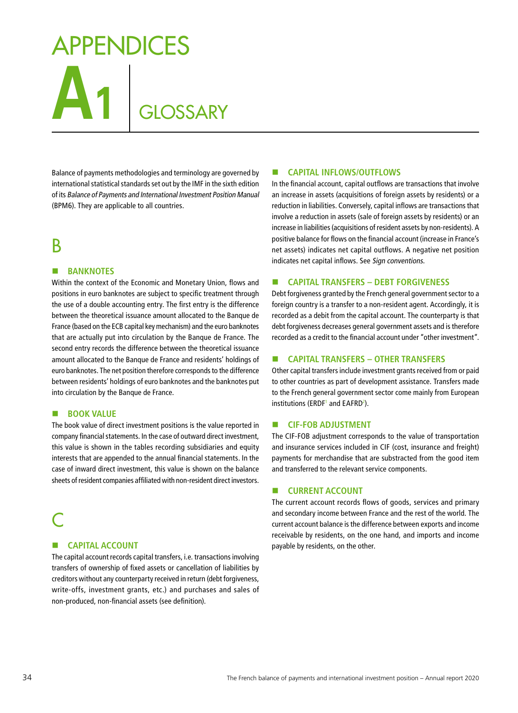# **A1** GLOSSARY APPENDICES

Balance of payments methodologies and terminology are governed by international statistical standards set out by the IMF in the sixth edition of its Balance of Payments and International Investment Position Manual (BPM6). They are applicable to all countries.

### B

#### **BANKNOTES**

Within the context of the Economic and Monetary Union, flows and positions in euro banknotes are subject to specific treatment through the use of a double accounting entry. The first entry is the difference between the theoretical issuance amount allocated to the Banque de France (based on the ECB capital key mechanism) and the euro banknotes that are actually put into circulation by the Banque de France. The second entry records the difference between the theoretical issuance amount allocated to the Banque de France and residents' holdings of euro banknotes. The net position therefore corresponds to the difference between residents' holdings of euro banknotes and the banknotes put into circulation by the Banque de France.

#### **BOOK VALUE**

The book value of direct investment positions is the value reported in company financial statements. In the case of outward direct investment, this value is shown in the tables recording subsidiaries and equity interests that are appended to the annual financial statements. In the case of inward direct investment, this value is shown on the balance sheets of resident companies affiliated with non-resident direct investors.

### C

#### **E** CAPITAL ACCOUNT

The capital account records capital transfers, i.e. transactions involving transfers of ownership of fixed assets or cancellation of liabilities by creditors without any counterparty received in return (debt forgiveness, write-offs, investment grants, etc.) and purchases and sales of non-produced, non-financial assets (see definition).

#### **E** CAPITAL INFLOWS/OUTFLOWS

In the financial account, capital outflows are transactions that involve an increase in assets (acquisitions of foreign assets by residents) or a reduction in liabilities. Conversely, capital inflows are transactions that involve a reduction in assets (sale of foreign assets by residents) or an increase in liabilities (acquisitions of resident assets by non-residents). A positive balance for flows on the financial account (increase in France's net assets) indicates net capital outflows. A negative net position indicates net capital inflows. See Sign conventions.

#### **CAPITAL TRANSFERS – DEBT FORGIVENESS**

Debt forgiveness granted by the French general government sector to a foreign country is a transfer to a non-resident agent. Accordingly, it is recorded as a debit from the capital account. The counterparty is that debt forgiveness decreases general government assets and is therefore recorded as a credit to the financial account under "other investment".

#### **CAPITAL TRANSFERS – OTHER TRANSFERS**

Other capital transfers include investment grants received from or paid to other countries as part of development assistance. Transfers made to the French general government sector come mainly from European institutions (ERDF<sup>1</sup> and EAFRD<sup>2</sup>).

#### **E** CIF-FOB ADJUSTMENT

The CIF-FOB adjustment corresponds to the value of transportation and insurance services included in CIF (cost, insurance and freight) payments for merchandise that are substracted from the good item and transferred to the relevant service components.

#### **EXECURRENT ACCOUNT**

The current account records flows of goods, services and primary and secondary income between France and the rest of the world. The current account balance is the difference between exports and income receivable by residents, on the one hand, and imports and income payable by residents, on the other.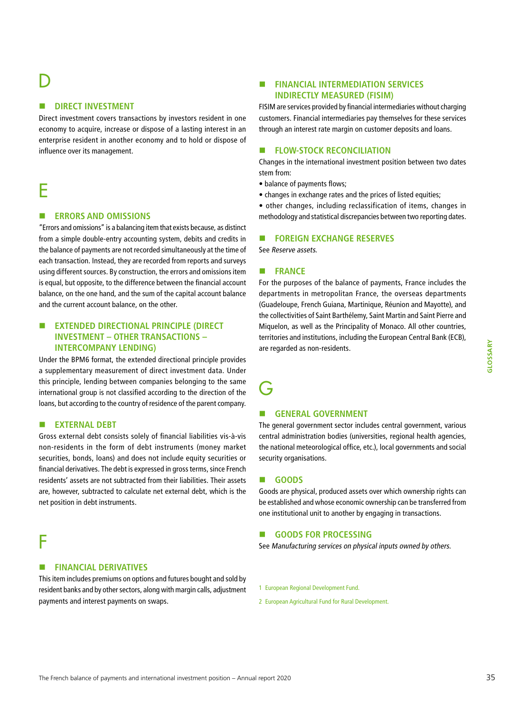# D

#### **B** DIRECT INVESTMENT

Direct investment covers transactions by investors resident in one economy to acquire, increase or dispose of a lasting interest in an enterprise resident in another economy and to hold or dispose of influence over its management.

# E

#### **ERRORS AND OMISSIONS**

"Errors and omissions" is a balancing item that exists because, as distinct from a simple double-entry accounting system, debits and credits in the balance of payments are not recorded simultaneously at the time of each transaction. Instead, they are recorded from reports and surveys using different sources. By construction, the errors and omissions item is equal, but opposite, to the difference between the financial account balance, on the one hand, and the sum of the capital account balance and the current account balance, on the other.

#### **EXTENDED DIRECTIONAL PRINCIPLE (DIRECT INVESTMENT – OTHER TRANSACTIONS – INTERCOMPANY LENDING)**

Under the BPM6 format, the extended directional principle provides a supplementary measurement of direct investment data. Under this principle, lending between companies belonging to the same international group is not classified according to the direction of the loans, but according to the country of residence of the parent company.

#### **EXTERNAL DEBT**

Gross external debt consists solely of financial liabilities vis-à-vis non-residents in the form of debt instruments (money market securities, bonds, loans) and does not include equity securities or financial derivatives. The debt is expressed in gross terms, since French residents' assets are not subtracted from their liabilities. Their assets are, however, subtracted to calculate net external debt, which is the net position in debt instruments.

## F

#### **E** FINANCIAL DERIVATIVES

This item includes premiums on options and futures bought and sold by resident banks and by other sectors, along with margin calls, adjustment payments and interest payments on swaps.

### **EINANCIAL INTERMEDIATION SERVICES INDIRECTLY MEASURED (FISIM)**

FISIM are services provided by financial intermediaries without charging customers. Financial intermediaries pay themselves for these services through an interest rate margin on customer deposits and loans.

#### **FLOW-STOCK RECONCILIATION**

Changes in the international investment position between two dates stem from:

- balance of payments flows;
- changes in exchange rates and the prices of listed equities;

• other changes, including reclassification of items, changes in methodology and statistical discrepancies between two reporting dates.

#### **FOREIGN EXCHANGE RESERVES**

See Reserve assets.

#### **FRANCE**

For the purposes of the balance of payments, France includes the departments in metropolitan France, the overseas departments (Guadeloupe, French Guiana, Martinique, Réunion and Mayotte), and the collectivities of Saint Barthélemy, Saint Martin and Saint Pierre and Miquelon, as well as the Principality of Monaco. All other countries, territories and institutions, including the European Central Bank (ECB), are regarded as non-residents.

# $\mathsf{G}$

#### **E** GENERAL GOVERNMENT

The general government sector includes central government, various central administration bodies (universities, regional health agencies, the national meteorological office, etc.), local governments and social security organisations.

#### **GOODS**

Goods are physical, produced assets over which ownership rights can be established and whose economic ownership can be transferred from one institutional unit to another by engaging in transactions.

#### **GOODS FOR PROCESSING**

See Manufacturing services on physical inputs owned by others.

1 European Regional Development Fund.

2 European Agricultural Fund for Rural Development.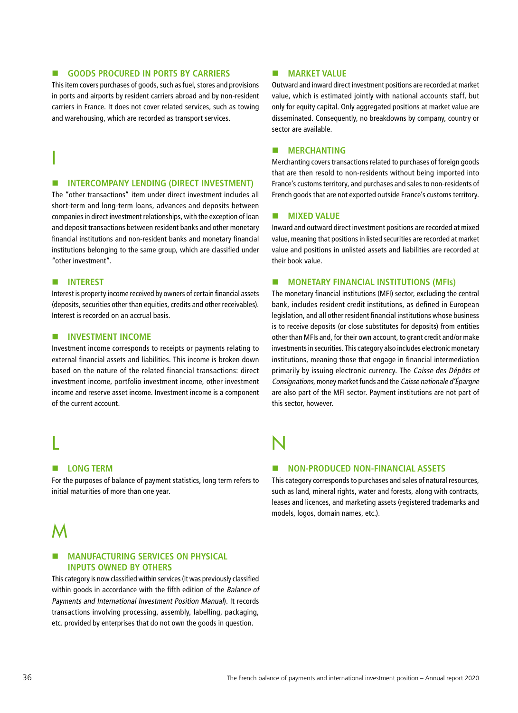#### **EDUCACIONS PROCURED IN PORTS BY CARRIERS**

This item covers purchases of goods, such as fuel, stores and provisions in ports and airports by resident carriers abroad and by non-resident carriers in France. It does not cover related services, such as towing and warehousing, which are recorded as transport services.

#### **ENTERCOMPANY LENDING (DIRECT INVESTMENT)**

The "other transactions" item under direct investment includes all short-term and long-term loans, advances and deposits between companies in direct investment relationships, with the exception of loan and deposit transactions between resident banks and other monetary financial institutions and non-resident banks and monetary financial institutions belonging to the same group, which are classified under "other investment".

#### **NITEREST**

I

Interest is property income received by owners of certain financial assets (deposits, securities other than equities, credits and other receivables). Interest is recorded on an accrual basis.

#### **ENVESTMENT INCOME**

Investment income corresponds to receipts or payments relating to external financial assets and liabilities. This income is broken down based on the nature of the related financial transactions: direct investment income, portfolio investment income, other investment income and reserve asset income. Investment income is a component of the current account.

# L

#### **E** LONG TERM

For the purposes of balance of payment statistics, long term refers to initial maturities of more than one year.

## M

#### **E** MANUFACTURING SERVICES ON PHYSICAL **INPUTS OWNED BY OTHERS**

This category is now classified within services (it was previously classified within goods in accordance with the fifth edition of the Balance of Payments and International Investment Position Manual). It records transactions involving processing, assembly, labelling, packaging, etc. provided by enterprises that do not own the goods in question.

#### **MARKET VALUE**

Outward and inward direct investment positions are recorded at market value, which is estimated jointly with national accounts staff, but only for equity capital. Only aggregated positions at market value are disseminated. Consequently, no breakdowns by company, country or sector are available.

#### **MERCHANTING**

Merchanting covers transactions related to purchases of foreign goods that are then resold to non-residents without being imported into France's customs territory, and purchases and sales to non-residents of French goods that are not exported outside France's customs territory.

#### **MIXED VALUE**

Inward and outward direct investment positions are recorded at mixed value, meaning that positions in listed securities are recorded at market value and positions in unlisted assets and liabilities are recorded at their book value.

#### **E** MONETARY FINANCIAL INSTITUTIONS (MFIs)

The monetary financial institutions (MFI) sector, excluding the central bank, includes resident credit institutions, as defined in European legislation, and all other resident financial institutions whose business is to receive deposits (or close substitutes for deposits) from entities other than MFIs and, for their own account, to grant credit and/or make investments in securities. This category also includes electronic monetary institutions, meaning those that engage in financial intermediation primarily by issuing electronic currency. The Caisse des Dépôts et Consignations, money market funds and the Caisse nationale d'Épargne are also part of the MFI sector. Payment institutions are not part of this sector, however.

# N

#### **NON-PRODUCED NON-FINANCIAL ASSETS**

This category corresponds to purchases and sales of natural resources, such as land, mineral rights, water and forests, along with contracts, leases and licences, and marketing assets (registered trademarks and models, logos, domain names, etc.).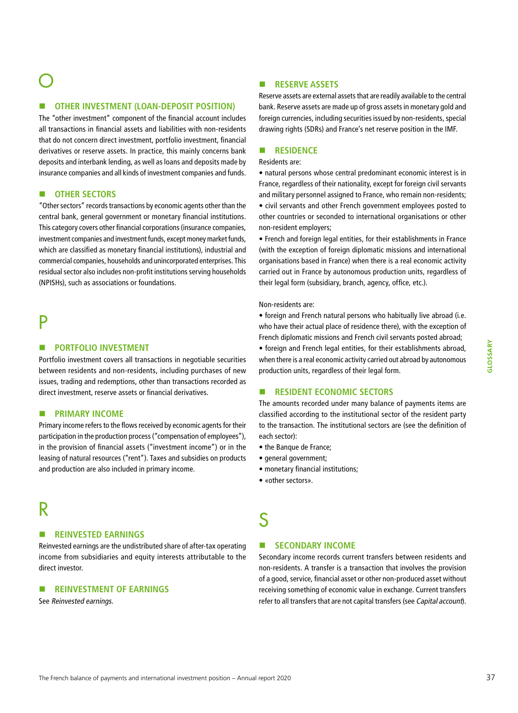#### **E** OTHER INVESTMENT (LOAN-DEPOSIT POSITION)

The "other investment" component of the financial account includes all transactions in financial assets and liabilities with non-residents that do not concern direct investment, portfolio investment, financial derivatives or reserve assets. In practice, this mainly concerns bank deposits and interbank lending, as well as loans and deposits made by insurance companies and all kinds of investment companies and funds.

#### $\blacksquare$  **OTHER SECTORS**

"Other sectors" records transactions by economic agents other than the central bank, general government or monetary financial institutions. This category covers other financial corporations (insurance companies, investment companies and investment funds, except money market funds, which are classified as monetary financial institutions), industrial and commercial companies, households and unincorporated enterprises. This residual sector also includes non-profit institutions serving households (NPISHs), such as associations or foundations.

## P

#### **PORTFOLIO INVESTMENT**

Portfolio investment covers all transactions in negotiable securities between residents and non-residents, including purchases of new issues, trading and redemptions, other than transactions recorded as direct investment, reserve assets or financial derivatives.

#### **E** PRIMARY INCOME

Primary income refers to the flows received by economic agents for their participation in the production process ("compensation of employees"), in the provision of financial assets ("investment income") or in the leasing of natural resources ("rent"). Taxes and subsidies on products and production are also included in primary income.

## R

#### **REINVESTED EARNINGS**

Reinvested earnings are the undistributed share of after-tax operating income from subsidiaries and equity interests attributable to the direct investor.

#### **REINVESTMENT OF EARNINGS**

See Reinvested earnings.

#### **RESERVE ASSETS**

Reserve assets are external assets that are readily available to the central bank. Reserve assets are made up of gross assets in monetary gold and foreign currencies, including securities issued by non-residents, special drawing rights (SDRs) and France's net reserve position in the IMF.

#### **RESIDENCE**

#### Residents are:

• natural persons whose central predominant economic interest is in France, regardless of their nationality, except for foreign civil servants and military personnel assigned to France, who remain non-residents; • civil servants and other French government employees posted to other countries or seconded to international organisations or other non-resident employers;

• French and foreign legal entities, for their establishments in France (with the exception of foreign diplomatic missions and international organisations based in France) when there is a real economic activity carried out in France by autonomous production units, regardless of their legal form (subsidiary, branch, agency, office, etc.).

#### Non-residents are:

• foreign and French natural persons who habitually live abroad (i.e. who have their actual place of residence there), with the exception of French diplomatic missions and French civil servants posted abroad;

• foreign and French legal entities, for their establishments abroad, when there is a real economic activity carried out abroad by autonomous production units, regardless of their legal form.

#### **RESIDENT ECONOMIC SECTORS**

The amounts recorded under many balance of payments items are classified according to the institutional sector of the resident party to the transaction. The institutional sectors are (see the definition of each sector):

- the Banque de France;
- general government;
- monetary financial institutions;
- «other sectors».

# S

### **ENDING SECONDARY INCOME**

Secondary income records current transfers between residents and non-residents. A transfer is a transaction that involves the provision of a good, service, financial asset or other non-produced asset without receiving something of economic value in exchange. Current transfers refer to all transfers that are not capital transfers (see Capital account).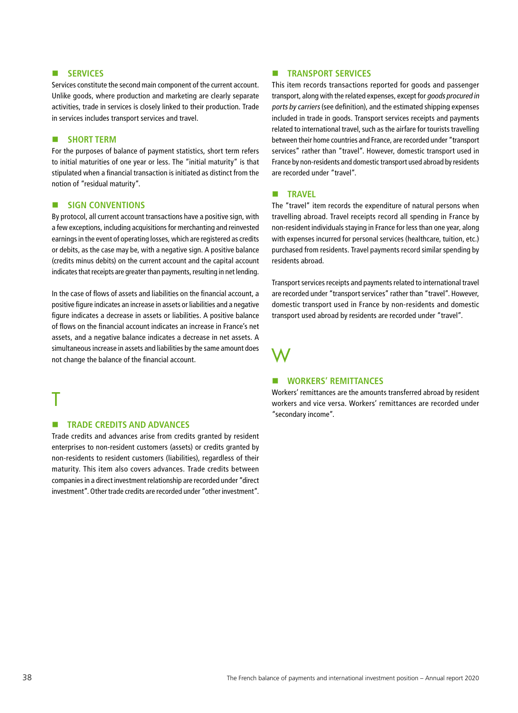#### **ENSERVICES**

Services constitute the second main component of the current account. Unlike goods, where production and marketing are clearly separate activities, trade in services is closely linked to their production. Trade in services includes transport services and travel.

#### **B** SHORT TERM

For the purposes of balance of payment statistics, short term refers to initial maturities of one year or less. The "initial maturity" is that stipulated when a financial transaction is initiated as distinct from the notion of "residual maturity".

#### **E** SIGN CONVENTIONS

By protocol, all current account transactions have a positive sign, with a few exceptions, including acquisitions for merchanting and reinvested earnings in the event of operating losses, which are registered as credits or debits, as the case may be, with a negative sign. A positive balance (credits minus debits) on the current account and the capital account indicates that receipts are greater than payments, resulting in net lending.

In the case of flows of assets and liabilities on the financial account, a positive figure indicates an increase in assets or liabilities and a negative figure indicates a decrease in assets or liabilities. A positive balance of flows on the financial account indicates an increase in France's net assets, and a negative balance indicates a decrease in net assets. A simultaneous increase in assets and liabilities by the same amount does not change the balance of the financial account.

## T

#### **EXECUTE TRADE CREDITS AND ADVANCES**

Trade credits and advances arise from credits granted by resident enterprises to non-resident customers (assets) or credits granted by non-residents to resident customers (liabilities), regardless of their maturity. This item also covers advances. Trade credits between companies in a direct investment relationship are recorded under "direct investment". Other trade credits are recorded under "other investment".

#### **EXECUTE: TRANSPORT SERVICES**

This item records transactions reported for goods and passenger transport, along with the related expenses, except for goods procured in ports by carriers (see definition), and the estimated shipping expenses included in trade in goods. Transport services receipts and payments related to international travel, such as the airfare for tourists travelling between their home countries and France, are recorded under "transport services" rather than "travel". However, domestic transport used in France by non-residents and domestic transport used abroad by residents are recorded under "travel".

#### **TRAVEL**

The "travel" item records the expenditure of natural persons when travelling abroad. Travel receipts record all spending in France by non-resident individuals staying in France for less than one year, along with expenses incurred for personal services (healthcare, tuition, etc.) purchased from residents. Travel payments record similar spending by residents abroad.

Transport services receipts and payments related to international travel are recorded under "transport services" rather than "travel". However, domestic transport used in France by non-residents and domestic transport used abroad by residents are recorded under "travel".

## W

#### **WORKERS' REMITTANCES**

Workers' remittances are the amounts transferred abroad by resident workers and vice versa. Workers' remittances are recorded under "secondary income".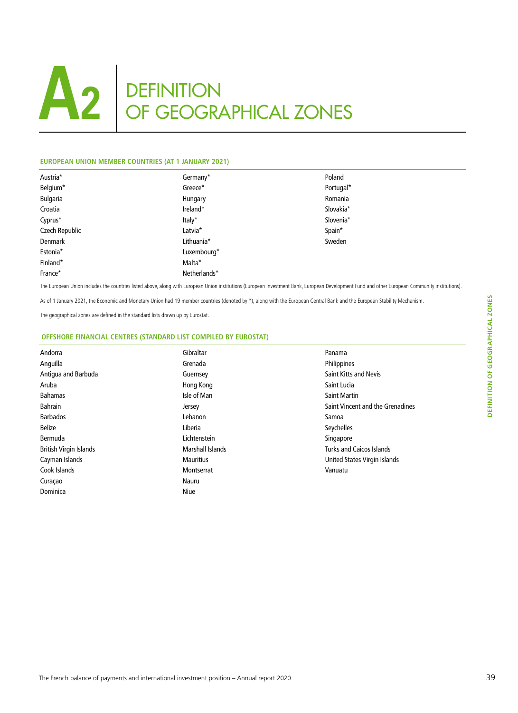#### **EUROPEAN UNION MEMBER COUNTRIES (AT 1 JANUARY 2021)**

| Austria*       | Germany*     | Poland    |
|----------------|--------------|-----------|
| Belgium*       | Greece*      | Portugal* |
| Bulgaria       | Hungary      | Romania   |
| Croatia        | Ireland*     | Slovakia* |
| Cyprus*        | Italy*       | Slovenia* |
| Czech Republic | Latvia*      | Spain*    |
| Denmark        | Lithuania*   | Sweden    |
| Estonia*       | Luxembourg*  |           |
| Finland*       | Malta*       |           |
| France*        | Netherlands* |           |
|                |              |           |

The European Union includes the countries listed above, along with European Union institutions (European Investment Bank, European Development Fund and other European Community institutions).

As of 1 January 2021, the Economic and Monetary Union had 19 member countries (denoted by \*), along with the European Central Bank and the European Stability Mechanism.

The geographical zones are defined in the standard lists drawn up by Eurostat.

#### **OFFSHORE FINANCIAL CENTRES (STANDARD LIST COMPILED BY EUROSTAT)**

| Andorra                       | Gibraltar        | Panama                           |
|-------------------------------|------------------|----------------------------------|
| Anguilla                      | Grenada          | Philippines                      |
| Antigua and Barbuda           | Guernsey         | <b>Saint Kitts and Nevis</b>     |
| Aruba                         | Hong Kong        | Saint Lucia                      |
| <b>Bahamas</b>                | Isle of Man      | <b>Saint Martin</b>              |
| <b>Bahrain</b>                | Jersey           | Saint Vincent and the Grenadines |
| <b>Barbados</b>               | Lebanon          | Samoa                            |
| <b>Belize</b>                 | Liberia          | Seychelles                       |
| Bermuda                       | Lichtenstein     | Singapore                        |
| <b>British Virgin Islands</b> | Marshall Islands | <b>Turks and Caicos Islands</b>  |
| Cayman Islands                | <b>Mauritius</b> | United States Virgin Islands     |
| Cook Islands                  | Montserrat       | Vanuatu                          |
| Curaçao                       | Nauru            |                                  |
| Dominica                      | <b>Niue</b>      |                                  |
|                               |                  |                                  |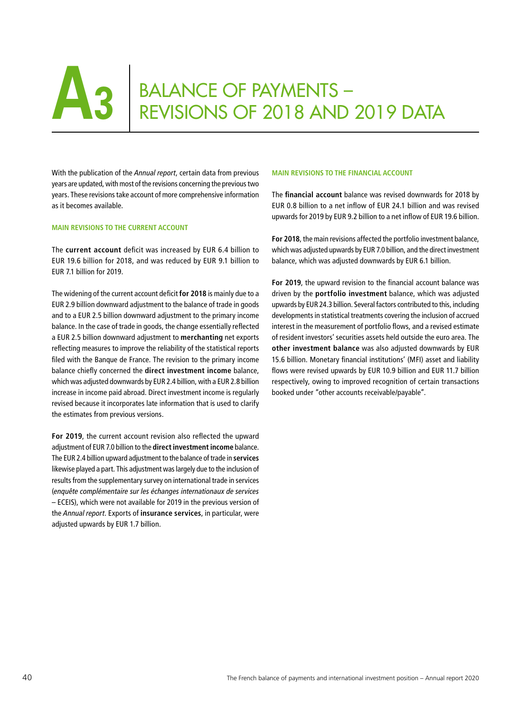# **BALANCE OF PAYMENTS –** REVISIONS OF 2018 AND 2019 DATA

With the publication of the *Annual report*, certain data from previous years are updated, with most of the revisions concerning the previous two years. These revisions take account of more comprehensive information as it becomes available.

#### **MAIN REVISIONS TO THE CURRENT ACCOUNT**

The **current account** deficit was increased by EUR 6.4 billion to EUR 19.6 billion for 2018, and was reduced by EUR 9.1 billion to EUR 7.1 billion for 2019.

The widening of the current account deficit **for 2018** is mainly due to a EUR 2.9 billion downward adjustment to the balance of trade in goods and to a EUR 2.5 billion downward adjustment to the primary income balance. In the case of trade in goods, the change essentially reflected a EUR 2.5 billion downward adjustment to **merchanting** net exports reflecting measures to improve the reliability of the statistical reports filed with the Banque de France. The revision to the primary income balance chiefly concerned the **direct investment income** balance, which was adjusted downwards by EUR 2.4 billion, with a EUR 2.8 billion increase in income paid abroad. Direct investment income is regularly revised because it incorporates late information that is used to clarify the estimates from previous versions.

**For 2019**, the current account revision also reflected the upward adjustment of EUR 7.0 billion to the **direct investment income** balance. The EUR 2.4 billion upward adjustment to the balance of trade in **services** likewise played a part. This adjustment was largely due to the inclusion of results from the supplementary survey on international trade in services (*enquête complémentaire sur les échanges internationaux de services* – ECEIS), which were not available for 2019 in the previous version of the *Annual report*. Exports of **insurance services**, in particular, were adjusted upwards by EUR 1.7 billion.

#### **MAIN REVISIONS TO THE FINANCIAL ACCOUNT**

The **financial account** balance was revised downwards for 2018 by EUR 0.8 billion to a net inflow of EUR 24.1 billion and was revised upwards for 2019 by EUR 9.2 billion to a net inflow of EUR 19.6 billion.

**For 2018**, the main revisions affected the portfolio investment balance, which was adjusted upwards by EUR 7.0 billion, and the direct investment balance, which was adjusted downwards by EUR 6.1 billion.

**For 2019**, the upward revision to the financial account balance was driven by the **portfolio investment** balance, which was adjusted upwards by EUR 24.3 billion. Several factors contributed to this, including developments in statistical treatments covering the inclusion of accrued interest in the measurement of portfolio flows, and a revised estimate of resident investors' securities assets held outside the euro area. The **other investment balance** was also adjusted downwards by EUR 15.6 billion. Monetary financial institutions' (MFI) asset and liability flows were revised upwards by EUR 10.9 billion and EUR 11.7 billion respectively, owing to improved recognition of certain transactions booked under "other accounts receivable/payable".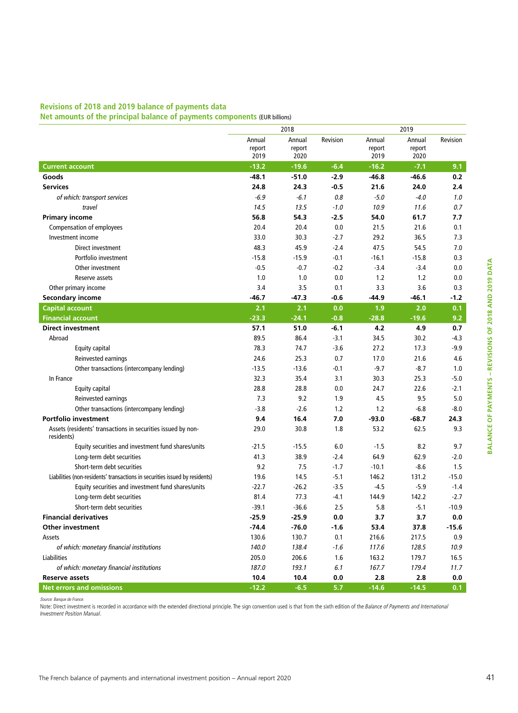## **Revisions of 2018 and 2019 balance of payments data**

**Net amounts of the principal balance of payments components** (EUR billions)

|                                                                             |                          | 2018                     | 2019     |                          |                          |          |
|-----------------------------------------------------------------------------|--------------------------|--------------------------|----------|--------------------------|--------------------------|----------|
|                                                                             | Annual<br>report<br>2019 | Annual<br>report<br>2020 | Revision | Annual<br>report<br>2019 | Annual<br>report<br>2020 | Revision |
| <b>Current account</b>                                                      | $-13.2$                  | $-19.6$                  | $-6.4$   | $-16.2$                  | $-7.1$                   | 9.1      |
| Goods                                                                       | $-48.1$                  | $-51.0$                  | $-2.9$   | $-46.8$                  | $-46.6$                  | 0.2      |
| <b>Services</b>                                                             | 24.8                     | 24.3                     | $-0.5$   | 21.6                     | 24.0                     | 2.4      |
| of which: transport services                                                | $-6.9$                   | $-6.1$                   | 0.8      | $-5.0$                   | $-4.0$                   | 1.0      |
| travel                                                                      | 14.5                     | 13.5                     | $-1.0$   | 10.9                     | 11.6                     | 0.7      |
| <b>Primary income</b>                                                       | 56.8                     | 54.3                     | $-2.5$   | 54.0                     | 61.7                     | 7.7      |
| <b>Compensation of employees</b>                                            | 20.4                     | 20.4                     | 0.0      | 21.5                     | 21.6                     | 0.1      |
| Investment income                                                           | 33.0                     | 30.3                     | $-2.7$   | 29.2                     | 36.5                     | 7.3      |
| Direct investment                                                           | 48.3                     | 45.9                     | $-2.4$   | 47.5                     | 54.5                     | 7.0      |
| Portfolio investment                                                        | $-15.8$                  | $-15.9$                  | $-0.1$   | $-16.1$                  | $-15.8$                  | 0.3      |
| Other investment                                                            | $-0.5$                   | $-0.7$                   | $-0.2$   | $-3.4$                   | $-3.4$                   | 0.0      |
| Reserve assets                                                              | 1.0                      | 1.0                      | 0.0      | 1.2                      | 1.2                      | 0.0      |
| Other primary income                                                        | 3.4                      | 3.5                      | 0.1      | 3.3                      | 3.6                      | 0.3      |
| <b>Secondary income</b>                                                     | $-46.7$                  | $-47.3$                  | $-0.6$   | $-44.9$                  | $-46.1$                  | $-1.2$   |
| <b>Capital account</b>                                                      | 2.1                      | 2.1                      | 0.0      | 1.9                      | 2.0                      | 0.1      |
| <b>Financial account</b>                                                    | $-23.3$                  | $-24.1$                  | $-0.8$   | $-28.8$                  | $-19.6$                  | 9.2      |
| <b>Direct investment</b>                                                    | 57.1                     | 51.0                     | $-6.1$   | 4.2                      | 4.9                      | 0.7      |
| Abroad                                                                      | 89.5                     | 86.4                     | $-3.1$   | 34.5                     | 30.2                     | $-4.3$   |
| Equity capital                                                              | 78.3                     | 74.7                     | $-3.6$   | 27.2                     | 17.3                     | -9.9     |
| Reinvested earnings                                                         | 24.6                     | 25.3                     | 0.7      | 17.0                     | 21.6                     | 4.6      |
| Other transactions (intercompany lending)                                   | $-13.5$                  | $-13.6$                  | $-0.1$   | $-9.7$                   | $-8.7$                   | 1.0      |
| In France                                                                   | 32.3                     | 35.4                     | 3.1      | 30.3                     | 25.3                     | $-5.0$   |
| Equity capital                                                              | 28.8                     | 28.8                     | 0.0      | 24.7                     | 22.6                     | $-2.1$   |
| Reinvested earnings                                                         | 7.3                      | 9.2                      | 1.9      | 4.5                      | 9.5                      | 5.0      |
| Other transactions (intercompany lending)                                   | $-3.8$                   | $-2.6$                   | 1.2      | 1.2                      | $-6.8$                   | $-8.0$   |
| <b>Portfolio investment</b>                                                 | 9.4                      | 16.4                     | 7.0      | $-93.0$                  | $-68.7$                  | 24.3     |
| Assets (residents' transactions in securities issued by non-<br>residents)  | 29.0                     | 30.8                     | 1.8      | 53.2                     | 62.5                     | 9.3      |
| Equity securities and investment fund shares/units                          | $-21.5$                  | $-15.5$                  | 6.0      | $-1.5$                   | 8.2                      | 9.7      |
| Long-term debt securities                                                   | 41.3                     | 38.9                     | $-2.4$   | 64.9                     | 62.9                     | $-2.0$   |
| Short-term debt securities                                                  | 9.2                      | 7.5                      | $-1.7$   | $-10.1$                  | $-8.6$                   | 1.5      |
| Liabilities (non-residents' transactions in securities issued by residents) | 19.6                     | 14.5                     | $-5.1$   | 146.2                    | 131.2                    | $-15.0$  |
| Equity securities and investment fund shares/units                          | $-22.7$                  | $-26.2$                  | $-3.5$   | $-4.5$                   | $-5.9$                   | $-1.4$   |
| Long-term debt securities                                                   | 81.4                     | 77.3                     | $-4.1$   | 144.9                    | 142.2                    | $-2.7$   |
| Short-term debt securities                                                  | $-39.1$                  | $-36.6$                  | 2.5      | 5.8                      | $-5.1$                   | $-10.9$  |
| <b>Financial derivatives</b>                                                | $-25.9$                  | $-25.9$                  | 0.0      | 3.7                      | 3.7                      | 0.0      |
| <b>Other investment</b>                                                     | $-74.4$                  | $-76.0$                  | $-1.6$   | 53.4                     | 37.8                     | $-15.6$  |
| Assets                                                                      | 130.6                    | 130.7                    | 0.1      | 216.6                    | 217.5                    | 0.9      |
| of which: monetary financial institutions                                   | 140.0                    | 138.4                    | $-1.6$   | 117.6                    | 128.5                    | 10.9     |
| Liabilities                                                                 | 205.0                    | 206.6                    | 1.6      | 163.2                    | 179.7                    | 16.5     |
| of which: monetary financial institutions                                   | 187.0                    | 193.1                    | 6.1      | 167.7                    | 179.4                    | 11.7     |
| <b>Reserve assets</b>                                                       | 10.4                     | 10.4                     | 0.0      | 2.8                      | 2.8                      | 0.0      |
| <b>Net errors and omissions</b>                                             | $-12.2$                  | $-6.5$                   | 5.7      | $-14.6$                  | $-14.5$                  | 0.1      |

Note: Direct investment is recorded in accordance with the extended directional principle. The sign convention used is that from the sixth edition of the *Balance of Payments and International Investment Position Manual*.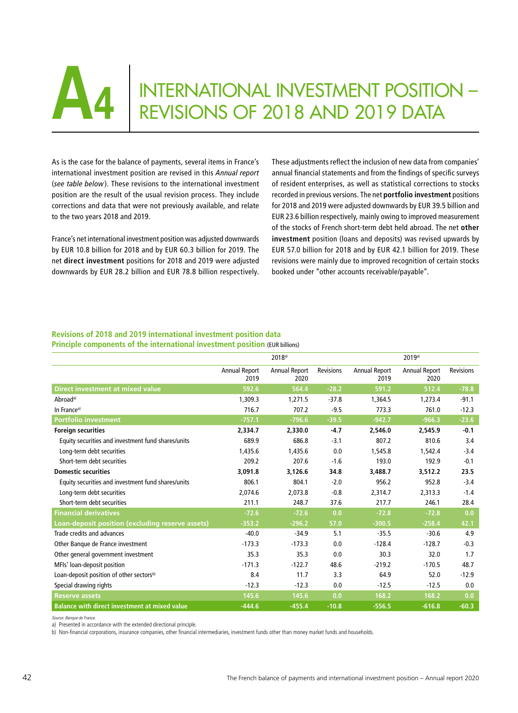

# **A4** INTERNATIONAL INVESTMENT POSITION –<br>REVISIONS OF 2018 AND 2019 DATA REVISIONS OF 2018 AND 2019 DATA

As is the case for the balance of payments, several items in France's international investment position are revised in this *Annual report* (*see table below*). These revisions to the international investment position are the result of the usual revision process. They include corrections and data that were not previously available, and relate to the two years 2018 and 2019.

France's net international investment position was adjusted downwards by EUR 10.8 billion for 2018 and by EUR 60.3 billion for 2019. The net **direct investment** positions for 2018 and 2019 were adjusted downwards by EUR 28.2 billion and EUR 78.8 billion respectively.

These adjustments reflect the inclusion of new data from companies' annual financial statements and from the findings of specific surveys of resident enterprises, as well as statistical corrections to stocks recorded in previous versions. The net **portfolio investment** positions for 2018 and 2019 were adjusted downwards by EUR 39.5 billion and EUR 23.6 billion respectively, mainly owing to improved measurement of the stocks of French short-term debt held abroad. The net **other investment** position (loans and deposits) was revised upwards by EUR 57.0 billion for 2018 and by EUR 42.1 billion for 2019. These revisions were mainly due to improved recognition of certain stocks booked under "other accounts receivable/payable".

#### **Revisions of 2018 and 2019 international investment position data Principle components of the international investment position (EUR billions)**

|                                                      |                              | 2018a)                       |                  |                              | 2019a)                       |                  |
|------------------------------------------------------|------------------------------|------------------------------|------------------|------------------------------|------------------------------|------------------|
|                                                      | <b>Annual Report</b><br>2019 | <b>Annual Report</b><br>2020 | <b>Revisions</b> | <b>Annual Report</b><br>2019 | <b>Annual Report</b><br>2020 | <b>Revisions</b> |
| <b>Direct investment at mixed value</b>              | 592.6                        | 564.4                        | $-28.2$          | 591.2                        | 512.4                        | $-78.8$          |
| Abroad <sup>a)</sup>                                 | 1,309.3                      | 1,271.5                      | $-37.8$          | 1,364.5                      | 1,273.4                      | $-91.1$          |
| In France <sup>a)</sup>                              | 716.7                        | 707.2                        | $-9.5$           | 773.3                        | 761.0                        | $-12.3$          |
| Portfolio investment                                 | $-757.1$                     | $-796.6$                     | $-39.5$          | $-942.7$                     | $-966.3$                     | $-23.6$          |
| <b>Foreign securities</b>                            | 2,334.7                      | 2,330.0                      | $-4.7$           | 2,546.0                      | 2,545.9                      | $-0.1$           |
| Equity securities and investment fund shares/units   | 689.9                        | 686.8                        | $-3.1$           | 807.2                        | 810.6                        | 3.4              |
| Long-term debt securities                            | 1,435.6                      | 1,435.6                      | 0.0              | 1,545.8                      | 1,542.4                      | $-3.4$           |
| Short-term debt securities                           | 209.2                        | 207.6                        | $-1.6$           | 193.0                        | 192.9                        | $-0.1$           |
| <b>Domestic securities</b>                           | 3,091.8                      | 3,126.6                      | 34.8             | 3,488.7                      | 3,512.2                      | 23.5             |
| Equity securities and investment fund shares/units   | 806.1                        | 804.1                        | $-2.0$           | 956.2                        | 952.8                        | $-3.4$           |
| Long-term debt securities                            | 2,074.6                      | 2,073.8                      | $-0.8$           | 2,314.7                      | 2,313.3                      | $-1.4$           |
| Short-term debt securities                           | 211.1                        | 248.7                        | 37.6             | 217.7                        | 246.1                        | 28.4             |
| <b>Financial derivatives</b>                         | $-72.6$                      | $-72.6$                      | 0.0              | $-72.8$                      | $-72.8$                      | 0.0              |
| Loan-deposit position (excluding reserve assets)     | $-353.2$                     | $-296.2$                     | 57.0             | $-300.5$                     | $-258.4$                     | 42.1             |
| Trade credits and advances                           | $-40.0$                      | $-34.9$                      | 5.1              | $-35.5$                      | $-30.6$                      | 4.9              |
| Other Banque de France investment                    | $-173.3$                     | $-173.3$                     | 0.0              | $-128.4$                     | $-128.7$                     | $-0.3$           |
| Other general government investment                  | 35.3                         | 35.3                         | 0.0              | 30.3                         | 32.0                         | 1.7              |
| MFIs' loan-deposit position                          | $-171.3$                     | $-122.7$                     | 48.6             | $-219.2$                     | $-170.5$                     | 48.7             |
| Loan-deposit position of other sectorsb)             | 8.4                          | 11.7                         | 3.3              | 64.9                         | 52.0                         | $-12.9$          |
| Special drawing rights                               | $-12.3$                      | $-12.3$                      | 0.0              | $-12.5$                      | $-12.5$                      | 0.0              |
| <b>Reserve assets</b>                                | 145.6                        | 145.6                        | 0.0              | 168.2                        | 168.2                        | 0.0              |
| <b>Balance with direct investment at mixed value</b> | $-444.6$                     | $-455.4$                     | $-10.8$          | $-556.5$                     | $-616.8$                     | $-60.3$          |

*Source: Banque de France.*

a) Presented in accordance with the extended directional principle.

b) Non-financial corporations, insurance companies, other financial intermediaries, investment funds other than money market funds and households.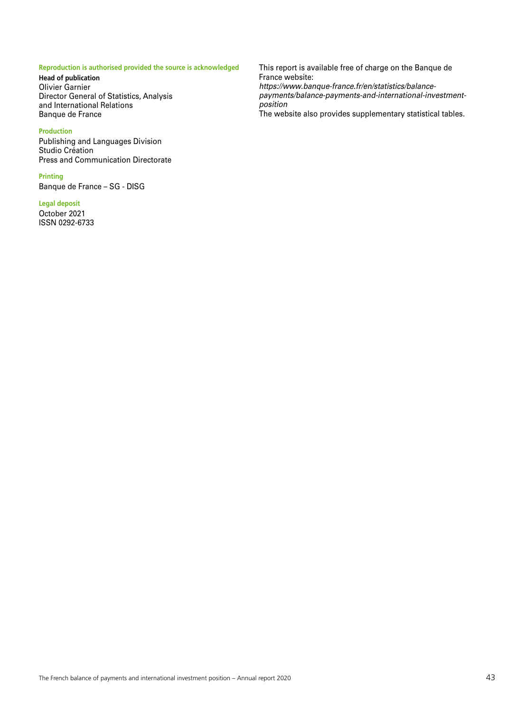#### **Reproduction is authorised provided the source is acknowledged**

**Head of publication** Olivier Garnier Director General of Statistics, Analysis and International Relations Banque de France

#### **Production**

Publishing and Languages Division Studio Création Press and Communication Directorate

#### **Printing**

Banque de France – SG - DISG

#### **Legal deposit**

October 2021 ISSN 0292-6733 This report is available free of charge on the Banque de France website: *[https://www.banque-france.fr/en/statistics/balance](https://www.banque-france.fr/en/statistics/balance-payments/balance-payments-and-international-investment-position)[payments/balance-payments-and-international-investment](https://www.banque-france.fr/en/statistics/balance-payments/balance-payments-and-international-investment-position)[position](https://www.banque-france.fr/en/statistics/balance-payments/balance-payments-and-international-investment-position)* The website also provides supplementary statistical tables.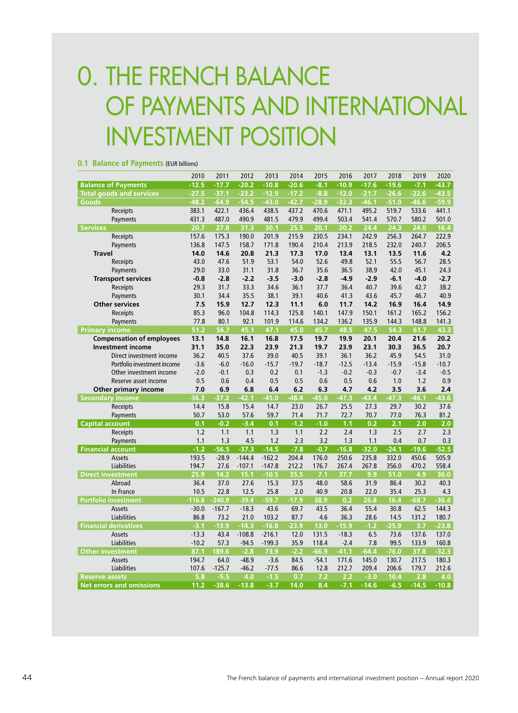# 0. THE FRENCH BALANCE OF PAYMENTS AND INTERNATIONAL INVESTMENT POSITION

| $P$ and $P$ as $P$ and $P$ and $P$ and $P$ and $P$ and $P$ |          |          |          |          |         |         |         |         |         |         |         |
|------------------------------------------------------------|----------|----------|----------|----------|---------|---------|---------|---------|---------|---------|---------|
|                                                            | 2010     | 2011     | 2012     | 2013     | 2014    | 2015    | 2016    | 2017    | 2018    | 2019    | 2020    |
| <b>Balance of Payments</b>                                 | $-12.5$  | $-17.7$  | $-20.2$  | $-10.8$  | $-20.6$ | $-8.1$  | $-10.9$ | $-17.6$ | $-19.6$ | $-7.1$  | $-43.7$ |
| <b>Total goods and services</b>                            | $-27.5$  | $-37.1$  | $-23.2$  | $-12.9$  | $-17.2$ | $-8.8$  | $-12.0$ | $-21.7$ | $-26.6$ | $-22.6$ | $-43.5$ |
| Goods                                                      | $-48.2$  | $-64.9$  | $-54.5$  | $-43.0$  | $-42.7$ | $-28.9$ | $-32.3$ | $-46.1$ | $-51.0$ | $-46.6$ | $-59.9$ |
| Receipts                                                   | 383.1    | 422.1    | 436.4    | 438.5    | 437.2   | 470.6   | 471.1   | 495.2   | 519.7   | 533.6   | 441.1   |
| Payments                                                   | 431.3    | 487.0    | 490.9    | 481.5    | 479.9   | 499.4   | 503.4   | 541.4   | 570.7   | 580.2   | 501.0   |
| <b>Services</b>                                            | 20.7     | 27.8     | 31.3     | 30.1     | 25.5    | 20.1    | 20.2    | 24.4    | 24.3    | 24.0    | 16.4    |
| Receipts                                                   | 157.6    | 175.3    | 190.0    | 201.9    | 215.9   | 230.5   | 234.1   | 242.9   | 256.3   | 264.7   | 222.9   |
| Payments                                                   | 136.8    | 147.5    | 158.7    | 171.8    | 190.4   | 210.4   | 213.9   | 218.5   | 232.0   | 240.7   | 206.5   |
| <b>Travel</b>                                              | 14.0     | 14.6     | 20.8     | 21.3     | 17.3    | 17.0    | 13.4    | 13.1    | 13.5    | 11.6    | 4.2     |
| Receipts                                                   | 43.0     | 47.6     | 51.9     | 53.1     | 54.0    | 52.6    | 49.8    | 52.1    | 55.5    | 56.7    | 28.5    |
| Payments                                                   | 29.0     | 33.0     | 31.1     | 31.8     | 36.7    | 35.6    | 36.5    | 38.9    | 42.0    | 45.1    | 24.3    |
| <b>Transport services</b>                                  | $-0.8$   | $-2.8$   | $-2.2$   | $-3.5$   | $-3.0$  | $-2.8$  | $-4.9$  | $-2.9$  | $-6.1$  | $-4.0$  | $-2.7$  |
| Receipts                                                   | 29.3     | 31.7     | 33.3     | 34.6     | 36.1    | 37.7    | 36.4    | 40.7    | 39.6    | 42.7    | 38.2    |
| Payments                                                   | 30.1     | 34.4     | 35.5     | 38.1     | 39.1    | 40.6    | 41.3    | 43.6    | 45.7    | 46.7    | 40.9    |
| <b>Other services</b>                                      | 7.5      | 15.9     | 12.7     | 12.3     | 11.1    | 6.0     | 11.7    | 14.2    | 16.9    | 16.4    | 14.9    |
| Receipts                                                   | 85.3     | 96.0     | 104.8    | 114.3    | 125.8   | 140.1   | 147.9   | 150.1   | 161.2   | 165.2   | 156.2   |
| Payments                                                   | 77.8     | 80.1     | 92.1     | 101.9    | 114.6   | 134.2   | 136.2   | 135.9   | 144.3   | 148.8   | 141.3   |
| <b>Primary income</b>                                      | 51.2     | 56.7     | 45.1     | 47.1     | 45.0    | 45.7    | 48.5    | 47.5    | 54.3    | 61.7    | 43.3    |
| <b>Compensation of employees</b>                           | 13.1     | 14.8     | 16.1     | 16.8     | 17.5    | 19.7    | 19.9    | 20.1    | 20.4    | 21.6    | 20.2    |
| <b>Investment income</b>                                   | 31.1     | 35.0     | 22.3     | 23.9     | 21.3    | 19.7    | 23.9    | 23.1    | 30.3    | 36.5    | 20.7    |
| Direct investment income                                   | 36.2     | 40.5     | 37.6     | 39.0     | 40.5    | 39.1    | 36.1    | 36.2    | 45.9    | 54.5    | 31.0    |
| Portfolio investment income                                | $-3.6$   | $-6.0$   | $-16.0$  | $-15.7$  | $-19.7$ | $-18.7$ | $-12.5$ | $-13.4$ | $-15.9$ | $-15.8$ | $-10.7$ |
| Other investment income                                    | $-2.0$   | $-0.1$   | 0.3      | 0.2      | 0.1     | $-1.3$  | $-0.2$  | $-0.3$  | $-0.7$  | $-3.4$  | $-0.5$  |
| Reserve asset income                                       | 0.5      | 0.6      | 0.4      | 0.5      | 0.5     | 0.6     | 0.5     | 0.6     | 1.0     | 1.2     | 0.9     |
| Other primary income                                       | 7.0      | 6.9      | 6.8      | 6.4      | 6.2     | 6.3     | 4.7     | 4.2     | 3.5     | 3.6     | 2.4     |
| <b>Secondary income</b>                                    | $-36.3$  | $-37.2$  | $-42.1$  | $-45.0$  | $-48.4$ | $-45.0$ | $-47.3$ | $-43.4$ | $-47.3$ | $-46.1$ | $-43.6$ |
| Receipts                                                   | 14.4     | 15.8     | 15.4     | 14.7     | 23.0    | 26.7    | 25.5    | 27.3    | 29.7    | 30.2    | 37.6    |
| Payments                                                   | 50.7     | 53.0     | 57.6     | 59.7     | 71.4    | 71.7    | 72.7    | 70.7    | 77.0    | 76.3    | 81.2    |
| <b>Capital account</b>                                     | 0.1      | $-0.2$   | $-3.4$   | 0.1      | $-1.2$  | $-1.0$  | 1.1     | 0.2     | 2.1     | 2.0     | 2.0     |
| Receipts                                                   | 1.2      | 1.1      | 1.1      | 1.3      | 1.1     | 2.2     | 2.4     | 1.3     | 2.5     | 2.7     | 2.3     |
| Payments                                                   | 1.1      | 1.3      | 4.5      | 1.2      | 2.3     | 3.2     | 1.3     | 1.1     | 0.4     | 0.7     | 0.3     |
| <b>Financial account</b>                                   | $-1.2$   | $-56.5$  | $-37.3$  | $-14.5$  | $-7.8$  | $-0.7$  | $-16.8$ | $-32.0$ | $-24.1$ | $-19.6$ | $-52.5$ |
| <b>Assets</b>                                              | 193.5    | $-28.9$  | $-144.4$ | $-162.2$ | 204.4   | 176.0   | 250.6   | 235.8   | 332.0   | 450.6   | 505.9   |
| Liabilities                                                | 194.7    | 27.6     | $-107.1$ | $-147.8$ | 212.2   | 176.7   | 267.4   | 267.8   | 356.0   | 470.2   | 558.4   |
| <b>Direct investment</b>                                   | 25.9     | 14.2     | 15.1     | $-10.5$  | 35.5    | 7.1     | 37.7    | 9.9     | 51.0    | 4.9     | 36.0    |
| Abroad                                                     | 36.4     | 37.0     | 27.6     | 15.3     | 37.5    | 48.0    | 58.6    | 31.9    | 86.4    | 30.2    | 40.3    |
| In France                                                  | 10.5     | 22.8     | 12.5     | 25.8     | 2.0     | 40.9    | 20.8    | 22.0    | 35.4    | 25.3    | 4.3     |
| <b>Portfolio investment</b>                                | $-116.8$ | $-240.9$ | $-39.4$  | $-59.7$  | $-17.9$ | 38.9    | 0.2     | 26.8    | 16.4    | $-68.7$ | $-36.4$ |
| <b>Assets</b>                                              | $-30.0$  | $-167.7$ | $-18.3$  | 43.6     | 69.7    | 43.5    | 36.4    | 55.4    | 30.8    | 62.5    | 144.3   |
| <b>Liabilities</b>                                         | 86.8     | 73.2     | 21.0     | 103.2    | 87.7    | 4.6     | 36.3    | 28.6    | 14.5    | 131.2   | 180.7   |
| <b>Financial derivatives</b>                               | $-3.1$   | $-13.9$  | $-14.3$  | $-16.8$  | $-23.9$ | 13.0    | $-15.9$ | $-1.2$  | $-25.9$ | 3.7     | $-23.8$ |
| <b>Assets</b>                                              | $-13.3$  | 43.4     | $-108.8$ | $-216.1$ | 12.0    | 131.5   | $-18.3$ | 6.5     | 73.6    | 137.6   | 137.0   |
| Liabilities                                                | $-10.2$  | 57.3     | $-94.5$  | $-199.3$ | 35.9    | 118.4   | $-2.4$  | 7.8     | 99.5    | 133.9   | 160.8   |
| <b>Other investment</b>                                    | 87.1     | 189.6    | $-2.8$   | 73.9     | $-2.2$  | $-66.9$ | $-41.1$ | $-64.4$ | $-76.0$ | 37.8    | $-32.3$ |
| Assets                                                     | 194.7    | 64.0     | $-48.9$  | $-3.6$   | 84.5    | $-54.1$ | 171.6   | 145.0   | 130.7   | 217.5   | 180.3   |
| Liabilities                                                | 107.6    | $-125.7$ | $-46.2$  | $-77.5$  | 86.6    | 12.8    | 212.7   | 209.4   | 206.6   | 179.7   | 212.6   |
| <b>Reserve assets</b>                                      | 5.8      | $-5.5$   | 4.0      | $-1.5$   | 0.7     | 7.2     | 2.2     | $-3.0$  | 10.4    | 2.8     | 4.0     |
| <b>Net errors and omissions</b>                            | 11.2     | $-38.6$  | $-13.8$  | $-3.7$   | 14.0    | 8.4     | $-7.1$  | $-14.6$ | $-6.5$  | $-14.5$ | $-10.8$ |

#### **0.1 Balance of Payments** (EUR billions)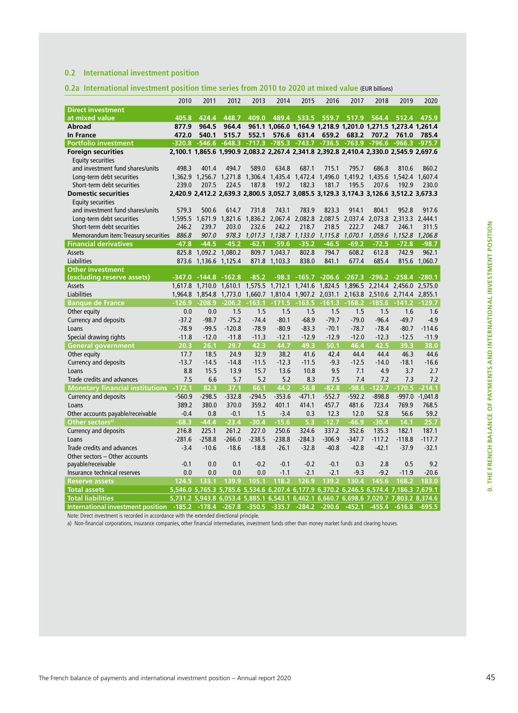### **0.2 International investment position**

#### **0.2a International investment position time series from 2010 to 2020 at mixed value** (EUR billions)

|                                        | 2010     | 2011                                                                                    | 2012     | 2013     | 2014            | 2015                                    | 2016        | 2017     | 2018                                                          | 2019     | 2020            |
|----------------------------------------|----------|-----------------------------------------------------------------------------------------|----------|----------|-----------------|-----------------------------------------|-------------|----------|---------------------------------------------------------------|----------|-----------------|
| <b>Direct investment</b>               |          |                                                                                         |          |          |                 |                                         |             |          |                                                               |          |                 |
| at mixed value                         | 405.8    | 424.4                                                                                   | 448.7    | 409.0    | 489.4           |                                         | 533.5 559.7 | 517.9    | 564.4                                                         | 512.4    | 475.9           |
| Abroad                                 | 877.9    | 964.5                                                                                   | 964.4    |          |                 |                                         |             |          | 961.1 1,066.0 1,164.9 1,218.9 1,201.0 1,271.5 1,273.4 1,261.4 |          |                 |
| <b>In France</b>                       | 472.0    | 540.1                                                                                   | 515.7    | 552.1    | 576.6           | 631.4                                   | 659.2       | 683.2    | 707.2                                                         | 761.0    | 785.4           |
| <b>Portfolio investment</b>            |          | $-320.8 - 546.6$                                                                        | $-648.3$ |          |                 |                                         |             |          | -717.3 -785.3 -743.7 -736.5 -763.9 -796.6 -966.3 -975.7       |          |                 |
| <b>Foreign securities</b>              |          | 2,100.1 1,865.6 1,990.9 2,083.2 2,267.4 2,341.8 2,392.8 2,410.4 2,330.0 2,545.9 2,697.6 |          |          |                 |                                         |             |          |                                                               |          |                 |
| <b>Equity securities</b>               |          |                                                                                         |          |          |                 |                                         |             |          |                                                               |          |                 |
| and investment fund shares/units       | 498.3    | 401.4                                                                                   | 494.7    | 589.0    | 634.8           | 687.1                                   | 715.1       | 795.7    | 686.8                                                         | 810.6    | 860.2           |
| Long-term debt securities              |          | 1.362.9 1.256.7 1.271.8 1.306.4 1.435.4 1.472.4 1.496.0 1.419.2 1.435.6 1.542.4 1.607.4 |          |          |                 |                                         |             |          |                                                               |          |                 |
| Short-term debt securities             | 239.0    | 207.5                                                                                   | 224.5    | 187.8    | 197.2           | 182.3                                   | 181.7       | 195.5    | 207.6                                                         | 192.9    | 230.0           |
| <b>Domestic securities</b>             |          | 2,420.9 2,412.2 2,639.3 2,800.5 3,052.7 3,085.5 3,129.3 3,174.3 3,126.6 3,512.2 3,673.3 |          |          |                 |                                         |             |          |                                                               |          |                 |
| <b>Equity securities</b>               |          |                                                                                         |          |          |                 |                                         |             |          |                                                               |          |                 |
| and investment fund shares/units       | 579.3    | 500.6                                                                                   | 614.7    | 731.8    | 743.1           | 783.9                                   | 823.3       | 914.1    | 804.1                                                         | 952.8    | 917.6           |
| Long-term debt securities              |          | 1,595.5 1,671.9                                                                         | 1.821.6  |          | 1,836.2 2,067.4 |                                         |             |          | 2,082.8 2,087.5 2,037.4 2,073.8 2,313.3 2,444.1               |          |                 |
| Short-term debt securities             | 246.2    | 239.7                                                                                   | 203.0    | 232.6    | 242.2           | 218.7                                   | 218.5       | 222.7    | 248.7                                                         | 246.1    | 311.5           |
| Memorandum item: Treasury securities   | 886.8    | 907.0                                                                                   | 978.3    | 1,017.3  | 1,138.7         | 1,133.0                                 | 1,115.8     |          | 1,070.1 1,059.6                                               |          | 1,152.8 1,206.8 |
| <b>Financial derivatives</b>           | $-47.8$  | $-44.5$                                                                                 | $-45.2$  | $-62.1$  | $-59.6$         | $-35.2$                                 | $-46.5$     | $-69.2$  | $-72.5$                                                       | $-72.8$  | $-98.7$         |
| <b>Assets</b>                          | 825.8    | 1,092.2 1,080.2                                                                         |          | 809.7    | 1,043.7         | 802.8                                   | 794.7       | 608.2    | 612.8                                                         | 742.9    | 962.1           |
| Liabilities                            |          | 873.6 1,136.6 1,125.4                                                                   |          | 871.8    | 1,103.3         | 838.0                                   | 841.1       | 677.4    | 685.4                                                         |          | 815.6 1,060.7   |
| <b>Other investment</b>                |          |                                                                                         |          |          |                 |                                         |             |          |                                                               |          |                 |
| (excluding reserve assets)             |          | $-347.0$ $-144.8$ $-162.8$                                                              |          | $-85.2$  |                 |                                         |             |          | -98.3 -165.7 -206.6 -267.3 -296.2 -258.4 -280.1               |          |                 |
| <b>Assets</b>                          |          | 1.617.8 1.710.0                                                                         | 1.610.1  |          | 1,575.5 1,712.1 |                                         |             |          | 1,741.6 1,824.5 1,896.5 2,214.4 2,456.0 2,575.0               |          |                 |
| Liabilities                            | 1.964.8  |                                                                                         |          |          |                 | 1,854.8 1,773.0 1,660.7 1,810.4 1,907.2 |             |          | 2,031.1 2,163.8 2,510.6 2,714.4 2,855.1                       |          |                 |
| <b>Banque de France</b>                | $-126.9$ | $-208.9$                                                                                | $-206.2$ | $-163.1$ | $-171.5$        | $-163.5$                                | $-161.3$    | $-168.2$ | $-185.6$                                                      |          | $-141.2 -129.7$ |
| Other equity                           | 0.0      | 0.0                                                                                     | 1.5      | 1.5      | 1.5             | 1.5                                     | 1.5         | 1.5      | 1.5                                                           | 1.6      | 1.6             |
| Currency and deposits                  | $-37.2$  | $-98.7$                                                                                 | $-75.2$  | $-74.4$  | $-80.1$         | $-68.9$                                 | $-79.7$     | $-79.0$  | $-96.4$                                                       | $-49.7$  | $-4.9$          |
| Loans                                  | $-78.9$  | $-99.5$                                                                                 | $-120.8$ | $-78.9$  | $-80.9$         | $-83.3$                                 | $-70.1$     | $-78.7$  | $-78.4$                                                       | $-80.7$  | $-114.6$        |
| Special drawing rights                 | $-11.8$  | $-12.0$                                                                                 | $-11.8$  | $-11.3$  | $-12.1$         | $-12.9$                                 | $-12.9$     | $-12.0$  | $-12.3$                                                       | $-12.5$  | $-11.9$         |
| <b>General government</b>              | 20.3     | 26.1                                                                                    | 29.7     | 42.3     | 44.7            | 49.3                                    | 50.1        | 46.4     | 42.5                                                          | 39.3     | 38.0            |
| Other equity                           | 17.7     | 18.5                                                                                    | 24.9     | 32.9     | 38.2            | 41.6                                    | 42.4        | 44.4     | 44.4                                                          | 46.3     | 44.6            |
| Currency and deposits                  | $-13.7$  | $-14.5$                                                                                 | $-14.8$  | $-11.5$  | $-12.3$         | $-11.5$                                 | $-9.3$      | $-12.5$  | $-14.0$                                                       | $-18.1$  | $-16.6$         |
| Loans                                  | 8.8      | 15.5                                                                                    | 13.9     | 15.7     | 13.6            | 10.8                                    | 9.5         | 7.1      | 4.9                                                           | 3.7      | 2.7             |
| Trade credits and advances             | 7.5      | 6.6                                                                                     | 5.7      | 5.2      | 5.2             | 8.3                                     | 7.5         | 7.4      | 7.2                                                           | 7.3      | 7.2             |
| <b>Monetary financial institutions</b> | $-172.1$ | 82.3                                                                                    | 37.1     | 66.1     | 44.2            | $-56.8$                                 | $-82.8$     | $-98.6$  | $-122.7$                                                      | $-170.5$ | $-214.1$        |
| Currency and deposits                  | $-560.9$ | $-298.5$                                                                                | $-332.8$ | $-294.5$ | $-353.6$        | $-471.1$                                | $-552.7$    | $-592.2$ | $-898.8$                                                      |          | -997.0 -1,041.8 |
| Loans                                  | 389.2    | 380.0                                                                                   | 370.0    | 359.2    | 401.1           | 414.1                                   | 457.7       | 481.6    | 723.4                                                         | 769.9    | 768.5           |
| Other accounts payable/receivable      | $-0.4$   | 0.8                                                                                     | $-0.1$   | 1.5      | $-3.4$          | 0.3                                     | 12.3        | 12.0     | 52.8                                                          | 56.6     | 59.2            |
| Other sectors <sup>a)</sup>            | $-68.3$  | $-44.4$                                                                                 | $-23.4$  | $-30.4$  | $-15.6$         | 5.3                                     | $-12.7$     | $-46.9$  | $-30.4$                                                       | 14.1     | 25.7            |
| <b>Currency and deposits</b>           | 216.8    | 225.1                                                                                   | 261.2    | 227.0    | 250.6           | 324.6                                   | 337.2       | 352.6    | 135.3                                                         | 182.1    | 187.1           |
| Loans                                  | $-281.6$ | $-258.8$                                                                                | $-266.0$ | $-238.5$ | $-238.8$        | $-284.3$                                | $-306.9$    | $-347.7$ | $-117.2$                                                      | $-118.8$ | $-117.7$        |
| Trade credits and advances             | $-3.4$   | $-10.6$                                                                                 | $-18.6$  | $-18.8$  | $-26.1$         | $-32.8$                                 | $-40.8$     | $-42.8$  | $-42.1$                                                       | $-37.9$  | $-32.1$         |
| Other sectors - Other accounts         |          |                                                                                         |          |          |                 |                                         |             |          |                                                               |          |                 |
| payable/receivable                     | $-0.1$   | 0.0                                                                                     | 0.1      | $-0.2$   | $-0.1$          | $-0.2$                                  | $-0.1$      | 0.3      | 2.8                                                           | 0.5      | 9.2             |
| Insurance technical reserves           | 0.0      | 0.0                                                                                     | 0.0      | 0.0      | $-1.1$          | $-2.1$                                  | $-2.1$      | $-9.3$   | $-9.2$                                                        | $-11.9$  | $-20.6$         |
| <b>Reserve assets</b>                  | 124.5    | 133.1                                                                                   | 139.9    | 105.1    | 118.2           | 126.9                                   | 139.2       | 130.4    | 145.6                                                         | 168.2    | 183.0           |
| <b>Total assets</b>                    |          | 5,546.0 5,765.3 5,785.6 5,534.6 6,207.4 6,177.9 6,370.2 6,246.5 6,574.4 7,186.3 7,679.1 |          |          |                 |                                         |             |          |                                                               |          |                 |
| <b>Total liabilities</b>               |          | 5,731.2 5,943.8 6,053.4 5,885.1 6,543.1 6,462.1 6,660.7 6,698.6 7,029.7 7,803.2 8,374.6 |          |          |                 |                                         |             |          |                                                               |          |                 |
| International investment position      | $-185.2$ | $-178.4$                                                                                | $-267.8$ | $-350.5$ | $-335.7$        | $-284.2$                                | $-290.6$    | $-452.1$ | $-455.4$                                                      | $-616.8$ | $-695.5$        |

Note: Direct investment is recorded in accordance with the extended directional principle.

a) Non-financial corporations, insurance companies, other financial intermediaries, investment funds other than money market funds and clearing houses.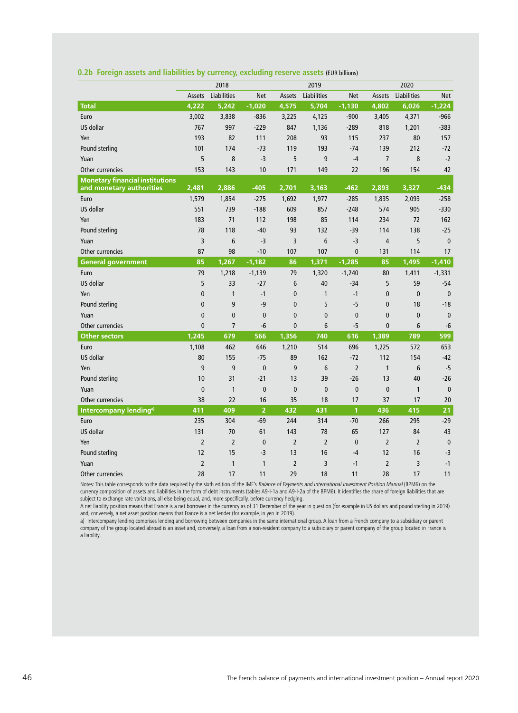|  |  |  |  |  |  |  | 0.2b Foreign assets and liabilities by currency, excluding reserve assets (EUR billions) |  |  |  |
|--|--|--|--|--|--|--|------------------------------------------------------------------------------------------|--|--|--|
|--|--|--|--|--|--|--|------------------------------------------------------------------------------------------|--|--|--|

|                                        |                | 2018           |                |                | 2019           |                |                |                |              |
|----------------------------------------|----------------|----------------|----------------|----------------|----------------|----------------|----------------|----------------|--------------|
|                                        | Assets         | Liabilities    | <b>Net</b>     | Assets         | Liabilities    | <b>Net</b>     | Assets         | Liabilities    | <b>Net</b>   |
| <b>Total</b>                           | 4,222          | 5,242          | $-1,020$       | 4,575          | 5,704          | $-1,130$       | 4,802          | 6,026          | $-1,224$     |
| Euro                                   | 3,002          | 3,838          | $-836$         | 3,225          | 4,125          | $-900$         | 3,405          | 4,371          | $-966$       |
| US dollar                              | 767            | 997            | $-229$         | 847            | 1,136          | $-289$         | 818            | 1,201          | $-383$       |
| Yen                                    | 193            | 82             | 111            | 208            | 93             | 115            | 237            | 80             | 157          |
| Pound sterling                         | 101            | 174            | $-73$          | 119            | 193            | $-74$          | 139            | 212            | $-72$        |
| Yuan                                   | 5              | 8              | $-3$           | 5              | 9              | $-4$           | $\overline{7}$ | 8              | $-2$         |
| Other currencies                       | 153            | 143            | 10             | 171            | 149            | 22             | 196            | 154            | 42           |
| <b>Monetary financial institutions</b> |                |                |                |                |                |                |                |                |              |
| and monetary authorities               | 2,481          | 2,886          | $-405$         | 2,701          | 3,163          | $-462$         | 2,893          | 3,327          | $-434$       |
| Euro                                   | 1,579          | 1,854          | $-275$         | 1,692          | 1,977          | $-285$         | 1,835          | 2,093          | $-258$       |
| US dollar                              | 551            | 739            | $-188$         | 609            | 857            | $-248$         | 574            | 905            | $-330$       |
| Yen                                    | 183            | 71             | 112            | 198            | 85             | 114            | 234            | 72             | 162          |
| Pound sterling                         | 78             | 118            | $-40$          | 93             | 132            | $-39$          | 114            | 138            | $-25$        |
| Yuan                                   | 3              | 6              | -3             | 3              | 6              | $-3$           | $\overline{4}$ | 5              | $\mathbf{0}$ |
| Other currencies                       | 87             | 98             | $-10$          | 107            | 107            | $\mathbf{0}$   | 131            | 114            | 17           |
| <b>General government</b>              | 85             | 1,267          | $-1,182$       | 86             | 1,371          | $-1,285$       | 85             | 1,495          | $-1,410$     |
| Euro                                   | 79             | 1,218          | $-1,139$       | 79             | 1,320          | $-1,240$       | 80             | 1,411          | $-1,331$     |
| US dollar                              | 5              | 33             | $-27$          | 6              | 40             | $-34$          | 5              | 59             | $-54$        |
| Yen                                    | $\mathbf{0}$   | $\mathbf{1}$   | $-1$           | $\mathbf{0}$   | $\mathbf{1}$   | $-1$           | $\mathbf{0}$   | $\mathbf{0}$   | $\mathbf{0}$ |
| Pound sterling                         | $\mathbf{0}$   | 9              | -9             | $\mathbf{0}$   | 5              | $-5$           | $\mathbf{0}$   | 18             | $-18$        |
| Yuan                                   | $\mathbf{0}$   | $\mathbf{0}$   | $\mathbf 0$    | $\mathbf{0}$   | $\bf{0}$       | $\mathbf 0$    | $\mathbf{0}$   | $\mathbf{0}$   | $\bf{0}$     |
| Other currencies                       | $\mathbf{0}$   | $\overline{7}$ | -6             | $\mathbf{0}$   | 6              | $-5$           | $\mathbf{0}$   | 6              | $-6$         |
| <b>Other sectors</b>                   | 1,245          | 679            | 566            | 1,356          | 740            | 616            | 1,389          | 789            | 599          |
| Euro                                   | 1,108          | 462            | 646            | 1,210          | 514            | 696            | 1,225          | 572            | 653          |
| US dollar                              | 80             | 155            | $-75$          | 89             | 162            | $-72$          | 112            | 154            | $-42$        |
| Yen                                    | 9              | 9              | $\mathbf{0}$   | 9              | 6              | $\overline{2}$ | $\mathbf{1}$   | 6              | $-5$         |
| Pound sterling                         | 10             | 31             | $-21$          | 13             | 39             | $-26$          | 13             | 40             | $-26$        |
| Yuan                                   | $\mathbf{0}$   | $\mathbf{1}$   | $\mathbf{0}$   | $\mathbf{0}$   | $\mathbf{0}$   | $\mathbf{0}$   | $\mathbf{0}$   | $\mathbf{1}$   | $\mathbf{0}$ |
| Other currencies                       | 38             | 22             | 16             | 35             | 18             | 17             | 37             | 17             | 20           |
| Intercompany lending <sup>a)</sup>     | 411            | 409            | $\overline{2}$ | 432            | 431            | 1              | 436            | 415            | 21           |
| Euro                                   | 235            | 304            | $-69$          | 244            | 314            | $-70$          | 266            | 295            | $-29$        |
| US dollar                              | 131            | 70             | 61             | 143            | 78             | 65             | 127            | 84             | 43           |
| Yen                                    | $\overline{2}$ | $\overline{2}$ | $\mathbf{0}$   | $\overline{2}$ | $\overline{2}$ | $\mathbf{0}$   | $\overline{2}$ | $\overline{2}$ | $\mathbf{0}$ |
| Pound sterling                         | 12             | 15             | $-3$           | 13             | 16             | $-4$           | 12             | 16             | $-3$         |
| Yuan                                   | $\overline{2}$ | 1              | $\mathbf{1}$   | $\overline{2}$ | 3              | $-1$           | $\overline{2}$ | 3              | $-1$         |
| Other currencies                       | 28             | 17             | 11             | 29             | 18             | 11             | 28             | 17             | 11           |

Notes: This table corresponds to the data required by the sixth edition of the IMF's Balance of Payments and International Investment Position Manual (BPM6) on the currency composition of assets and liabilities in the form of debt instruments (tables A9-I-1a and A9-I-2a of the BPM6). It identifies the share of foreign liabilities that are subject to exchange rate variations, all else being equal, and, more specifically, before currency hedging.

A net liability position means that France is a net borrower in the currency as of 31 December of the year in question (for example in US dollars and pound sterling in 2019) and, conversely, a net asset position means that France is a net lender (for example, in yen in 2019).

a) Intercompany lending comprises lending and borrowing between companies in the same international group. A loan from a French company to a subsidiary or parent company of the group located abroad is an asset and, conversely, a loan from a non-resident company to a subsidiary or parent company of the group located in France is a liability.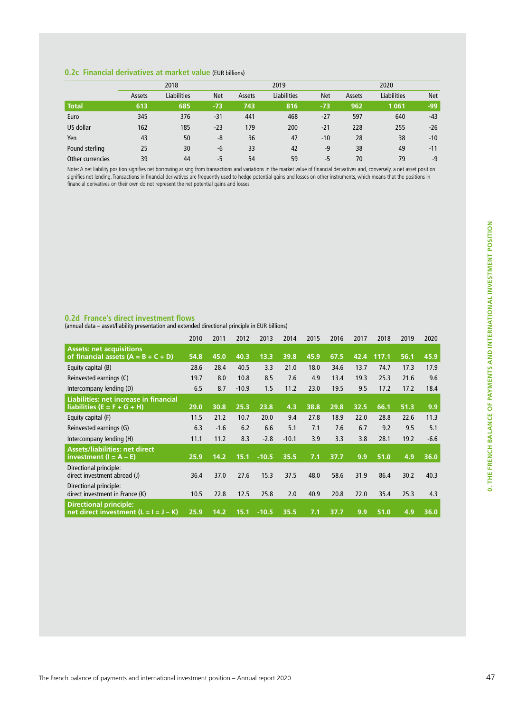### **0.2c Financial derivatives at market value** (EUR billions)

|                  | 2018   |                    |            |        | 2019               |            | 2020   |                    |            |  |
|------------------|--------|--------------------|------------|--------|--------------------|------------|--------|--------------------|------------|--|
|                  | Assets | <b>Liabilities</b> | <b>Net</b> | Assets | <b>Liabilities</b> | <b>Net</b> | Assets | <b>Liabilities</b> | <b>Net</b> |  |
| <b>Total</b>     | 613    | 685                | $-73$      | 743    | 816                | $-73$      | 962    | 1 0 6 1            | -99        |  |
| Euro             | 345    | 376                | $-31$      | 441    | 468                | $-27$      | 597    | 640                | $-43$      |  |
| US dollar        | 162    | 185                | $-23$      | 179    | 200                | $-21$      | 228    | 255                | $-26$      |  |
| Yen              | 43     | 50                 | -8         | 36     | 47                 | $-10$      | 28     | 38                 | $-10$      |  |
| Pound sterling   | 25     | 30                 | -6         | 33     | 42                 | $-9$       | 38     | 49                 | $-11$      |  |
| Other currencies | 39     | 44                 | $-5$       | 54     | 59                 | -5         | 70     | 79                 | $-9$       |  |

Note: A net liability position signifies net borrowing arising from transactions and variations in the market value of financial derivatives and, conversely, a net asset position signifies net lending. Transactions in financial derivatives are frequently used to hedge potential gains and losses on other instruments, which means that the positions in financial derivatives on their own do not represent the net potential gains and losses.

#### **0.2d France's direct investment flows**

(annual data – asset/liability presentation and extended directional principle in EUR billions)

|                                                                           | 2010 | 2011   | 2012    | 2013    | 2014    | 2015 | 2016 | 2017 | 2018  | 2019 | 2020   |
|---------------------------------------------------------------------------|------|--------|---------|---------|---------|------|------|------|-------|------|--------|
| <b>Assets: net acquisitions</b><br>of financial assets $(A = B + C + D)$  | 54.8 | 45.0   | 40.3    | 13.3    | 39.8    | 45.9 | 67.5 | 42.4 | 117.1 | 56.1 | 45.9   |
| Equity capital (B)                                                        | 28.6 | 28.4   | 40.5    | 3.3     | 21.0    | 18.0 | 34.6 | 13.7 | 74.7  | 17.3 | 17.9   |
| Reinvested earnings (C)                                                   | 19.7 | 8.0    | 10.8    | 8.5     | 7.6     | 4.9  | 13.4 | 19.3 | 25.3  | 21.6 | 9.6    |
| Intercompany lending (D)                                                  | 6.5  | 8.7    | $-10.9$ | 1.5     | 11.2    | 23.0 | 19.5 | 9.5  | 17.2  | 17.2 | 18.4   |
| Liabilities: net increase in financial<br>liabilities ( $E = F + G + H$ ) | 29.0 | 30.8   | 25.3    | 23.8    | 4.3     | 38.8 | 29.8 | 32.5 | 66.1  | 51.3 | 9.9    |
| Equity capital (F)                                                        | 11.5 | 21.2   | 10.7    | 20.0    | 9.4     | 27.8 | 18.9 | 22.0 | 28.8  | 22.6 | 11.3   |
| Reinvested earnings (G)                                                   | 6.3  | $-1.6$ | 6.2     | 6.6     | 5.1     | 7.1  | 7.6  | 6.7  | 9.2   | 9.5  | 5.1    |
| Intercompany lending (H)                                                  | 11.1 | 11.2   | 8.3     | $-2.8$  | $-10.1$ | 3.9  | 3.3  | 3.8  | 28.1  | 19.2 | $-6.6$ |
| <b>Assets/liabilities: net direct</b><br>investment $(I = A - E)$         | 25.9 | 14.2   | 15.1    | $-10.5$ | 35.5    | 7.1  | 37.7 | 9.9  | 51.0  | 4.9  | 36.0   |
| Directional principle:<br>direct investment abroad (J)                    | 36.4 | 37.0   | 27.6    | 15.3    | 37.5    | 48.0 | 58.6 | 31.9 | 86.4  | 30.2 | 40.3   |
| Directional principle:<br>direct investment in France (K)                 | 10.5 | 22.8   | 12.5    | 25.8    | 2.0     | 40.9 | 20.8 | 22.0 | 35.4  | 25.3 | 4.3    |
| <b>Directional principle:</b><br>net direct investment $(L = I = J - K)$  | 25.9 | 14.2   | 15.1    | $-10.5$ | 35.5    | 7.1  | 37.7 | 9.9  | 51.0  | 4.9  | 36.0   |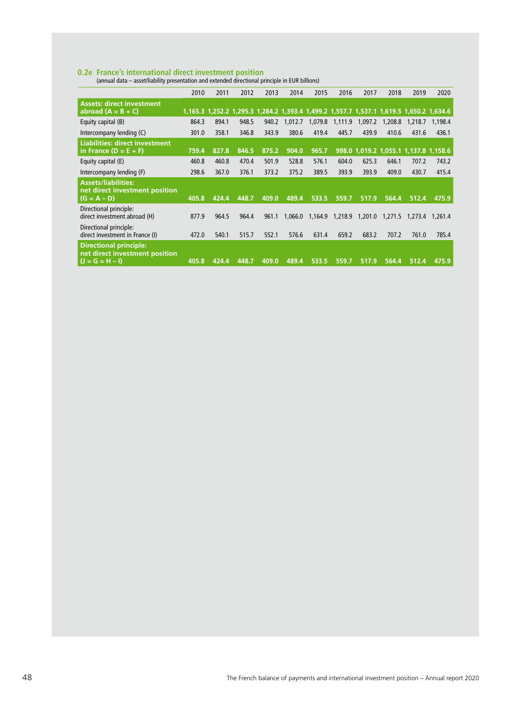**0.2e France's international direct investment position**  (annual data – asset/liability presentation and extended directional principle in EUR billions)

|                                                                                      | 2010  | 2011  | 2012  | 2013  | 2014    | 2015    | 2016    | 2017    | 2018    | 2019                                                                                    | 2020    |
|--------------------------------------------------------------------------------------|-------|-------|-------|-------|---------|---------|---------|---------|---------|-----------------------------------------------------------------------------------------|---------|
| <b>Assets: direct investment</b><br>abroad $(A = B + C)$                             |       |       |       |       |         |         |         |         |         | 1,165.3 1,252.2 1,295.3 1,284.2 1,393.4 1,499.2 1,557.7 1,537.1 1,619.5 1,650.2 1,634.6 |         |
| Equity capital (B)                                                                   | 864.3 | 894.1 | 948.5 | 940.2 | 1,012.7 | 1,079.8 | 1,111.9 | 1,097.2 | 1,208.8 | 1,218.7                                                                                 | 1.198.4 |
| Intercompany lending (C)                                                             | 301.0 | 358.1 | 346.8 | 343.9 | 380.6   | 419.4   | 445.7   | 439.9   | 410.6   | 431.6                                                                                   | 436.1   |
| <b>Liabilities: direct investment</b><br>in France $(D = E + F)$                     | 759.4 | 827.8 | 846.5 | 875.2 | 904.0   | 965.7   |         |         |         | 998.0 1,019.2 1,055.1 1,137.8 1,158.6                                                   |         |
| Equity capital (E)                                                                   | 460.8 | 460.8 | 470.4 | 501.9 | 528.8   | 576.1   | 604.0   | 625.3   | 646.1   | 707.2                                                                                   | 743.2   |
| Intercompany lending (F)                                                             | 298.6 | 367.0 | 376.1 | 373.2 | 375.2   | 389.5   | 393.9   | 393.9   | 409.0   | 430.7                                                                                   | 415.4   |
| <b>Assets/liabilities:</b><br>net direct investment position<br>$(G = A - D)$        | 405.8 | 424.4 | 448.7 | 409.0 | 489.4   | 533.5   | 559.7   | 517.9   | 564.4   | 512.4                                                                                   | 475.9   |
| Directional principle:<br>direct investment abroad (H)                               | 877.9 | 964.5 | 964.4 | 961.1 | 1.066.0 | 1,164.9 | 1,218.9 | 1,201.0 | 1,271.5 | 1,273.4                                                                                 | 1.261.4 |
| Directional principle:<br>direct investment in France (I)                            | 472.0 | 540.1 | 515.7 | 552.1 | 576.6   | 631.4   | 659.2   | 683.2   | 707.2   | 761.0                                                                                   | 785.4   |
| <b>Directional principle:</b><br>net direct investment position<br>$(J = G = H - I)$ | 405.8 | 424.4 | 448.7 | 409.0 | 489.4   | 533.5   | 559.7   | 517.9   | 564.4   | 512.4                                                                                   | 475.9   |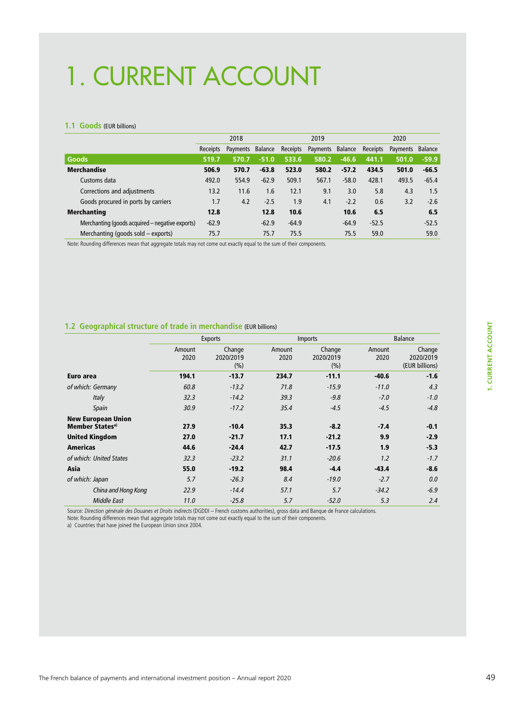# 1. CURRENT ACCOUNT

#### **1.1 Goods** (EUR billions)

|                                                 |                 | 2018     |         |          | 2019             |         | 2020     |                  |         |
|-------------------------------------------------|-----------------|----------|---------|----------|------------------|---------|----------|------------------|---------|
|                                                 | <b>Receipts</b> | Payments | Balance | Receipts | Payments Balance |         | Receipts | Payments Balance |         |
| <b>Goods</b>                                    | 519.7           | 570.7    | $-51.0$ | 533.6    | 580.2            | $-46.6$ | 441.1    | 501.0            | $-59.9$ |
| <b>Merchandise</b>                              | 506.9           | 570.7    | $-63.8$ | 523.0    | 580.2            | $-57.2$ | 434.5    | 501.0            | $-66.5$ |
| Customs data                                    | 492.0           | 554.9    | $-62.9$ | 509.1    | 567.1            | $-58.0$ | 428.1    | 493.5            | $-65.4$ |
| Corrections and adjustments                     | 13.2            | 11.6     | 1.6     | 12.1     | 9.1              | 3.0     | 5.8      | 4.3              | 1.5     |
| Goods procured in ports by carriers             | 1.7             | 4.2      | $-2.5$  | 1.9      | 4.1              | $-2.2$  | 0.6      | 3.2              | $-2.6$  |
| <b>Merchanting</b>                              | 12.8            |          | 12.8    | 10.6     |                  | 10.6    | 6.5      |                  | 6.5     |
| Merchanting (goods acquired – negative exports) | $-62.9$         |          | $-62.9$ | $-64.9$  |                  | $-64.9$ | $-52.5$  |                  | $-52.5$ |
| Merchanting (goods sold - exports)              | 75.7            |          | 75.7    | 75.5     |                  | 75.5    | 59.0     |                  | 59.0    |

Note: Rounding differences mean that aggregate totals may not come out exactly equal to the sum of their components.

#### **1.2 Geographical structure of trade in merchandise** (EUR billions)

|                                                          |                | <b>Exports</b>             |                | <b>Imports</b>             |                | <b>Balance</b>                        |
|----------------------------------------------------------|----------------|----------------------------|----------------|----------------------------|----------------|---------------------------------------|
|                                                          | Amount<br>2020 | Change<br>2020/2019<br>(%) | Amount<br>2020 | Change<br>2020/2019<br>(%) | Amount<br>2020 | Change<br>2020/2019<br>(EUR billions) |
| Euro area                                                | 194.1          | $-13.7$                    | 234.7          | $-11.1$                    | $-40.6$        | $-1.6$                                |
| of which: Germany                                        | 60.8           | $-13.2$                    | 71.8           | $-15.9$                    | $-11.0$        | 4.3                                   |
| Italy                                                    | 32.3           | $-14.2$                    | 39.3           | $-9.8$                     | $-7.0$         | $-1.0$                                |
| Spain                                                    | 30.9           | $-17.2$                    | 35.4           | $-4.5$                     | $-4.5$         | $-4.8$                                |
| <b>New European Union</b><br>Member States <sup>a)</sup> | 27.9           | $-10.4$                    | 35.3           | $-8.2$                     | $-7.4$         | $-0.1$                                |
| <b>United Kingdom</b>                                    | 27.0           | $-21.7$                    | 17.1           | $-21.2$                    | 9.9            | $-2.9$                                |
| <b>Americas</b>                                          | 44.6           | $-24.4$                    | 42.7           | $-17.5$                    | 1.9            | $-5.3$                                |
| of which: United States                                  | 32.3           | $-23.2$                    | 31.1           | $-20.6$                    | 1.2            | $-1.7$                                |
| Asia                                                     | 55.0           | $-19.2$                    | 98.4           | $-4.4$                     | $-43.4$        | $-8.6$                                |
| of which: Japan                                          | 5.7            | $-26.3$                    | 8.4            | $-19.0$                    | $-2.7$         | 0.0                                   |
| China and Hong Kong                                      | 22.9           | $-14.4$                    | 57.1           | 5.7                        | $-34.2$        | $-6.9$                                |
| Middle East                                              | 11.0           | $-25.8$                    | 5.7            | $-52.0$                    | 5.3            | 2.4                                   |
|                                                          |                |                            |                |                            |                |                                       |

Source: Direction générale des Douanes et Droits indirects (DGDDI – French customs authorities), gross data and Banque de France calculations.

Note: Rounding differences mean that aggregate totals may not come out exactly equal to the sum of their components.

a) Countries that have joined the European Union since 2004.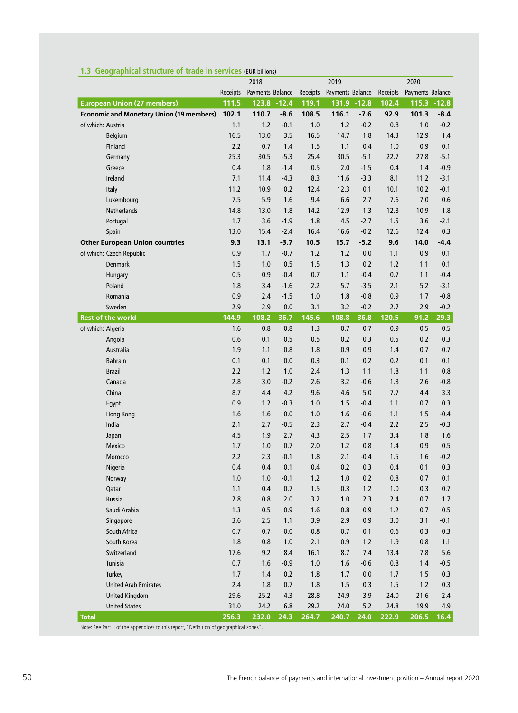|                                                 |          | 2018             |        |          | 2019             |        |          | 2020             |        |
|-------------------------------------------------|----------|------------------|--------|----------|------------------|--------|----------|------------------|--------|
|                                                 | Receipts | Payments Balance |        | Receipts | Payments Balance |        | Receipts | Payments Balance |        |
| <b>European Union (27 members)</b>              | 111.5    | 123.8 - 12.4     |        | 119.1    | 131.9 - 12.8     |        | 102.4    | $115.3 - 12.8$   |        |
| <b>Economic and Monetary Union (19 members)</b> | 102.1    | 110.7            | $-8.6$ | 108.5    | 116.1            | $-7.6$ | 92.9     | 101.3            | $-8.4$ |
| of which: Austria                               | 1.1      | 1.2              | $-0.1$ | 1.0      | 1.2              | $-0.2$ | 0.8      | 1.0              | $-0.2$ |
| <b>Belgium</b>                                  | 16.5     | 13.0             | 3.5    | 16.5     | 14.7             | 1.8    | 14.3     | 12.9             | 1.4    |
| Finland                                         | 2.2      | 0.7              | 1.4    | 1.5      | 1.1              | 0.4    | 1.0      | 0.9              | 0.1    |
| Germany                                         | 25.3     | 30.5             | $-5.3$ | 25.4     | 30.5             | $-5.1$ | 22.7     | 27.8             | $-5.1$ |
| Greece                                          | 0.4      | 1.8              | $-1.4$ | 0.5      | 2.0              | $-1.5$ | 0.4      | 1.4              | $-0.9$ |
| Ireland                                         | 7.1      | 11.4             | $-4.3$ | 8.3      | 11.6             | $-3.3$ | 8.1      | 11.2             | $-3.1$ |
| Italy                                           | 11.2     | 10.9             | 0.2    | 12.4     | 12.3             | 0.1    | 10.1     | 10.2             | $-0.1$ |
| Luxembourg                                      | 7.5      | 5.9              | 1.6    | 9.4      | 6.6              | 2.7    | 7.6      | 7.0              | 0.6    |
| Netherlands                                     | 14.8     | 13.0             | 1.8    | 14.2     | 12.9             | 1.3    | 12.8     | 10.9             | 1.8    |
| Portugal                                        | 1.7      | 3.6              | $-1.9$ | 1.8      | 4.5              | $-2.7$ | 1.5      | 3.6              | $-2.1$ |
| Spain                                           | 13.0     | 15.4             | $-2.4$ | 16.4     | 16.6             | $-0.2$ | 12.6     | 12.4             | 0.3    |
| <b>Other European Union countries</b>           | 9.3      | 13.1             | $-3.7$ | 10.5     | 15.7             | $-5.2$ | 9.6      | 14.0             | $-4.4$ |
| of which: Czech Republic                        | 0.9      | 1.7              | $-0.7$ | 1.2      | 1.2              | 0.0    | 1.1      | 0.9              | 0.1    |
| <b>Denmark</b>                                  | 1.5      | 1.0              | 0.5    | 1.5      | 1.3              | 0.2    | 1.2      | 1.1              | 0.1    |
| Hungary                                         | 0.5      | 0.9              | $-0.4$ | 0.7      | 1.1              | $-0.4$ | 0.7      | 1.1              | $-0.4$ |
| Poland                                          | 1.8      | 3.4              | $-1.6$ | 2.2      | 5.7              | $-3.5$ | 2.1      | 5.2              | $-3.1$ |
| Romania                                         | 0.9      | 2.4              | $-1.5$ | 1.0      | 1.8              | $-0.8$ | 0.9      | 1.7              | $-0.8$ |
| Sweden                                          | 2.9      | 2.9              | 0.0    | 3.1      | 3.2              | $-0.2$ | 2.7      | 2.9              | $-0.2$ |
| <b>Rest of the world</b>                        | 144.9    | 108.2            | 36.7   | 145.6    | 108.8            | 36.8   | 120.5    | 91.2             | 29.3   |
| of which: Algeria                               | 1.6      | 0.8              | 0.8    | 1.3      | 0.7              | 0.7    | 0.9      | 0.5              | 0.5    |
| Angola                                          | 0.6      | 0.1              | 0.5    | 0.5      | 0.2              | 0.3    | 0.5      | 0.2              | 0.3    |
| Australia                                       | 1.9      | 1.1              | 0.8    | 1.8      | 0.9              | 0.9    | 1.4      | 0.7              | 0.7    |
| <b>Bahrain</b>                                  | 0.1      | 0.1              | 0.0    | 0.3      | 0.1              | 0.2    | 0.2      | 0.1              | 0.1    |
| <b>Brazil</b>                                   | 2.2      | 1.2              | 1.0    | 2.4      | 1.3              | 1.1    | 1.8      | 1.1              | 0.8    |
| Canada                                          | 2.8      | 3.0              | $-0.2$ | 2.6      | 3.2              | $-0.6$ | 1.8      | 2.6              | $-0.8$ |
| China                                           | 8.7      | 4.4              | 4.2    | 9.6      | 4.6              | 5.0    | 7.7      | 4.4              | 3.3    |
| Egypt                                           | 0.9      | 1.2              | $-0.3$ | 1.0      | 1.5              | $-0.4$ | 1.1      | 0.7              | 0.3    |
| <b>Hong Kong</b>                                | 1.6      | 1.6              | 0.0    | 1.0      | 1.6              | $-0.6$ | 1.1      | 1.5              | $-0.4$ |
| India                                           | 2.1      | 2.7              | $-0.5$ | 2.3      | 2.7              | $-0.4$ | 2.2      | 2.5              | $-0.3$ |
| Japan                                           | 4.5      | 1.9              | 2.7    | 4.3      | 2.5              | 1.7    | 3.4      | 1.8              | 1.6    |
| Mexico                                          | 1.7      | 1.0              | 0.7    | 2.0      | 1.2              | 0.8    | 1.4      | 0.9              | 0.5    |
| Morocco                                         | 2.2      | 2.3              | $-0.1$ | 1.8      | 2.1              | $-0.4$ | 1.5      | 1.6              | $-0.2$ |
| Nigeria                                         | 0.4      | 0.4              | 0.1    | 0.4      | 0.2              | 0.3    | 0.4      | 0.1              | 0.3    |
| Norway                                          | 1.0      | 1.0              | $-0.1$ | 1.2      | 1.0              | 0.2    | 0.8      | 0.7              | 0.1    |
| Qatar                                           | 1.1      | 0.4              | 0.7    | 1.5      | 0.3              | 1.2    | 1.0      | 0.3              | 0.7    |
| Russia                                          | 2.8      | 0.8              | 2.0    | 3.2      | 1.0              | 2.3    | 2.4      | 0.7              | 1.7    |
| Saudi Arabia                                    | 1.3      | 0.5              | 0.9    | 1.6      | 0.8              | 0.9    | $1.2$    | 0.7              | 0.5    |
| Singapore                                       | 3.6      | 2.5              | 1.1    | 3.9      | 2.9              | 0.9    | 3.0      | 3.1              | $-0.1$ |
| South Africa                                    | 0.7      | 0.7              | 0.0    | 0.8      | 0.7              | 0.1    | 0.6      | 0.3              | 0.3    |
| South Korea                                     | 1.8      | 0.8              | 1.0    | 2.1      | 0.9              | 1.2    | 1.9      | 0.8              | 1.1    |
| Switzerland                                     | 17.6     | 9.2              | 8.4    | 16.1     | 8.7              | 7.4    | 13.4     | 7.8              | 5.6    |
| Tunisia                                         | 0.7      | 1.6              | $-0.9$ | 1.0      | 1.6              | $-0.6$ | 0.8      | 1.4              | $-0.5$ |
| Turkey                                          | 1.7      | 1.4              | 0.2    | 1.8      | 1.7              | 0.0    | 1.7      | 1.5              | 0.3    |
| <b>United Arab Emirates</b>                     | $2.4$    | 1.8              | 0.7    | 1.8      | 1.5              | 0.3    | 1.5      | 1.2              | 0.3    |
| <b>United Kingdom</b>                           | 29.6     | 25.2             | 4.3    | 28.8     | 24.9             | 3.9    | 24.0     | 21.6             | 2.4    |
| <b>United States</b>                            | 31.0     | 24.2             | 6.8    | 29.2     | 24.0             | 5.2    | 24.8     | 19.9             | 4.9    |
| <b>Total</b><br>$^H$ Definitio                  | 256.3    | 232.0            | 24.3   | 264.7    | 240.7            | 24.0   | 222.9    | 206.5            | 16.4   |

## **1.3 Geographical structure of trade in services** (EUR billions)

See Part II of the appendices to this report, "Definition of geograph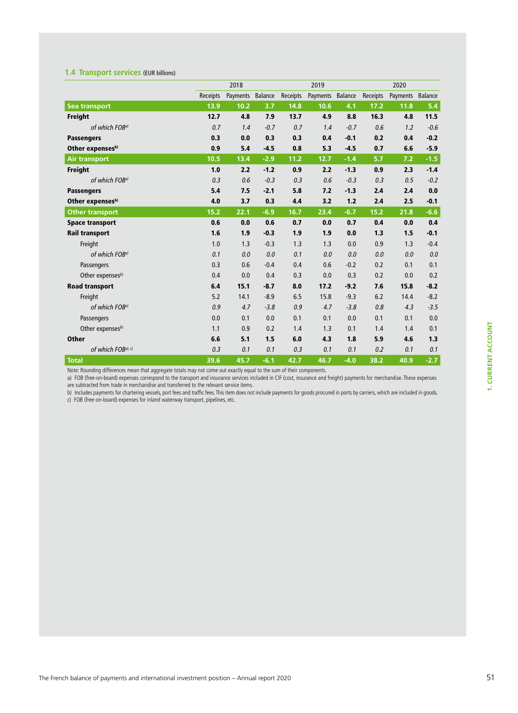### **1.4 Transport services** (EUR billions)

|                            |          | 2018     |         |          | 2019             |        |          | 2020     |         |
|----------------------------|----------|----------|---------|----------|------------------|--------|----------|----------|---------|
|                            | Receipts | Payments | Balance | Receipts | Payments Balance |        | Receipts | Payments | Balance |
| Sea transport              | 13.9     | 10.2     | 3.7     | 14.8     | 10.6             | 4.1    | 17.2     | 11.8     | 5.4     |
| <b>Freight</b>             | 12.7     | 4.8      | 7.9     | 13.7     | 4.9              | 8.8    | 16.3     | 4.8      | 11.5    |
| of which FOB <sup>a)</sup> | 0.7      | 1.4      | $-0.7$  | 0.7      | 1.4              | $-0.7$ | 0.6      | 1.2      | $-0.6$  |
| <b>Passengers</b>          | 0.3      | 0.0      | 0.3     | 0.3      | 0.4              | $-0.1$ | 0.2      | 0.4      | $-0.2$  |
| Other expensesb)           | 0.9      | 5.4      | $-4.5$  | 0.8      | 5.3              | $-4.5$ | 0.7      | 6.6      | $-5.9$  |
| <b>Air transport</b>       | 10.5     | 13.4     | $-2.9$  | 11.2     | 12.7             | $-1.4$ | 5.7      | 7.2      | $-1.5$  |
| Freight                    | 1.0      | 2.2      | $-1.2$  | 0.9      | 2.2              | $-1.3$ | 0.9      | 2.3      | $-1.4$  |
| of which FOB <sup>a)</sup> | 0.3      | 0.6      | $-0.3$  | 0.3      | 0.6              | $-0.3$ | 0.3      | 0.5      | $-0.2$  |
| <b>Passengers</b>          | 5.4      | 7.5      | $-2.1$  | 5.8      | 7.2              | $-1.3$ | 2.4      | 2.4      | 0.0     |
| Other expensesb)           | 4.0      | 3.7      | 0.3     | 4.4      | 3.2              | 1.2    | 2.4      | 2.5      | $-0.1$  |
| <b>Other transport</b>     | 15.2     | 22.1     | $-6.9$  | 16.7     | 23.4             | $-6.7$ | 15.2     | 21.8     | $-6.6$  |
| <b>Space transport</b>     | 0.6      | 0.0      | 0.6     | 0.7      | 0.0              | 0.7    | 0.4      | 0.0      | 0.4     |
| <b>Rail transport</b>      | 1.6      | 1.9      | $-0.3$  | 1.9      | 1.9              | 0.0    | 1.3      | 1.5      | $-0.1$  |
| Freight                    | 1.0      | 1.3      | $-0.3$  | 1.3      | 1.3              | 0.0    | 0.9      | 1.3      | $-0.4$  |
| of which FOB <sup>a)</sup> | 0.1      | 0.0      | 0.0     | 0.1      | 0.0              | 0.0    | 0.0      | 0.0      | 0.0     |
| Passengers                 | 0.3      | 0.6      | $-0.4$  | 0.4      | 0.6              | $-0.2$ | 0.2      | 0.1      | 0.1     |
| Other expensesb)           | 0.4      | 0.0      | 0.4     | 0.3      | 0.0              | 0.3    | 0.2      | 0.0      | 0.2     |
| <b>Road transport</b>      | 6.4      | 15.1     | $-8.7$  | 8.0      | 17.2             | $-9.2$ | 7.6      | 15.8     | $-8.2$  |
| Freight                    | 5.2      | 14.1     | $-8.9$  | 6.5      | 15.8             | $-9.3$ | 6.2      | 14.4     | $-8.2$  |
| of which FOB <sup>a)</sup> | 0.9      | 4.7      | $-3.8$  | 0.9      | 4.7              | $-3.8$ | 0.8      | 4.3      | $-3.5$  |
| Passengers                 | 0.0      | 0.1      | 0.0     | 0.1      | 0.1              | 0.0    | 0.1      | 0.1      | 0.0     |
| Other expensesb)           | 1.1      | 0.9      | 0.2     | 1.4      | 1.3              | 0.1    | 1.4      | 1.4      | 0.1     |
| <b>Other</b>               | 6.6      | 5.1      | 1.5     | 6.0      | 4.3              | 1.8    | 5.9      | 4.6      | 1.3     |
| of which FOBa), c)         | 0.3      | 0.1      | 0.1     | 0.3      | 0.1              | 0.1    | 0.2      | 0.1      | 0.1     |
| <b>Total</b>               | 39.6     | 45.7     | $-6.1$  | 42.7     | 46.7             | $-4.0$ | 38.2     | 40.9     | $-2.7$  |

Note: Rounding differences mean that aggregate totals may not come out exactly equal to the sum of their components.

a) FOB (free-on-board) expenses correspond to the transport and insurance services included in CIF (cost, insurance and freight) payments for merchandise. These expenses are subtracted from trade in merchandise and transferred to the relevant service items.

b) Includes payments for chartering vessels, port fees and traffic fees. This item does not include payments for goods procured in ports by carriers, which are included in goods.

c) FOB (free-on-board) expenses for inland waterway transport, pipelines, etc.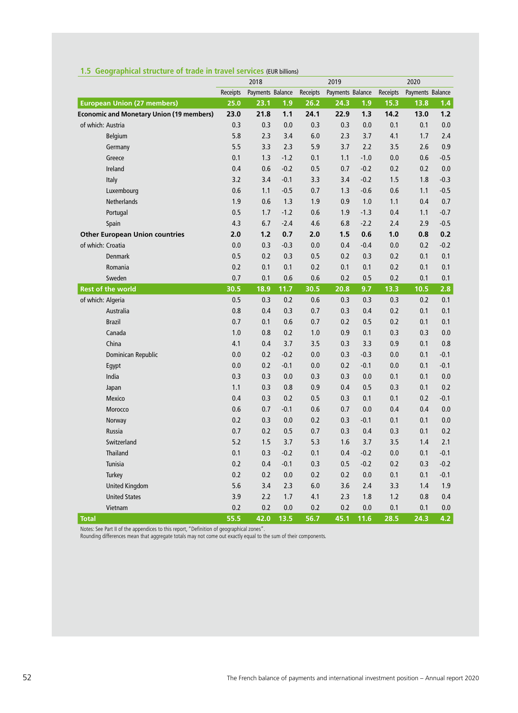|                                                 |          | 2018             |        |          | 2019             |        |          | 2020             |        |
|-------------------------------------------------|----------|------------------|--------|----------|------------------|--------|----------|------------------|--------|
|                                                 | Receipts | Payments Balance |        | Receipts | Payments Balance |        | Receipts | Payments Balance |        |
| <b>European Union (27 members)</b>              | 25.0     | 23.1             | 1.9    | 26.2     | 24.3             | 1.9    | 15.3     | 13.8             | 1.4    |
| <b>Economic and Monetary Union (19 members)</b> | 23.0     | 21.8             | 1.1    | 24.1     | 22.9             | 1.3    | 14.2     | 13.0             | 1.2    |
| of which: Austria                               | 0.3      | 0.3              | 0.0    | 0.3      | 0.3              | 0.0    | 0.1      | 0.1              | 0.0    |
| <b>Belgium</b>                                  | 5.8      | 2.3              | 3.4    | 6.0      | 2.3              | 3.7    | 4.1      | 1.7              | 2.4    |
| Germany                                         | 5.5      | 3.3              | 2.3    | 5.9      | 3.7              | 2.2    | 3.5      | 2.6              | 0.9    |
| Greece                                          | 0.1      | 1.3              | $-1.2$ | 0.1      | 1.1              | $-1.0$ | 0.0      | 0.6              | $-0.5$ |
| Ireland                                         | 0.4      | 0.6              | $-0.2$ | 0.5      | 0.7              | $-0.2$ | 0.2      | 0.2              | 0.0    |
| Italy                                           | 3.2      | 3.4              | $-0.1$ | 3.3      | 3.4              | $-0.2$ | 1.5      | 1.8              | $-0.3$ |
| Luxembourg                                      | 0.6      | 1.1              | $-0.5$ | 0.7      | 1.3              | $-0.6$ | 0.6      | 1.1              | $-0.5$ |
| Netherlands                                     | 1.9      | 0.6              | 1.3    | 1.9      | 0.9              | 1.0    | 1.1      | 0.4              | 0.7    |
| Portugal                                        | 0.5      | 1.7              | $-1.2$ | 0.6      | 1.9              | $-1.3$ | 0.4      | 1.1              | $-0.7$ |
| Spain                                           | 4.3      | 6.7              | $-2.4$ | 4.6      | 6.8              | $-2.2$ | 2.4      | 2.9              | $-0.5$ |
| <b>Other European Union countries</b>           | 2.0      | 1.2              | 0.7    | 2.0      | 1.5              | 0.6    | 1.0      | 0.8              | 0.2    |
| of which: Croatia                               | 0.0      | 0.3              | $-0.3$ | 0.0      | 0.4              | $-0.4$ | 0.0      | 0.2              | $-0.2$ |
| <b>Denmark</b>                                  | 0.5      | 0.2              | 0.3    | 0.5      | 0.2              | 0.3    | 0.2      | 0.1              | 0.1    |
| Romania                                         | 0.2      | 0.1              | 0.1    | 0.2      | 0.1              | 0.1    | 0.2      | 0.1              | 0.1    |
| Sweden                                          | 0.7      | 0.1              | 0.6    | 0.6      | 0.2              | 0.5    | 0.2      | 0.1              | 0.1    |
| <b>Rest of the world</b>                        | 30.5     | 18.9             | 11.7   | 30.5     | 20.8             | 9.7    | 13.3     | 10.5             | 2.8    |
| of which: Algeria                               | 0.5      | 0.3              | 0.2    | 0.6      | 0.3              | 0.3    | 0.3      | 0.2              | 0.1    |
| Australia                                       | 0.8      | 0.4              | 0.3    | 0.7      | 0.3              | 0.4    | 0.2      | 0.1              | 0.1    |
| <b>Brazil</b>                                   | 0.7      | 0.1              | 0.6    | 0.7      | 0.2              | 0.5    | 0.2      | 0.1              | 0.1    |
| Canada                                          | 1.0      | 0.8              | 0.2    | 1.0      | 0.9              | 0.1    | 0.3      | 0.3              | 0.0    |
| China                                           | 4.1      | 0.4              | 3.7    | 3.5      | 0.3              | 3.3    | 0.9      | 0.1              | 0.8    |
| Dominican Republic                              | 0.0      | 0.2              | $-0.2$ | 0.0      | 0.3              | $-0.3$ | 0.0      | 0.1              | $-0.1$ |
| Egypt                                           | 0.0      | 0.2              | $-0.1$ | 0.0      | 0.2              | $-0.1$ | 0.0      | 0.1              | $-0.1$ |
| India                                           | 0.3      | 0.3              | 0.0    | 0.3      | 0.3              | 0.0    | 0.1      | 0.1              | 0.0    |
| Japan                                           | 1.1      | 0.3              | 0.8    | 0.9      | 0.4              | 0.5    | 0.3      | 0.1              | 0.2    |
| Mexico                                          | 0.4      | 0.3              | 0.2    | 0.5      | 0.3              | 0.1    | 0.1      | 0.2              | $-0.1$ |
| Morocco                                         | 0.6      | 0.7              | $-0.1$ | 0.6      | 0.7              | 0.0    | 0.4      | 0.4              | 0.0    |
| Norway                                          | 0.2      | 0.3              | 0.0    | 0.2      | 0.3              | $-0.1$ | 0.1      | 0.1              | 0.0    |
| Russia                                          | 0.7      | 0.2              | 0.5    | 0.7      | 0.3              | 0.4    | 0.3      | 0.1              | 0.2    |
| Switzerland                                     | 5.2      | 1.5              | 3.7    | 5.3      | 1.6              | 3.7    | 3.5      | 1.4              | 2.1    |
| <b>Thailand</b>                                 | 0.1      | 0.3              | $-0.2$ | 0.1      | 0.4              | $-0.2$ | 0.0      | 0.1              | $-0.1$ |
| Tunisia                                         | 0.2      | 0.4              | $-0.1$ | 0.3      | 0.5              | $-0.2$ | 0.2      | 0.3              | $-0.2$ |
| Turkey                                          | 0.2      | 0.2              | 0.0    | 0.2      | 0.2              | 0.0    | 0.1      | 0.1              | $-0.1$ |
| <b>United Kingdom</b>                           | 5.6      | 3.4              | 2.3    | 6.0      | 3.6              | 2.4    | 3.3      | 1.4              | 1.9    |
| <b>United States</b>                            | 3.9      | 2.2              | 1.7    | 4.1      | 2.3              | 1.8    | 1.2      | 0.8              | 0.4    |
| Vietnam                                         | 0.2      | 0.2              | 0.0    | 0.2      | 0.2              | 0.0    | 0.1      | 0.1              | 0.0    |
| <b>Total</b>                                    | 55.5     | 42.0             | 13.5   | 56.7     | 45.1             | 11.6   | 28.5     | 24.3             | 4.2    |

#### **1.5 Geographical structure of trade in travel services** (EUR billions)

Notes: See Part II of the appendices to this report, "Definition of geographical zones".

Rounding differences mean that aggregate totals may not come out exactly equal to the sum of their components.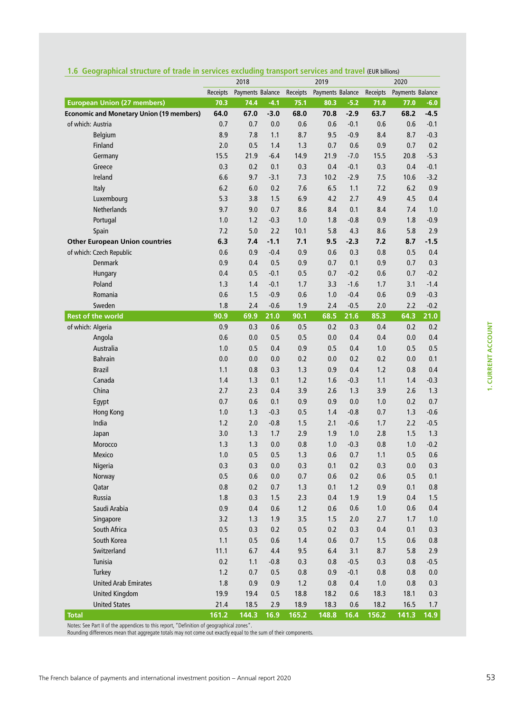|                                                 |               | 2018             |             |               | 2019             |             |               | 2020             |             |
|-------------------------------------------------|---------------|------------------|-------------|---------------|------------------|-------------|---------------|------------------|-------------|
|                                                 | Receipts      | Payments Balance |             | Receipts      | Payments Balance |             | Receipts      | Payments Balance |             |
| <b>European Union (27 members)</b>              | 70.3          | 74.4             | $-4.1$      | 75.1          | 80.3             | $-5.2$      | 71.0          | 77.0             | $-6.0$      |
| <b>Economic and Monetary Union (19 members)</b> | 64.0          | 67.0             | $-3.0$      | 68.0          | 70.8             | $-2.9$      | 63.7          | 68.2             | $-4.5$      |
| of which: Austria                               | 0.7           | 0.7              | 0.0         | 0.6           | 0.6              | $-0.1$      | 0.6           | 0.6              | $-0.1$      |
| Belgium                                         | 8.9           | 7.8              | 1.1         | 8.7           | 9.5              | $-0.9$      | 8.4           | 8.7              | $-0.3$      |
| Finland                                         | 2.0           | 0.5              | 1.4         | 1.3           | 0.7              | 0.6         | 0.9           | 0.7              | 0.2         |
| Germany                                         | 15.5          | 21.9             | $-6.4$      | 14.9          | 21.9             | $-7.0$      | 15.5          | 20.8             | $-5.3$      |
| Greece                                          | 0.3           | 0.2              | 0.1         | 0.3           | 0.4              | $-0.1$      | 0.3           | 0.4              | $-0.1$      |
| Ireland                                         | 6.6           | 9.7              | $-3.1$      | 7.3           | 10.2             | $-2.9$      | 7.5           | 10.6             | $-3.2$      |
| Italy                                           | 6.2           | 6.0              | 0.2         | 7.6           | 6.5              | 1.1         | 7.2           | 6.2              | 0.9         |
| Luxembourg                                      | 5.3           | 3.8              | 1.5         | 6.9           | 4.2              | 2.7         | 4.9           | 4.5              | 0.4         |
| <b>Netherlands</b>                              | 9.7           | 9.0              | 0.7         | 8.6           | 8.4              | 0.1         | 8.4           | 7.4              | 1.0         |
| Portugal                                        | 1.0           | 1.2              | $-0.3$      | 1.0           | 1.8              | $-0.8$      | 0.9           | 1.8              | $-0.9$      |
| Spain                                           | 7.2           | 5.0              | 2.2         | 10.1          | 5.8              | 4.3         | 8.6           | 5.8              | 2.9         |
| <b>Other European Union countries</b>           | 6.3           | 7.4              | $-1.1$      | 7.1           | 9.5              | $-2.3$      | 7.2           | 8.7              | $-1.5$      |
| of which: Czech Republic                        | 0.6           | 0.9              | $-0.4$      | 0.9           | 0.6              | 0.3         | 0.8           | 0.5              | 0.4         |
| Denmark                                         | 0.9           | 0.4              | 0.5         | 0.9           | 0.7              | 0.1         | 0.9           | 0.7              | 0.3         |
| Hungary                                         | 0.4           | 0.5              | $-0.1$      | 0.5           | 0.7              | $-0.2$      | 0.6           | 0.7              | $-0.2$      |
| Poland                                          | 1.3           | 1.4              | $-0.1$      | 1.7           | 3.3              | $-1.6$      | 1.7           | 3.1              | $-1.4$      |
| Romania                                         | 0.6           | 1.5              | $-0.9$      | 0.6           | 1.0              | $-0.4$      | 0.6           | 0.9              | $-0.3$      |
| Sweden                                          | 1.8           | 2.4              | $-0.6$      | 1.9           | 2.4              | $-0.5$      | 2.0           | 2.2              | $-0.2$      |
| <b>Rest of the world</b>                        | 90.9          | 69.9             | 21.0        | 90.1          | 68.5             | 21.6        | 85.3          | 64.3             | 21.0        |
| of which: Algeria                               | 0.9           | 0.3              | 0.6         | 0.5           | 0.2              | 0.3         | 0.4           | 0.2              | 0.2         |
| Angola                                          | 0.6           | 0.0              | 0.5         | 0.5           | 0.0              | 0.4         | 0.4           | 0.0              | 0.4         |
| Australia                                       | $1.0$         | 0.5              | 0.4         | 0.9           | 0.5              | 0.4         | 1.0           | 0.5              | 0.5         |
| <b>Bahrain</b>                                  | 0.0           | 0.0              | 0.0         | 0.2           | 0.0              | 0.2         | 0.2           | 0.0              | 0.1         |
| <b>Brazil</b>                                   | 1.1           | 0.8              | 0.3         | 1.3           | 0.9              | 0.4         | 1.2           | 0.8              | 0.4         |
| Canada                                          | 1.4           | 1.3              | 0.1         | 1.2           | 1.6              | $-0.3$      | 1.1           | 1.4              | $-0.3$      |
| China                                           | 2.7           | 2.3              | 0.4         | 3.9           | 2.6              | 1.3         | 3.9           | 2.6              | 1.3         |
| Egypt                                           | 0.7           | 0.6              | 0.1         | 0.9           | 0.9              | 0.0         | 1.0           | 0.2              | 0.7         |
| Hong Kong                                       | 1.0           | 1.3              | $-0.3$      | 0.5           | 1.4              | $-0.8$      | 0.7           | 1.3              | $-0.6$      |
| India                                           | 1.2           | 2.0              | $-0.8$      | 1.5           | 2.1              | $-0.6$      | 1.7           | 2.2              | $-0.5$      |
| Japan                                           | 3.0           | 1.3              | 1.7         | 2.9           | 1.9              | 1.0         | 2.8           | 1.5              | 1.3         |
| Morocco                                         | 1.3           | 1.3              | 0.0         | 0.8           | 1.0              | $-0.3$      | 0.8           | 1.0              | $-0.2$      |
| Mexico                                          | 1.0           | 0.5              | 0.5         | 1.3           | 0.6              | 0.7         | 1.1           | 0.5              | 0.6         |
| Nigeria                                         | 0.3           | 0.3              | 0.0         | 0.3           | 0.1              | 0.2         | 0.3           | 0.0              | 0.3         |
| Norway                                          | 0.5           | 0.6              | 0.0         | 0.7           | 0.6              | 0.2         | 0.6           | 0.5              | 0.1         |
| Qatar                                           | 0.8           | 0.2              | 0.7         | 1.3           | 0.1              | 1.2         | 0.9           | 0.1              | 0.8         |
| Russia                                          | 1.8           | 0.3              | 1.5         | 2.3           | 0.4              | 1.9         | 1.9           | 0.4              | 1.5         |
| Saudi Arabia                                    | 0.9           | 0.4              | 0.6         | $1.2\,$       | 0.6              | 0.6         | $1.0\,$       | 0.6              | 0.4         |
| Singapore                                       | 3.2           | 1.3              | 1.9         | 3.5           | 1.5              | 2.0         | 2.7           | 1.7              | 1.0         |
| South Africa                                    | 0.5           | 0.3              | 0.2         | 0.5           | 0.2              | 0.3         | 0.4           | 0.1              | 0.3         |
| South Korea                                     | 1.1           | 0.5              | 0.6         | 1.4           | 0.6              | 0.7         | 1.5           | 0.6              | 0.8         |
| Switzerland                                     | 11.1          | 6.7              | 4.4         | 9.5           | 6.4              | 3.1         | 8.7           | 5.8              | 2.9         |
| Tunisia                                         | 0.2           | 1.1              | $-0.8$      | 0.3           | 0.8              | $-0.5$      | 0.3           | 0.8              | $-0.5$      |
| Turkey                                          | 1.2           | 0.7              | 0.5         | 0.8           | 0.9              | $-0.1$      | 0.8           | 0.8              | $0.0\,$     |
| <b>United Arab Emirates</b>                     | 1.8           | 0.9              | 0.9         | 1.2           | 0.8              | 0.4         | 1.0           | 0.8              | 0.3         |
| <b>United Kingdom</b>                           | 19.9          | 19.4             | 0.5         | 18.8          | 18.2             | 0.6         | 18.3          | 18.1             | 0.3         |
| <b>United States</b><br><b>Total</b>            | 21.4<br>161.2 | 18.5<br>144.3    | 2.9<br>16.9 | 18.9<br>165.2 | 18.3<br>148.8    | 0.6<br>16.4 | 18.2<br>156.2 | 16.5<br>141.3    | 1.7<br>14.9 |

#### **1.6 Geographical structure of trade in services excluding transport services and travel** (EUR billions)

Notes: See Part II of the appendices to this report, "Definition of geographical zones".

Rounding differences mean that aggregate totals may not come out exactly equal to the sum of their components.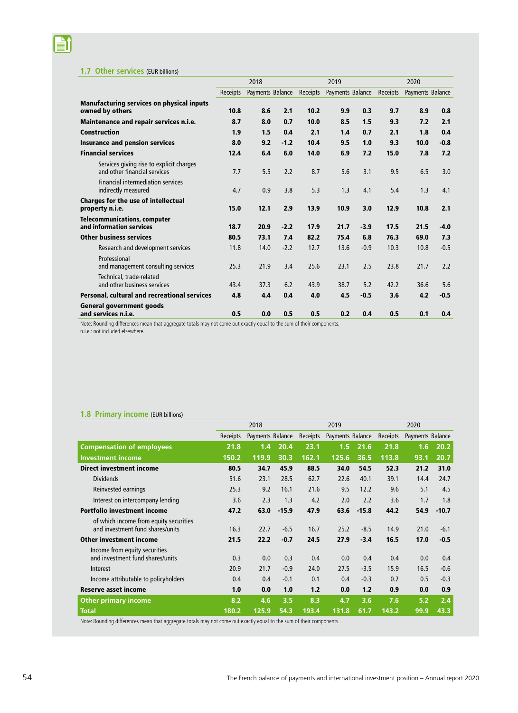#### **1.7 Other services** (EUR billions)

**li** 

|                                                                          |                 | 2018             |        |          | 2019             |        |          | 2020             |        |
|--------------------------------------------------------------------------|-----------------|------------------|--------|----------|------------------|--------|----------|------------------|--------|
|                                                                          | <b>Receipts</b> | Payments Balance |        | Receipts | Payments Balance |        | Receipts | Payments Balance |        |
| <b>Manufacturing services on physical inputs</b><br>owned by others      | 10.8            | 8.6              | 2.1    | 10.2     | 9.9              | 0.3    | 9.7      | 8.9              | 0.8    |
| Maintenance and repair services n.i.e.                                   | 8.7             | 8.0              | 0.7    | 10.0     | 8.5              | 1.5    | 9.3      | 7.2              | 2.1    |
| <b>Construction</b>                                                      | 1.9             | 1.5              | 0.4    | 2.1      | 1.4              | 0.7    | 2.1      | 1.8              | 0.4    |
| <b>Insurance and pension services</b>                                    | 8.0             | 9.2              | $-1.2$ | 10.4     | 9.5              | 1.0    | 9.3      | 10.0             | $-0.8$ |
| <b>Financial services</b>                                                | 12.4            | 6.4              | 6.0    | 14.0     | 6.9              | 7.2    | 15.0     | 7.8              | 7.2    |
| Services giving rise to explicit charges<br>and other financial services | 7.7             | 5.5              | 2.2    | 8.7      | 5.6              | 3.1    | 9.5      | 6.5              | 3.0    |
| <b>Financial intermediation services</b><br>indirectly measured          | 4.7             | 0.9              | 3.8    | 5.3      | 1.3              | 4.1    | 5.4      | 1.3              | 4.1    |
| Charges for the use of intellectual<br>property n.i.e.                   | 15.0            | 12.1             | 2.9    | 13.9     | 10.9             | 3.0    | 12.9     | 10.8             | 2.1    |
| <b>Telecommunications, computer</b><br>and information services          | 18.7            | 20.9             | $-2.2$ | 17.9     | 21.7             | $-3.9$ | 17.5     | 21.5             | $-4.0$ |
| <b>Other business services</b>                                           | 80.5            | 73.1             | 7.4    | 82.2     | 75.4             | 6.8    | 76.3     | 69.0             | 7.3    |
| Research and development services                                        | 11.8            | 14.0             | $-2.2$ | 12.7     | 13.6             | $-0.9$ | 10.3     | 10.8             | $-0.5$ |
| Professional<br>and management consulting services                       | 25.3            | 21.9             | 3.4    | 25.6     | 23.1             | 2.5    | 23.8     | 21.7             | 2.2    |
| Technical, trade-related<br>and other business services                  | 43.4            | 37.3             | 6.2    | 43.9     | 38.7             | 5.2    | 42.2     | 36.6             | 5.6    |
| Personal, cultural and recreational services                             | 4.8             | 4.4              | 0.4    | 4.0      | 4.5              | $-0.5$ | 3.6      | 4.2              | $-0.5$ |
| <b>General government goods</b><br>and services n.i.e.                   | 0.5             | 0.0              | 0.5    | 0.5      | 0.2              | 0.4    | 0.5      | 0.1              | 0.4    |

Note: Rounding differences mean that aggregate totals may not come out exactly equal to the sum of their components.

n.i.e.: not included elsewhere.

#### **1.8 Primary income** (EUR billions)

|                                                                            |          | 2018             |         |          | 2019             |         |          | 2020             |         |
|----------------------------------------------------------------------------|----------|------------------|---------|----------|------------------|---------|----------|------------------|---------|
|                                                                            | Receipts | Payments Balance |         | Receipts | Payments Balance |         | Receipts | Payments Balance |         |
| <b>Compensation of employees</b>                                           | 21.8     | 1.4              | 20.4    | 23.1     | 1.5              | 21.6    | 21.8     | 1.6              | 20.2    |
| <b>Investment income</b>                                                   | 150.2    | 119.9            | 30.3    | 162.1    | 125.6            | 36.5    | 113.8    | 93.1             | 20.7    |
| <b>Direct investment income</b>                                            | 80.5     | 34.7             | 45.9    | 88.5     | 34.0             | 54.5    | 52.3     | 21.2             | 31.0    |
| <b>Dividends</b>                                                           | 51.6     | 23.1             | 28.5    | 62.7     | 22.6             | 40.1    | 39.1     | 14.4             | 24.7    |
| Reinvested earnings                                                        | 25.3     | 9.2              | 16.1    | 21.6     | 9.5              | 12.2    | 9.6      | 5.1              | 4.5     |
| Interest on intercompany lending                                           | 3.6      | 2.3              | 1.3     | 4.2      | 2.0              | 2.2     | 3.6      | 1.7              | 1.8     |
| <b>Portfolio investment income</b>                                         | 47.2     | 63.0             | $-15.9$ | 47.9     | 63.6             | $-15.8$ | 44.2     | 54.9             | $-10.7$ |
| of which income from equity securities<br>and investment fund shares/units | 16.3     | 22.7             | $-6.5$  | 16.7     | 25.2             | $-8.5$  | 14.9     | 21.0             | $-6.1$  |
| <b>Other investment income</b>                                             | 21.5     | 22.2             | $-0.7$  | 24.5     | 27.9             | $-3.4$  | 16.5     | 17.0             | $-0.5$  |
| Income from equity securities<br>and investment fund shares/units          | 0.3      | 0.0              | 0.3     | 0.4      | 0.0              | 0.4     | 0.4      | 0.0              | 0.4     |
| Interest                                                                   | 20.9     | 21.7             | $-0.9$  | 24.0     | 27.5             | $-3.5$  | 15.9     | 16.5             | $-0.6$  |
| Income attributable to policyholders                                       | 0.4      | 0.4              | $-0.1$  | 0.1      | 0.4              | $-0.3$  | 0.2      | 0.5              | $-0.3$  |
| <b>Reserve asset income</b>                                                | 1.0      | 0.0              | 1.0     | 1.2      | 0.0              | 1.2     | 0.9      | 0.0              | 0.9     |
| <b>Other primary income</b>                                                | 8.2      | 4.6              | 3.5     | 8.3      | 4.7              | 3.6     | 7.6      | 5.2              | 2.4     |
| <b>Total</b>                                                               | 180.2    | 125.9            | 54.3    | 193.4    | 131.8            | 61.7    | 143.2    | 99.9             | 43.3    |

Note: Rounding differences mean that aggregate totals may not come out exactly equal to the sum of their components.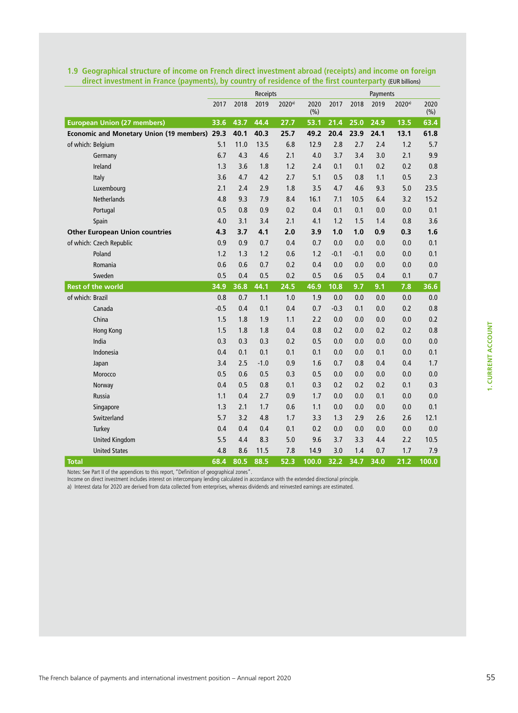|                                               |        |      | Receipts |                    |             |        |        | Payments |                    |              |
|-----------------------------------------------|--------|------|----------|--------------------|-------------|--------|--------|----------|--------------------|--------------|
|                                               | 2017   | 2018 | 2019     | 2020 <sup>a)</sup> | 2020<br>(%) | 2017   | 2018   | 2019     | 2020 <sup>a)</sup> | 2020<br>(% ) |
| <b>European Union (27 members)</b>            | 33.6   | 43.7 | 44.4     | 27.7               | 53.1        | 21.4   | 25.0   | 24.9     | 13.5               | 63.4         |
| Economic and Monetary Union (19 members) 29.3 |        | 40.1 | 40.3     | 25.7               | 49.2        | 20.4   | 23.9   | 24.1     | 13.1               | 61.8         |
| of which: Belgium                             | 5.1    | 11.0 | 13.5     | 6.8                | 12.9        | 2.8    | 2.7    | 2.4      | 1.2                | 5.7          |
| Germany                                       | 6.7    | 4.3  | 4.6      | 2.1                | 4.0         | 3.7    | 3.4    | 3.0      | 2.1                | 9.9          |
| Ireland                                       | 1.3    | 3.6  | 1.8      | 1.2                | 2.4         | 0.1    | 0.1    | 0.2      | 0.2                | 0.8          |
| Italy                                         | 3.6    | 4.7  | 4.2      | 2.7                | 5.1         | 0.5    | 0.8    | 1.1      | 0.5                | 2.3          |
| Luxembourg                                    | 2.1    | 2.4  | 2.9      | 1.8                | 3.5         | 4.7    | 4.6    | 9.3      | 5.0                | 23.5         |
| <b>Netherlands</b>                            | 4.8    | 9.3  | 7.9      | 8.4                | 16.1        | 7.1    | 10.5   | 6.4      | 3.2                | 15.2         |
| Portugal                                      | 0.5    | 0.8  | 0.9      | 0.2                | 0.4         | 0.1    | 0.1    | 0.0      | 0.0                | 0.1          |
| Spain                                         | 4.0    | 3.1  | 3.4      | 2.1                | 4.1         | 1.2    | 1.5    | 1.4      | 0.8                | 3.6          |
| <b>Other European Union countries</b>         | 4.3    | 3.7  | 4.1      | 2.0                | 3.9         | 1.0    | 1.0    | 0.9      | 0.3                | 1.6          |
| of which: Czech Republic                      | 0.9    | 0.9  | 0.7      | 0.4                | 0.7         | 0.0    | 0.0    | 0.0      | 0.0                | 0.1          |
| Poland                                        | 1.2    | 1.3  | 1.2      | 0.6                | 1.2         | $-0.1$ | $-0.1$ | 0.0      | 0.0                | 0.1          |
| Romania                                       | 0.6    | 0.6  | 0.7      | 0.2                | 0.4         | 0.0    | 0.0    | 0.0      | 0.0                | 0.0          |
| Sweden                                        | 0.5    | 0.4  | 0.5      | 0.2                | 0.5         | 0.6    | 0.5    | 0.4      | 0.1                | 0.7          |
| <b>Rest of the world</b>                      | 34.9   | 36.8 | 44.1     | 24.5               | 46.9        | 10.8   | 9.7    | 9.1      | 7.8                | 36.6         |
| of which: Brazil                              | 0.8    | 0.7  | 1.1      | 1.0                | 1.9         | 0.0    | 0.0    | 0.0      | 0.0                | 0.0          |
| Canada                                        | $-0.5$ | 0.4  | 0.1      | 0.4                | 0.7         | $-0.3$ | 0.1    | 0.0      | 0.2                | 0.8          |
| China                                         | 1.5    | 1.8  | 1.9      | 1.1                | 2.2         | 0.0    | 0.0    | 0.0      | 0.0                | 0.2          |
| Hong Kong                                     | 1.5    | 1.8  | 1.8      | 0.4                | 0.8         | 0.2    | 0.0    | 0.2      | 0.2                | 0.8          |
| India                                         | 0.3    | 0.3  | 0.3      | 0.2                | 0.5         | 0.0    | 0.0    | 0.0      | 0.0                | 0.0          |
| Indonesia                                     | 0.4    | 0.1  | 0.1      | 0.1                | 0.1         | 0.0    | 0.0    | 0.1      | 0.0                | 0.1          |
| Japan                                         | 3.4    | 2.5  | $-1.0$   | 0.9                | 1.6         | 0.7    | 0.8    | 0.4      | 0.4                | 1.7          |
| Morocco                                       | 0.5    | 0.6  | 0.5      | 0.3                | 0.5         | 0.0    | 0.0    | 0.0      | 0.0                | $0.0\,$      |
| Norway                                        | 0.4    | 0.5  | 0.8      | 0.1                | 0.3         | 0.2    | 0.2    | 0.2      | 0.1                | 0.3          |
| Russia                                        | 1.1    | 0.4  | 2.7      | 0.9                | 1.7         | 0.0    | 0.0    | 0.1      | 0.0                | $0.0\,$      |
| Singapore                                     | 1.3    | 2.1  | 1.7      | 0.6                | 1.1         | 0.0    | 0.0    | 0.0      | 0.0                | 0.1          |
| Switzerland                                   | 5.7    | 3.2  | 4.8      | 1.7                | 3.3         | 1.3    | 2.9    | 2.6      | 2.6                | 12.1         |
| Turkey                                        | 0.4    | 0.4  | 0.4      | 0.1                | 0.2         | 0.0    | 0.0    | 0.0      | 0.0                | 0.0          |
| <b>United Kingdom</b>                         | 5.5    | 4.4  | 8.3      | 5.0                | 9.6         | 3.7    | 3.3    | 4.4      | 2.2                | 10.5         |
| <b>United States</b>                          | 4.8    | 8.6  | 11.5     | 7.8                | 14.9        | 3.0    | 1.4    | 0.7      | 1.7                | 7.9          |
| <b>Total</b>                                  | 68.4   | 80.5 | 88.5     | 52.3               | 100.0       | 32.2   | 34.7   | 34.0     | 21.2               | 100.0        |

#### **1.9 Geographical structure of income on French direct investment abroad (receipts) and income on foreign direct investment in France (payments), by country of residence of the first counterparty** (EUR billions)

Notes: See Part II of the appendices to this report, "Definition of geographical zones". Income on direct investment includes interest on intercompany lending calculated in accordance with the extended directional principle.

a) Interest data for 2020 are derived from data collected from enterprises, whereas dividends and reinvested earnings are estimated.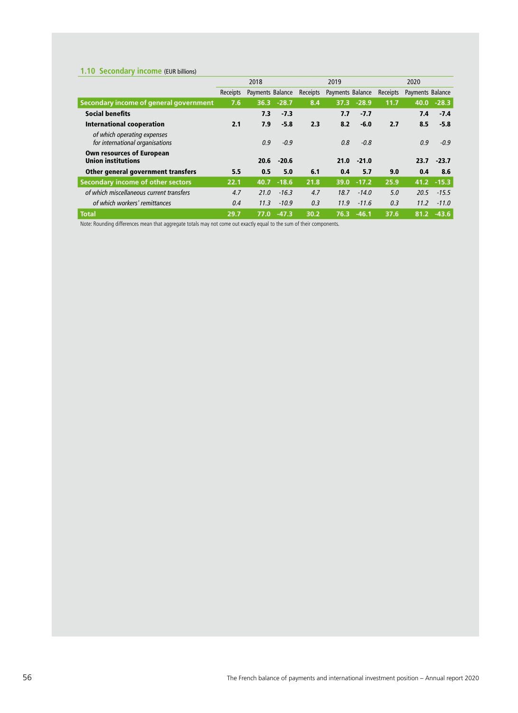## **1.10 Secondary income** (EUR billions)

|                                                                |                 | 2018             |               |          | 2019             |               |                 | 2020             |              |
|----------------------------------------------------------------|-----------------|------------------|---------------|----------|------------------|---------------|-----------------|------------------|--------------|
|                                                                | <b>Receipts</b> | Payments Balance |               | Receipts | Payments Balance |               | <b>Receipts</b> | Payments Balance |              |
| Secondary income of general government                         | 7.6             |                  | $36.3 -28.7$  | 8.4      | 37.3             | $-28.9$       | 11.7            | 40.0             | $-28.3$      |
| <b>Social benefits</b>                                         |                 | 7.3              | $-7.3$        |          | 7.7              | -7.7          |                 | 7.4              | $-7.4$       |
| International cooperation                                      | 2.1             | 7.9              | $-5.8$        | 2.3      | 8.2              | $-6.0$        | 2.7             | 8.5              | $-5.8$       |
| of which operating expenses<br>for international organisations |                 | 0.9              | $-0.9$        |          | 0.8              | $-0.8$        |                 | 0.9              | $-0.9$       |
| <b>Own resources of European</b><br><b>Union institutions</b>  |                 | 20.6             | $-20.6$       |          | 21.0             | $-21.0$       |                 | 23.7             | $-23.7$      |
| Other general government transfers                             | 5.5             | 0.5              | 5.0           | 6.1      | 0.4              | 5.7           | 9.0             | 0.4              | 8.6          |
| Secondary income of other sectors                              | 22.1            |                  | $40.7 - 18.6$ | 21.8     |                  | $39.0 - 17.2$ | 25.9            |                  | $41.2 -15.3$ |
| of which miscellaneous current transfers                       | 4.7             | 21.0             | $-16.3$       | 4.7      | 18.7             | $-14.0$       | 5.0             | 20.5             | $-15.5$      |
| of which workers' remittances                                  | 0.4             | 11.3             | $-10.9$       | 0.3      | 11.9             | $-11.6$       | 0.3             | 11.2             | $-11.0$      |
| <b>Total</b>                                                   | 29.7            | 77.0'            | $-47.3$       | 30.2     | 76.3             | $-46.1$       | 37.6            | 81.2             | $-43.6$      |

Note: Rounding differences mean that aggregate totals may not come out exactly equal to the sum of their components.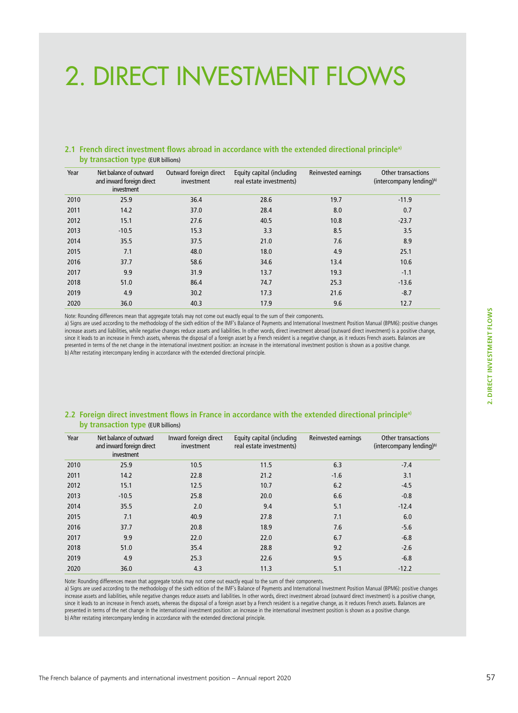# 2. DIRECT INVESTMENT FLOWS

#### **2.1 French direct investment flows abroad in accordance with the extended directional principlea) by transaction type** (EUR billions)

| Year | Net balance of outward<br>and inward foreign direct<br>investment | Outward foreign direct<br>investment | Equity capital (including<br>real estate investments) | Reinvested earnings | <b>Other transactions</b><br>(intercompany lending) <sup>b)</sup> |
|------|-------------------------------------------------------------------|--------------------------------------|-------------------------------------------------------|---------------------|-------------------------------------------------------------------|
| 2010 | 25.9                                                              | 36.4                                 | 28.6                                                  | 19.7                | $-11.9$                                                           |
| 2011 | 14.2                                                              | 37.0                                 | 28.4                                                  | 8.0                 | 0.7                                                               |
| 2012 | 15.1                                                              | 27.6                                 | 40.5                                                  | 10.8                | $-23.7$                                                           |
| 2013 | $-10.5$                                                           | 15.3                                 | 3.3                                                   | 8.5                 | 3.5                                                               |
| 2014 | 35.5                                                              | 37.5                                 | 21.0                                                  | 7.6                 | 8.9                                                               |
| 2015 | 7.1                                                               | 48.0                                 | 18.0                                                  | 4.9                 | 25.1                                                              |
| 2016 | 37.7                                                              | 58.6                                 | 34.6                                                  | 13.4                | 10.6                                                              |
| 2017 | 9.9                                                               | 31.9                                 | 13.7                                                  | 19.3                | $-1.1$                                                            |
| 2018 | 51.0                                                              | 86.4                                 | 74.7                                                  | 25.3                | $-13.6$                                                           |
| 2019 | 4.9                                                               | 30.2                                 | 17.3                                                  | 21.6                | $-8.7$                                                            |
| 2020 | 36.0                                                              | 40.3                                 | 17.9                                                  | 9.6                 | 12.7                                                              |

Note: Rounding differences mean that aggregate totals may not come out exactly equal to the sum of their components.

a) Signs are used according to the methodology of the sixth edition of the IMF's Balance of Payments and International Investment Position Manual (BPM6): positive changes increase assets and liabilities, while negative changes reduce assets and liabilities. In other words, direct investment abroad (outward direct investment) is a positive change, since it leads to an increase in French assets, whereas the disposal of a foreign asset by a French resident is a negative change, as it reduces French assets. Balances are presented in terms of the net change in the international investment position: an increase in the international investment position is shown as a positive change. b) After restating intercompany lending in accordance with the extended directional principle.

#### **2.2 Foreign direct investment flows in France in accordance with the extended directional principlea) by transaction type** (EUR billions)

| Year | Net balance of outward<br>and inward foreign direct<br>investment | Inward foreign direct<br>investment | Equity capital (including<br>real estate investments) | Reinvested earnings | <b>Other transactions</b><br>(intercompany lending) <sup>b)</sup> |
|------|-------------------------------------------------------------------|-------------------------------------|-------------------------------------------------------|---------------------|-------------------------------------------------------------------|
| 2010 | 25.9                                                              | 10.5                                | 11.5                                                  | 6.3                 | $-7.4$                                                            |
| 2011 | 14.2                                                              | 22.8                                | 21.2                                                  | $-1.6$              | 3.1                                                               |
| 2012 | 15.1                                                              | 12.5                                | 10.7                                                  | 6.2                 | $-4.5$                                                            |
| 2013 | $-10.5$                                                           | 25.8                                | 20.0                                                  | 6.6                 | $-0.8$                                                            |
| 2014 | 35.5                                                              | 2.0                                 | 9.4                                                   | 5.1                 | $-12.4$                                                           |
| 2015 | 7.1                                                               | 40.9                                | 27.8                                                  | 7.1                 | 6.0                                                               |
| 2016 | 37.7                                                              | 20.8                                | 18.9                                                  | 7.6                 | $-5.6$                                                            |
| 2017 | 9.9                                                               | 22.0                                | 22.0                                                  | 6.7                 | $-6.8$                                                            |
| 2018 | 51.0                                                              | 35.4                                | 28.8                                                  | 9.2                 | $-2.6$                                                            |
| 2019 | 4.9                                                               | 25.3                                | 22.6                                                  | 9.5                 | $-6.8$                                                            |
| 2020 | 36.0                                                              | 4.3                                 | 11.3                                                  | 5.1                 | $-12.2$                                                           |

Note: Rounding differences mean that aggregate totals may not come out exactly equal to the sum of their components.

a) Signs are used according to the methodology of the sixth edition of the IMF's Balance of Payments and International Investment Position Manual (BPM6): positive changes increase assets and liabilities, while negative changes reduce assets and liabilities. In other words, direct investment abroad (outward direct investment) is a positive change, since it leads to an increase in French assets, whereas the disposal of a foreign asset by a French resident is a negative change, as it reduces French assets. Balances are presented in terms of the net change in the international investment position: an increase in the international investment position is shown as a positive change. b) After restating intercompany lending in accordance with the extended directional principle.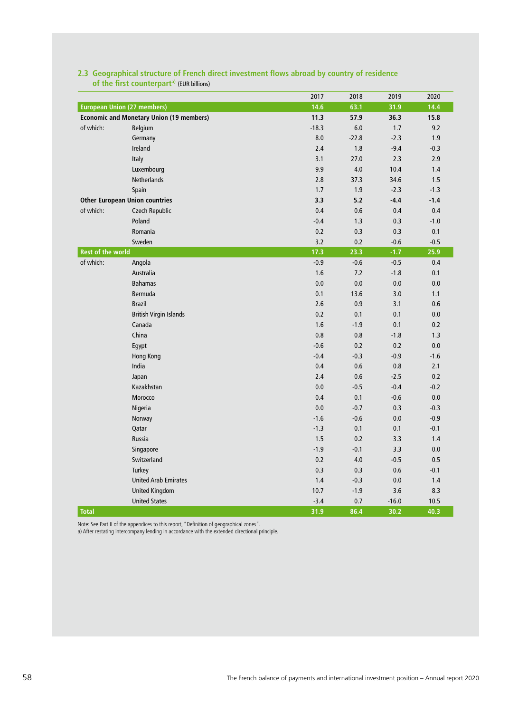|                          |                                                 | 2017    | 2018    | 2019    | 2020    |
|--------------------------|-------------------------------------------------|---------|---------|---------|---------|
|                          | <b>European Union (27 members)</b>              | 14.6    | 63.1    | 31.9    | 14.4    |
|                          | <b>Economic and Monetary Union (19 members)</b> | 11.3    | 57.9    | 36.3    | 15.8    |
| of which:                | Belgium                                         | $-18.3$ | 6.0     | $1.7\,$ | 9.2     |
|                          | Germany                                         | 8.0     | $-22.8$ | $-2.3$  | 1.9     |
|                          | Ireland                                         | 2.4     | 1.8     | $-9.4$  | $-0.3$  |
|                          | Italy                                           | 3.1     | 27.0    | 2.3     | 2.9     |
|                          | Luxembourg                                      | 9.9     | 4.0     | 10.4    | 1.4     |
|                          | Netherlands                                     | 2.8     | 37.3    | 34.6    | 1.5     |
|                          | Spain                                           | 1.7     | 1.9     | $-2.3$  | $-1.3$  |
|                          | <b>Other European Union countries</b>           | 3.3     | 5.2     | $-4.4$  | $-1.4$  |
| of which:                | Czech Republic                                  | 0.4     | 0.6     | 0.4     | 0.4     |
|                          | Poland                                          | $-0.4$  | 1.3     | 0.3     | $-1.0$  |
|                          | Romania                                         | 0.2     | 0.3     | 0.3     | 0.1     |
|                          | Sweden                                          | 3.2     | 0.2     | $-0.6$  | $-0.5$  |
| <b>Rest of the world</b> |                                                 | 17.3    | 23.3    | $-1.7$  | 25.9    |
| of which:                | Angola                                          | $-0.9$  | $-0.6$  | $-0.5$  | $0.4\,$ |
|                          | Australia                                       | 1.6     | 7.2     | $-1.8$  | 0.1     |
|                          | <b>Bahamas</b>                                  | 0.0     | 0.0     | 0.0     | 0.0     |
|                          | Bermuda                                         | 0.1     | 13.6    | 3.0     | 1.1     |
|                          | <b>Brazil</b>                                   | 2.6     | 0.9     | 3.1     | 0.6     |
|                          | <b>British Virgin Islands</b>                   | 0.2     | 0.1     | 0.1     | $0.0\,$ |
|                          | Canada                                          | 1.6     | $-1.9$  | 0.1     | 0.2     |
|                          | China                                           | 0.8     | 0.8     | $-1.8$  | 1.3     |
|                          | Egypt                                           | $-0.6$  | 0.2     | 0.2     | $0.0\,$ |
|                          | Hong Kong                                       | $-0.4$  | $-0.3$  | $-0.9$  | $-1.6$  |
|                          | India                                           | 0.4     | 0.6     | 0.8     | 2.1     |
|                          | Japan                                           | 2.4     | 0.6     | $-2.5$  | 0.2     |
|                          | Kazakhstan                                      | 0.0     | $-0.5$  | $-0.4$  | $-0.2$  |
|                          | Morocco                                         | 0.4     | 0.1     | $-0.6$  | 0.0     |
|                          | Nigeria                                         | 0.0     | $-0.7$  | 0.3     | $-0.3$  |
|                          | Norway                                          | $-1.6$  | $-0.6$  | 0.0     | $-0.9$  |
|                          | Qatar                                           | $-1.3$  | 0.1     | 0.1     | $-0.1$  |
|                          | Russia                                          | 1.5     | 0.2     | 3.3     | 1.4     |
|                          | Singapore                                       | $-1.9$  | $-0.1$  | 3.3     | 0.0     |
|                          | Switzerland                                     | 0.2     | 4.0     | $-0.5$  | 0.5     |
|                          | Turkey                                          | 0.3     | 0.3     | 0.6     | $-0.1$  |
|                          | <b>United Arab Emirates</b>                     | 1.4     | $-0.3$  | 0.0     | 1.4     |
|                          | <b>United Kingdom</b>                           | 10.7    | $-1.9$  | 3.6     | 8.3     |
|                          | <b>United States</b>                            | $-3.4$  | 0.7     | $-16.0$ | 10.5    |
| <b>Total</b>             |                                                 | 31.9    | 86.4    | 30.2    | 40.3    |

## **2.3 Geographical structure of French direct investment flows abroad by country of residence**  of the first counterpart<sup>a)</sup> (EUR billions)

Note: See Part II of the appendices to this report, "Definition of geographical zones".

a) After restating intercompany lending in accordance with the extended directional principle.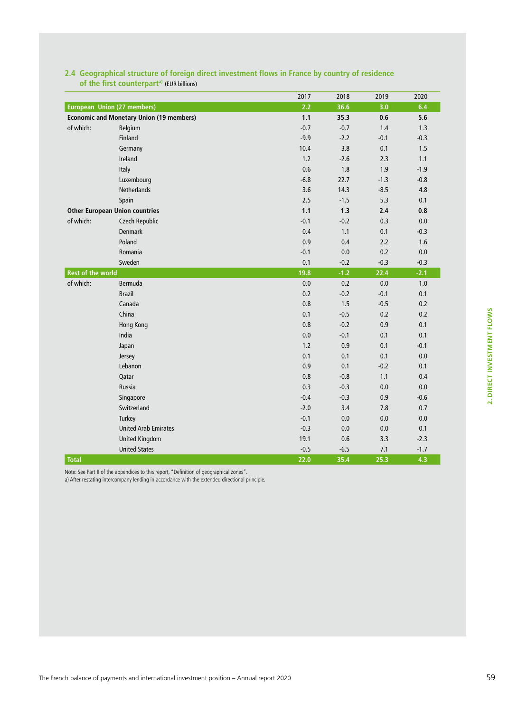|  | 2. DIRECT INVESTMENT FLOWS |  |
|--|----------------------------|--|

2020

| 2.4 Geographical structure of foreign direct investment flows in France by country of residence<br>of the first counterpart <sup>a)</sup> (EUR billions) |      |       |      |      |
|----------------------------------------------------------------------------------------------------------------------------------------------------------|------|-------|------|------|
|                                                                                                                                                          | 2017 | 2018  | 2019 | 2020 |
| European Union (27 members)                                                                                                                              |      | -36.6 | 3.0  | 6.4  |

**Economic and Monetary Union (19 members) 1.1 35.3 0.6 5.6** of which: Belgium -0.7 -0.7 1.4 1.3

**Other European Union countries 1.1 1.3 2.4 0.8** of which: Czech Republic -0.1 -0.2 0.3 0.0

**Rest of the world 19.8 -1.2 22.4 -2.1** of which: Bermuda 0.0 0.2 0.0 1.0

Finland -9.9 -2.2 -0.1 -0.3 Germany 1.5 1.5 1.5 1.6 1.7 1.7 1.6 1.7 1.7 1.7 1.7 1.7 1.7 1.7 1.5 1.5 1.7 1.5 1.5 1.5 1.5 1.5 1.5 1.5 1.5 1. **Ireland 1.2 -2.6 2.3 1.1** Italy 0.6 1.8 1.9 -1.9 Luxembourg -6.8 22.7 -1.3 -0.8 Netherlands 3.6 14.3 -8.5 4.8 Spain 2.5 -1.5 5.3 0.1

Denmark 0.4 1.1 0.1 -0.3 Poland 0.9 0.4 2.2 1.6 Romania -0.1 0.0 0.2 0.0 Sweden 0.1 -0.2 -0.3 -0.3

Brazil 0.2 -0.2 -0.1 0.1  $\frac{1}{2}$ Canada  $\frac{1}{2}$  0.2  $\frac{1}{2}$  0.2  $\frac{1}{2}$  0.3  $\frac{1}{2}$  0.5  $\frac{0.2}{0.2}$ China 2012 - 2013 - 2024 - 2024 - 2024 - 2024 - 2024 - 2024 - 2024 - 2024 - 2024 - 2024 - 2024 - 202 Hong Kong 0.8 -0.2 0.9 0.1 India 0.0 -0.1 0.1 0.1 Japan 1.2 0.9 0.1 -0.1 Jersey 0.1 0.1 0.1 0.0 Lebanon 0.9 0.1 -0.2 0.1 Qatar 0.8 -0.8 1.1 0.4 Russia 0.3 -0.3 0.0 0.0

Turkey -0.1 0.0 0.0 0.0 United Arab Emirates -0.3 0.0 0.0 0.1 United Kingdom 19.1 0.6 3.3 -2.3 United States -0.5 -6.5 7.1 -1.7

**Total 22.0 35.4 25.3 4.3** Note: See Part II of the appendices to this report, "Definition of geographical zones".

a) After restating intercompany lending in accordance with the extended directional principle.

| Singapore              | ∪.¬              | $\sim$<br>-U.S                | $\mathsf{v} \cdot \mathsf{v}$ | $\Omega$<br>--<br>-v.u       |
|------------------------|------------------|-------------------------------|-------------------------------|------------------------------|
| Switzerland<br>------- | $\sim$<br>$\sim$ | -<br>$\overline{\phantom{a}}$ | $\cdot$ . $\circ$             | $\sim$ $-$<br>$\mathsf{v}$ . |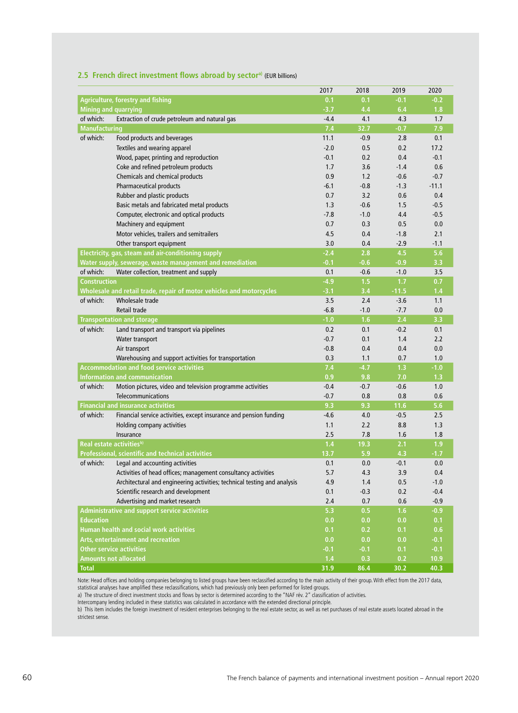|                             |                                                                          | 2017   | 2018   | 2019    | 2020    |
|-----------------------------|--------------------------------------------------------------------------|--------|--------|---------|---------|
|                             | <b>Agriculture, forestry and fishing</b>                                 | 0.1    | 0.1    | $-0.1$  | $-0.2$  |
| <b>Mining and quarrying</b> |                                                                          | $-3.7$ | 4.4    | 6.4     | 1.8     |
| of which:                   | Extraction of crude petroleum and natural gas                            | $-4.4$ | 4.1    | 4.3     | 1.7     |
| <b>Manufacturing</b>        |                                                                          | 7.4    | 32.7   | $-0.7$  | 7.9     |
| of which:                   | Food products and beverages                                              | 11.1   | $-0.9$ | 2.8     | 0.1     |
|                             | Textiles and wearing apparel                                             | $-2.0$ | 0.5    | 0.2     | 17.2    |
|                             | Wood, paper, printing and reproduction                                   | $-0.1$ | 0.2    | 0.4     | $-0.1$  |
|                             | Coke and refined petroleum products                                      | 1.7    | 3.6    | $-1.4$  | 0.6     |
|                             | Chemicals and chemical products                                          | 0.9    | 1.2    | $-0.6$  | $-0.7$  |
|                             | Pharmaceutical products                                                  | -6.1   | $-0.8$ | $-1.3$  | $-11.1$ |
|                             | Rubber and plastic products                                              | 0.7    | 3.2    | 0.6     | 0.4     |
|                             | Basic metals and fabricated metal products                               | 1.3    | $-0.6$ | 1.5     | $-0.5$  |
|                             | Computer, electronic and optical products                                | $-7.8$ | $-1.0$ | 4.4     | $-0.5$  |
|                             | Machinery and equipment                                                  | 0.7    | 0.3    | 0.5     | 0.0     |
|                             | Motor vehicles, trailers and semitrailers                                | 4.5    | 0.4    | $-1.8$  | 2.1     |
|                             | Other transport equipment                                                | 3.0    | 0.4    | $-2.9$  | $-1.1$  |
|                             | Electricity, gas, steam and air-conditioning supply                      | $-2.4$ | 2.8    | 4.5     | 5.6     |
|                             | Water supply, sewerage, waste management and remediation                 | $-0.1$ | $-0.6$ | $-0.9$  | 3.3     |
| of which:                   | Water collection, treatment and supply                                   | 0.1    | $-0.6$ | $-1.0$  | 3.5     |
| <b>Construction</b>         |                                                                          | $-4.9$ | 1.5    | 1.7     | 0.7     |
|                             | Wholesale and retail trade, repair of motor vehicles and motorcycles     | $-3.1$ | 3.4    | $-11.5$ | 1.4     |
| of which:                   | Wholesale trade                                                          | 3.5    | 2.4    | $-3.6$  | 1.1     |
|                             | Retail trade                                                             | $-6.8$ | $-1.0$ | $-7.7$  | 0.0     |
|                             | <b>Transportation and storage</b>                                        | $-1.0$ | 1.6    | 2.4     | 3.3     |
| of which:                   | Land transport and transport via pipelines                               | 0.2    | 0.1    | $-0.2$  | 0.1     |
|                             | Water transport                                                          | $-0.7$ | 0.1    | 1.4     | 2.2     |
|                             | Air transport                                                            | $-0.8$ | 0.4    | 0.4     | 0.0     |
|                             | Warehousing and support activities for transportation                    | 0.3    | 1.1    | 0.7     | 1.0     |
|                             | <b>Accommodation and food service activities</b>                         | 7.4    | $-4.7$ | 1.3     | $-1.0$  |
|                             | <b>Information and communication</b>                                     | 0.9    | 9.8    | 7.0     | 1.3     |
| of which:                   | Motion pictures, video and television programme activities               | $-0.4$ | $-0.7$ | $-0.6$  | 1.0     |
|                             | Telecommunications                                                       | $-0.7$ | 0.8    | 0.8     | 0.6     |
|                             | <b>Financial and insurance activities</b>                                | 9.3    | 9.3    | 11.6    | 5.6     |
| of which:                   | Financial service activities, except insurance and pension funding       | $-4.6$ | 4.0    | $-0.5$  | 2.5     |
|                             | Holding company activities                                               | 1.1    | 2.2    | 8.8     | 1.3     |
|                             | Insurance                                                                | 2.5    | 7.8    | 1.6     | 1.8     |
|                             | Real estate activities <sup>b)</sup>                                     | 1.4    | 19.3   | 2.1     | 1.9     |
|                             | <b>Professional, scientific and technical activities</b>                 | 13.7   | 5.9    | 4.3     | $-1.7$  |
| of which:                   | Legal and accounting activities                                          | 0.1    | 0.0    | $-0.1$  | 0.0     |
|                             | Activities of head offices; management consultancy activities            | 5.7    | 4.3    | 3.9     | 0.4     |
|                             | Architectural and engineering activities; technical testing and analysis | 4.9    | 1.4    | 0.5     | $-1.0$  |
|                             | Scientific research and development                                      | 0.1    | $-0.3$ | 0.2     | $-0.4$  |
|                             | Advertising and market research                                          | 2.4    | 0.7    | 0.6     | $-0.9$  |
|                             | <b>Administrative and support service activities</b>                     | 5.3    | 0.5    | 1.6     | $-0.9$  |
| <b>Education</b>            |                                                                          | 0.0    | 0.0    | 0.0     | 0.1     |
|                             | <b>Human health and social work activities</b>                           | 0.1    | 0.2    | 0.1     | 0.6     |
|                             | Arts, entertainment and recreation                                       | 0.0    | 0.0    | 0.0     | $-0.1$  |
|                             | Other service activities                                                 | $-0.1$ | $-0.1$ | 0.1     | $-0.1$  |
|                             | <b>Amounts not allocated</b>                                             | 1.4    | 0.3    | 0.2     | 10.9    |
| <b>Total</b>                |                                                                          | 31.9   | 86.4   | 30.2    | 40.3    |

#### **2.5 French direct investment flows abroad by sectora)** (EUR billions)

Note: Head offices and holding companies belonging to listed groups have been reclassified according to the main activity of their group. With effect from the 2017 data, statistical analyses have amplified these reclassifications, which had previously only been performed for listed groups.

a) The structure of direct investment stocks and flows by sector is determined according to the "NAF rév. 2" classification of activities.

Intercompany lending included in these statistics was calculated in accordance with the extended directional principle.

b) This item includes the foreign investment of resident enterprises belonging to the real estate sector, as well as net purchases of real estate assets located abroad in the strictest sense.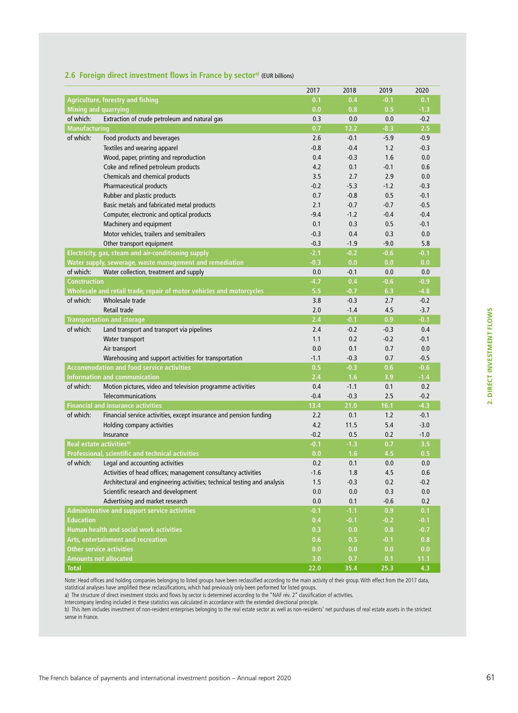|                                      |                                                                          | 2017   | 2018   | 2019   | 2020   |
|--------------------------------------|--------------------------------------------------------------------------|--------|--------|--------|--------|
|                                      | Agriculture, forestry and fishing                                        | 0.1    | 0.4    | $-0.1$ | 0.1    |
| <b>Mining and quarrying</b>          |                                                                          | 0.0    | 0.8    | 0.5    | $-1.3$ |
| of which:                            | Extraction of crude petroleum and natural gas                            | 0.3    | 0.0    | 0.0    | $-0.2$ |
| <b>Manufacturing</b>                 |                                                                          | 0.7    | 12.2   | $-8.3$ | 2.5    |
| of which:                            | Food products and beverages                                              | 2.6    | $-0.1$ | $-5.9$ | $-0.9$ |
|                                      | Textiles and wearing apparel                                             | $-0.8$ | $-0.4$ | 1.2    | $-0.3$ |
|                                      | Wood, paper, printing and reproduction                                   | 0.4    | $-0.3$ | 1.6    | 0.0    |
|                                      | Coke and refined petroleum products                                      | 4.2    | 0.1    | $-0.1$ | 0.6    |
|                                      | Chemicals and chemical products                                          | 3.5    | 2.7    | 2.9    | 0.0    |
|                                      | <b>Pharmaceutical products</b>                                           | $-0.2$ | $-5.3$ | $-1.2$ | $-0.3$ |
|                                      | Rubber and plastic products                                              | 0.7    | $-0.8$ | 0.5    | $-0.1$ |
|                                      | Basic metals and fabricated metal products                               | 2.1    | $-0.7$ | $-0.7$ | $-0.5$ |
|                                      | Computer, electronic and optical products                                | $-9.4$ | $-1.2$ | $-0.4$ | $-0.4$ |
|                                      | Machinery and equipment                                                  | 0.1    | 0.3    | 0.5    | $-0.1$ |
|                                      | Motor vehicles, trailers and semitrailers                                | $-0.3$ | 0.4    | 0.3    | 0.0    |
|                                      | Other transport equipment                                                | $-0.3$ | $-1.9$ | $-9.0$ | 5.8    |
|                                      | Electricity, gas, steam and air-conditioning supply                      | $-2.1$ | $-0.2$ | $-0.6$ | $-0.1$ |
|                                      | Water supply, sewerage, waste management and remediation                 | $-0.3$ | 0.0    | 0.0    | 0.0    |
| of which:                            | Water collection, treatment and supply                                   | 0.0    | $-0.1$ | 0.0    | 0.0    |
| <b>Construction</b>                  |                                                                          | $-4.7$ | 0.4    | $-0.6$ | $-0.9$ |
|                                      | Wholesale and retail trade, repair of motor vehicles and motorcycles     | 5.5    | $-0.7$ | 6.3    | $-4.8$ |
| of which:                            | Wholesale trade                                                          | 3.8    | $-0.3$ | 2.7    | $-0.2$ |
|                                      | Retail trade                                                             | 2.0    | $-1.4$ | 4.5    | $-3.7$ |
|                                      | <b>Transportation and storage</b>                                        | 2.4    | $-0.1$ | 0.9    | $-0.1$ |
| of which:                            | Land transport and transport via pipelines                               | 2.4    | $-0.2$ | $-0.3$ | 0.4    |
|                                      | Water transport                                                          | 1.1    | 0.2    | $-0.2$ | $-0.1$ |
|                                      | Air transport                                                            | 0.0    | 0.1    | 0.7    | 0.0    |
|                                      | Warehousing and support activities for transportation                    | $-1.1$ | $-0.3$ | 0.7    | $-0.5$ |
|                                      | <b>Accommodation and food service activities</b>                         | 0.5    | $-0.3$ | 0.6    | $-0.6$ |
|                                      | Information and communication                                            | 2.4    | 1.6    | 3.9    | $-1.4$ |
| of which:                            | Motion pictures, video and television programme activities               | 0.4    | $-1.1$ | 0.1    | 0.2    |
|                                      | Telecommunications                                                       | $-0.4$ | $-0.3$ | 2.5    | $-0.2$ |
|                                      | <b>Financial and insurance activities</b>                                | 13.4   | 21.0   | 16.1   | $-4.3$ |
| of which:                            | Financial service activities, except insurance and pension funding       | 2.2    | 0.1    | 1.2    | $-0.1$ |
|                                      | Holding company activities                                               | 4.2    | 11.5   | 5.4    | $-3.0$ |
|                                      | Insurance                                                                | $-0.2$ | 0.5    | 0.2    | $-1.0$ |
| Real estate activities <sup>b)</sup> |                                                                          | $-0.1$ | $-1.3$ | 0.7    | 3.5    |
|                                      | Professional, scientific and technical activities                        | 0.0    | 1.6    | 4.5    | 0.5    |
| of which:                            | Legal and accounting activities                                          | 0.2    | 0.1    | 0.0    | 0.0    |
|                                      | Activities of head offices; management consultancy activities            | $-1.6$ | 1.8    | 4.5    | 0.6    |
|                                      | Architectural and engineering activities; technical testing and analysis | 1.5    | $-0.3$ | 0.2    | $-0.2$ |
|                                      | Scientific research and development                                      | 0.0    | 0.0    | 0.3    | 0.0    |
|                                      | Advertising and market research                                          | 0.0    | 0.1    | $-0.6$ | 0.2    |
|                                      | <b>Administrative and support service activities</b>                     | $-0.1$ | $-1.1$ | 0.9    | 0.1    |
| <b>Education</b>                     |                                                                          | 0.4    | $-0.1$ | $-0.2$ | $-0.1$ |
|                                      | <b>Human health and social work activities</b>                           | 0.3    | 0.0    | 0.8    | $-0.7$ |
|                                      | Arts, entertainment and recreation                                       | 0.6    | 0.5    | $-0.1$ | 0.8    |
|                                      | <b>Other service activities</b>                                          | 0.0    | 0.0    | 0.0    | 0.0    |
| <b>Amounts not allocated</b>         |                                                                          | 3.0    | 0.7    | 0.1    | 11.1   |
| <b>Total</b>                         |                                                                          | 22.0   | 35.4   | 25.3   | 4.3    |

#### **2.6 Foreign direct investment flows in France by sectora)** (EUR billions)

Note: Head offices and holding companies belonging to listed groups have been reclassified according to the main activity of their group. With effect from the 2017 data, statistical analyses have amplified these reclassifications, which had previously only been performed for listed groups.

a) The structure of direct investment stocks and flows by sector is determined according to the "NAF rév. 2" classification of activities.

Intercompany lending included in these statistics was calculated in accordance with the extended directional principle.

b) This item includes investment of non-resident enterprises belonging to the real estate sector as well as non-residents' net purchases of real estate assets in the strictest sense in France.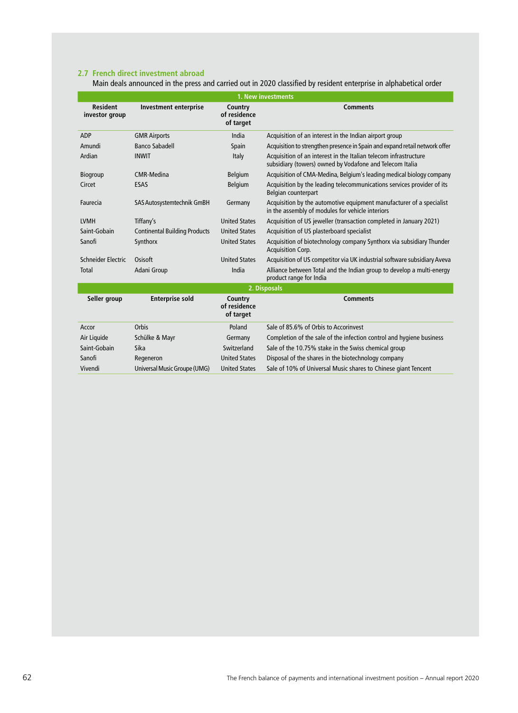### **2.7 French direct investment abroad**

Main deals announced in the press and carried out in 2020 classified by resident enterprise in alphabetical order

| 1. New investments                |                                      |                                      |                                                                                                                              |  |  |  |  |
|-----------------------------------|--------------------------------------|--------------------------------------|------------------------------------------------------------------------------------------------------------------------------|--|--|--|--|
| <b>Resident</b><br>investor group | <b>Investment enterprise</b>         | Country<br>of residence<br>of target | <b>Comments</b>                                                                                                              |  |  |  |  |
| ADP                               | <b>GMR Airports</b>                  | India                                | Acquisition of an interest in the Indian airport group                                                                       |  |  |  |  |
| Amundi                            | <b>Banco Sabadell</b>                | Spain                                | Acquisition to strengthen presence in Spain and expand retail network offer                                                  |  |  |  |  |
| Ardian                            | <b>INWIT</b>                         | Italy                                | Acquisition of an interest in the Italian telecom infrastructure<br>subsidiary (towers) owned by Vodafone and Telecom Italia |  |  |  |  |
| Biogroup                          | CMR-Medina                           | Belgium                              | Acquisition of CMA-Medina, Belgium's leading medical biology company                                                         |  |  |  |  |
| Circet                            | <b>ESAS</b>                          | Belgium                              | Acquisition by the leading telecommunications services provider of its<br>Belgian counterpart                                |  |  |  |  |
| Faurecia                          | SAS Autosystemtechnik GmBH           | Germany                              | Acquisition by the automotive equipment manufacturer of a specialist<br>in the assembly of modules for vehicle interiors     |  |  |  |  |
| <b>LVMH</b>                       | Tiffany's                            | <b>United States</b>                 | Acquisition of US jeweller (transaction completed in January 2021)                                                           |  |  |  |  |
| Saint-Gobain                      | <b>Continental Building Products</b> | <b>United States</b>                 | Acquisition of US plasterboard specialist                                                                                    |  |  |  |  |
| Sanofi                            | Synthorx                             | <b>United States</b>                 | Acquisition of biotechnology company Synthorx via subsidiary Thunder<br><b>Acquisition Corp.</b>                             |  |  |  |  |
| Schneider Electric                | Osisoft                              | <b>United States</b>                 | Acquisition of US competitor via UK industrial software subsidiary Aveva                                                     |  |  |  |  |
| Total                             | Adani Group                          | India                                | Alliance between Total and the Indian group to develop a multi-energy<br>product range for India                             |  |  |  |  |
|                                   |                                      |                                      | 2. Disposals                                                                                                                 |  |  |  |  |
| Seller group                      | <b>Enterprise sold</b>               | Country<br>of residence<br>of target | <b>Comments</b>                                                                                                              |  |  |  |  |
| Accor                             | Orbis                                | Poland                               | Sale of 85.6% of Orbis to Accorinvest                                                                                        |  |  |  |  |
| Air Liquide                       | Schülke & Mayr                       | Germany                              | Completion of the sale of the infection control and hygiene business                                                         |  |  |  |  |
| Saint-Gobain                      | Sika                                 | Switzerland                          | Sale of the 10.75% stake in the Swiss chemical group                                                                         |  |  |  |  |
| Sanofi                            | Regeneron                            | <b>United States</b>                 | Disposal of the shares in the biotechnology company                                                                          |  |  |  |  |
| Vivendi                           | Universal Music Groupe (UMG)         | <b>United States</b>                 | Sale of 10% of Universal Music shares to Chinese giant Tencent                                                               |  |  |  |  |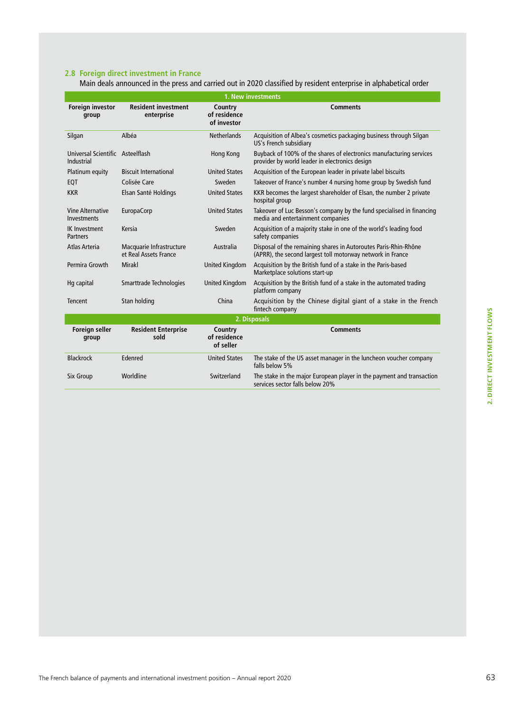Main deals announced in the press and carried out in 2020 classified by resident enterprise in alphabetical order

| 1. New investments                             |                                                   |                                        |                                                                                                                               |  |  |  |  |  |
|------------------------------------------------|---------------------------------------------------|----------------------------------------|-------------------------------------------------------------------------------------------------------------------------------|--|--|--|--|--|
| <b>Foreign investor</b><br>group               | <b>Resident investment</b><br>enterprise          | Country<br>of residence<br>of investor | <b>Comments</b>                                                                                                               |  |  |  |  |  |
| Silgan                                         | Albéa                                             | <b>Netherlands</b>                     | Acquisition of Albea's cosmetics packaging business through Silgan<br>US's French subsidiary                                  |  |  |  |  |  |
| Universal Scientific Asteelflash<br>Industrial |                                                   | Hong Kong                              | Buyback of 100% of the shares of electronics manufacturing services<br>provider by world leader in electronics design         |  |  |  |  |  |
| Platinum equity                                | <b>Biscuit International</b>                      | <b>United States</b>                   | Acquisition of the European leader in private label biscuits                                                                  |  |  |  |  |  |
| EQT                                            | Colisée Care                                      | Sweden                                 | Takeover of France's number 4 nursing home group by Swedish fund                                                              |  |  |  |  |  |
| <b>KKR</b>                                     | Elsan Santé Holdings                              | <b>United States</b>                   | KKR becomes the largest shareholder of Elsan, the number 2 private<br>hospital group                                          |  |  |  |  |  |
| <b>Vine Alternative</b><br><b>Investments</b>  | EuropaCorp                                        | <b>United States</b>                   | Takeover of Luc Besson's company by the fund specialised in financing<br>media and entertainment companies                    |  |  |  |  |  |
| <b>IK Investment</b><br>Partners               | Kersia                                            | Sweden                                 | Acquisition of a majority stake in one of the world's leading food<br>safety companies                                        |  |  |  |  |  |
| Atlas Arteria                                  | Macquarie Infrastructure<br>et Real Assets France | Australia                              | Disposal of the remaining shares in Autoroutes Paris-Rhin-Rhône<br>(APRR), the second largest toll motorway network in France |  |  |  |  |  |
| Permira Growth                                 | <b>Mirakl</b>                                     | <b>United Kingdom</b>                  | Acquisition by the British fund of a stake in the Paris-based<br>Marketplace solutions start-up                               |  |  |  |  |  |
| Hg capital                                     | Smarttrade Technologies                           | United Kingdom                         | Acquisition by the British fund of a stake in the automated trading<br>platform company                                       |  |  |  |  |  |
| Tencent                                        | Stan holding                                      | China                                  | Acquisition by the Chinese digital giant of a stake in the French<br>fintech company                                          |  |  |  |  |  |
|                                                |                                                   |                                        | 2. Disposals                                                                                                                  |  |  |  |  |  |
| <b>Foreign seller</b><br>group                 | <b>Resident Enterprise</b><br>sold                | Country<br>of residence<br>of seller   | <b>Comments</b>                                                                                                               |  |  |  |  |  |
| <b>Blackrock</b>                               | Edenred                                           | <b>United States</b>                   | The stake of the US asset manager in the luncheon voucher company<br>falls below 5%                                           |  |  |  |  |  |
| <b>Six Group</b>                               | Worldline                                         | Switzerland                            | The stake in the major European player in the payment and transaction<br>services sector falls below 20%                      |  |  |  |  |  |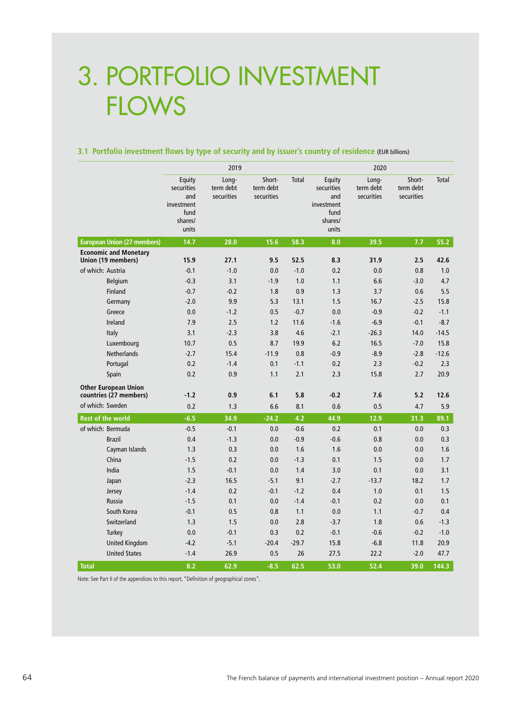# 3. PORTFOLIO INVESTMENT **FLOWS**

#### **3.1 Portfolio investment flows by type of security and by issuer's country of residence** (EUR billions)

|                                                       |                                                                       | 2019                             |                                   |              |                                                                       | 2020                             |                                   |         |
|-------------------------------------------------------|-----------------------------------------------------------------------|----------------------------------|-----------------------------------|--------------|-----------------------------------------------------------------------|----------------------------------|-----------------------------------|---------|
|                                                       | Equity<br>securities<br>and<br>investment<br>fund<br>shares/<br>units | Long-<br>term debt<br>securities | Short-<br>term debt<br>securities | <b>Total</b> | Equity<br>securities<br>and<br>investment<br>fund<br>shares/<br>units | Long-<br>term debt<br>securities | Short-<br>term debt<br>securities | Total   |
| <b>European Union (27 members)</b>                    | 14.7                                                                  | 28.0                             | 15.6                              | 58.3         | 8.0                                                                   | 39.5                             | 7.7                               | 55.2    |
| <b>Economic and Monetary</b><br>Union (19 members)    | 15.9                                                                  | 27.1                             | 9.5                               | 52.5         | 8.3                                                                   | 31.9                             | 2.5                               | 42.6    |
| of which: Austria                                     | $-0.1$                                                                | $-1.0$                           | 0.0                               | $-1.0$       | 0.2                                                                   | 0.0                              | 0.8                               | 1.0     |
| Belgium                                               | $-0.3$                                                                | 3.1                              | $-1.9$                            | 1.0          | 1.1                                                                   | 6.6                              | $-3.0$                            | 4.7     |
| Finland                                               | $-0.7$                                                                | $-0.2$                           | 1.8                               | 0.9          | 1.3                                                                   | 3.7                              | 0.6                               | 5.5     |
| Germany                                               | $-2.0$                                                                | 9.9                              | 5.3                               | 13.1         | 1.5                                                                   | 16.7                             | $-2.5$                            | 15.8    |
| Greece                                                | 0.0                                                                   | $-1.2$                           | 0.5                               | $-0.7$       | 0.0                                                                   | $-0.9$                           | $-0.2$                            | $-1.1$  |
| Ireland                                               | 7.9                                                                   | 2.5                              | 1.2                               | 11.6         | $-1.6$                                                                | $-6.9$                           | $-0.1$                            | $-8.7$  |
| Italy                                                 | 3.1                                                                   | $-2.3$                           | 3.8                               | 4.6          | $-2.1$                                                                | $-26.3$                          | 14.0                              | $-14.5$ |
| Luxembourg                                            | 10.7                                                                  | 0.5                              | 8.7                               | 19.9         | 6.2                                                                   | 16.5                             | $-7.0$                            | 15.8    |
| <b>Netherlands</b>                                    | $-2.7$                                                                | 15.4                             | $-11.9$                           | 0.8          | $-0.9$                                                                | $-8.9$                           | $-2.8$                            | $-12.6$ |
| Portugal                                              | 0.2                                                                   | $-1.4$                           | 0.1                               | $-1.1$       | 0.2                                                                   | 2.3                              | $-0.2$                            | 2.3     |
| Spain                                                 | 0.2                                                                   | 0.9                              | 1.1                               | 2.1          | 2.3                                                                   | 15.8                             | 2.7                               | 20.9    |
| <b>Other European Union</b><br>countries (27 members) | $-1.2$                                                                | 0.9                              | 6.1                               | 5.8          | $-0.2$                                                                | 7.6                              | 5.2                               | 12.6    |
| of which: Sweden                                      | 0.2                                                                   | 1.3                              | 6.6                               | 8.1          | 0.6                                                                   | 0.5                              | 4.7                               | 5.9     |
| <b>Rest of the world</b>                              | $-6.5$                                                                | 34.9                             | $-24.2$                           | 4.2          | 44.9                                                                  | 12.9                             | 31.3                              | 89.1    |
| of which: Bermuda                                     | $-0.5$                                                                | $-0.1$                           | 0.0                               | $-0.6$       | 0.2                                                                   | 0.1                              | 0.0                               | 0.3     |
| <b>Brazil</b>                                         | 0.4                                                                   | $-1.3$                           | 0.0                               | $-0.9$       | $-0.6$                                                                | 0.8                              | 0.0                               | 0.3     |
| Cayman Islands                                        | 1.3                                                                   | 0.3                              | 0.0                               | 1.6          | 1.6                                                                   | 0.0                              | 0.0                               | 1.6     |
| China                                                 | $-1.5$                                                                | 0.2                              | 0.0                               | $-1.3$       | 0.1                                                                   | 1.5                              | 0.0                               | 1.7     |
| India                                                 | 1.5                                                                   | $-0.1$                           | 0.0                               | 1.4          | 3.0                                                                   | 0.1                              | 0.0                               | 3.1     |
| Japan                                                 | $-2.3$                                                                | 16.5                             | $-5.1$                            | 9.1          | $-2.7$                                                                | $-13.7$                          | 18.2                              | 1.7     |
| Jersey                                                | $-1.4$                                                                | 0.2                              | $-0.1$                            | $-1.2$       | 0.4                                                                   | 1.0                              | 0.1                               | 1.5     |
| <b>Russia</b>                                         | $-1.5$                                                                | 0.1                              | 0.0                               | $-1.4$       | $-0.1$                                                                | 0.2                              | 0.0                               | 0.1     |
| South Korea                                           | $-0.1$                                                                | 0.5                              | 0.8                               | 1.1          | 0.0                                                                   | 1.1                              | $-0.7$                            | 0.4     |
| Switzerland                                           | 1.3                                                                   | 1.5                              | 0.0                               | 2.8          | $-3.7$                                                                | 1.8                              | 0.6                               | $-1.3$  |
| Turkey                                                | 0.0                                                                   | $-0.1$                           | 0.3                               | 0.2          | $-0.1$                                                                | $-0.6$                           | $-0.2$                            | $-1.0$  |
| <b>United Kingdom</b>                                 | $-4.2$                                                                | $-5.1$                           | $-20.4$                           | $-29.7$      | 15.8                                                                  | $-6.8$                           | 11.8                              | 20.9    |
| <b>United States</b>                                  | $-1.4$                                                                | 26.9                             | 0.5                               | 26           | 27.5                                                                  | 22.2                             | $-2.0$                            | 47.7    |
| <b>Total</b>                                          | 8.2                                                                   | 62.9                             | $-8.5$                            | 62.5         | 53.0                                                                  | 52.4                             | 39.0                              | 144.3   |

Note: See Part II of the appendices to this report, "Definition of geographical zones".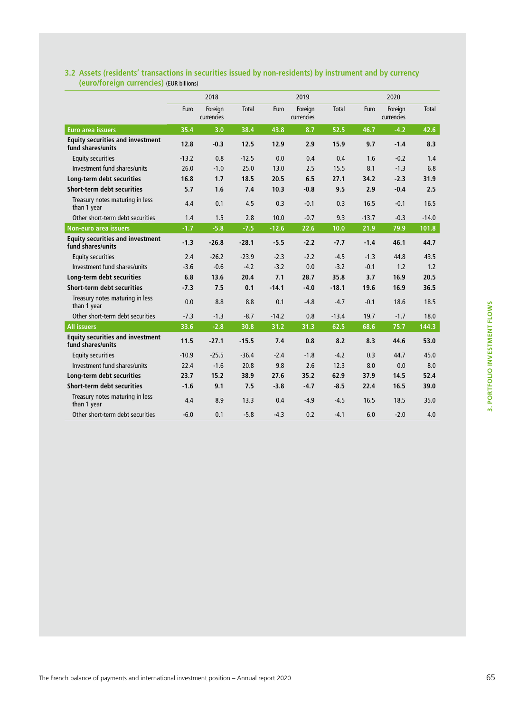|                                                              |         | 2018                  |         |         | 2019                  |              |         | 2020                  |              |  |
|--------------------------------------------------------------|---------|-----------------------|---------|---------|-----------------------|--------------|---------|-----------------------|--------------|--|
|                                                              | Euro    | Foreign<br>currencies | Total   | Euro    | Foreign<br>currencies | <b>Total</b> | Euro    | Foreign<br>currencies | <b>Total</b> |  |
| <b>Euro area issuers</b>                                     | 35.4    | 3.0                   | 38.4    | 43.8    | 8.7                   | 52.5         | 46.7    | $-4.2$                | 42.6         |  |
| <b>Equity securities and investment</b><br>fund shares/units | 12.8    | $-0.3$                | 12.5    | 12.9    | 2.9                   | 15.9         | 9.7     | $-1.4$                | 8.3          |  |
| <b>Equity securities</b>                                     | $-13.2$ | 0.8                   | $-12.5$ | 0.0     | 0.4                   | 0.4          | 1.6     | $-0.2$                | 1.4          |  |
| Investment fund shares/units                                 | 26.0    | $-1.0$                | 25.0    | 13.0    | 2.5                   | 15.5         | 8.1     | $-1.3$                | 6.8          |  |
| Long-term debt securities                                    | 16.8    | 1.7                   | 18.5    | 20.5    | 6.5                   | 27.1         | 34.2    | $-2.3$                | 31.9         |  |
| Short-term debt securities                                   | 5.7     | 1.6                   | 7.4     | 10.3    | $-0.8$                | 9.5          | 2.9     | $-0.4$                | 2.5          |  |
| Treasury notes maturing in less<br>than 1 year               | 4.4     | 0.1                   | 4.5     | 0.3     | $-0.1$                | 0.3          | 16.5    | $-0.1$                | 16.5         |  |
| Other short-term debt securities                             | 1.4     | 1.5                   | 2.8     | 10.0    | $-0.7$                | 9.3          | $-13.7$ | $-0.3$                | $-14.0$      |  |
| <b>Non-euro area issuers</b>                                 | $-1.7$  | $-5.8$                | $-7.5$  | $-12.6$ | 22.6                  | 10.0         | 21.9    | 79.9                  | 101.8        |  |
| <b>Equity securities and investment</b><br>fund shares/units | $-1.3$  | $-26.8$               | $-28.1$ | $-5.5$  | $-2.2$                | $-7.7$       | $-1.4$  | 46.1                  | 44.7         |  |
| <b>Equity securities</b>                                     | 2.4     | $-26.2$               | $-23.9$ | $-2.3$  | $-2.2$                | $-4.5$       | $-1.3$  | 44.8                  | 43.5         |  |
| Investment fund shares/units                                 | $-3.6$  | $-0.6$                | $-4.2$  | $-3.2$  | 0.0                   | $-3.2$       | $-0.1$  | 1.2                   | 1.2          |  |
| Long-term debt securities                                    | 6.8     | 13.6                  | 20.4    | 7.1     | 28.7                  | 35.8         | 3.7     | 16.9                  | 20.5         |  |
| Short-term debt securities                                   | $-7.3$  | 7.5                   | 0.1     | $-14.1$ | $-4.0$                | $-18.1$      | 19.6    | 16.9                  | 36.5         |  |
| Treasury notes maturing in less<br>than 1 year               | 0.0     | 8.8                   | 8.8     | 0.1     | $-4.8$                | $-4.7$       | $-0.1$  | 18.6                  | 18.5         |  |
| Other short-term debt securities                             | $-7.3$  | $-1.3$                | $-8.7$  | $-14.2$ | 0.8                   | $-13.4$      | 19.7    | $-1.7$                | 18.0         |  |
| <b>All issuers</b>                                           | 33.6    | $-2.8$                | 30.8    | 31.2    | 31.3                  | 62.5         | 68.6    | 75.7                  | 144.3        |  |
| <b>Equity securities and investment</b><br>fund shares/units | 11.5    | $-27.1$               | $-15.5$ | 7.4     | 0.8                   | 8.2          | 8.3     | 44.6                  | 53.0         |  |
| <b>Equity securities</b>                                     | $-10.9$ | $-25.5$               | $-36.4$ | $-2.4$  | $-1.8$                | $-4.2$       | 0.3     | 44.7                  | 45.0         |  |
| Investment fund shares/units                                 | 22.4    | $-1.6$                | 20.8    | 9.8     | 2.6                   | 12.3         | 8.0     | 0.0                   | 8.0          |  |
| Long-term debt securities                                    | 23.7    | 15.2                  | 38.9    | 27.6    | 35.2                  | 62.9         | 37.9    | 14.5                  | 52.4         |  |
| Short-term debt securities                                   | $-1.6$  | 9.1                   | 7.5     | $-3.8$  | $-4.7$                | $-8.5$       | 22.4    | 16.5                  | 39.0         |  |
| Treasury notes maturing in less<br>than 1 year               | 4.4     | 8.9                   | 13.3    | 0.4     | $-4.9$                | $-4.5$       | 16.5    | 18.5                  | 35.0         |  |
| Other short-term debt securities                             | $-6.0$  | 0.1                   | $-5.8$  | $-4.3$  | 0.2                   | $-4.1$       | 6.0     | $-2.0$                | 4.0          |  |

### **3.2 Assets (residents' transactions in securities issued by non-residents) by instrument and by currency (euro/foreign currencies)** (EUR billions)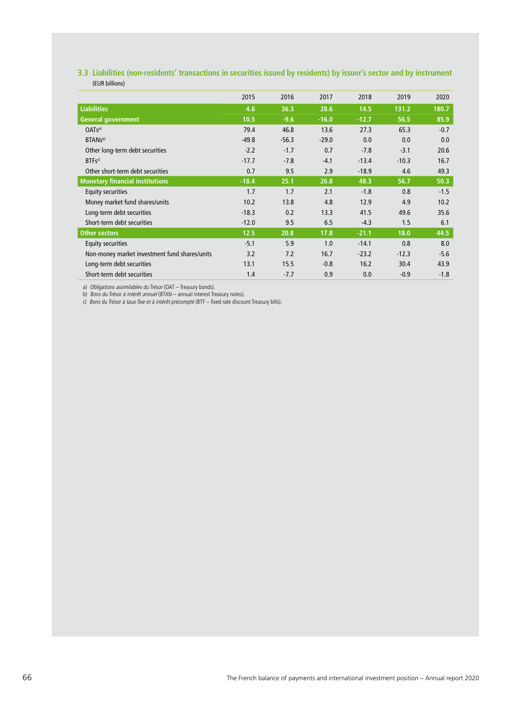### **3.3 Liabilities (non-residents' transactions in securities issued by residents) by issuer's sector and by instrument**  (EUR billions)

|                                               | 2015    | 2016    | 2017    | 2018    | 2019    | 2020   |
|-----------------------------------------------|---------|---------|---------|---------|---------|--------|
| <b>Liabilities</b>                            | 4.6     | 36.3    | 28.6    | 14.5    | 131.2   | 180.7  |
| <b>General government</b>                     | 10.5    | $-9.6$  | $-16.0$ | $-12.7$ | 56.5    | 85.9   |
| OATS <sup>a</sup>                             | 79.4    | 46.8    | 13.6    | 27.3    | 65.3    | $-0.7$ |
| BTAN <sub>sb)</sub>                           | $-49.8$ | $-56.3$ | $-29.0$ | 0.0     | 0.0     | 0.0    |
| Other long-term debt securities               | $-2.2$  | $-1.7$  | 0.7     | $-7.8$  | $-3.1$  | 20.6   |
| $BTFs^{c}$                                    | $-17.7$ | $-7.8$  | $-4.1$  | $-13.4$ | $-10.3$ | 16.7   |
| Other short-term debt securities              | 0.7     | 9.5     | 2.9     | $-18.9$ | 4.6     | 49.3   |
| <b>Monetary financial institutions</b>        | $-18.4$ | 25.1    | 26.8    | 48.3    | 56.7    | 50.3   |
| <b>Equity securities</b>                      | 1.7     | 1.7     | 2.1     | $-1.8$  | 0.8     | $-1.5$ |
| Money market fund shares/units                | 10.2    | 13.8    | 4.8     | 12.9    | 4.9     | 10.2   |
| Long-term debt securities                     | $-18.3$ | 0.2     | 13.3    | 41.5    | 49.6    | 35.6   |
| Short-term debt securities                    | $-12.0$ | 9.5     | 6.5     | $-4.3$  | 1.5     | 6.1    |
| <b>Other sectors</b>                          | 12.5    | 20.8    | 17.8    | $-21.1$ | 18.0    | 44.5   |
| <b>Equity securities</b>                      | $-5.1$  | 5.9     | 1.0     | $-14.1$ | 0.8     | 8.0    |
| Non-money market investment fund shares/units | 3.2     | 7.2     | 16.7    | $-23.2$ | $-12.3$ | $-5.6$ |
| Long-term debt securities                     | 13.1    | 15.5    | $-0.8$  | 16.2    | 30.4    | 43.9   |
| Short-term debt securities                    | 1.4     | $-7.7$  | 0.9     | 0.0     | $-0.9$  | $-1.8$ |

a) Obligations assimilables du Trésor (OAT – Treasury bonds). b) Bons du Trésor à intérêt annuel (BTAN – annual interest Treasury notes).

c) Bons du Trésor à taux fixe et à intérêt précompté (BTF – fixed rate discount Treasury bills).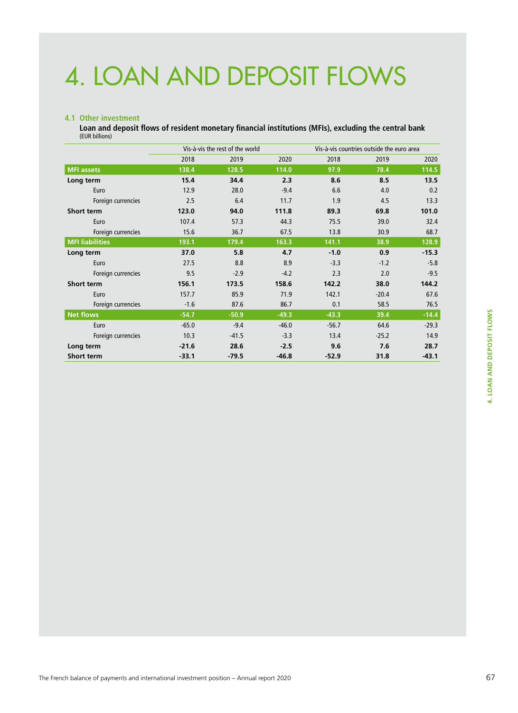# 4. LOAN AND DEPOSIT FLOWS

#### **4.1 Other investment**

**Loan and deposit flows of resident monetary financial institutions (MFIs), excluding the central bank** (EUR billions)

|                        |         | Vis-à-vis the rest of the world |         |         | Vis-à-vis countries outside the euro area |         |  |  |
|------------------------|---------|---------------------------------|---------|---------|-------------------------------------------|---------|--|--|
|                        | 2018    | 2019                            | 2020    | 2018    | 2019                                      | 2020    |  |  |
| <b>MFI</b> assets      | 138.4   | 128.5                           | 114.0   | 97.9    | 78.4                                      | 114.5   |  |  |
| Long term              | 15.4    | 34.4                            | 2.3     | 8.6     | 8.5                                       | 13.5    |  |  |
| Euro                   | 12.9    | 28.0                            | $-9.4$  | 6.6     | 4.0                                       | 0.2     |  |  |
| Foreign currencies     | 2.5     | 6.4                             | 11.7    | 1.9     | 4.5                                       | 13.3    |  |  |
| <b>Short term</b>      | 123.0   | 94.0                            | 111.8   | 89.3    | 69.8                                      | 101.0   |  |  |
| Euro                   | 107.4   | 57.3                            | 44.3    | 75.5    | 39.0                                      | 32.4    |  |  |
| Foreign currencies     | 15.6    | 36.7                            | 67.5    | 13.8    | 30.9                                      | 68.7    |  |  |
| <b>MFI liabilities</b> | 193.1   | 179.4                           | 163.3   | 141.1   | 38.9                                      | 128.9   |  |  |
| Long term              | 37.0    | 5.8                             | 4.7     | $-1.0$  | 0.9                                       | $-15.3$ |  |  |
| Euro                   | 27.5    | 8.8                             | 8.9     | $-3.3$  | $-1.2$                                    | $-5.8$  |  |  |
| Foreign currencies     | 9.5     | $-2.9$                          | $-4.2$  | 2.3     | 2.0                                       | $-9.5$  |  |  |
| <b>Short term</b>      | 156.1   | 173.5                           | 158.6   | 142.2   | 38.0                                      | 144.2   |  |  |
| Euro                   | 157.7   | 85.9                            | 71.9    | 142.1   | $-20.4$                                   | 67.6    |  |  |
| Foreign currencies     | $-1.6$  | 87.6                            | 86.7    | 0.1     | 58.5                                      | 76.5    |  |  |
| <b>Net flows</b>       | $-54.7$ | $-50.9$                         | $-49.3$ | $-43.3$ | 39.4                                      | $-14.4$ |  |  |
| Euro                   | $-65.0$ | $-9.4$                          | $-46.0$ | $-56.7$ | 64.6                                      | $-29.3$ |  |  |
| Foreign currencies     | 10.3    | $-41.5$                         | $-3.3$  | 13.4    | $-25.2$                                   | 14.9    |  |  |
| Long term              | $-21.6$ | 28.6                            | $-2.5$  | 9.6     | 7.6                                       | 28.7    |  |  |
| <b>Short term</b>      | $-33.1$ | $-79.5$                         | $-46.8$ | $-52.9$ | 31.8                                      | $-43.1$ |  |  |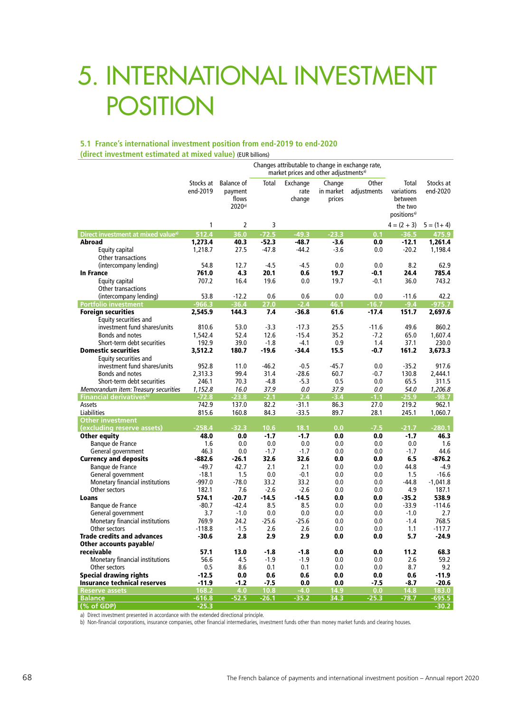# 5. INTERNATIONAL INVESTMENT POSITION

#### **5.1 France's international investment position from end-2019 to end-2020 (direct investment estimated at mixed value)** (EUR billions)

|                                                          |                       |                                                             |             | market prices and other adjustments <sup>a)</sup> |                               | Changes attributable to change in exchange rate, |                                                                      |                       |
|----------------------------------------------------------|-----------------------|-------------------------------------------------------------|-------------|---------------------------------------------------|-------------------------------|--------------------------------------------------|----------------------------------------------------------------------|-----------------------|
|                                                          | Stocks at<br>end-2019 | <b>Balance of</b><br>payment<br>flows<br>2020 <sup>a)</sup> | Total       | Exchange<br>rate<br>change                        | Change<br>in market<br>prices | Other<br>adjustments                             | Total<br>variations<br>between<br>the two<br>positions <sup>a)</sup> | Stocks at<br>end-2020 |
|                                                          | 1                     | $\overline{2}$                                              | 3           |                                                   |                               |                                                  | $4 = (2 + 3)$                                                        | $5 = (1 + 4)$         |
| Direct investment at mixed value <sup>a)</sup>           | 512.4                 | 36.0                                                        | $-72.5$     | $-49.3$                                           | $-23.3$                       | 0.1                                              | $-36.5$                                                              | 475.9                 |
| Abroad                                                   | 1,273.4               | 40.3                                                        | $-52.3$     | $-48.7$                                           | $-3.6$                        | 0.0                                              | $-12.1$                                                              | 1,261.4               |
| Equity capital                                           | 1,218.7               | 27.5                                                        | $-47.8$     | $-44.2$                                           | $-3.6$                        | 0.0                                              | $-20.2$                                                              | 1,198.4               |
| Other transactions                                       |                       |                                                             |             |                                                   |                               |                                                  |                                                                      |                       |
| (intercompany lending)                                   | 54.8                  | 12.7                                                        | $-4.5$      | $-4.5$                                            | 0.0                           | 0.0                                              | 8.2                                                                  | 62.9                  |
| <b>In France</b>                                         | 761.0                 | 4.3                                                         | 20.1        | 0.6                                               | 19.7                          | $-0.1$                                           | 24.4                                                                 | 785.4                 |
| Equity capital                                           | 707.2                 | 16.4                                                        | 19.6        | 0.0                                               | 19.7                          | $-0.1$                                           | 36.0                                                                 | 743.2                 |
| Other transactions                                       |                       |                                                             |             |                                                   |                               |                                                  |                                                                      |                       |
| (intercompany lending)                                   | 53.8<br>$-966.3$      | $-12.2$<br>$-36.4$                                          | 0.6         | 0.6<br>$-2.4$                                     | 0.0<br>46.1                   | 0.0<br>$-16.7$                                   | $-11.6$<br>$-9.4$                                                    | 42.2<br>$-975.7$      |
| <b>Portfolio investment</b><br><b>Foreign securities</b> |                       | 144.3                                                       | 27.0<br>7.4 | $-36.8$                                           | 61.6                          | $-17.4$                                          | 151.7                                                                | 2,697.6               |
| Equity securities and                                    | 2,545.9               |                                                             |             |                                                   |                               |                                                  |                                                                      |                       |
| investment fund shares/units                             | 810.6                 | 53.0                                                        | $-3.3$      | $-17.3$                                           | 25.5                          | $-11.6$                                          | 49.6                                                                 | 860.2                 |
| Bonds and notes                                          | 1,542.4               | 52.4                                                        | 12.6        | $-15.4$                                           | 35.2                          | $-7.2$                                           | 65.0                                                                 | 1,607.4               |
| Short-term debt securities                               | 192.9                 | 39.0                                                        | $-1.8$      | $-4.1$                                            | 0.9                           | 1.4                                              | 37.1                                                                 | 230.0                 |
| <b>Domestic securities</b>                               | 3,512.2               | 180.7                                                       | $-19.6$     | -34.4                                             | 15.5                          | $-0.7$                                           | 161.2                                                                | 3,673.3               |
| Equity securities and                                    |                       |                                                             |             |                                                   |                               |                                                  |                                                                      |                       |
| investment fund shares/units                             | 952.8                 | 11.0                                                        | $-46.2$     | $-0.5$                                            | $-45.7$                       | 0.0                                              | $-35.2$                                                              | 917.6                 |
| Bonds and notes                                          | 2,313.3               | 99.4                                                        | 31.4        | $-28.6$                                           | 60.7                          | $-0.7$                                           | 130.8                                                                | 2.444.1               |
| Short-term debt securities                               | 246.1                 | 70.3                                                        | $-4.8$      | $-5.3$                                            | 0.5                           | 0.0                                              | 65.5                                                                 | 311.5                 |
| Memorandum item: Treasury securities                     | 1,152.8               | 16.0                                                        | 37.9        | 0.0                                               | 37.9                          | 0.0                                              | 54.0                                                                 | 1,206.8               |
| Financial derivatives <sup>b)</sup>                      | $-72.8$               | $-23.8$                                                     | $-2.1$      | 2.4                                               | $-3.4$                        | $-1.1$                                           | $-25.9$                                                              | $-98.7$               |
| Assets                                                   | 742.9                 | 137.0                                                       | 82.2        | $-31.1$                                           | 86.3                          | 27.0                                             | 219.2                                                                | 962.1                 |
| Liabilities                                              | 815.6                 | 160.8                                                       | 84.3        | $-33.5$                                           | 89.7                          | 28.1                                             | 245.1                                                                | 1,060.7               |
| <b>Other investment</b>                                  |                       |                                                             |             |                                                   |                               |                                                  |                                                                      |                       |
| (excluding reserve assets)                               | $-258.4$              | $-32.3$                                                     | 10.6        | 18.1                                              | 0.0                           | $-7.5$                                           | $-21.7$                                                              | $-280.1$              |
| Other equity                                             | 48.0                  | 0.0                                                         | $-1.7$      | $-1.7$                                            | 0.0                           | 0.0                                              | $-1.7$                                                               | 46.3                  |
| Banque de France                                         | 1.6                   | 0.0                                                         | 0.0         | 0.0                                               | 0.0                           | 0.0                                              | 0.0                                                                  | 1.6                   |
| General government                                       | 46.3                  | 0.0                                                         | $-1.7$      | $-1.7$                                            | 0.0                           | 0.0                                              | $-1.7$                                                               | 44.6                  |
| <b>Currency and deposits</b>                             | $-882.6$              | $-26.1$                                                     | 32.6        | 32.6                                              | 0.0                           | 0.0                                              | 6.5                                                                  | $-876.2$              |
| Banque de France                                         | $-49.7$               | 42.7                                                        | 2.1         | 2.1                                               | 0.0                           | 0.0                                              | 44.8                                                                 | $-4.9$                |
| General government                                       | $-18.1$<br>$-997.0$   | 1.5<br>$-78.0$                                              | 0.0<br>33.2 | $-0.1$<br>33.2                                    | 0.0<br>0.0                    | 0.0<br>0.0                                       | 1.5<br>$-44.8$                                                       | $-16.6$               |
| Monetary financial institutions<br>Other sectors         | 182.1                 | 7.6                                                         | $-2.6$      | $-2.6$                                            | 0.0                           | 0.0                                              | 4.9                                                                  | $-1,041.8$<br>187.1   |
| Loans                                                    | 574.1                 | -20.7                                                       | $-14.5$     | $-14.5$                                           | 0.0                           | 0.0                                              | $-35.2$                                                              | 538.9                 |
| Banque de France                                         | $-80.7$               | $-42.4$                                                     | 8.5         | 8.5                                               | 0.0                           | 0.0                                              | $-33.9$                                                              | $-114.6$              |
| General government                                       | 3.7                   | $-1.0$                                                      | 0.0         | 0.0                                               | 0.0                           | 0.0                                              | $-1.0$                                                               | 2.7                   |
| Monetary financial institutions                          | 769.9                 | 24.2                                                        | $-25.6$     | $-25.6$                                           | 0.0                           | 0.0                                              | $-1.4$                                                               | 768.5                 |
| Other sectors                                            | $-118.8$              | $-1.5$                                                      | 2.6         | 2.6                                               | 0.0                           | 0.0                                              | 1.1                                                                  | $-117.7$              |
| <b>Trade credits and advances</b>                        | $-30.6$               | 2.8                                                         | 2.9         | 2.9                                               | 0.0                           | 0.0                                              | 5.7                                                                  | $-24.9$               |
| Other accounts payable/                                  |                       |                                                             |             |                                                   |                               |                                                  |                                                                      |                       |
| receivable                                               | 57.1                  | 13.0                                                        | $-1.8$      | -1.8                                              | 0.0                           | 0.0                                              | 11.2                                                                 | 68.3                  |
| Monetary financial institutions                          | 56.6                  | 4.5                                                         | $-1.9$      | $-1.9$                                            | 0.0                           | 0.0                                              | 2.6                                                                  | 59.2                  |
| Other sectors                                            | 0.5                   | 8.6                                                         | 0.1         | 0.1                                               | 0.0                           | 0.0                                              | 8.7                                                                  | 9.2                   |
| Special drawing rights                                   | $-12.5$               | 0.0                                                         | 0.6         | 0.6                                               | 0.0                           | 0.0                                              | 0.6                                                                  | $-11.9$               |
| <b>Insurance technical reserves</b>                      | $-11.9$               | $-1.2$                                                      | $-7.5$      | 0.0                                               | 0.0                           | -7.5                                             | $-8.7$                                                               | $-20.6$               |
| <b>Reserve assets</b>                                    | 168.2                 | 4.0                                                         | 10.8        | $-4.0$                                            | 14.9                          | 0.0                                              | 14.8                                                                 | 183.0                 |
| <b>Balance</b>                                           | $-616.8$              | $-52.5$                                                     | $-26.1$     | $-35.2$                                           | 34.3                          | $-25.3$                                          | $-78.7$                                                              | $-695.5$              |
| $($ % of GDP)                                            | $-25.3$               |                                                             |             |                                                   |                               |                                                  |                                                                      | $-30.2$               |

a) Direct investment presented in accordance with the extended directional principle.

b) Non-financial corporations, insurance companies, other financial intermediaries, investment funds other than money market funds and clearing houses.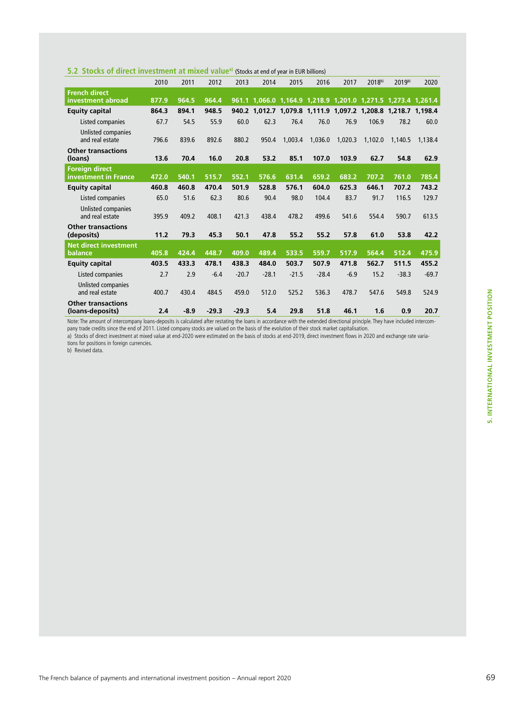|  |  |  |  |  |  |  | 5.2 Stocks of direct investment at mixed value <sup>a)</sup> (Stocks at end of year in EUR billions) |
|--|--|--|--|--|--|--|------------------------------------------------------------------------------------------------------|
|--|--|--|--|--|--|--|------------------------------------------------------------------------------------------------------|

|                                               | 2010  | 2011   | 2012    | 2013    | 2014    | 2015    | 2016    | 2017    | $2018^{b}$ | 2019b)                                                        | 2020    |
|-----------------------------------------------|-------|--------|---------|---------|---------|---------|---------|---------|------------|---------------------------------------------------------------|---------|
| <b>French direct</b><br>investment abroad     | 877.9 | 964.5  | 964.4   |         |         |         |         |         |            | 961.1 1,066.0 1,164.9 1,218.9 1,201.0 1,271.5 1,273.4 1,261.4 |         |
| <b>Equity capital</b>                         | 864.3 | 894.1  | 948.5   |         |         |         |         |         |            | 940.2 1,012.7 1,079.8 1,111.9 1,097.2 1,208.8 1,218.7 1,198.4 |         |
| Listed companies                              | 67.7  | 54.5   | 55.9    | 60.0    | 62.3    | 76.4    | 76.0    | 76.9    | 106.9      | 78.2                                                          | 60.0    |
| Unlisted companies<br>and real estate         | 796.6 | 839.6  | 892.6   | 880.2   | 950.4   | 1.003.4 | 1,036.0 | 1,020.3 | 1,102.0    | 1,140.5                                                       | 1.138.4 |
| <b>Other transactions</b>                     |       |        |         |         |         |         |         |         |            |                                                               |         |
| (loans)                                       | 13.6  | 70.4   | 16.0    | 20.8    | 53.2    | 85.1    | 107.0   | 103.9   | 62.7       | 54.8                                                          | 62.9    |
| <b>Foreign direct</b>                         |       |        |         |         |         |         |         |         |            |                                                               |         |
| investment in France                          | 472.0 | 540.1  | 515.7   | 552.1   | 576.6   | 631.4   | 659.2   | 683.2   | 707.2      | 761.0                                                         | 785.4   |
| <b>Equity capital</b>                         | 460.8 | 460.8  | 470.4   | 501.9   | 528.8   | 576.1   | 604.0   | 625.3   | 646.1      | 707.2                                                         | 743.2   |
| Listed companies                              | 65.0  | 51.6   | 62.3    | 80.6    | 90.4    | 98.0    | 104.4   | 83.7    | 91.7       | 116.5                                                         | 129.7   |
| Unlisted companies<br>and real estate         | 395.9 | 409.2  | 408.1   | 421.3   | 438.4   | 478.2   | 499.6   | 541.6   | 554.4      | 590.7                                                         | 613.5   |
| <b>Other transactions</b><br>(deposits)       | 11.2  | 79.3   | 45.3    | 50.1    | 47.8    | 55.2    | 55.2    | 57.8    | 61.0       | 53.8                                                          | 42.2    |
| <b>Net direct investment</b>                  |       |        |         |         |         |         |         |         |            |                                                               |         |
| balance                                       | 405.8 | 424.4  | 448.7   | 409.0   | 489.4   | 533.5   | 559.7   | 517.9   | 564.4      | 512.4                                                         | 475.9   |
| <b>Equity capital</b>                         | 403.5 | 433.3  | 478.1   | 438.3   | 484.0   | 503.7   | 507.9   | 471.8   | 562.7      | 511.5                                                         | 455.2   |
| Listed companies                              | 2.7   | 2.9    | $-6.4$  | $-20.7$ | $-28.1$ | $-21.5$ | $-28.4$ | $-6.9$  | 15.2       | $-38.3$                                                       | $-69.7$ |
| Unlisted companies<br>and real estate         | 400.7 | 430.4  | 484.5   | 459.0   | 512.0   | 525.2   | 536.3   | 478.7   | 547.6      | 549.8                                                         | 524.9   |
| <b>Other transactions</b><br>(loans-deposits) | 2.4   | $-8.9$ | $-29.3$ | $-29.3$ | 5.4     | 29.8    | 51.8    | 46.1    | 1.6        | 0.9                                                           | 20.7    |

Note: The amount of intercompany loans-deposits is calculated after restating the loans in accordance with the extended directional principle. They have included intercompany trade credits since the end of 2011. Listed company stocks are valued on the basis of the evolution of their stock market capitalisation.

a) Stocks of direct investment at mixed value at end-2020 were estimated on the basis of stocks at end-2019, direct investment flows in 2020 and exchange rate variations for positions in foreign currencies.

b) Revised data.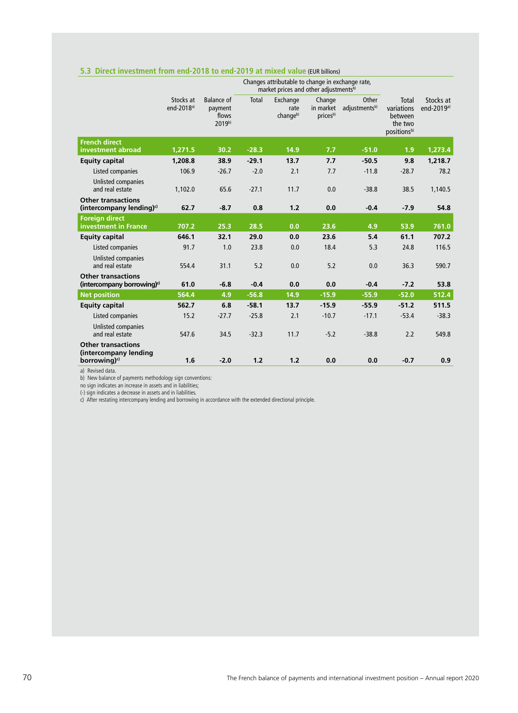|                                                                                                   |                                     |                                                 |         | Changes attributable to change in exchange rate,<br>market prices and other adjustmentsb) |                                 |                        |                                                                      |                                     |
|---------------------------------------------------------------------------------------------------|-------------------------------------|-------------------------------------------------|---------|-------------------------------------------------------------------------------------------|---------------------------------|------------------------|----------------------------------------------------------------------|-------------------------------------|
|                                                                                                   | Stocks at<br>end-2018 <sup>a)</sup> | <b>Balance</b> of<br>payment<br>flows<br>2019b) | Total   | Exchange<br>rate<br>changeb)                                                              | Change<br>in market<br>pricesb) | Other<br>adjustmentsb) | Total<br>variations<br>between<br>the two<br>positions <sup>b)</sup> | Stocks at<br>end-2019 <sup>a)</sup> |
| <b>French direct</b><br>investment abroad                                                         | 1,271.5                             | 30.2                                            | $-28.3$ | 14.9                                                                                      | 7.7                             | $-51.0$                | 1.9                                                                  | 1,273.4                             |
| <b>Equity capital</b>                                                                             | 1,208.8                             | 38.9                                            | $-29.1$ | 13.7                                                                                      | 7.7                             | $-50.5$                | 9.8                                                                  | 1,218.7                             |
| Listed companies                                                                                  | 106.9                               | $-26.7$                                         | $-2.0$  | 2.1                                                                                       | 7.7                             | $-11.8$                | $-28.7$                                                              | 78.2                                |
| Unlisted companies<br>and real estate                                                             | 1,102.0                             | 65.6                                            | $-27.1$ | 11.7                                                                                      | 0.0                             | $-38.8$                | 38.5                                                                 | 1,140.5                             |
| <b>Other transactions</b><br>(intercompany lending) $\circ$                                       | 62.7                                | $-8.7$                                          | 0.8     | 1.2                                                                                       | 0.0                             | $-0.4$                 | $-7.9$                                                               | 54.8                                |
| <b>Foreign direct</b><br><b>investment in France</b>                                              | 707.2                               | 25.3                                            | 28.5    | 0.0                                                                                       | 23.6                            | 4.9                    | 53.9                                                                 | 761.0                               |
| <b>Equity capital</b>                                                                             | 646.1                               | 32.1                                            | 29.0    | 0.0                                                                                       | 23.6                            | 5.4                    | 61.1                                                                 | 707.2                               |
| Listed companies                                                                                  | 91.7                                | 1.0                                             | 23.8    | 0.0                                                                                       | 18.4                            | 5.3                    | 24.8                                                                 | 116.5                               |
| Unlisted companies<br>and real estate                                                             | 554.4                               | 31.1                                            | 5.2     | 0.0                                                                                       | 5.2                             | 0.0                    | 36.3                                                                 | 590.7                               |
| <b>Other transactions</b><br>(intercompany borrowing) $\circ$                                     | 61.0                                | $-6.8$                                          | $-0.4$  | 0.0                                                                                       | 0.0                             | $-0.4$                 | $-7.2$                                                               | 53.8                                |
| <b>Net position</b>                                                                               | 564.4                               | 4.9                                             | $-56.8$ | 14.9                                                                                      | $-15.9$                         | $-55.9$                | $-52.0$                                                              | 512.4                               |
| <b>Equity capital</b>                                                                             | 562.7                               | 6.8                                             | $-58.1$ | 13.7                                                                                      | $-15.9$                         | $-55.9$                | $-51.2$                                                              | 511.5                               |
| Listed companies                                                                                  | 15.2                                | $-27.7$                                         | $-25.8$ | 2.1                                                                                       | $-10.7$                         | $-17.1$                | $-53.4$                                                              | $-38.3$                             |
| Unlisted companies<br>and real estate                                                             | 547.6                               | 34.5                                            | $-32.3$ | 11.7                                                                                      | $-5.2$                          | $-38.8$                | 2.2                                                                  | 549.8                               |
| <b>Other transactions</b><br>(intercompany lending<br>borrowing) <sup>c)</sup><br>al Poviced data | 1.6                                 | $-2.0$                                          | 1.2     | 1.2                                                                                       | 0.0                             | 0.0                    | $-0.7$                                                               | 0.9                                 |

#### **5.3 Direct investment from end-2018 to end-2019 at mixed value** (EUR billions)

a) Revised data.

b) New balance of payments methodology sign conventions:

no sign indicates an increase in assets and in liabilities;

(-) sign indicates a decrease in assets and in liabilities.

c) After restating intercompany lending and borrowing in accordance with the extended directional principle.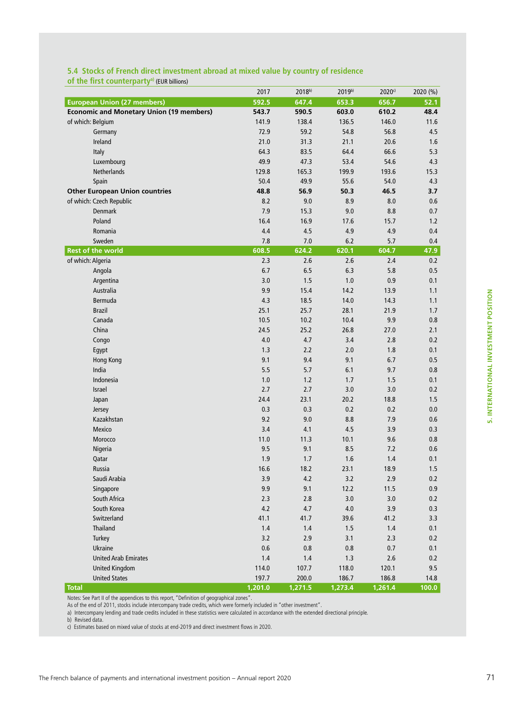|                                                 | 2017    | $2018^{b}$ | 2019b)  | 2020c   | 2020 (%) |
|-------------------------------------------------|---------|------------|---------|---------|----------|
| <b>European Union (27 members)</b>              | 592.5   | 647.4      | 653.3   | 656.7   | 52.1     |
| <b>Economic and Monetary Union (19 members)</b> | 543.7   | 590.5      | 603.0   | 610.2   | 48.4     |
| of which: Belgium                               | 141.9   | 138.4      | 136.5   | 146.0   | 11.6     |
| Germany                                         | 72.9    | 59.2       | 54.8    | 56.8    | 4.5      |
| Ireland                                         | 21.0    | 31.3       | 21.1    | 20.6    | 1.6      |
| Italy                                           | 64.3    | 83.5       | 64.4    | 66.6    | 5.3      |
| Luxembourg                                      | 49.9    | 47.3       | 53.4    | 54.6    | 4.3      |
| Netherlands                                     | 129.8   | 165.3      | 199.9   | 193.6   | 15.3     |
| Spain                                           | 50.4    | 49.9       | 55.6    | 54.0    | 4.3      |
| <b>Other European Union countries</b>           | 48.8    | 56.9       | 50.3    | 46.5    | 3.7      |
| of which: Czech Republic                        | 8.2     | 9.0        | 8.9     | 8.0     | 0.6      |
| <b>Denmark</b>                                  | 7.9     | 15.3       | 9.0     | 8.8     | 0.7      |
| Poland                                          | 16.4    | 16.9       | 17.6    | 15.7    | $1.2$    |
| Romania                                         | 4.4     | 4.5        | 4.9     | 4.9     | 0.4      |
| Sweden                                          | 7.8     | 7.0        | 6.2     | 5.7     | 0.4      |
| <b>Rest of the world</b>                        | 608.5   | 624.2      | 620.1   | 604.7   | 47.9     |
| of which: Algeria                               | 2.3     | 2.6        | 2.6     | 2.4     | 0.2      |
| Angola                                          | 6.7     | 6.5        | 6.3     | 5.8     | 0.5      |
| Argentina                                       | 3.0     | 1.5        | 1.0     | 0.9     | 0.1      |
| Australia                                       | 9.9     | 15.4       | 14.2    | 13.9    | 1.1      |
| Bermuda                                         | 4.3     | 18.5       | 14.0    | 14.3    | 1.1      |
| <b>Brazil</b>                                   | 25.1    | 25.7       | 28.1    | 21.9    | 1.7      |
| Canada                                          | 10.5    | 10.2       | 10.4    | 9.9     | 0.8      |
| China                                           | 24.5    | 25.2       | 26.8    | 27.0    | 2.1      |
| Congo                                           | 4.0     | 4.7        | 3.4     | 2.8     | 0.2      |
| Egypt                                           | 1.3     | 2.2        | 2.0     | 1.8     | 0.1      |
| <b>Hong Kong</b>                                | 9.1     | 9.4        | 9.1     | 6.7     | 0.5      |
| India                                           | 5.5     | 5.7        | 6.1     | 9.7     | 0.8      |
| Indonesia                                       | 1.0     | 1.2        | 1.7     | 1.5     | 0.1      |
| Israel                                          | 2.7     | 2.7        | 3.0     | 3.0     | 0.2      |
| Japan                                           | 24.4    | 23.1       | 20.2    | 18.8    | 1.5      |
| Jersey                                          | 0.3     | 0.3        | 0.2     | 0.2     | 0.0      |
| Kazakhstan                                      | 9.2     | 9.0        | 8.8     | 7.9     | 0.6      |
| Mexico                                          | 3.4     | 4.1        | 4.5     | 3.9     | 0.3      |
| Morocco                                         | 11.0    | 11.3       | 10.1    | 9.6     | 0.8      |
| Nigeria                                         | 9.5     | 9.1        | 8.5     | 7.2     | 0.6      |
| Qatar                                           | 1.9     | 1.7        | 1.6     | 1.4     | 0.1      |
| Russia                                          | 16.6    | 18.2       | 23.1    | 18.9    | 1.5      |
| Saudi Arabia                                    | 3.9     | 4.2        | 3.2     | 2.9     | 0.2      |
| Singapore                                       | 9.9     | 9.1        | 12.2    | 11.5    | 0.9      |
| South Africa                                    | 2.3     | 2.8        | 3.0     | 3.0     | 0.2      |
| South Korea                                     | 4.2     | 4.7        | 4.0     | 3.9     | 0.3      |
| Switzerland                                     | 41.1    | 41.7       | 39.6    | 41.2    | 3.3      |
| <b>Thailand</b>                                 | $1.4$   | 1.4        | 1.5     | $1.4\,$ | 0.1      |
| Turkey                                          | 3.2     | 2.9        | 3.1     | 2.3     | 0.2      |
| <b>Ukraine</b>                                  | 0.6     | 0.8        | 0.8     | 0.7     | 0.1      |
| <b>United Arab Emirates</b>                     | 1.4     | 1.4        | 1.3     | 2.6     | 0.2      |
| <b>United Kingdom</b>                           | 114.0   | 107.7      | 118.0   | 120.1   | 9.5      |
| <b>United States</b>                            | 197.7   | 200.0      | 186.7   | 186.8   | 14.8     |
| <b>Total</b>                                    | 1,201.0 | 1,271.5    | 1,273.4 | 1,261.4 | 100.0    |

**5.4 Stocks of French direct investment abroad at mixed value by country of residence** 

of the first counterparty<sup>a)</sup> (EUR billions)

Notes: See Part II of the appendices to this report, "Definition of geographical zones". As of the end of 2011, stocks include intercompany trade credits, which were formerly included in "other investment".

a) Intercompany lending and trade credits included in these statistics were calculated in accordance with the extended directional principle.

b) Revised data.

c) Estimates based on mixed value of stocks at end-2019 and direct investment flows in 2020.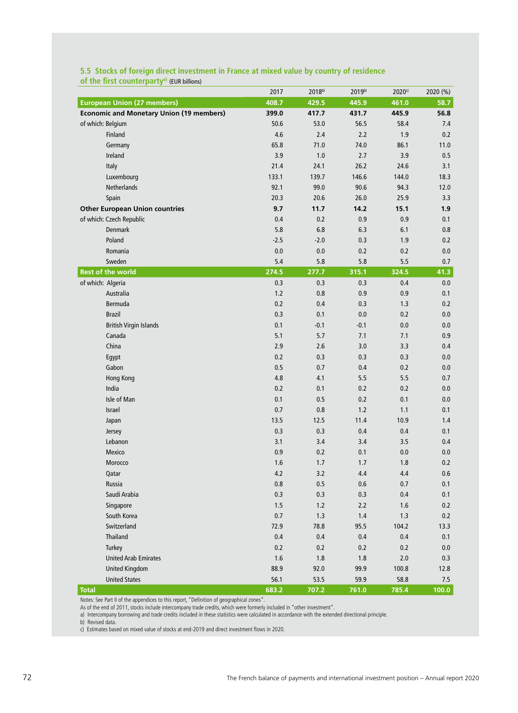|                                                 | 2017    | 2018b)  | 2019b)  | 2020 <sup>c)</sup> | 2020 (%) |
|-------------------------------------------------|---------|---------|---------|--------------------|----------|
| <b>European Union (27 members)</b>              | 408.7   | 429.5   | 445.9   | 461.0              | 58.7     |
| <b>Economic and Monetary Union (19 members)</b> | 399.0   | 417.7   | 431.7   | 445.9              | 56.8     |
| of which: Belgium                               | 50.6    | 53.0    | 56.5    | 58.4               | 7.4      |
| Finland                                         | 4.6     | 2.4     | 2.2     | 1.9                | 0.2      |
| Germany                                         | 65.8    | 71.0    | 74.0    | 86.1               | 11.0     |
| Ireland                                         | 3.9     | 1.0     | 2.7     | 3.9                | 0.5      |
| Italy                                           | 21.4    | 24.1    | 26.2    | 24.6               | 3.1      |
| Luxembourg                                      | 133.1   | 139.7   | 146.6   | 144.0              | 18.3     |
| Netherlands                                     | 92.1    | 99.0    | 90.6    | 94.3               | 12.0     |
| Spain                                           | 20.3    | 20.6    | 26.0    | 25.9               | 3.3      |
| <b>Other European Union countries</b>           | 9.7     | 11.7    | 14.2    | 15.1               | 1.9      |
| of which: Czech Republic                        | 0.4     | 0.2     | 0.9     | 0.9                | 0.1      |
| <b>Denmark</b>                                  | 5.8     | 6.8     | 6.3     | 6.1                | 0.8      |
| Poland                                          | $-2.5$  | $-2.0$  | 0.3     | 1.9                | $0.2\,$  |
| Romania                                         | 0.0     | 0.0     | 0.2     | 0.2                | $0.0\,$  |
| Sweden                                          | 5.4     | 5.8     | 5.8     | 5.5                | 0.7      |
| <b>Rest of the world</b>                        | 274.5   | 277.7   | 315.1   | 324.5              | 41.3     |
| of which: Algeria                               | 0.3     | 0.3     | 0.3     | 0.4                | $0.0\,$  |
| Australia                                       | 1.2     | 0.8     | 0.9     | 0.9                | 0.1      |
| Bermuda                                         | 0.2     | 0.4     | 0.3     | 1.3                | 0.2      |
| <b>Brazil</b>                                   | 0.3     | 0.1     | 0.0     | 0.2                | 0.0      |
| <b>British Virgin Islands</b>                   | 0.1     | $-0.1$  | $-0.1$  | 0.0                | 0.0      |
| Canada                                          | 5.1     | 5.7     | 7.1     | 7.1                | 0.9      |
| China                                           | 2.9     | 2.6     | 3.0     | 3.3                | 0.4      |
| Egypt                                           | 0.2     | 0.3     | 0.3     | 0.3                | 0.0      |
| Gabon                                           | 0.5     | 0.7     | 0.4     | 0.2                | 0.0      |
| Hong Kong                                       | 4.8     | 4.1     | 5.5     | 5.5                | 0.7      |
| India                                           | 0.2     | 0.1     | 0.2     | 0.2                | 0.0      |
| Isle of Man                                     | 0.1     | 0.5     | 0.2     | 0.1                | 0.0      |
| Israel                                          | 0.7     | 0.8     | $1.2$   | 1.1                | 0.1      |
| Japan                                           | 13.5    | 12.5    | 11.4    | 10.9               | 1.4      |
| Jersey                                          | 0.3     | 0.3     | 0.4     | 0.4                | 0.1      |
| Lebanon                                         | 3.1     | 3.4     | 3.4     | 3.5                | 0.4      |
| Mexico                                          | 0.9     | 0.2     | 0.1     | 0.0                | 0.0      |
| Morocco                                         | 1.6     | 1.7     | 1.7     | 1.8                | 0.2      |
| Qatar                                           | 4.2     | 3.2     | 4.4     | 4.4                | 0.6      |
| Russia                                          | 0.8     | 0.5     | 0.6     | 0.7                | 0.1      |
| Saudi Arabia                                    | 0.3     | 0.3     | $0.3\,$ | $0.4\,$            | 0.1      |
| Singapore                                       | 1.5     | 1.2     | 2.2     | 1.6                | 0.2      |
| South Korea                                     | $0.7\,$ | 1.3     | 1.4     | 1.3                | $0.2\,$  |
| Switzerland                                     | 72.9    | 78.8    | 95.5    | 104.2              | 13.3     |
| Thailand                                        | 0.4     | 0.4     | $0.4\,$ | 0.4                | $0.1\,$  |
| Turkey                                          | 0.2     | 0.2     | 0.2     | 0.2                | 0.0      |
| <b>United Arab Emirates</b>                     | 1.6     | $1.8\,$ | 1.8     | 2.0                | 0.3      |
| <b>United Kingdom</b>                           | 88.9    | 92.0    | 99.9    | 100.8              | 12.8     |
| <b>United States</b>                            | 56.1    | 53.5    | 59.9    | 58.8               | 7.5      |
| <b>Total</b>                                    | 683.2   | 707.2   | 761.0   | 785.4              | 100.0    |

### **5.5 Stocks of foreign direct investment in France at mixed value by country of residence**  of the first counterparty<sup>a)</sup> (EUR billions)

Notes: See Part II of the appendices to this report, "Definition of geographical zones".

As of the end of 2011, stocks include intercompany trade credits, which were formerly included in "other investment".

a) Intercompany borrowing and trade credits included in these statistics were calculated in accordance with the extended directional principle.

b) Revised data.

c) Estimates based on mixed value of stocks at end-2019 and direct investment flows in 2020.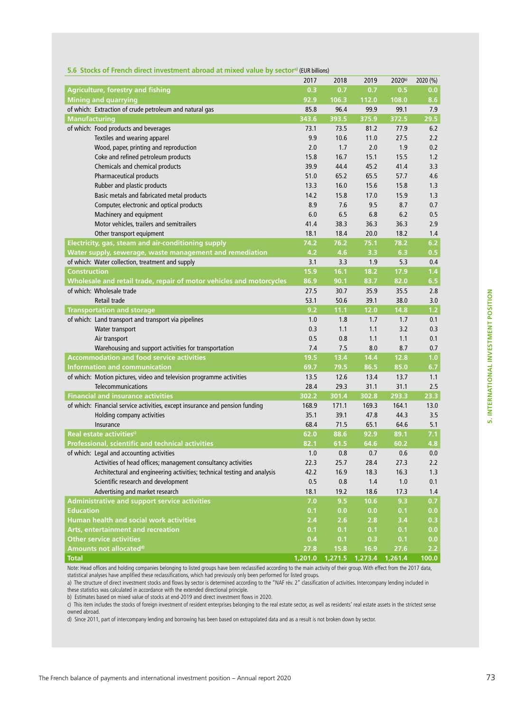|  |  |  |  | 5.6 Stocks of French direct investment abroad at mixed value by sector <sup>a)</sup> (EUR billions) |  |  |  |  |  |
|--|--|--|--|-----------------------------------------------------------------------------------------------------|--|--|--|--|--|
|--|--|--|--|-----------------------------------------------------------------------------------------------------|--|--|--|--|--|

|                                                                              | 2017  | 2018                            | 2019  | 2020b) | 2020 (%) |
|------------------------------------------------------------------------------|-------|---------------------------------|-------|--------|----------|
| <b>Agriculture, forestry and fishing</b>                                     | 0.3   | 0.7                             | 0.7   | 0.5    | 0.0      |
| <b>Mining and quarrying</b>                                                  | 92.9  | 106.3                           | 112.0 | 108.0  | 8.6      |
| of which: Extraction of crude petroleum and natural gas                      | 85.8  | 96.4                            | 99.9  | 99.1   | 7.9      |
| <b>Manufacturing</b>                                                         | 343.6 | 393.5                           | 375.9 | 372.5  | 29.5     |
| of which: Food products and beverages                                        | 73.1  | 73.5                            | 81.2  | 77.9   | 6.2      |
| Textiles and wearing apparel                                                 | 9.9   | 10.6                            | 11.0  | 27.5   | 2.2      |
| Wood, paper, printing and reproduction                                       | 2.0   | 1.7                             | 2.0   | 1.9    | 0.2      |
| Coke and refined petroleum products                                          | 15.8  | 16.7                            | 15.1  | 15.5   | 1.2      |
| Chemicals and chemical products                                              | 39.9  | 44.4                            | 45.2  | 41.4   | 3.3      |
| <b>Pharmaceutical products</b>                                               | 51.0  | 65.2                            | 65.5  | 57.7   | 4.6      |
| Rubber and plastic products                                                  | 13.3  | 16.0                            | 15.6  | 15.8   | 1.3      |
| Basic metals and fabricated metal products                                   | 14.2  | 15.8                            | 17.0  | 15.9   | 1.3      |
| Computer, electronic and optical products                                    | 8.9   | 7.6                             | 9.5   | 8.7    | 0.7      |
| Machinery and equipment                                                      | 6.0   | 6.5                             | 6.8   | 6.2    | 0.5      |
| Motor vehicles, trailers and semitrailers                                    | 41.4  | 38.3                            | 36.3  | 36.3   | 2.9      |
| Other transport equipment                                                    | 18.1  | 18.4                            | 20.0  | 18.2   | 1.4      |
| Electricity, gas, steam and air-conditioning supply                          | 74.2  | 76.2                            | 75.1  | 78.2   | 6.2      |
| Water supply, sewerage, waste management and remediation                     | 4.2   | 4.6                             | 3.3   | 6.3    | 0.5      |
| of which: Water collection, treatment and supply                             | 3.1   | 3.3                             | 1.9   | 5.3    | 0.4      |
| <b>Construction</b>                                                          | 15.9  | 16.1                            | 18.2  | 17.9   | 1.4      |
| Wholesale and retail trade, repair of motor vehicles and motorcycles         | 86.9  | 90.1                            | 83.7  | 82.0   | 6.5      |
| of which: Wholesale trade                                                    | 27.5  | 30.7                            | 35.9  | 35.5   | 2.8      |
| Retail trade                                                                 | 53.1  | 50.6                            | 39.1  | 38.0   | 3.0      |
| <b>Transportation and storage</b>                                            | 9.2   | 11.1                            | 12.0  | 14.8   | 1.2      |
| of which: Land transport and transport via pipelines                         | 1.0   | 1.8                             | 1.7   | 1.7    | 0.1      |
| Water transport                                                              | 0.3   | 1.1                             | 1.1   | 3.2    | 0.3      |
| Air transport                                                                | 0.5   | 0.8                             | 1.1   | 1.1    | 0.1      |
| Warehousing and support activities for transportation                        | 7.4   | 7.5                             | 8.0   | 8.7    | 0.7      |
| <b>Accommodation and food service activities</b>                             | 19.5  | 13.4                            | 14.4  | 12.8   | 1.0      |
| <b>Information and communication</b>                                         | 69.7  | 79.5                            | 86.5  | 85.0   | 6.7      |
| of which: Motion pictures, video and television programme activities         | 13.5  | 12.6                            | 13.4  | 13.7   | 1.1      |
| <b>Telecommunications</b>                                                    | 28.4  | 29.3                            | 31.1  | 31.1   | 2.5      |
| <b>Financial and insurance activities</b>                                    | 302.2 | 301.4                           | 302.8 | 293.3  | 23.3     |
| of which: Financial service activities, except insurance and pension funding | 168.9 | 171.1                           | 169.3 | 164.1  | 13.0     |
| Holding company activities                                                   | 35.1  | 39.1                            | 47.8  | 44.3   | 3.5      |
| Insurance                                                                    | 68.4  | 71.5                            | 65.1  | 64.6   | 5.1      |
| Real estate activities <sup>c)</sup>                                         | 62.0  | 88.6                            | 92.9  | 89.1   | 7.1      |
| Professional, scientific and technical activities                            | 82.1  | 61.5                            | 64.6  | 60.2   | 4.8      |
| of which: Legal and accounting activities                                    | 1.0   | 0.8                             | 0.7   | 0.6    | 0.0      |
| Activities of head offices; management consultancy activities                | 22.3  | 25.7                            | 28.4  | 27.3   | 2.2      |
| Architectural and engineering activities; technical testing and analysis     | 42.2  | 16.9                            | 18.3  | 16.3   | 1.3      |
| Scientific research and development                                          | 0.5   | 0.8                             | 1.4   | 1.0    | 0.1      |
| Advertising and market research                                              | 18.1  | 19.2                            | 18.6  | 17.3   | 1.4      |
| Administrative and support service activities                                | 7.0   | 9.5                             | 10.6  | 9.3    | 0.7      |
| <b>Education</b>                                                             | 0.1   | 0.0                             | 0.0   | 0.1    | 0.0      |
| Human health and social work activities                                      | 2.4   | 2.6                             | 2.8   | 3.4    | 0.3      |
| Arts, entertainment and recreation                                           | 0.1   | 0.1                             | 0.1   | 0.1    | 0.0      |
| <b>Other service activities</b>                                              | 0.4   | 0.1                             | 0.3   | 0.1    | 0.0      |
| Amounts not allocated <sup>d)</sup>                                          | 27.8  | 15.8                            | 16.9  | 27.6   | 2.2      |
| <b>Total</b>                                                                 |       | 1,201.0 1,271.5 1,273.4 1,261.4 |       |        | 100.0    |

Note: Head offices and holding companies belonging to listed groups have been reclassified according to the main activity of their group. With effect from the 2017 data,

statistical analyses have amplified these reclassifications, which had previously only been performed for listed groups. a) The structure of direct investment stocks and flows by sector is determined according to the "NAF rév. 2" classification of activities. Intercompany lending included in

these statistics was calculated in accordance with the extended directional principle.

b) Estimates based on mixed value of stocks at end-2019 and direct investment flows in 2020.

c) This item includes the stocks of foreign investment of resident enterprises belonging to the real estate sector, as well as residents' real estate assets in the strictest sense owned abroad.

d) Since 2011, part of intercompany lending and borrowing has been based on extrapolated data and as a result is not broken down by sector.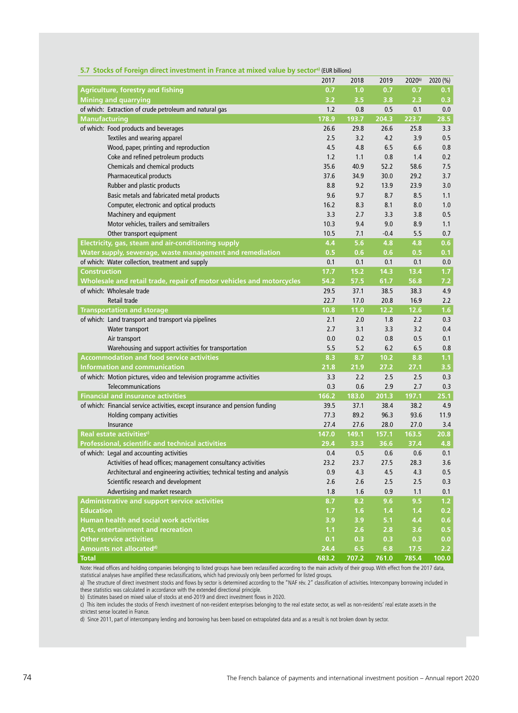|                                                                              | 2017  | 2018  | 2019   | 2020b) | 2020 (%) |
|------------------------------------------------------------------------------|-------|-------|--------|--------|----------|
| Agriculture, forestry and fishing                                            | 0.7   | 1.0   | 0.7    | 0.7    | 0.1      |
| <b>Mining and quarrying</b>                                                  | 3.2   | 3.5   | 3.8    | 2.3    | 0.3      |
| of which: Extraction of crude petroleum and natural gas                      | 1.2   | 0.8   | 0.5    | 0.1    | 0.0      |
| <b>Manufacturing</b>                                                         | 178.9 | 193.7 | 204.3  | 223.7  | 28.5     |
| of which: Food products and beverages                                        | 26.6  | 29.8  | 26.6   | 25.8   | 3.3      |
| Textiles and wearing apparel                                                 | 2.5   | 3.2   | 4.2    | 3.9    | 0.5      |
| Wood, paper, printing and reproduction                                       | 4.5   | 4.8   | 6.5    | 6.6    | 0.8      |
| Coke and refined petroleum products                                          | 1.2   | 1.1   | 0.8    | 1.4    | 0.2      |
| Chemicals and chemical products                                              | 35.6  | 40.9  | 52.2   | 58.6   | 7.5      |
| <b>Pharmaceutical products</b>                                               | 37.6  | 34.9  | 30.0   | 29.2   | 3.7      |
| Rubber and plastic products                                                  | 8.8   | 9.2   | 13.9   | 23.9   | 3.0      |
| Basic metals and fabricated metal products                                   | 9.6   | 9.7   | 8.7    | 8.5    | 1.1      |
| Computer, electronic and optical products                                    | 16.2  | 8.3   | 8.1    | 8.0    | 1.0      |
| Machinery and equipment                                                      | 3.3   | 2.7   | 3.3    | 3.8    | 0.5      |
| Motor vehicles, trailers and semitrailers                                    | 10.3  | 9.4   | 9.0    | 8.9    | 1.1      |
| Other transport equipment                                                    | 10.5  | 7.1   | $-0.4$ | 5.5    | 0.7      |
| Electricity, gas, steam and air-conditioning supply                          | 4.4   | 5.6   | 4.8    | 4.8    | 0.6      |
| Water supply, sewerage, waste management and remediation                     | 0.5   | 0.6   | 0.6    | 0.5    | 0.1      |
| of which: Water collection, treatment and supply                             | 0.1   | 0.1   | 0.1    | 0.1    | 0.0      |
| <b>Construction</b>                                                          | 17.7  | 15.2  | 14.3   | 13.4   | 1.7      |
| Wholesale and retail trade, repair of motor vehicles and motorcycles         | 54.2  | 57.5  | 61.7   | 56.8   | 7.2      |
| of which: Wholesale trade                                                    | 29.5  | 37.1  | 38.5   | 38.3   | 4.9      |
| Retail trade                                                                 | 22.7  | 17.0  | 20.8   | 16.9   | 2.2      |
| <b>Transportation and storage</b>                                            | 10.8  | 11.0  | 12.2   | 12.6   | 1.6      |
| of which: Land transport and transport via pipelines                         | 2.1   | 2.0   | 1.8    | 2.2    | 0.3      |
| Water transport                                                              | 2.7   | 3.1   | 3.3    | 3.2    | 0.4      |
| Air transport                                                                | 0.0   | 0.2   | 0.8    | 0.5    | 0.1      |
| Warehousing and support activities for transportation                        | 5.5   | 5.2   | 6.2    | 6.5    | 0.8      |
| <b>Accommodation and food service activities</b>                             | 8.3   | 8.7   | 10.2   | 8.8    | 1.1      |
| <b>Information and communication</b>                                         | 21.8  | 21.9  | 27.2   | 27.1   | 3.5      |
| of which: Motion pictures, video and television programme activities         | 3.3   | 2.2   | 2.5    | 2.5    | 0.3      |
| Telecommunications                                                           | 0.3   | 0.6   | 2.9    | 2.7    | 0.3      |
| <b>Financial and insurance activities</b>                                    | 166.2 | 183.0 | 201.3  | 197.1  | 25.1     |
| of which: Financial service activities, except insurance and pension funding | 39.5  | 37.1  | 38.4   | 38.2   | 4.9      |
| Holding company activities                                                   | 77.3  | 89.2  | 96.3   | 93.6   | 11.9     |
| Insurance                                                                    | 27.4  | 27.6  | 28.0   | 27.0   | 3.4      |
| Real estate activities <sup>o</sup>                                          | 147.0 | 149.1 | 157.1  | 163.5  | 20.8     |
| Professional, scientific and technical activities                            | 29.4  | 33.3  | 36.6   | 37.4   | 4.8      |
| of which: Legal and accounting activities                                    | 0.4   | 0.5   | 0.6    | 0.6    | 0.1      |
| Activities of head offices; management consultancy activities                | 23.2  | 23.7  | 27.5   | 28.3   | 3.6      |
| Architectural and engineering activities; technical testing and analysis     | 0.9   | 4.3   | 4.5    | 4.3    | 0.5      |
| Scientific research and development                                          | 2.6   | 2.6   | 2.5    | 2.5    | 0.3      |
| Advertising and market research                                              | 1.8   | 1.6   | 0.9    | 1.1    | 0.1      |
| <b>Administrative and support service activities</b>                         | 8.7   | 8.2   | 9.6    | 9.5    | $1.2$    |
| <b>Education</b>                                                             | 1.7   | 1.6   | 1.4    | 1.4    | 0.2      |
| <b>Human health and social work activities</b>                               | 3.9   | 3.9   | 5.1    | 4.4    | 0.6      |
| Arts, entertainment and recreation                                           | 1.1   | 2.6   | 2.8    | 3.6    | 0.5      |
| <b>Other service activities</b>                                              | 0.1   | 0.3   | 0.3    | 0.3    | 0.0      |
| Amounts not allocated <sup>d)</sup>                                          | 24.4  | 6.5   | 6.8    | 17.5   | 2.2      |
| Total                                                                        | 683.2 | 707.2 | 761.0  | 785.4  | 100.0    |

#### **5.7 Stocks of Foreign direct investment in France at mixed value by sectora)** (EUR billions)

Note: Head offices and holding companies belonging to listed groups have been reclassified according to the main activity of their group. With effect from the 2017 data, statistical analyses have amplified these reclassifications, which had previously only been performed for listed groups.

a) The structure of direct investment stocks and flows by sector is determined according to the "NAF rév. 2" classification of activities. Intercompany borrowing included in these statistics was calculated in accordance with the extended directional principle.

b) Estimates based on mixed value of stocks at end-2019 and direct investment flows in 2020.

c) This item includes the stocks of French investment of non-resident enterprises belonging to the real estate sector, as well as non-residents' real estate assets in the strictest sense located in France.

d) Since 2011, part of intercompany lending and borrowing has been based on extrapolated data and as a result is not broken down by sector.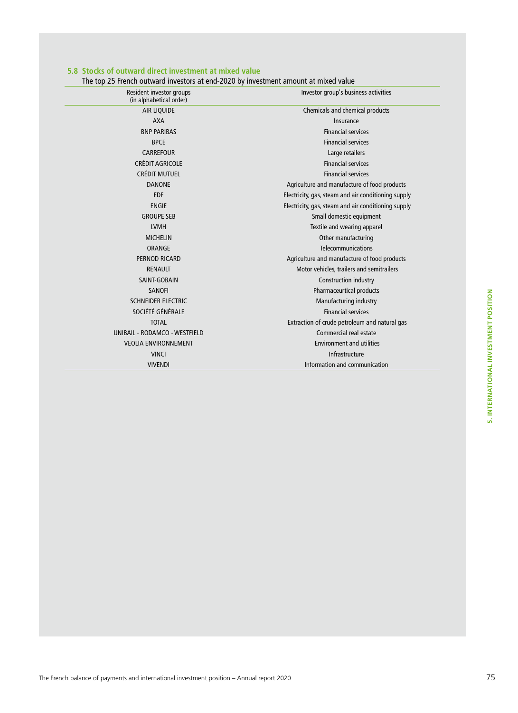#### **5.8 Stocks of outward direct investment at mixed value**

The top 25 French outward investors at end-2020 by investment amount at mixed value

| Resident investor groups<br>(in alphabetical order) | Investor group's business activities                |
|-----------------------------------------------------|-----------------------------------------------------|
| <b>AIR LIQUIDE</b>                                  | Chemicals and chemical products                     |
| <b>AXA</b>                                          | Insurance                                           |
| <b>BNP PARIBAS</b>                                  | <b>Financial services</b>                           |
| <b>BPCE</b>                                         | <b>Financial services</b>                           |
| <b>CARREFOUR</b>                                    | Large retailers                                     |
| <b>CRÉDIT AGRICOLE</b>                              | <b>Financial services</b>                           |
| CRÉDIT MUTUEL                                       | <b>Financial services</b>                           |
| <b>DANONE</b>                                       | Agriculture and manufacture of food products        |
| <b>EDF</b>                                          | Electricity, gas, steam and air conditioning supply |
| <b>ENGIE</b>                                        | Electricity, gas, steam and air conditioning supply |
| <b>GROUPE SEB</b>                                   | Small domestic equipment                            |
| <b>LVMH</b>                                         | Textile and wearing apparel                         |
| <b>MICHELIN</b>                                     | Other manufacturing                                 |
| ORANGE                                              | Telecommunications                                  |
| PERNOD RICARD                                       | Agriculture and manufacture of food products        |
| <b>RENAULT</b>                                      | Motor vehicles, trailers and semitrailers           |
| SAINT-GOBAIN                                        | Construction industry                               |
| <b>SANOFI</b>                                       | Pharmaceurtical products                            |
| <b>SCHNEIDER ELECTRIC</b>                           | Manufacturing industry                              |
| SOCIÉTÉ GÉNÉRALE                                    | <b>Financial services</b>                           |
| <b>TOTAL</b>                                        | Extraction of crude petroleum and natural gas       |
| UNIBAIL - RODAMCO - WESTFIELD                       | Commercial real estate                              |
| <b>VEOLIA ENVIRONNEMENT</b>                         | <b>Environment and utilities</b>                    |
| <b>VINCI</b>                                        | Infrastructure                                      |
| <b>VIVENDI</b>                                      | Information and communication                       |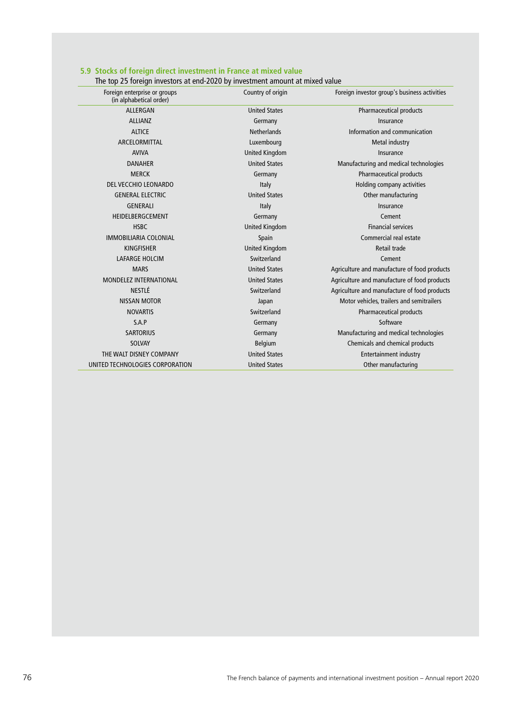| Foreign enterprise or groups<br>(in alphabetical order) | Country of origin     | Foreign investor group's business activities |
|---------------------------------------------------------|-----------------------|----------------------------------------------|
| ALLERGAN                                                | <b>United States</b>  | Pharmaceutical products                      |
| <b>ALLIANZ</b>                                          | Germany               | Insurance                                    |
| <b>ALTICE</b>                                           | <b>Netherlands</b>    | Information and communication                |
| ARCELORMITTAL                                           | Luxembourg            | Metal industry                               |
| <b>AVIVA</b>                                            | <b>United Kingdom</b> | Insurance                                    |
| <b>DANAHER</b>                                          | <b>United States</b>  | Manufacturing and medical technologies       |
| <b>MERCK</b>                                            | Germany               | Pharmaceutical products                      |
| DEL VECCHIO LEONARDO                                    | Italy                 | Holding company activities                   |
| <b>GENERAL ELECTRIC</b>                                 | <b>United States</b>  | Other manufacturing                          |
| <b>GENERALI</b>                                         | Italy                 | Insurance                                    |
| HEIDELBERGCEMENT                                        | Germany               | Cement                                       |
| <b>HSBC</b>                                             | <b>United Kingdom</b> | <b>Financial services</b>                    |
| <b>IMMOBILIARIA COLONIAL</b>                            | Spain                 | Commercial real estate                       |
| <b>KINGFISHER</b>                                       | <b>United Kingdom</b> | Retail trade                                 |
| <b>LAFARGE HOLCIM</b>                                   | Switzerland           | Cement                                       |
| <b>MARS</b>                                             | <b>United States</b>  | Agriculture and manufacture of food products |
| MONDELEZ INTERNATIONAL                                  | <b>United States</b>  | Agriculture and manufacture of food products |
| NESTLÉ                                                  | Switzerland           | Agriculture and manufacture of food products |
| NISSAN MOTOR                                            | Japan                 | Motor vehicles, trailers and semitrailers    |
| <b>NOVARTIS</b>                                         | Switzerland           | Pharmaceutical products                      |
| S.A.P                                                   | Germany               | Software                                     |
| <b>SARTORIUS</b>                                        | Germany               | Manufacturing and medical technologies       |
| <b>SOLVAY</b>                                           | <b>Belgium</b>        | Chemicals and chemical products              |
| THE WALT DISNEY COMPANY                                 | <b>United States</b>  | <b>Entertainment industry</b>                |
| UNITED TECHNOLOGIES CORPORATION                         | <b>United States</b>  | Other manufacturing                          |

### **5.9 Stocks of foreign direct investment in France at mixed value**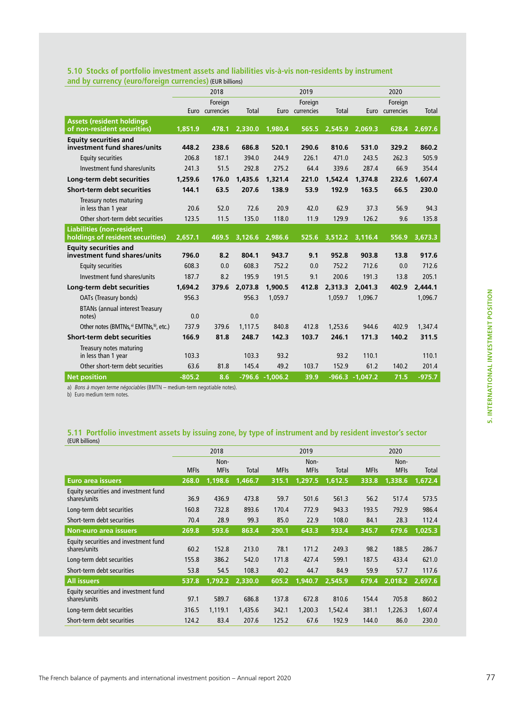### **5.10 Stocks of portfolio investment assets and liabilities vis-à-vis non-residents by instrument and by currency (euro/foreign currencies)** (EUR billions)

|                                                                       |          | 2018                       |         |                    | 2019                       |         | 2020              |                            |          |  |
|-----------------------------------------------------------------------|----------|----------------------------|---------|--------------------|----------------------------|---------|-------------------|----------------------------|----------|--|
|                                                                       |          | Foreign<br>Euro currencies | Total   |                    | Foreign<br>Euro currencies | Total   |                   | Foreign<br>Euro currencies | Total    |  |
| <b>Assets (resident holdings)</b><br>of non-resident securities)      | 1,851.9  | 478.1                      | 2,330.0 | 1,980.4            | 565.5                      | 2,545.9 | 2,069.3           | 628.4                      | 2,697.6  |  |
| <b>Equity securities and</b><br>investment fund shares/units          | 448.2    | 238.6                      | 686.8   | 520.1              | 290.6                      | 810.6   | 531.0             | 329.2                      | 860.2    |  |
| <b>Equity securities</b>                                              | 206.8    | 187.1                      | 394.0   | 244.9              | 226.1                      | 471.0   | 243.5             | 262.3                      | 505.9    |  |
| Investment fund shares/units                                          | 241.3    | 51.5                       | 292.8   | 275.2              | 64.4                       | 339.6   | 287.4             | 66.9                       | 354.4    |  |
| Long-term debt securities                                             | 1,259.6  | 176.0                      | 1.435.6 | 1,321.4            | 221.0                      | 1,542.4 | 1,374.8           | 232.6                      | 1,607.4  |  |
| <b>Short-term debt securities</b>                                     | 144.1    | 63.5                       | 207.6   | 138.9              | 53.9                       | 192.9   | 163.5             | 66.5                       | 230.0    |  |
| Treasury notes maturing<br>in less than 1 year                        | 20.6     | 52.0                       | 72.6    | 20.9               | 42.0                       | 62.9    | 37.3              | 56.9                       | 94.3     |  |
| Other short-term debt securities                                      | 123.5    | 11.5                       | 135.0   | 118.0              | 11.9                       | 129.9   | 126.2             | 9.6                        | 135.8    |  |
| <b>Liabilities (non-resident)</b><br>holdings of resident securities) | 2,657.1  | 469.5                      | 3,126.6 | 2,986.6            | 525.6                      | 3,512.2 | 3,116.4           | 556.9                      | 3,673.3  |  |
| <b>Equity securities and</b><br>investment fund shares/units          | 796.0    | 8.2                        | 804.1   | 943.7              | 9.1                        | 952.8   | 903.8             | 13.8                       | 917.6    |  |
| <b>Equity securities</b>                                              | 608.3    | 0.0                        | 608.3   | 752.2              | 0.0                        | 752.2   | 712.6             | 0.0                        | 712.6    |  |
| Investment fund shares/units                                          | 187.7    | 8.2                        | 195.9   | 191.5              | 9.1                        | 200.6   | 191.3             | 13.8                       | 205.1    |  |
| Long-term debt securities                                             | 1,694.2  | 379.6                      | 2,073.8 | 1,900.5            | 412.8                      | 2.313.3 | 2,041.3           | 402.9                      | 2.444.1  |  |
| OATs (Treasury bonds)                                                 | 956.3    |                            | 956.3   | 1.059.7            |                            | 1.059.7 | 1.096.7           |                            | 1.096.7  |  |
| <b>BTANs (annual interest Treasury</b><br>notes)                      | 0.0      |                            | 0.0     |                    |                            |         |                   |                            |          |  |
| Other notes (BMTNs, <sup>a)</sup> EMTNs, <sup>b)</sup> , etc.)        | 737.9    | 379.6                      | 1.117.5 | 840.8              | 412.8                      | 1.253.6 | 944.6             | 402.9                      | 1,347.4  |  |
| <b>Short-term debt securities</b>                                     | 166.9    | 81.8                       | 248.7   | 142.3              | 103.7                      | 246.1   | 171.3             | 140.2                      | 311.5    |  |
| Treasury notes maturing<br>in less than 1 year                        | 103.3    |                            | 103.3   | 93.2               |                            | 93.2    | 110.1             |                            | 110.1    |  |
| Other short-term debt securities                                      | 63.6     | 81.8                       | 145.4   | 49.2               | 103.7                      | 152.9   | 61.2              | 140.2                      | 201.4    |  |
| <b>Net position</b>                                                   | $-805.2$ | 8.6                        |         | $-796.6 - 1,006.2$ | 39.9                       |         | $-966.3 -1.047.2$ | 71.5                       | $-975.7$ |  |

a) Bons à moyen terme négociables (BMTN – medium-term negotiable notes).

b) Euro medium term notes.

# **5.11 Portfolio investment assets by issuing zone, by type of instrument and by resident investor's sector**  (EUR billions)

|                                                       |             | 2018        |         |             | 2019        |              | 2020        |             |         |
|-------------------------------------------------------|-------------|-------------|---------|-------------|-------------|--------------|-------------|-------------|---------|
|                                                       |             | Non-        |         |             | Non-        |              | Non-        |             |         |
|                                                       | <b>MFIs</b> | <b>MFIs</b> | Total   | <b>MFIs</b> | <b>MFIs</b> | <b>Total</b> | <b>MFIs</b> | <b>MFIs</b> | Total   |
| <b>Euro area issuers</b>                              | 268.0       | 1,198.6     | 1,466.7 | 315.1       | 1,297.5     | 1,612.5      | 333.8       | 1,338.6     | 1,672.4 |
| Equity securities and investment fund<br>shares/units | 36.9        | 436.9       | 473.8   | 59.7        | 501.6       | 561.3        | 56.2        | 517.4       | 573.5   |
| Long-term debt securities                             | 160.8       | 732.8       | 893.6   | 170.4       | 772.9       | 943.3        | 193.5       | 792.9       | 986.4   |
| Short-term debt securities                            | 70.4        | 28.9        | 99.3    | 85.0        | 22.9        | 108.0        | 84.1        | 28.3        | 112.4   |
| <b>Non-euro area issuers</b>                          | 269.8       | 593.6       | 863.4   | 290.1       | 643.3       | 933.4        | 345.7       | 679.6       | 1,025.3 |
| Equity securities and investment fund<br>shares/units | 60.2        | 152.8       | 213.0   | 78.1        | 171.2       | 249.3        | 98.2        | 188.5       | 286.7   |
| Long-term debt securities                             | 155.8       | 386.2       | 542.0   | 171.8       | 427.4       | 599.1        | 187.5       | 433.4       | 621.0   |
| Short-term debt securities                            | 53.8        | 54.5        | 108.3   | 40.2        | 44.7        | 84.9         | 59.9        | 57.7        | 117.6   |
| <b>All issuers</b>                                    | 537.8       | 1,792.2     | 2,330.0 | 605.2       | 1,940.7     | 2,545.9      | 679.4       | 2,018.2     | 2,697.6 |
| Equity securities and investment fund<br>shares/units | 97.1        | 589.7       | 686.8   | 137.8       | 672.8       | 810.6        | 154.4       | 705.8       | 860.2   |
| Long-term debt securities                             | 316.5       | 1,119.1     | 1,435.6 | 342.1       | 1,200.3     | 1,542.4      | 381.1       | 1,226.3     | 1,607.4 |
| Short-term debt securities                            | 124.2       | 83.4        | 207.6   | 125.2       | 67.6        | 192.9        | 144.0       | 86.0        | 230.0   |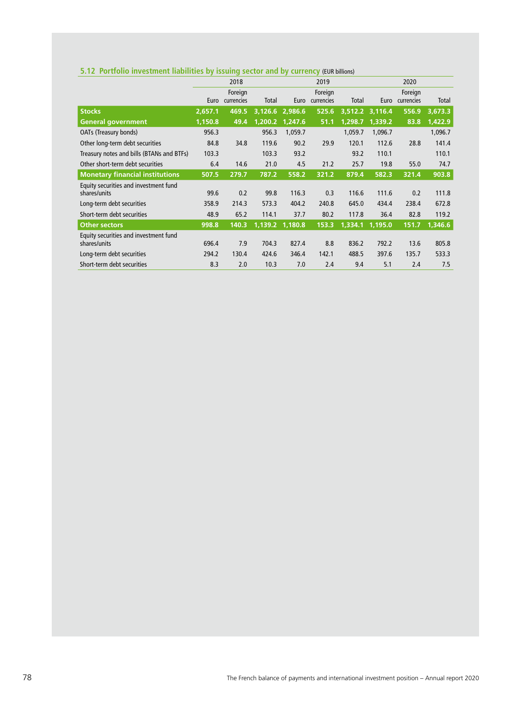| 5.12 Portfolio investment liabilities by issuing sector and by currency (EUR billions) |  |  |
|----------------------------------------------------------------------------------------|--|--|
|----------------------------------------------------------------------------------------|--|--|

|                                                       |         | 2018                  |         |         | 2019                  |         | 2020            |                       |         |
|-------------------------------------------------------|---------|-----------------------|---------|---------|-----------------------|---------|-----------------|-----------------------|---------|
|                                                       | Euro    | Foreign<br>currencies | Total   | Euro    | Foreign<br>currencies | Total   | Euro            | Foreign<br>currencies | Total   |
| <b>Stocks</b>                                         | 2,657.1 | 469.5                 | 3,126.6 | 2,986.6 | 525.6                 |         | 3,512.2 3,116.4 | 556.9                 | 3,673.3 |
| <b>General government</b>                             | 1,150.8 | 49.4                  | 1,200.2 | 1,247.6 | 51.1                  | 1,298.7 | 1,339.2         | 83.8                  | 1,422.9 |
| OATs (Treasury bonds)                                 | 956.3   |                       | 956.3   | 1,059.7 |                       | 1,059.7 | 1,096.7         |                       | 1,096.7 |
| Other long-term debt securities                       | 84.8    | 34.8                  | 119.6   | 90.2    | 29.9                  | 120.1   | 112.6           | 28.8                  | 141.4   |
| Treasury notes and bills (BTANs and BTFs)             | 103.3   |                       | 103.3   | 93.2    |                       | 93.2    | 110.1           |                       | 110.1   |
| Other short-term debt securities                      | 6.4     | 14.6                  | 21.0    | 4.5     | 21.2                  | 25.7    | 19.8            | 55.0                  | 74.7    |
| <b>Monetary financial institutions</b>                | 507.5   | 279.7                 | 787.2   | 558.2   | 321.2                 | 879.4   | 582.3           | 321.4                 | 903.8   |
| Equity securities and investment fund<br>shares/units | 99.6    | 0.2                   | 99.8    | 116.3   | 0.3                   | 116.6   | 111.6           | 0.2                   | 111.8   |
| Long-term debt securities                             | 358.9   | 214.3                 | 573.3   | 404.2   | 240.8                 | 645.0   | 434.4           | 238.4                 | 672.8   |
| Short-term debt securities                            | 48.9    | 65.2                  | 114.1   | 37.7    | 80.2                  | 117.8   | 36.4            | 82.8                  | 119.2   |
| <b>Other sectors</b>                                  | 998.8   | 140.3                 | 1,139.2 | 1,180.8 | 153.3                 | 1,334.1 | 1,195.0         | 151.7                 | 1,346.6 |
| Equity securities and investment fund<br>shares/units | 696.4   | 7.9                   | 704.3   | 827.4   | 8.8                   | 836.2   | 792.2           | 13.6                  | 805.8   |
| Long-term debt securities                             | 294.2   | 130.4                 | 424.6   | 346.4   | 142.1                 | 488.5   | 397.6           | 135.7                 | 533.3   |
| Short-term debt securities                            | 8.3     | 2.0                   | 10.3    | 7.0     | 2.4                   | 9.4     | 5.1             | 2.4                   | 7.5     |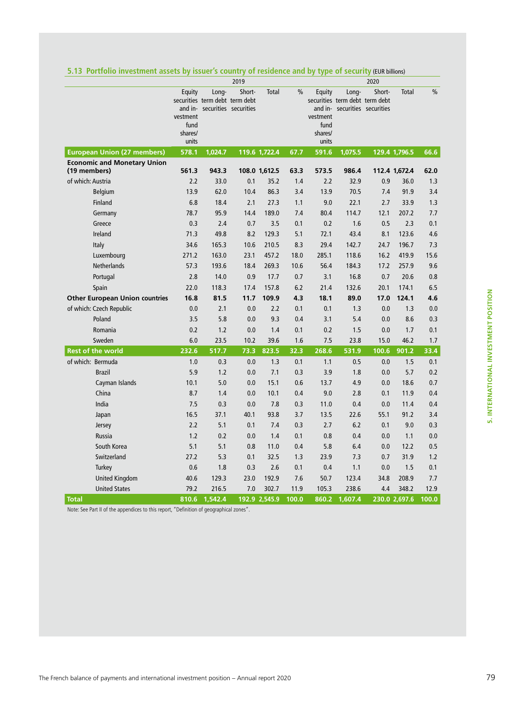|                                                    | 2019     |                                |        |               |               |          |         | 2020                           |               |               |  |
|----------------------------------------------------|----------|--------------------------------|--------|---------------|---------------|----------|---------|--------------------------------|---------------|---------------|--|
|                                                    | Equity   | Long-                          | Short- | Total         | $\frac{0}{0}$ | Equity   | Long-   | Short-                         | Total         | $\frac{0}{0}$ |  |
|                                                    |          | securities term debt term debt |        |               |               |          |         | securities term debt term debt |               |               |  |
|                                                    | vestment | and in- securities securities  |        |               |               | vestment |         | and in- securities securities  |               |               |  |
|                                                    | fund     |                                |        |               |               | fund     |         |                                |               |               |  |
|                                                    | shares/  |                                |        |               |               | shares/  |         |                                |               |               |  |
|                                                    | units    |                                |        |               |               | units    |         |                                |               |               |  |
| <b>European Union (27 members)</b>                 | 578.1    | 1,024.7                        |        | 119.6 1,722.4 | 67.7          | 591.6    | 1,075.5 |                                | 129.4 1,796.5 | 66.6          |  |
| <b>Economic and Monetary Union</b><br>(19 members) | 561.3    | 943.3                          |        | 108.0 1,612.5 | 63.3          | 573.5    | 986.4   |                                | 112.4 1,672.4 | 62.0          |  |
| of which: Austria                                  | 2.2      | 33.0                           | 0.1    | 35.2          | 1.4           | 2.2      | 32.9    | 0.9                            | 36.0          | 1.3           |  |
| <b>Belgium</b>                                     | 13.9     | 62.0                           | 10.4   | 86.3          | 3.4           | 13.9     | 70.5    | 7.4                            | 91.9          | 3.4           |  |
| <b>Finland</b>                                     | 6.8      | 18.4                           | 2.1    | 27.3          | 1.1           | 9.0      | 22.1    | 2.7                            | 33.9          | 1.3           |  |
| Germany                                            | 78.7     | 95.9                           | 14.4   | 189.0         | 7.4           | 80.4     | 114.7   | 12.1                           | 207.2         | 7.7           |  |
| Greece                                             | 0.3      | 2.4                            | 0.7    | 3.5           | 0.1           | 0.2      | 1.6     | 0.5                            | 2.3           | 0.1           |  |
| Ireland                                            | 71.3     | 49.8                           | 8.2    | 129.3         | 5.1           | 72.1     | 43.4    | 8.1                            | 123.6         | 4.6           |  |
| Italy                                              | 34.6     | 165.3                          | 10.6   | 210.5         | 8.3           | 29.4     | 142.7   | 24.7                           | 196.7         | 7.3           |  |
| Luxembourg                                         | 271.2    | 163.0                          | 23.1   | 457.2         | 18.0          | 285.1    | 118.6   | 16.2                           | 419.9         | 15.6          |  |
| <b>Netherlands</b>                                 | 57.3     | 193.6                          | 18.4   | 269.3         | 10.6          | 56.4     | 184.3   | 17.2                           | 257.9         | 9.6           |  |
| Portugal                                           | 2.8      | 14.0                           | 0.9    | 17.7          | 0.7           | 3.1      | 16.8    | 0.7                            | 20.6          | 0.8           |  |
| Spain                                              | 22.0     | 118.3                          | 17.4   | 157.8         | 6.2           | 21.4     | 132.6   | 20.1                           | 174.1         | 6.5           |  |
| <b>Other European Union countries</b>              | 16.8     | 81.5                           | 11.7   | 109.9         | 4.3           | 18.1     | 89.0    | 17.0                           | 124.1         | 4.6           |  |
| of which: Czech Republic                           | 0.0      | 2.1                            | 0.0    | 2.2           | 0.1           | 0.1      | 1.3     | 0.0                            | 1.3           | 0.0           |  |
| Poland                                             | 3.5      | 5.8                            | 0.0    | 9.3           | 0.4           | 3.1      | 5.4     | 0.0                            | 8.6           | 0.3           |  |
| Romania                                            | 0.2      | 1.2                            | 0.0    | 1.4           | 0.1           | 0.2      | 1.5     | 0.0                            | 1.7           | 0.1           |  |
| Sweden                                             | 6.0      | 23.5                           | 10.2   | 39.6          | 1.6           | 7.5      | 23.8    | 15.0                           | 46.2          | 1.7           |  |
| <b>Rest of the world</b>                           | 232.6    | 517.7                          | 73.3   | 823.5         | 32.3          | 268.6    | 531.9   | 100.6                          | 901.2         | 33.4          |  |
| of which: Bermuda                                  | 1.0      | 0.3                            | 0.0    | 1.3           | 0.1           | 1.1      | 0.5     | 0.0                            | 1.5           | 0.1           |  |
| <b>Brazil</b>                                      | 5.9      | 1.2                            | 0.0    | 7.1           | 0.3           | 3.9      | 1.8     | 0.0                            | 5.7           | 0.2           |  |
| Cayman Islands                                     | 10.1     | 5.0                            | 0.0    | 15.1          | 0.6           | 13.7     | 4.9     | 0.0                            | 18.6          | 0.7           |  |
| China                                              | 8.7      | 1.4                            | 0.0    | 10.1          | 0.4           | 9.0      | 2.8     | 0.1                            | 11.9          | 0.4           |  |
| India                                              | 7.5      | 0.3                            | 0.0    | 7.8           | 0.3           | 11.0     | 0.4     | 0.0                            | 11.4          | 0.4           |  |
| Japan                                              | 16.5     | 37.1                           | 40.1   | 93.8          | 3.7           | 13.5     | 22.6    | 55.1                           | 91.2          | 3.4           |  |
| Jersey                                             | 2.2      | 5.1                            | 0.1    | 7.4           | 0.3           | 2.7      | 6.2     | 0.1                            | 9.0           | 0.3           |  |
| Russia                                             | 1.2      | 0.2                            | 0.0    | 1.4           | 0.1           | 0.8      | 0.4     | 0.0                            | 1.1           | 0.0           |  |
| South Korea                                        | 5.1      | 5.1                            | 0.8    | 11.0          | 0.4           | 5.8      | 6.4     | 0.0                            | 12.2          | 0.5           |  |
| Switzerland                                        | 27.2     | 5.3                            | 0.1    | 32.5          | 1.3           | 23.9     | 7.3     | 0.7                            | 31.9          | 1.2           |  |
| Turkey                                             | 0.6      | 1.8                            | 0.3    | 2.6           | 0.1           | 0.4      | 1.1     | 0.0                            | 1.5           | 0.1           |  |
| <b>United Kingdom</b>                              | 40.6     | 129.3                          | 23.0   | 192.9         | 7.6           | 50.7     | 123.4   | 34.8                           | 208.9         | 7.7           |  |
| <b>United States</b>                               | 79.2     | 216.5                          | 7.0    | 302.7         | 11.9          | 105.3    | 238.6   | 4.4                            | 348.2         | 12.9          |  |
| <b>Total</b>                                       | 810.6    | 1.542.4                        |        | 192.9 2.545.9 | 100.0         | 860.2    | 1,607.4 |                                | 230.0 2.697.6 | 100.0         |  |

### **5.13 Portfolio investment assets by issuer's country of residence and by type of security** (EUR billions)

Note: See Part II of the appendices to this report, "Definition of geographical zones".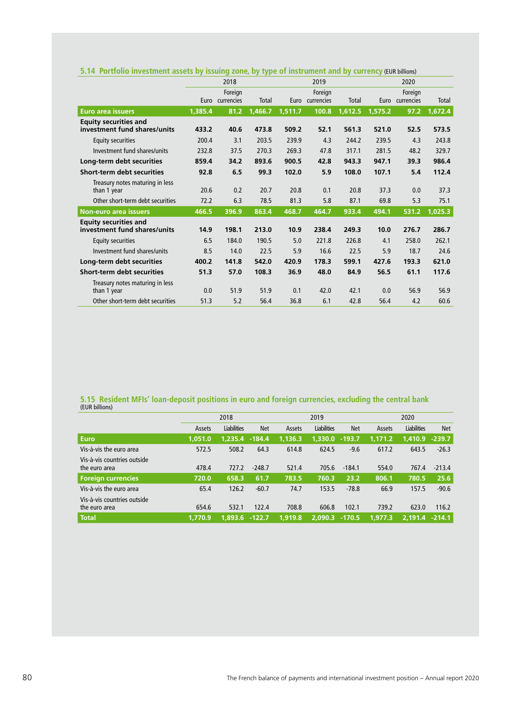|                                                              | 2018    |                 |              |         | 2019            |         | 2020    |            |         |
|--------------------------------------------------------------|---------|-----------------|--------------|---------|-----------------|---------|---------|------------|---------|
|                                                              |         | Foreign         |              |         | Foreign         |         |         | Foreign    |         |
|                                                              |         | Euro currencies | <b>Total</b> |         | Euro currencies | Total   | Euro    | currencies | Total   |
| <b>Euro area issuers</b>                                     | 1,385.4 | 81.2            | 1,466.7      | 1,511.7 | 100.8           | 1,612.5 | 1,575.2 | 97.2       | 1,672.4 |
| <b>Equity securities and</b><br>investment fund shares/units | 433.2   | 40.6            | 473.8        | 509.2   | 52.1            | 561.3   | 521.0   | 52.5       | 573.5   |
| <b>Equity securities</b>                                     | 200.4   | 3.1             | 203.5        | 239.9   | 4.3             | 244.2   | 239.5   | 4.3        | 243.8   |
| Investment fund shares/units                                 | 232.8   | 37.5            | 270.3        | 269.3   | 47.8            | 317.1   | 281.5   | 48.2       | 329.7   |
| Long-term debt securities                                    | 859.4   | 34.2            | 893.6        | 900.5   | 42.8            | 943.3   | 947.1   | 39.3       | 986.4   |
| Short-term debt securities                                   | 92.8    | 6.5             | 99.3         | 102.0   | 5.9             | 108.0   | 107.1   | 5.4        | 112.4   |
| Treasury notes maturing in less<br>than 1 year               | 20.6    | 0.2             | 20.7         | 20.8    | 0.1             | 20.8    | 37.3    | 0.0        | 37.3    |
| Other short-term debt securities                             | 72.2    | 6.3             | 78.5         | 81.3    | 5.8             | 87.1    | 69.8    | 5.3        | 75.1    |
| <b>Non-euro area issuers</b>                                 | 466.5   | 396.9           | 863.4        | 468.7   | 464.7           | 933.4   | 494.1   | 531.2      | 1,025.3 |
| <b>Equity securities and</b>                                 |         |                 |              |         |                 |         |         |            |         |
| investment fund shares/units                                 | 14.9    | 198.1           | 213.0        | 10.9    | 238.4           | 249.3   | 10.0    | 276.7      | 286.7   |
| <b>Equity securities</b>                                     | 6.5     | 184.0           | 190.5        | 5.0     | 221.8           | 226.8   | 4.1     | 258.0      | 262.1   |
| Investment fund shares/units                                 | 8.5     | 14.0            | 22.5         | 5.9     | 16.6            | 22.5    | 5.9     | 18.7       | 24.6    |
| Long-term debt securities                                    | 400.2   | 141.8           | 542.0        | 420.9   | 178.3           | 599.1   | 427.6   | 193.3      | 621.0   |
| <b>Short-term debt securities</b>                            | 51.3    | 57.0            | 108.3        | 36.9    | 48.0            | 84.9    | 56.5    | 61.1       | 117.6   |
| Treasury notes maturing in less<br>than 1 year               | 0.0     | 51.9            | 51.9         | 0.1     | 42.0            | 42.1    | 0.0     | 56.9       | 56.9    |
| Other short-term debt securities                             | 51.3    | 5.2             | 56.4         | 36.8    | 6.1             | 42.8    | 56.4    | 4.2        | 60.6    |

### **5.14 Portfolio investment assets by issuing zone, by type of instrument and by currency** (EUR billions)

## **5.15 Resident MFIs' loan-deposit positions in euro and foreign currencies, excluding the central bank** (EUR billions)

|                                              | 2018    |             |            |         | 2019               |            | 2020    |                    |            |
|----------------------------------------------|---------|-------------|------------|---------|--------------------|------------|---------|--------------------|------------|
|                                              | Assets  | Liabilities | <b>Net</b> | Assets  | <b>Liabilities</b> | <b>Net</b> | Assets  | <b>Liabilities</b> | <b>Net</b> |
| <b>Euro</b>                                  | 1.051.0 | 1.235.4     | $-184.4$   | 1,136.3 | 1,330.0            | $-193.7$   | 1.171.2 | 1,410.9            | $-239.7$   |
| Vis-à-vis the euro area                      | 572.5   | 508.2       | 64.3       | 614.8   | 624.5              | $-9.6$     | 617.2   | 643.5              | $-26.3$    |
| Vis-à-vis countries outside<br>the euro area | 478.4   | 727.2       | $-248.7$   | 521.4   | 705.6              | $-184.1$   | 554.0   | 767.4              | $-213.4$   |
| <b>Foreign currencies</b>                    | 720.0   | 658.3       | 61.7       | 783.5   | 760.3              | 23.2       | 806.1   | 780.5              | 25.6       |
| Vis-à-vis the euro area                      | 65.4    | 126.2       | $-60.7$    | 74.7    | 153.5              | $-78.8$    | 66.9    | 157.5              | $-90.6$    |
| Vis-à-vis countries outside<br>the euro area | 654.6   | 532.1       | 122.4      | 708.8   | 606.8              | 102.1      | 739.2   | 623.0              | 116.2      |
| <b>Total</b>                                 | 1.770.9 | 1.893.6     | $-122.7$   | 1.919.8 | 2,090.3            | $-170.5$   | 1.977.3 | 2.191.4            | $-214.1$   |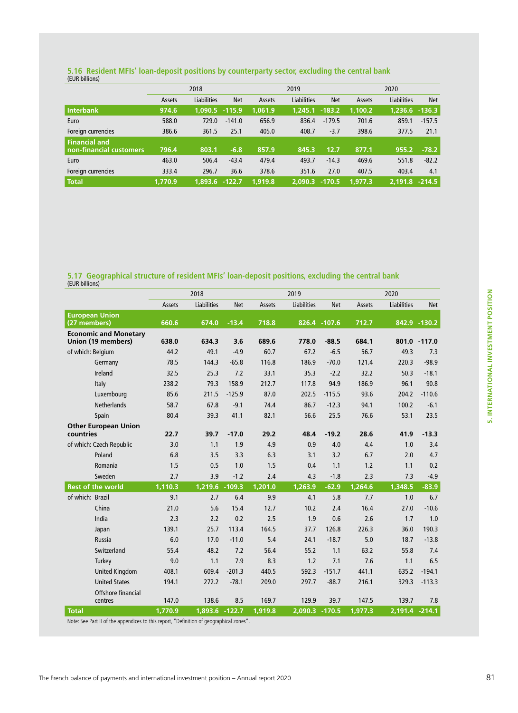## **5.16 Resident MFIs' loan-deposit positions by counterparty sector, excluding the central bank** (EUR billions)

|                         | 2018    |             |            |         | 2019               |            |         | 2020               |            |  |
|-------------------------|---------|-------------|------------|---------|--------------------|------------|---------|--------------------|------------|--|
|                         | Assets  | Liabilities | <b>Net</b> | Assets  | <b>Liabilities</b> | <b>Net</b> | Assets  | <b>Liabilities</b> | <b>Net</b> |  |
| Interbank               | 974.6   | 1.090.5     | $-115.9$   | 1.061.9 | 1.245.1            | $-183.2$   | 1.100.2 | 1.236.6            | $-136.3$   |  |
| Euro                    | 588.0   | 729.0       | $-141.0$   | 656.9   | 836.4              | $-179.5$   | 701.6   | 859.1              | $-157.5$   |  |
| Foreign currencies      | 386.6   | 361.5       | 25.1       | 405.0   | 408.7              | $-3.7$     | 398.6   | 377.5              | 21.1       |  |
| <b>Financial and</b>    |         |             |            |         |                    |            |         |                    |            |  |
| non-financial customers | 796.4   | 803.1       | $-6.8$     | 857.9   | 845.3              | 12.7       | 877.1   | 955.2              | $-78.2$    |  |
| Euro                    | 463.0   | 506.4       | $-43.4$    | 479.4   | 493.7              | $-14.3$    | 469.6   | 551.8              | $-82.2$    |  |
| Foreign currencies      | 333.4   | 296.7       | 36.6       | 378.6   | 351.6              | 27.0       | 407.5   | 403.4              | 4.1        |  |
| <b>Total</b>            | 1.770.9 | 1.893.6     | $-122.7$   | 1,919.8 | 2.090.3            | $-170.5$   | 1.977.3 | 2.191.8            | $-214.5$   |  |

# **5.17 Geographical structure of resident MFIs' loan-deposit positions, excluding the central bank**  (EUR billions)

|                                                                                         | 2018    |                    |            | 2019    |                    |              | 2020    |                    |              |
|-----------------------------------------------------------------------------------------|---------|--------------------|------------|---------|--------------------|--------------|---------|--------------------|--------------|
|                                                                                         | Assets  | <b>Liabilities</b> | <b>Net</b> | Assets  | <b>Liabilities</b> | <b>Net</b>   | Assets  | <b>Liabilities</b> | <b>Net</b>   |
| <b>European Union</b><br>(27 members)                                                   | 660.6   | 674.0              | $-13.4$    | 718.8   |                    | 826.4 -107.6 | 712.7   |                    | 842.9 -130.2 |
| <b>Economic and Monetary</b>                                                            |         |                    |            |         |                    |              |         |                    |              |
| Union (19 members)                                                                      | 638.0   | 634.3              | 3.6        | 689.6   | 778.0              | $-88.5$      | 684.1   |                    | 801.0 -117.0 |
| of which: Belgium                                                                       | 44.2    | 49.1               | $-4.9$     | 60.7    | 67.2               | $-6.5$       | 56.7    | 49.3               | 7.3          |
| Germany                                                                                 | 78.5    | 144.3              | $-65.8$    | 116.8   | 186.9              | $-70.0$      | 121.4   | 220.3              | $-98.9$      |
| Ireland                                                                                 | 32.5    | 25.3               | 7.2        | 33.1    | 35.3               | $-2.2$       | 32.2    | 50.3               | $-18.1$      |
| Italy                                                                                   | 238.2   | 79.3               | 158.9      | 212.7   | 117.8              | 94.9         | 186.9   | 96.1               | 90.8         |
| Luxembourg                                                                              | 85.6    | 211.5              | $-125.9$   | 87.0    | 202.5              | $-115.5$     | 93.6    | 204.2              | $-110.6$     |
| <b>Netherlands</b>                                                                      | 58.7    | 67.8               | $-9.1$     | 74.4    | 86.7               | $-12.3$      | 94.1    | 100.2              | $-6.1$       |
| Spain                                                                                   | 80.4    | 39.3               | 41.1       | 82.1    | 56.6               | 25.5         | 76.6    | 53.1               | 23.5         |
| <b>Other European Union</b>                                                             |         |                    |            |         |                    |              |         |                    |              |
| countries                                                                               | 22.7    | 39.7               | $-17.0$    | 29.2    | 48.4               | $-19.2$      | 28.6    | 41.9               | $-13.3$      |
| of which: Czech Republic                                                                | 3.0     | 1.1                | 1.9        | 4.9     | 0.9                | 4.0          | 4.4     | 1.0                | 3.4          |
| Poland                                                                                  | 6.8     | 3.5                | 3.3        | 6.3     | 3.1                | 3.2          | 6.7     | 2.0                | 4.7          |
| Romania                                                                                 | 1.5     | 0.5                | 1.0        | 1.5     | 0.4                | 1.1          | 1.2     | 1.1                | 0.2          |
| Sweden                                                                                  | 2.7     | 3.9                | $-1.2$     | 2.4     | 4.3                | $-1.8$       | 2.3     | 7.3                | $-4.9$       |
| <b>Rest of the world</b>                                                                | 1,110.3 | 1,219.6            | $-109.3$   | 1,201.0 | 1,263.9            | $-62.9$      | 1,264.6 | 1,348.5            | $-83.9$      |
| of which: Brazil                                                                        | 9.1     | 2.7                | 6.4        | 9.9     | 4.1                | 5.8          | 7.7     | 1.0                | 6.7          |
| China                                                                                   | 21.0    | 5.6                | 15.4       | 12.7    | 10.2               | 2.4          | 16.4    | 27.0               | $-10.6$      |
| India                                                                                   | 2.3     | 2.2                | 0.2        | 2.5     | 1.9                | 0.6          | 2.6     | 1.7                | 1.0          |
| Japan                                                                                   | 139.1   | 25.7               | 113.4      | 164.5   | 37.7               | 126.8        | 226.3   | 36.0               | 190.3        |
| Russia                                                                                  | 6.0     | 17.0               | $-11.0$    | 5.4     | 24.1               | $-18.7$      | 5.0     | 18.7               | $-13.8$      |
| Switzerland                                                                             | 55.4    | 48.2               | 7.2        | 56.4    | 55.2               | 1.1          | 63.2    | 55.8               | 7.4          |
| Turkey                                                                                  | 9.0     | 1.1                | 7.9        | 8.3     | 1.2                | 7.1          | 7.6     | 1.1                | 6.5          |
| <b>United Kingdom</b>                                                                   | 408.1   | 609.4              | $-201.3$   | 440.5   | 592.3              | $-151.7$     | 441.1   | 635.2              | $-194.1$     |
| <b>United States</b>                                                                    | 194.1   | 272.2              | $-78.1$    | 209.0   | 297.7              | $-88.7$      | 216.1   | 329.3              | $-113.3$     |
| Offshore financial<br>centres                                                           | 147.0   | 138.6              | 8.5        | 169.7   | 129.9              | 39.7         | 147.5   | 139.7              | 7.8          |
| <b>Total</b>                                                                            | 1,770.9 | 1,893.6 -122.7     |            | 1,919.8 | 2.090.3            | $-170.5$     | 1,977.3 | 2,191.4 -214.1     |              |
| Note: See Part II of the appendices to this report, "Definition of geographical zones". |         |                    |            |         |                    |              |         |                    |              |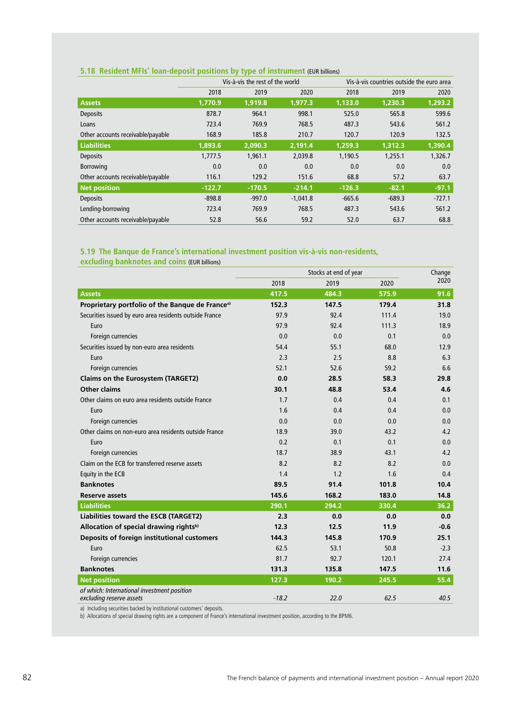### **5.18 Resident MFIs' loan-deposit positions by type of instrument** (EUR billions)

|                                   |          | Vis-à-vis the rest of the world |            | Vis-à-vis countries outside the euro area |          |          |  |  |
|-----------------------------------|----------|---------------------------------|------------|-------------------------------------------|----------|----------|--|--|
|                                   | 2018     | 2019                            | 2020       | 2018                                      | 2019     | 2020     |  |  |
| <b>Assets</b>                     | 1.770.9  | 1,919.8                         | 1.977.3    | 1,133.0                                   | 1,230.3  | 1,293.2  |  |  |
| <b>Deposits</b>                   | 878.7    | 964.1                           | 998.1      | 525.0                                     | 565.8    | 599.6    |  |  |
| Loans                             | 723.4    | 769.9                           | 768.5      | 487.3                                     | 543.6    | 561.2    |  |  |
| Other accounts receivable/payable | 168.9    | 185.8                           | 210.7      | 120.7                                     | 120.9    | 132.5    |  |  |
| <b>Liabilities</b>                | 1.893.6  | 2.090.3                         | 2.191.4    | 1.259.3                                   | 1,312.3  | 1,390.4  |  |  |
| <b>Deposits</b>                   | 1,777.5  | 1,961.1                         | 2,039.8    | 1.190.5                                   | 1,255.1  | 1,326.7  |  |  |
| <b>Borrowing</b>                  | 0.0      | 0.0                             | 0.0        | 0.0                                       | 0.0      | 0.0      |  |  |
| Other accounts receivable/payable | 116.1    | 129.2                           | 151.6      | 68.8                                      | 57.2     | 63.7     |  |  |
| <b>Net position</b>               | $-122.7$ | $-170.5$                        | $-214.1$   | $-126.3$                                  | $-82.1$  | $-97.1$  |  |  |
| <b>Deposits</b>                   | $-898.8$ | $-997.0$                        | $-1,041.8$ | $-665.6$                                  | $-689.3$ | $-727.1$ |  |  |
| Lending-borrowing                 | 723.4    | 769.9                           | 768.5      | 487.3                                     | 543.6    | 561.2    |  |  |
| Other accounts receivable/payable | 52.8     | 56.6                            | 59.2       | 52.0                                      | 63.7     | 68.8     |  |  |

### **5.19 The Banque de France's international investment position vis-à-vis non-residents,**

|                                                                         |         | Stocks at end of year | Change |        |
|-------------------------------------------------------------------------|---------|-----------------------|--------|--------|
|                                                                         | 2018    | 2019                  | 2020   | 2020   |
| <b>Assets</b>                                                           | 417.5   | 484.3                 | 575.9  | 91.6   |
| Proprietary portfolio of the Banque de France <sup>a)</sup>             | 152.3   | 147.5                 | 179.4  | 31.8   |
| Securities issued by euro area residents outside France                 | 97.9    | 92.4                  | 111.4  | 19.0   |
| Euro                                                                    | 97.9    | 92.4                  | 111.3  | 18.9   |
| Foreign currencies                                                      | 0.0     | 0.0                   | 0.1    | 0.0    |
| Securities issued by non-euro area residents                            | 54.4    | 55.1                  | 68.0   | 12.9   |
| Euro                                                                    | 2.3     | 2.5                   | 8.8    | 6.3    |
| Foreign currencies                                                      | 52.1    | 52.6                  | 59.2   | 6.6    |
| Claims on the Eurosystem (TARGET2)                                      | 0.0     | 28.5                  | 58.3   | 29.8   |
| <b>Other claims</b>                                                     | 30.1    | 48.8                  | 53.4   | 4.6    |
| Other claims on euro area residents outside France                      | 1.7     | 0.4                   | 0.4    | 0.1    |
| Euro                                                                    | 1.6     | 0.4                   | 0.4    | 0.0    |
| Foreign currencies                                                      | 0.0     | 0.0                   | 0.0    | 0.0    |
| Other claims on non-euro area residents outside France                  | 18.9    | 39.0                  | 43.2   | 4.2    |
| Euro                                                                    | 0.2     | 0.1                   | 0.1    | 0.0    |
| Foreign currencies                                                      | 18.7    | 38.9                  | 43.1   | 4.2    |
| Claim on the ECB for transferred reserve assets                         | 8.2     | 8.2                   | 8.2    | 0.0    |
| Equity in the ECB                                                       | 1.4     | 1.2                   | 1.6    | 0.4    |
| <b>Banknotes</b>                                                        | 89.5    | 91.4                  | 101.8  | 10.4   |
| Reserve assets                                                          | 145.6   | 168.2                 | 183.0  | 14.8   |
| <b>Liabilities</b>                                                      | 290.1   | 294.2                 | 330.4  | 36.2   |
| Liabilities toward the ESCB (TARGET2)                                   | 2.3     | 0.0                   | 0.0    | 0.0    |
| Allocation of special drawing rightsb)                                  | 12.3    | 12.5                  | 11.9   | $-0.6$ |
| Deposits of foreign institutional customers                             | 144.3   | 145.8                 | 170.9  | 25.1   |
| Euro                                                                    | 62.5    | 53.1                  | 50.8   | $-2.3$ |
| Foreign currencies                                                      | 81.7    | 92.7                  | 120.1  | 27.4   |
| <b>Banknotes</b>                                                        | 131.3   | 135.8                 | 147.5  | 11.6   |
| <b>Net position</b>                                                     | 127.3   | 190.2                 | 245.5  | 55.4   |
| of which: International investment position<br>excluding reserve assets | $-18.2$ | 22.0                  | 62.5   | 40.5   |

**excluding banknotes and coins** (EUR billions)

a) Including securities backed by institutional customers' deposits.

b) Allocations of special drawing rights are a component of France's international investment position, according to the BPM6.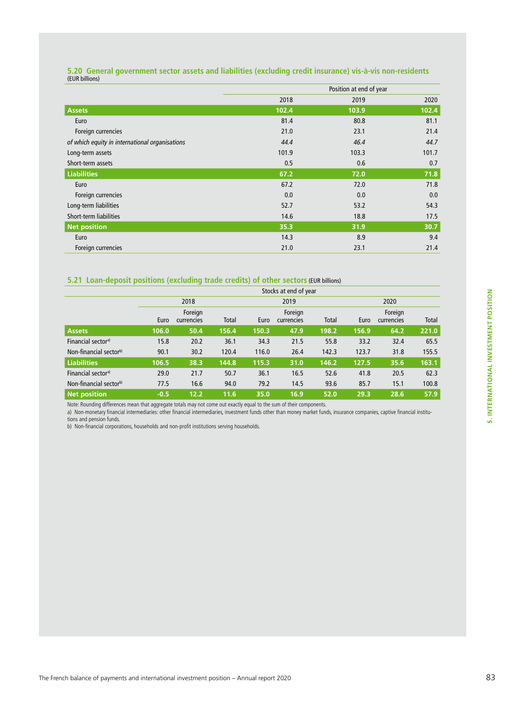## **5.20 General government sector assets and liabilities (excluding credit insurance) vis-à-vis non-residents**  (EUR billions)

|                                                | Position at end of year |       |       |  |  |
|------------------------------------------------|-------------------------|-------|-------|--|--|
|                                                | 2018                    | 2019  | 2020  |  |  |
| <b>Assets</b>                                  | 102.4                   | 103.9 | 102.4 |  |  |
| Euro                                           | 81.4                    | 80.8  | 81.1  |  |  |
| Foreign currencies                             | 21.0                    | 23.1  | 21.4  |  |  |
| of which equity in international organisations | 44.4                    | 46.4  | 44.7  |  |  |
| Long-term assets                               | 101.9                   | 103.3 | 101.7 |  |  |
| Short-term assets                              | 0.5                     | 0.6   | 0.7   |  |  |
| <b>Liabilities</b>                             | 67.2                    | 72.0  | 71.8  |  |  |
| Euro                                           | 67.2                    | 72.0  | 71.8  |  |  |
| Foreign currencies                             | 0.0                     | 0.0   | 0.0   |  |  |
| Long-term liabilities                          | 52.7                    | 53.2  | 54.3  |  |  |
| Short-term liabilities                         | 14.6                    | 18.8  | 17.5  |  |  |
| Net position                                   | 35.3                    | 31.9  | 30.7  |  |  |
| Euro                                           | 14.3                    | 8.9   | 9.4   |  |  |
| Foreign currencies                             | 21.0                    | 23.1  | 21.4  |  |  |

### **5.21 Loan-deposit positions (excluding trade credits) of other sectors** (EUR billions)

|                                    | Stocks at end of year |                       |       |       |                       |       |       |                       |              |  |  |
|------------------------------------|-----------------------|-----------------------|-------|-------|-----------------------|-------|-------|-----------------------|--------------|--|--|
|                                    |                       | 2018                  |       |       | 2019                  |       |       | 2020                  |              |  |  |
|                                    | Euro                  | Foreign<br>currencies | Total | Euro  | Foreign<br>currencies | Total | Euro  | Foreign<br>currencies | <b>Total</b> |  |  |
| <b>Assets</b>                      | 106.0                 | 50.4                  | 156.4 | 150.3 | 47.9                  | 198.2 | 156.9 | 64.2                  | 221.0        |  |  |
| Financial sector <sup>a)</sup>     | 15.8                  | 20.2                  | 36.1  | 34.3  | 21.5                  | 55.8  | 33.2  | 32.4                  | 65.5         |  |  |
| Non-financial sector <sup>b)</sup> | 90.1                  | 30.2                  | 120.4 | 116.0 | 26.4                  | 142.3 | 123.7 | 31.8                  | 155.5        |  |  |
| Liabilities                        | 106.5                 | 38.3                  | 144.8 | 115.3 | 31.0                  | 146.2 | 127.5 | 35.6                  | 163.1        |  |  |
| Financial sector <sup>a)</sup>     | 29.0                  | 21.7                  | 50.7  | 36.1  | 16.5                  | 52.6  | 41.8  | 20.5                  | 62.3         |  |  |
| Non-financial sectorb)             | 77.5                  | 16.6                  | 94.0  | 79.2  | 14.5                  | 93.6  | 85.7  | 15.1                  | 100.8        |  |  |
| Net position                       | $-0.5$                | 12.2                  | 11.6  | 35.0  | 16.9                  | 52.0  | 29.3  | 28.6                  | 57.9         |  |  |

Note: Rounding differences mean that aggregate totals may not come out exactly equal to the sum of their components.

a) Non-monetary financial intermediaries: other financial intermediaries, investment funds other than money market funds, insurance companies, captive financial institutions and pension funds.

b) Non-financial corporations, households and non-profit institutions serving households.